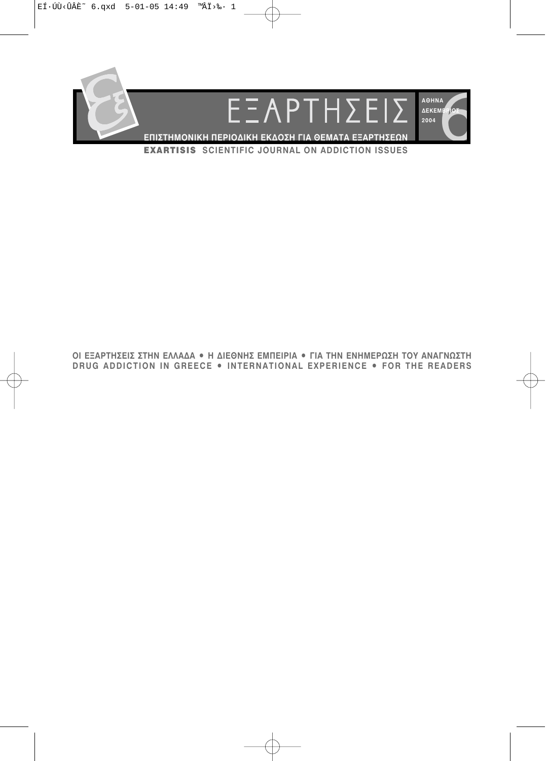

ΟΙ ΕΞΑΡΤΗΣΕΙΣ ΣΤΗΝ ΕΛΛΑΔΑ • Η ΔΙΕΘΝΗΣ ΕΜΠΕΙΡΙΑ • ΓΙΑ ΤΗΝ ΕΝΗΜΕΡΩΣΗ ΤΟΥ ΑΝΑΓΝΩΣΤΗ DRUG ADDICTION IN GREECE . INTERNATIONAL EXPERIENCE . FOR THE READERS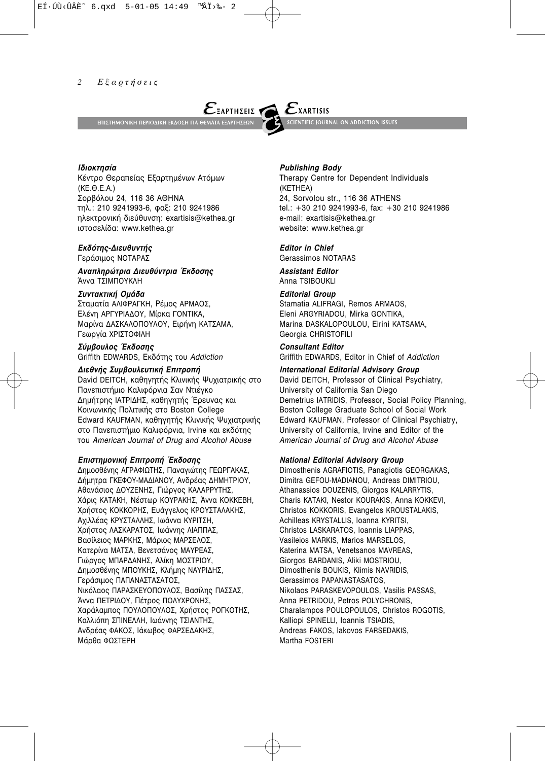$\mathcal{P}$  $E$ ξαρτήσεις



NTIFIC JOURNAL ON ADDICTION ISSUES

Ιδιοκτησία

Κέντρο Θεραπείας Εξαρτημένων Ατόμων  $(KE. \Theta.E.A.)$ Σορβόλου 24, 116 36 ΑΘΗΝΑ τηλ.: 210 9241993-6, φαξ: 210 9241986 ηλεκτρονική διεύθυνση: exartisis@kethea.gr ιστοσελίδα: www.kethea.gr

#### Εκδότης-Διευθυντής

Γεράσιμος ΝΟΤΑΡΑΣ

Αναπληρώτρια Διευθύντρια Έκδοσης Άννα ΤΣΙΜΠΟΥΚΛΗ

#### Συντακτική Ομάδα

Σταματία ΑΛΙΦΡΑΓΚΗ, Ρέμος ΑΡΜΑΟΣ, Ελένη ΑΡΓΥΡΙΑΔΟΥ, Μίρκα ΓΟΝΤΙΚΑ, Μαρίνα ΔΑΣΚΑΛΟΠΟΥΛΟΥ, Ειρήνη ΚΑΤΣΑΜΑ, Γεωργία ΧΡΙΣΤΟΦΙΛΗ

# Σύμβουλος Έκδοσης

Griffith EDWARDS, Εκδότης του Addiction

# Διεθνής Συμβουλευτική Επιτροπή

David DEITCH, καθηγητής Κλινικής Ψυχιατρικής στο Πανεπιστήμιο Καλιφόρνια Σαν Ντιέγκο Δημήτρης ΙΑΤΡΙΔΗΣ, καθηγητής Έρευνας και Κοινωνικής Πολιτικής στο Boston College Edward KAUFMAN, καθηγητής Κλινικής Ψυχιατρικής στο Πανεπιστήμιο Καλιφόρνια, Irvine και εκδότης του American Journal of Drug and Alcohol Abuse

# Επιστημονική Επιτροπή Έκδοσης

Δημοσθένης ΑΓΡΑΦΙΩΤΗΣ, Παναγιώτης ΓΕΩΡΓΑΚΑΣ, Δήμητρα ΓΚΕΦΟΥ-ΜΑΔΙΑΝΟΥ, Ανδρέας ΔΗΜΗΤΡΙΟΥ, Αθανάσιος ΔΟΥΖΕΝΗΣ, Γιώργος ΚΑΛΑΡΡΥΤΗΣ, Χάρις ΚΑΤΑΚΗ, Νέστωρ ΚΟΥΡΑΚΗΣ, Άννα ΚΟΚΚΕΒΗ, Χρήστος ΚΟΚΚΟΡΗΣ, Ευάγγελος ΚΡΟΥΣΤΑΛΑΚΗΣ, Αχιλλέας ΚΡΥΣΤΑΛΛΗΣ, Ιωάννα ΚΥΡΙΤΣΗ, Χρήστος ΛΑΣΚΑΡΑΤΟΣ, Ιωάννης ΛΙΑΠΠΑΣ, Βασίλειος ΜΑΡΚΗΣ, Μάριος ΜΑΡΣΕΛΟΣ, Κατερίνα ΜΑΤΣΑ, Βενετσάνος ΜΑΥΡΕΑΣ, Γιώργος ΜΠΑΡΔΑΝΗΣ, Αλίκη ΜΟΣΤΡΙΟΥ, Δημοσθένης ΜΠΟΥΚΗΣ, Κλήμης ΝΑΥΡΙΔΗΣ, Γεράσιμος ΠΑΠΑΝΑΣΤΑΣΑΤΟΣ, Νικόλαος ΠΑΡΑΣΚΕΥΟΠΟΥΛΟΣ, Βασίλης ΠΑΣΣΑΣ, Άννα ΠΕΤΡΙΔΟΥ, Πέτρος ΠΟΛΥΧΡΟΝΗΣ, Χαράλαμπος ΠΟΥΛΟΠΟΥΛΟΣ, Χρήστος ΡΟΓΚΟΤΗΣ, Καλλιόπη ΣΠΙΝΕΛΛΗ, Ιωάννης ΤΣΙΑΝΤΗΣ, Ανδρέας ΦΑΚΟΣ, Ιάκωβος ΦΑΡΣΕΔΑΚΗΣ, Μάρθα ΦΩΣΤΕΡΗ

#### **Publishing Body**

Therapy Centre for Dependent Individuals (KETHEA) 24, Sorvolou str., 116 36 ATHENS tel.: +30 210 9241993-6, fax: +30 210 9241986 e-mail: exartisis@kethea.gr website: www.kethea.gr

#### **Fditor in Chief**

Gerassimos NOTARAS

**Assistant Editor** Anna TSIBOUKLI

#### **Editorial Group**

Stamatia ALIFRAGI, Remos ARMAOS, Eleni ARGYRIADOU, Mirka GONTIKA, Marina DASKALOPOULOU, Eirini KATSAMA, Georgia CHRISTOFILI

# **Consultant Editor**

Griffith EDWARDS, Editor in Chief of Addiction

**International Editorial Advisory Group** David DEITCH, Professor of Clinical Psychiatry, University of California San Diego Demetrius IATRIDIS, Professor, Social Policy Planning, Boston College Graduate School of Social Work Edward KAUFMAN, Professor of Clinical Psychiatry, University of California, Irvine and Editor of the American Journal of Drug and Alcohol Abuse

### **National Editorial Advisory Group**

Dimosthenis AGRAFIOTIS, Panagiotis GEORGAKAS, Dimitra GEFOU-MADIANOU, Andreas DIMITRIOU, Athanassios DOUZENIS, Giorgos KALARRYTIS, Charis KATAKI, Nestor KOURAKIS, Anna KOKKEVI, Christos KOKKORIS, Evangelos KROUSTALAKIS, Achilleas KRYSTALLIS, Ioanna KYRITSI, Christos LASKARATOS, Ioannis LIAPPAS, Vasileios MARKIS, Marios MARSELOS, Katerina MATSA, Venetsanos MAVREAS, Giorgos BARDANIS, Aliki MOSTRIOU, Dimosthenis BOUKIS, Klimis NAVRIDIS, Gerassimos PAPANASTASATOS, Nikolaos PARASKEVOPOULOS, Vasilis PASSAS, Anna PETRIDOU, Petros POLYCHRONIS, Charalampos POULOPOULOS, Christos ROGOTIS, Kalliopi SPINELLI, Ioannis TSIADIS, Andreas FAKOS, lakovos FARSEDAKIS, Martha FOSTERI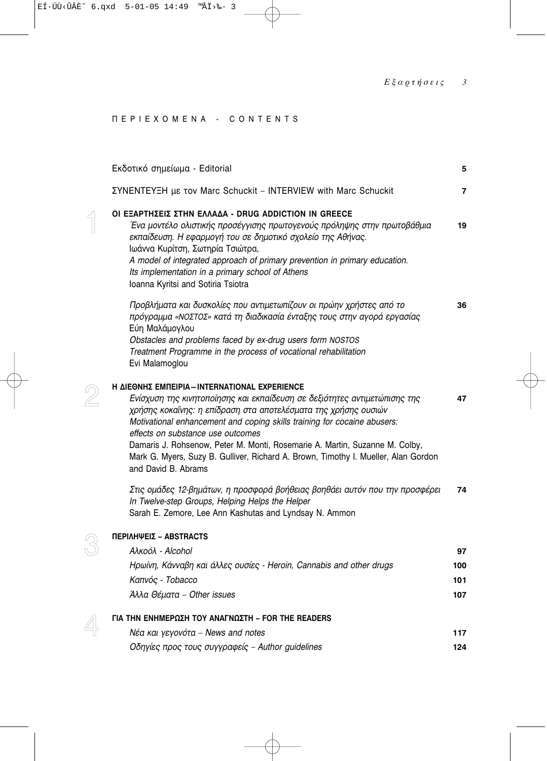# $E \xi a \varrho \tau \eta \sigma \varepsilon \iota \varsigma$  3

# **ΠΕΡΙΕΧΟΜΕΝΑ - CONTENTS**

| Εκδοτικό σημείωμα - Editorial                                                                                                                                                                                                                                                                                                                                                                                                                                                                             |     |  |  |  |
|-----------------------------------------------------------------------------------------------------------------------------------------------------------------------------------------------------------------------------------------------------------------------------------------------------------------------------------------------------------------------------------------------------------------------------------------------------------------------------------------------------------|-----|--|--|--|
| ΣΥΝΕΝΤΕΥΞΗ με τον Marc Schuckit – INTERVIEW with Marc Schuckit                                                                                                                                                                                                                                                                                                                                                                                                                                            | 7   |  |  |  |
| OI ΕΞΑΡΤΗΣΕΙΣ ΣΤΗΝ ΕΛΛΑΔΑ - DRUG ADDICTION IN GREECE<br>Ένα μοντέλο ολιστικής προσέγγισης πρωτογενούς πρόληψης στην πρωτοβάθμια<br>εκπαίδευση. Η εφαρμογή του σε δημοτικό σχολείο της Αθήνας.<br>Ιωάννα Κυρίτση, Σωτηρία Τσιώτρα,<br>A model of integrated approach of primary prevention in primary education.<br>Its implementation in a primary school of Athens<br>Ioanna Kyritsi and Sotiria Tsiotra                                                                                                 | 19  |  |  |  |
| Προβλήματα και δυσκολίες που αντιμετωπίζουν οι πρώην χρήστες από το<br>πρόγραμμα «ΝΟΣΤΟΣ» κατά τη διαδικασία ένταξης τους στην αγορά εργασίας<br>Εύη Μαλάμογλου<br>Obstacles and problems faced by ex-drug users form NOSTOS<br>Treatment Programme in the process of vocational rehabilitation<br>Evi Malamoglou                                                                                                                                                                                         | 36  |  |  |  |
| Η ΔΙΕΘΝΗΣ ΕΜΠΕΙΡΙΑ – INTERNATIONAL EXPERIENCE<br>Ενίσχυση της κινητοποίησης και εκπαίδευση σε δεξιότητες αντιμετώπισης της<br>χρήσης κοκαΐνης: η επίδραση στα αποτελέσματα της χρήσης ουσιών<br>Motivational enhancement and coping skills training for cocaine abusers:<br>effects on substance use outcomes<br>Damaris J. Rohsenow, Peter M. Monti, Rosemarie A. Martin, Suzanne M. Colby,<br>Mark G. Myers, Suzy B. Gulliver, Richard A. Brown, Timothy I. Mueller, Alan Gordon<br>and David B. Abrams | 47  |  |  |  |
| Στις ομάδες 12-βημάτων, η προσφορά βοήθειας βοηθάει αυτόν που την προσφέρει<br>In Twelve-step Groups, Helping Helps the Helper<br>Sarah E. Zemore, Lee Ann Kashutas and Lyndsay N. Ammon                                                                                                                                                                                                                                                                                                                  | 74  |  |  |  |
| <b>ΠΕΡΙΛΗΨΕΙΣ - ABSTRACTS</b>                                                                                                                                                                                                                                                                                                                                                                                                                                                                             |     |  |  |  |
| Αλκοόλ - Alcohol                                                                                                                                                                                                                                                                                                                                                                                                                                                                                          | 97  |  |  |  |
| Ηρωίνη, Κάνναβη και άλλες ουσίες - Heroin, Cannabis and other drugs                                                                                                                                                                                                                                                                                                                                                                                                                                       | 100 |  |  |  |
| Καπνός - Tobacco                                                                                                                                                                                                                                                                                                                                                                                                                                                                                          | 101 |  |  |  |
| Άλλα Θέματα - Other issues                                                                                                                                                                                                                                                                                                                                                                                                                                                                                | 107 |  |  |  |
| ΓΙΑ ΤΗΝ ΕΝΗΜΕΡΩΣΗ ΤΟΥ ΑΝΑΓΝΩΣΤΗ – FOR THE READERS                                                                                                                                                                                                                                                                                                                                                                                                                                                         |     |  |  |  |
| Νέα και γεγονότα – News and notes                                                                                                                                                                                                                                                                                                                                                                                                                                                                         | 117 |  |  |  |
| Οδηγίες προς τους συγγραφείς - Author guidelines                                                                                                                                                                                                                                                                                                                                                                                                                                                          | 124 |  |  |  |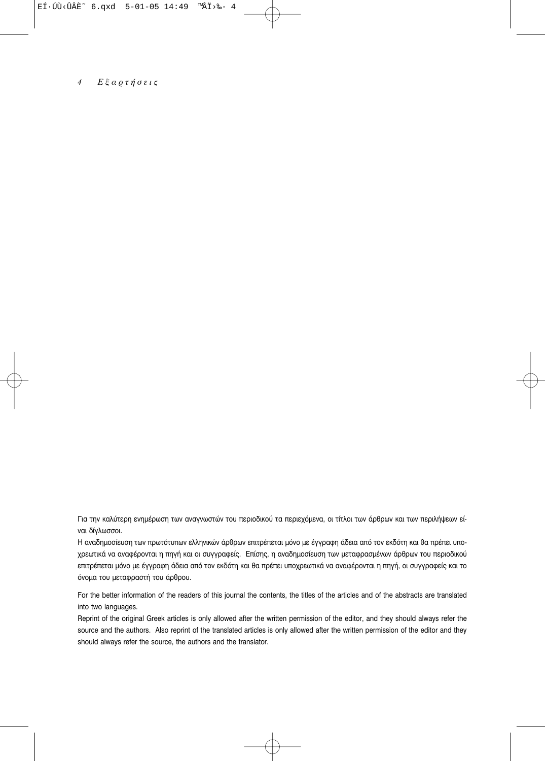Εξαρτήσεις  $\overline{4}$ 

Για την καλύτερη ενημέρωση των αναγνωστών του περιοδικού τα περιεχόμενα, οι τίτλοι των άρθρων και των περιλήψεων είναι δίγλωσσοι.

Η αναδημοσίευση των πρωτότυπων ελληνικών άρθρων επιτρέπεται μόνο με έγγραφη άδεια από τον εκδότη και θα πρέπει υποχρεωτικά να αναφέρονται η πηγή και οι συγγραφείς. Επίσης, η αναδημοσίευση των μεταφρασμένων άρθρων του περιοδικού επιτρέπεται μόνο με έγγραφη άδεια από τον εκδότη και θα πρέπει υποχρεωτικά να αναφέρονται η πηγή, οι συγγραφείς και το όνομα του μεταφραστή του άρθρου.

For the better information of the readers of this journal the contents, the titles of the articles and of the abstracts are translated into two languages.

Reprint of the original Greek articles is only allowed after the written permission of the editor, and they should always refer the source and the authors. Also reprint of the translated articles is only allowed after the written permission of the editor and they should always refer the source, the authors and the translator.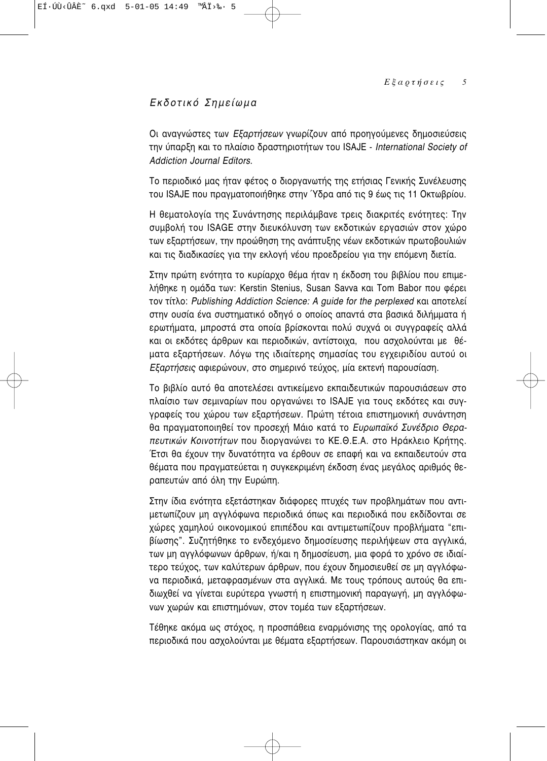# *E*κδοτικό Σημείωμα

Οι αναγνώστες των *Εξαρτήσεων* γνωρίζουν από προηγούμενες δημοσιεύσεις την ύπαρξη και το πλαίσιο δραστηριοτήτων του ISAJE - *International Society of Addiction Journal Editors.*

To περιοδικό μας ήταν φέτος ο διοργανωτής της ετήσιας Γενικής Συνέλευσης του ISAJΕ που πραγματοποιήθηκε στην Ύδρα από τις 9 έως τις 11 Οκτωβρίου.

Η θεματολογία της Συνάντησης περιλάμβανε τρεις διακριτές ενότητες: Την συμβολή του ISAGE στην διευκόλυνση των εκδοτικών εργασιών στον χώρο των εξαρτήσεων, την προώθηση της ανάπτυξης νέων εκδοτικών πρωτοβουλιών και τις διαδικασίες για την εκλογή νέου προεδρείου για την επόμενη διετία.

Στην πρώτη ενότητα το κυρίαρχο θέμα ήταν η έκδοση του βιβλίου που επιμελήθηκε η ομάδα των: Kerstin Stenius, Susan Savva και Tom Babor που φέρει τον τίτλο: *Publishing Addiction Science: A guide for the perplexed* και αποτελεί στην ουσία ένα συστηματικό οδηγό ο οποίος απαντά στα βασικά διλήμματα ή ερωτήματα, μπροστά στα οποία βρίσκονται πολύ συχνά οι συγγραφείς αλλά και οι εκδότες άρθρων και περιοδικών, αντίστοιχα, που ασχολούνται με θέματα εξαρτήσεων. Λόγω της ιδιαίτερης σημασίας του εγχειριδίου αυτού οι *Eξαρτήσεις* αφιερώνουν, στο σημερινό τεύχος, μία εκτενή παρουσίαση.

Το βιβλίο αυτό θα αποτελέσει αντικείμενο εκπαιδευτικών παρουσιάσεων στο πλαίσιο των σεμιναρίων που οργανώνει το ISAJE για τους εκδότες και συγγραφείς του χώρου των εξαρτήσεων. Πρώτη τέτοια επιστημονική συνάντηση θα πραγματοποιηθεί τον προσεχή Μάιο κατά το *Ευρωπαϊκό Συνέδριο Θεραπευτικών Κοινοτήτων* που διοργανώνει το ΚΕ.Θ.Ε.Α. στο Ηράκλειο Κρήτης. Έτσι θα έχουν την δυνατότητα να έρθουν σε επαφή και να εκπαιδευτούν στα θέματα που πραγματεύεται η συγκεκριμένη έκδοση ένας μεγάλος αριθμός θεραπευτών από όλη την Ευρώπη.

Στην ίδια ενότητα εξετάστηκαν διάφορες πτυχές των προβλημάτων που αντιμετωπίζουν μη αγγλόφωνα περιοδικά όπως και περιοδικά που εκδίδονται σε χώρες χαμηλού οικονομικού επιπέδου και αντιμετωπίζουν προβλήματα "επιβίωσης". Συζητήθηκε το ενδεχόμενο δημοσίευσης περιλήψεων στα αγγλικά, των μη αγγλόφωνων άρθρων, ή/και η δημοσίευση, μια φορά το χρόνο σε ιδιαίτερο τεύχος, των καλύτερων άρθρων, που έχουν δημοσιευθεί σε μη αγγλόφωνα περιοδικά, μεταφρασμένων στα αγγλικά. Με τους τρόπους αυτούς θα επιδιωχθεί να γίνεται ευρύτερα γνωστή η επιστημονική παραγωγή, μη αγγλόφωνων χωρών και επιστημόνων, στον τομέα των εξαρτήσεων.

Τέθηκε ακόμα ως στόχος, η προσπάθεια εναρμόνισης της ορολογίας, από τα περιοδικά που ασχολούνται με θέματα εξαρτήσεων. Παρουσιάστηκαν ακόμη οι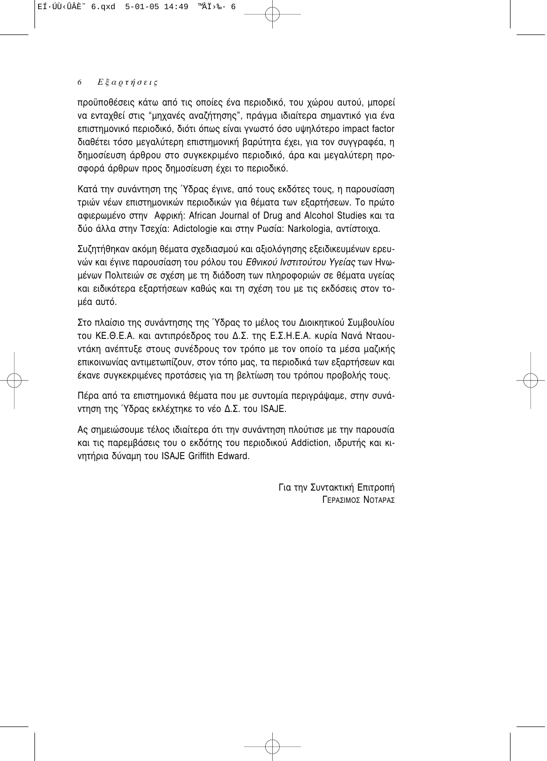προϋποθέσεις κάτω από τις οποίες ένα περιοδικό, του χώρου αυτού, μπορεί να ενταχθεί στις "μηχανές αναζήτησης", πράγμα ιδιαίτερα σημαντικό για ένα επιστημονικό περιοδικό, διότι όπως είναι γνωστό όσο υψηλότερο impact factor διαθέτει τόσο μεγαλύτερη επιστημονική βαρύτητα έχει, για τον συγγραφέα, η δημοσίευση άρθρου στο συγκεκριμένο περιοδικό, άρα και μεγαλύτερη προσφορά άρθρων προς δημοσίευση έχει το περιοδικό.

Κατά την συνάντηση της Ύδρας έγινε, από τους εκδότες τους, η παρουσίαση τριών νέων επιστημονικών περιοδικών για θέματα των εξαρτήσεων. Το πρώτο αφιερωμένο στην Αφρική: African Journal of Drug and Alcohol Studies και τα δύο άλλα στην Τσεχία: Adictologie και στην Ρωσία: Narkologia, αντίστοιχα.

Συζητήθηκαν ακόμη θέματα σχεδιασμού και αξιολόγησης εξειδικευμένων ερευνών και έγινε παρουσίαση του ρόλου του Εθνικού Ινστιτούτου Υγείας των Ηνωμένων Πολιτειών σε σχέση με τη διάδοση των πληροφοριών σε θέματα υγείας και ειδικότερα εξαρτήσεων καθώς και τη σχέση του με τις εκδόσεις στον τομέα αυτό.

Στο πλαίσιο της συνάντησης της Ύδρας το μέλος του Διοικητικού Συμβουλίου του ΚΕ.Θ.Ε.Α. και αντιπρόεδρος του Δ.Σ. της Ε.Σ.Η.Ε.Α. κυρία Νανά Νταουντάκη ανέπτυξε στους συνέδρους τον τρόπο με τον οποίο τα μέσα μαζικής επικοινωνίας αντιμετωπίζουν, στον τόπο μας, τα περιοδικά των εξαρτήσεων και έκανε συγκεκριμένες προτάσεις για τη βελτίωση του τρόπου προβολής τους.

Πέρα από τα επιστημονικά θέματα που με συντομία περιγράψαμε, στην συνάντηση της Ύδρας εκλέχτηκε το νέο Δ.Σ. του ISAJE.

Ας σημειώσουμε τέλος ιδιαίτερα ότι την συνάντηση πλούτισε με την παρουσία και τις παρεμβάσεις του ο εκδότης του περιοδικού Addiction, ιδρυτής και κιvητήρια δύναμη του ISAJE Griffith Edward.

> Για την Συντακτική Επιτροπή ΓΕΡΑΣΙΜΟΣ ΝΟΤΑΡΑΣ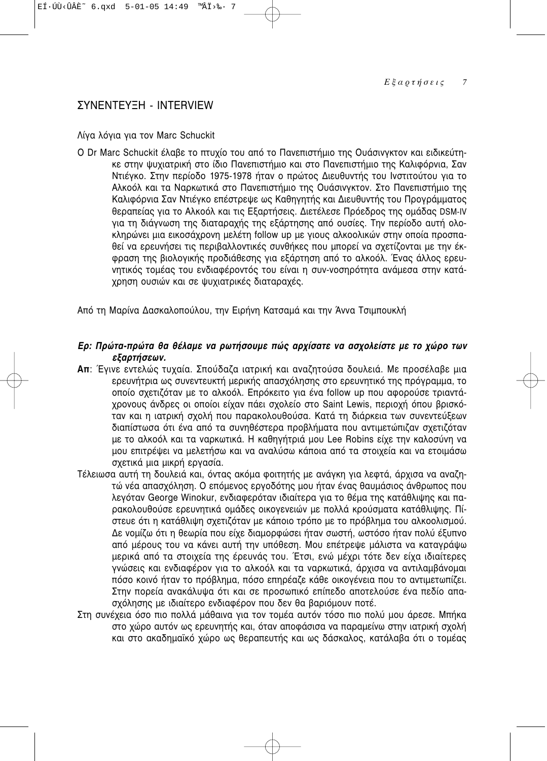# ΣΥΝΕΝΤΕΥΞΗ - INTERVIEW

Λίγα λόγια για τον Marc Schuckit

Ο Dr Marc Schuckit έλαβε το πτυχίο του από το Πανεπιστήμιο της Ουάσινγκτον και ειδικεύτηκε στην ψυχιατρική στο ίδιο Πανεπιστήμιο και στο Πανεπιστήμιο της Καλιφόρνια, Σαν Ντιέγκο. Στην περίοδο 1975-1978 ήταν ο πρώτος Διευθυντής του Ινστιτούτου για το Aλκοόλ και τα Ναρκωτικά στο Πανεπιστήμιο της Ουάσιννκτον. Στο Πανεπιστήμιο της Καλιφόρνια Σαν Ντιέγκο επέστρεψε ως Καθηγητής και Διευθυντής του Προγράμματος θεραπείας για το Αλκοόλ και τις Εξαρτήσεις. Διετέλεσε Πρόεδρος της ομάδας DSM-IV για τη διάγνωση της διαταραχής της εξάρτησης από ουσίες. Την περίοδο αυτή ολοκληρώνει μια εικοσάχρονη μελέτη follow up με γιους αλκοολικών στην οποία προσπαθεί να ερευνήσει τις περιβαλλοντικές συνθήκες που μπορεί να σχετίζονται με την έκφραση της βιολογικής προδιάθεσης για εξάρτηση από το αλκοόλ. Ένας άλλος ερευνητικός τομέας του ενδιαφέροντός του είναι η συν-νοσηρότητα ανάμεσα στην κατάχρηση ουσιών και σε ψυχιατρικές διαταραχές.

Aπό τη Μαρίνα Δασκαλοπούλου, την Ειρήνη Κατσαμά και την Άννα Τσιμπουκλή

# *Ēρ: Πρώτα-πρώτα θα θέλαμε να ρωτήσουμε πώς αρχίσατε να ασχολείστε με το χώρο των* εξαρτήσεων.

- **Απ**: Έγινε εντελώς τυχαία. Σπούδαζα ιατρική και αναζητούσα δουλειά. Με προσέλαβε μια ερευνήτρια ως συνεντευκτή μερικής απασχόλησης στο ερευνητικό της πρόγραμμα, το οποίο σχετιζόταν με το αλκοόλ. Επρόκειτο για ένα follow up που αφορούσε τριαντάχρονους άνδρες οι οποίοι είχαν πάει σχολείο στο Saint Lewis, περιοχή όπου βρισκόταν και η ιατρική σχολή που παρακολουθούσα. Κατά τη διάρκεια των συνεντεύξεων διαπίστωσα ότι ένα από τα συνηθέστερα προβλήματα που αντιμετώπιζαν σχετιζόταν με το αλκοόλ και τα ναρκωτικά. Η καθηγήτριά μου Lee Robins είχε την καλοσύνη να μου επιτρέψει να μελετήσω και να αναλύσω κάποια από τα στοιχεία και να ετοιμάσω σχετικά μια μικρή εργασία.
- Τέλειωσα αυτή τη δουλειά και, όντας ακόμα φοιτητής με ανάγκη για λεφτά, άρχισα να αναζητώ νέα απασχόληση. Ο επόμενος εργοδότης μου ήταν ένας θαυμάσιος άνθρωπος που λεγόταν George Winokur, ενδιαφερόταν ιδιαίτερα για το θέμα της κατάθλιψης και παρακολουθούσε ερευνητικά ομάδες οικογενειών με πολλά κρούσματα κατάθλιψης. Πίστευε ότι η κατάθλιψη σχετιζόταν με κάποιο τρόπο με το πρόβλημα του αλκοολισμού. Δε νομίζω ότι η θεωρία που είχε διαμορφώσει ήταν σωστή, ωστόσο ήταν πολύ έξυπνο από μέρους του να κάνει αυτή την υπόθεση. Μου επέτρεψε μάλιστα να καταγράψω μερικά από τα στοιχεία της έρευνάς του. Έτσι, ενώ μέχρι τότε δεν είχα ιδιαίτερες γνώσεις και ενδιαφέρον για το αλκοόλ και τα ναρκωτικά, άρχισα να αντιλαμβάνομαι πόσο κοινό ήταν το πρόβλημα, πόσο επηρέαζε κάθε οικογένεια που το αντιμετωπίζει. Στην πορεία ανακάλυψα ότι και σε προσωπικό επίπεδο αποτελούσε ένα πεδίο απασχόλησης με ιδιαίτερο ενδιαφέρον που δεν θα βαριόμουν ποτέ.
- Στη συνέχεια όσο πιο πολλά μάθαινα για τον τομέα αυτόν τόσο πιο πολύ μου άρεσε. Μπήκα στο χώρο αυτόν ως ερευνητής και, όταν αποφάσισα να παραμείνω στην ιατρική σχολή και στο ακαδημαϊκό χώρο ως θεραπευτής και ως δάσκαλος, κατάλαβα ότι ο τομέας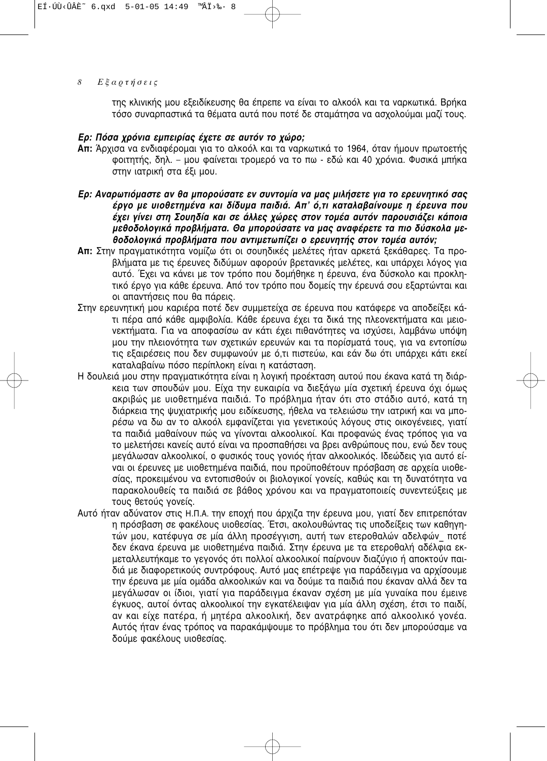$\mathcal{S}_{\mathcal{S}}$  $E$ ξαρτήσεις

> της κλινικής μου εξειδίκευσης θα έπρεπε να είναι το αλκοόλ και τα ναρκωτικά. Βρήκα τόσο συναρπαστικά τα θέματα αυτά που ποτέ δε σταμάτησα να ασχολούμαι μαζί τους.

# Ερ: Πόσα χρόνια εμπειρίας έχετε σε αυτόν το χώρο;

- Απ: Άρχισα να ενδιαφέρομαι για το αλκοόλ και τα ναρκωτικά το 1964, όταν ήμουν πρωτοετής φοιτητής, δηλ. – μου φαίνεται τρομερό να το πω - εδώ και 40 χρόνια. Φυσικά μπήκα στην ιατρική στα έξι μου.
- Ερ: Αναρωτιόμαστε αν θα μπορούσατε εν συντομία να μας μιλήσετε για το ερευνητικό σας έργο με υιοθετημένα και δίδυμα παιδιά. Απ' ό,τι καταλαβαίνουμε η έρευνα που έχει γίνει στη Σουηδία και σε άλλες χώρες στον τομέα αυτόν παρουσιάζει κάποια μεθοδολογικά προβλήματα. Θα μπορούσατε να μας αναφέρετε τα πιο δύσκολα μεθοδολογικά προβλήματα που αντιμετωπίζει ο ερευνητής στον τομέα αυτόν;
- Απ: Στην πραγματικότητα νομίζω ότι οι σουηδικές μελέτες ήταν αρκετά ξεκάθαρες. Τα προβλήματα με τις έρευνες διδύμων αφορούν βρετανικές μελέτες, και υπάρχει λόγος για αυτό. Έχει να κάνει με τον τρόπο που δομήθηκε η έρευνα, ένα δύσκολο και προκλητικό έργο για κάθε έρευνα. Από τον τρόπο που δομείς την έρευνά σου εξαρτώνται και οι απαντήσεις που θα πάρεις.
- Στην ερευνητική μου καριέρα ποτέ δεν συμμετείχα σε έρευνα που κατάφερε να αποδείξει κάτι πέρα από κάθε αμφιβολία. Κάθε έρευνα έχει τα δικά της πλεονεκτήματα και μειονεκτήματα. Για να αποφασίσω αν κάτι έχει πιθανότητες να ισχύσει, λαμβάνω υπόψη μου την πλειονότητα των σχετικών ερευνών και τα πορίσματά τους, για να εντοπίσω τις εξαιρέσεις που δεν συμφωνούν με ό,τι πιστεύω, και εάν δω ότι υπάρχει κάτι εκεί καταλαβαίνω πόσο περίπλοκη είναι η κατάσταση.
- Η δουλειά μου στην πραγματικότητα είναι η λογική προέκταση αυτού που έκανα κατά τη διάρκεια των σπουδών μου. Είχα την ευκαιρία να διεξάνω μία σχετική έρευνα όχι όμως ακριβώς με υιοθετημένα παιδιά. Το πρόβλημα ήταν ότι στο στάδιο αυτό, κατά τη διάρκεια της ψυχιατρικής μου ειδίκευσης, ήθελα να τελειώσω την ιατρική και να μπορέσω να δω αν το αλκοόλ εμφανίζεται για γενετικούς λόγους στις οικογένειες, γιατί τα παιδιά μαθαίνουν πώς να γίνονται αλκοολικοί. Και προφανώς ένας τρόπος για να το μελετήσει κανείς αυτό είναι να προσπαθήσει να βρει ανθρώπους που, ενώ δεν τους μεγάλωσαν αλκοολικοί, ο φυσικός τους γονιός ήταν αλκοολικός. Ιδεώδεις για αυτό είναι οι έρευνες με υιοθετημένα παιδιά, που προϋποθέτουν πρόσβαση σε αρχεία υιοθεσίας, προκειμένου να εντοπισθούν οι βιολογικοί γονείς, καθώς και τη δυνατότητα να παρακολουθείς τα παιδιά σε βάθος χρόνου και να πραγματοποιείς συνεντεύξεις με τους θετούς γονείς.
- Αυτό ήταν αδύνατον στις Η.Π.Α. την εποχή που άρχιζα την έρευνα μου, γιατί δεν επιτρεπόταν η πρόσβαση σε φακέλους υιοθεσίας. Έτσι, ακολουθώντας τις υποδείξεις των καθηγητών μου, κατέφυγα σε μία άλλη προσέγγιση, αυτή των ετεροθαλών αδελφών ποτέ δεν έκανα έρευνα με υιοθετημένα παιδιά. Στην έρευνα με τα ετεροθαλή αδέλφια εκμεταλλευτήκαμε το γεγονός ότι πολλοί αλκοολικοί παίρνουν διαζύγιο ή αποκτούν παιδιά με διαφορετικούς συντρόφους. Αυτό μας επέτρεψε για παράδειγμα να αρχίσουμε την έρευνα με μία ομάδα αλκοολικών και να δούμε τα παιδιά που έκαναν αλλά δεν τα μεγάλωσαν οι ίδιοι, γιατί για παράδειγμα έκαναν σχέση με μία γυναίκα που έμεινε έγκυος, αυτοί όντας αλκοολικοί την εγκατέλειψαν για μία άλλη σχέση, έτσι το παιδί, αν και είχε πατέρα, ή μητέρα αλκοολική, δεν ανατράφηκε από αλκοολικό γονέα. Αυτός ήταν ένας τρόπος να παρακάμψουμε το πρόβλημα του ότι δεν μπορούσαμε να δούμε φακέλους υιοθεσίας.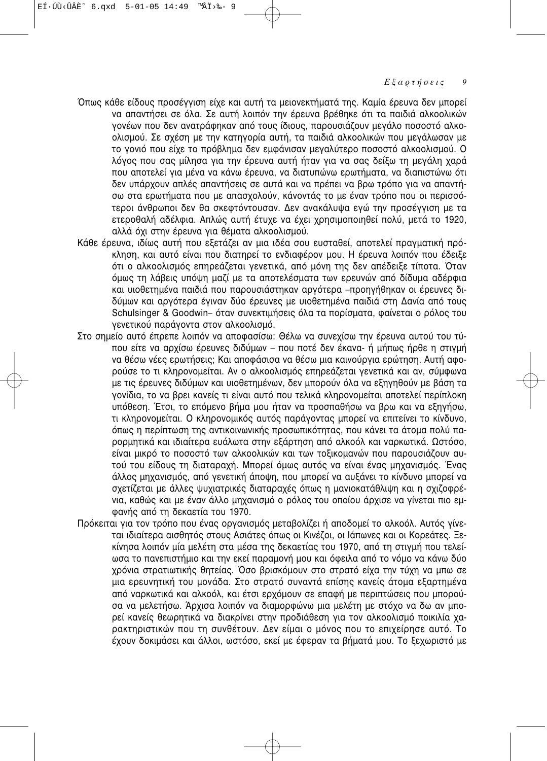#### Εξαρτήσεις  $\Omega$

Όπως κάθε είδους προσέγγιση είχε και αυτή τα μειονεκτήματά της. Καμία έρευνα δεν μπορεί να απαντήσει σε όλα. Σε αυτή λοιπόν την έρευνα βρέθηκε ότι τα παιδιά αλκοολικών γονέων που δεν ανατράφηκαν από τους ίδιους, παρουσιάζουν μενάλο ποσοστό αλκοολισμού. Σε σχέση με την κατηγορία αυτή, τα παιδιά αλκοολικών που μεγάλωσαν με το γονιό που είχε το πρόβλημα δεν εμφάνισαν μεγαλύτερο ποσοστό αλκοολισμού. Ο λόγος που σας μίλησα για την έρευνα αυτή ήταν για να σας δείξω τη μεγάλη χαρά που αποτελεί για μένα να κάνω έρευνα, να διατυπώνω ερωτήματα, να διαπιστώνω ότι δεν υπάρχουν απλές απαντήσεις σε αυτά και να πρέπει να βρω τρόπο για να απαντήσω στα ερωτήματα που με απασχολούν, κάνοντάς το με έναν τρόπο που οι περισσότεροι άνθρωποι δεν θα σκεφτόντουσαν. Δεν ανακάλυψα ενώ την προσέννιση με τα ετεροθαλή αδέλφια. Απλώς αυτή έτυχε να έχει χρησιμοποιηθεί πολύ, μετά το 1920, αλλά όχι στην έρευνα για θέματα αλκοολισμού.

- Κάθε έρευνα, ιδίως αυτή που εξετάζει αν μια ιδέα σου ευσταθεί, αποτελεί πραγματική πρόκληση, και αυτό είναι που διατηρεί το ενδιαφέρον μου. Η έρευνα λοιπόν που έδειξε ότι ο αλκοολισμός επηρεάζεται γενετικά, από μόνη της δεν απέδειξε τίποτα. Όταν όμως τη λάβεις υπόψη μαζί με τα αποτελέσματα των ερευνών από δίδυμα αδέρφια και υιοθετημένα παιδιά που παρουσιάστηκαν αργότερα -προηγήθηκαν οι έρευνες διδύμων και αργότερα ένιναν δύο έρευνες με υιοθετημένα παιδιά στη Δανία από τους Schulsinger & Goodwin- όταν συνεκτιμήσεις όλα τα πορίσματα, φαίνεται ο ρόλος του γενετικού παράγοντα στον αλκοολισμό.
- Στο σημείο αυτό έπρεπε λοιπόν να αποφασίσω: Θέλω να συνεχίσω την έρευνα αυτού του τύπου είτε να αρχίσω έρευνες διδύμων – που ποτέ δεν έκανα- ή μήπως ήρθε η στιγμή να θέσω νέες ερωτήσεις; Και αποφάσισα να θέσω μια καινούργια ερώτηση. Αυτή αφορούσε το τι κληρονομείται. Αν ο αλκοολισμός επηρεάζεται γενετικά και αν, σύμφωνα με τις έρευνες διδύμων και υιοθετημένων, δεν μπορούν όλα να εξηγηθούν με βάση τα γονίδια, το να βρει κανείς τι είναι αυτό που τελικά κληρονομείται αποτελεί περίπλοκη υπόθεση. Έτσι, το επόμενο βήμα μου ήταν να προσπαθήσω να βρω και να εξηγήσω, τι κληρονομείται. Ο κληρονομικός αυτός παράγοντας μπορεί να επιτείνει το κίνδυνο, όπως η περίπτωση της αντικοινωνικής προσωπικότητας, που κάνει τα άτομα πολύ παρορμητικά και ιδιαίτερα ευάλωτα στην εξάρτηση από αλκοόλ και ναρκωτικά. Ωστόσο, είναι μικρό το ποσοστό των αλκοολικών και των τοξικομανών που παρουσιάζουν αυτού του είδους τη διαταραχή. Μπορεί όμως αυτός να είναι ένας μηχανισμός. Ένας άλλος μηχανισμός, από γενετική άποψη, που μπορεί να αυξάνει το κίνδυνο μπορεί να σχετίζεται με άλλες ψυχιατρικές διαταραχές όπως η μανιοκατάθλιψη και η σχιζοφρένια, καθώς και με έναν άλλο μηχανισμό ο ρόλος του οποίου άρχισε να γίνεται πιο εμφανής από τη δεκαετία του 1970.
- Πρόκειται για τον τρόπο που ένας οργανισμός μεταβολίζει ή αποδομεί το αλκοόλ. Αυτός γίνεται ιδιαίτερα αισθητός στους Ασιάτες όπως οι Κινέζοι, οι Ιάπωνες και οι Κορεάτες. Ξεκίνησα λοιπόν μία μελέτη στα μέσα της δεκαετίας του 1970, από τη στιγμή που τελείωσα το πανεπιστήμιο και την εκεί παραμονή μου και όφειλα από το νόμο να κάνω δύο χρόνια στρατιωτικής θητείας. Όσο βρισκόμουν στο στρατό είχα την τύχη να μπω σε μια ερευνητική του μονάδα. Στο στρατό συναντά επίσης κανείς άτομα εξαρτημένα από ναρκωτικά και αλκοόλ, και έτσι ερχόμουν σε επαφή με περιπτώσεις που μπορούσα να μελετήσω. Άρχισα λοιπόν να διαμορφώνω μια μελέτη με στόχο να δω αν μπορεί κανείς θεωρητικά να διακρίνει στην προδιάθεση για τον αλκοολισμό ποικιλία χαρακτηριστικών που τη συνθέτουν. Δεν είμαι ο μόνος που το επιχείρησε αυτό. Το έχουν δοκιμάσει και άλλοι, ωστόσο, εκεί με έφεραν τα βήματά μου. Το ξεχωριστό με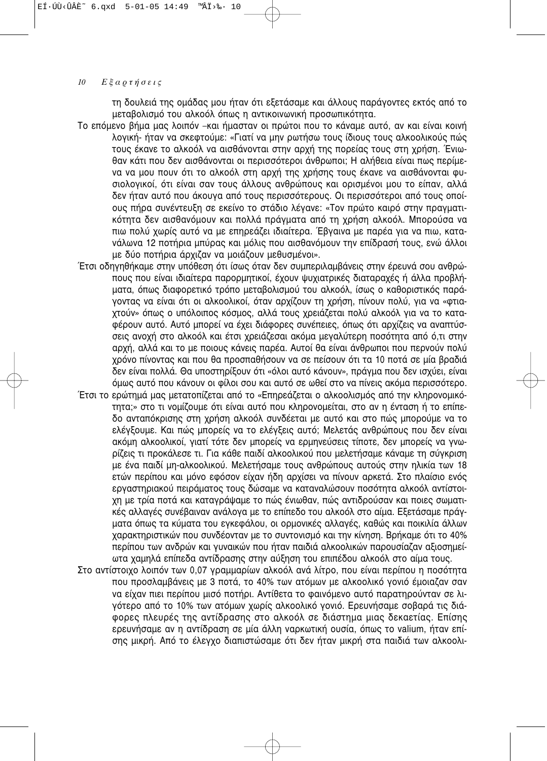#### $10<sup>10</sup>$  $E$ ξαρτήσεις

τη δουλειά της ομάδας μου ήταν ότι εξετάσαμε και άλλους παράγοντες εκτός από το μεταβολισμό του αλκοόλ όπως η αντικοινωνική προσωπικότητα.

- Το επόμενο βήμα μας λοιπόν -και ήμασταν οι πρώτοι που το κάναμε αυτό, αν και είναι κοινή λογική- ήταν να σκεφτούμε: «Γιατί να μην ρωτήσω τους ίδιους τους αλκοολικούς πώς τους έκανε το αλκοόλ να αισθάνονται στην αρχή της πορείας τους στη χρήση. Ένιωθαν κάτι που δεν αισθάνονται οι περισσότεροι άνθρωποι; Η αλήθεια είναι πως περίμενα να μου πουν ότι το αλκοόλ στη αρχή της χρήσης τους έκανε να αισθάνονται φυσιολογικοί, ότι είναι σαν τους άλλους ανθρώπους και ορισμένοι μου το είπαν, αλλά δεν ήταν αυτό που άκουνα από τους περισσότερους. Οι περισσότεροι από τους οποίους πήρα συνέντευξη σε εκείνο το στάδιο λένανε: «Τον πρώτο καιρό στην πρανματικότητα δεν αισθανόμουν και πολλά πράγματα από τη χρήση αλκοόλ. Μπορούσα να πιω πολύ χωρίς αυτό να με επηρεάζει ιδιαίτερα. Έβναινα με παρέα για να πιω, κατανάλωνα 12 ποτήρια μπύρας και μόλις που αισθανόμουν την επίδρασή τους, ενώ άλλοι με δύο ποτήρια άρχιζαν να μοιάζουν μεθυσμένοι».
- Έτσι οδηγηθήκαμε στην υπόθεση ότι ίσως όταν δεν συμπεριλαμβάνεις στην έρευνά σου ανθρώπους που είναι ιδιαίτερα παρορμητικοί, έχουν ψυχιατρικές διαταραχές ή άλλα προβλήματα, όπως διαφορετικό τρόπο μεταβολισμού του αλκοόλ, ίσως ο καθοριστικός παράνοντας να είναι ότι οι αλκοολικοί, όταν αρχίζουν τη χρήση, πίνουν πολύ, για να «φτιαχτούν» όπως ο υπόλοιπος κόσμος, αλλά τους χρειάζεται πολύ αλκοόλ για να το καταφέρουν αυτό. Αυτό μπορεί να έχει διάφορες συνέπειες, όπως ότι αρχίζεις να αναπτύσσεις ανοχή στο αλκοόλ και έτσι χρειάζεσαι ακόμα μεγαλύτερη ποσότητα από ό,τι στην αρχή, αλλά και το με ποιους κάνεις παρέα. Αυτοί θα είναι άνθρωποι που περνούν πολύ χρόνο πίνοντας και που θα προσπαθήσουν να σε πείσουν ότι τα 10 ποτά σε μία βραδιά δεν είναι πολλά. Θα υποστηρίξουν ότι «όλοι αυτό κάνουν», πράγμα που δεν ισχύει, είναι όμως αυτό που κάνουν οι φίλοι σου και αυτό σε ωθεί στο να πίνεις ακόμα περισσότερο. Έτσι το ερώτημά μας μετατοπίζεται από το «Επηρεάζεται ο αλκοολισμός από την κληρονομικότητα;» στο τι νομίζουμε ότι είναι αυτό που κληρονομείται, στο αν η ένταση ή το επίπεδο ανταπόκρισης στη χρήση αλκοόλ συνδέεται με αυτό και στο πώς μπορούμε να το ελέγξουμε. Και πώς μπορείς να το ελέγξεις αυτό; Μελετάς ανθρώπους που δεν είναι ακόμη αλκοολικοί, γιατί τότε δεν μπορείς να ερμηνεύσεις τίποτε, δεν μπορείς να γνωρίζεις τι προκάλεσε τι. Για κάθε παιδί αλκοολικού που μελετήσαμε κάναμε τη σύγκριση με ένα παιδί μη-αλκοολικού. Μελετήσαμε τους ανθρώπους αυτούς στην ηλικία των 18 ετών περίπου και μόνο εφόσον είχαν ήδη αρχίσει να πίνουν αρκετά. Στο πλαίσιο ενός εργαστηριακού πειράματος τους δώσαμε να καταναλώσουν ποσότητα αλκοόλ αντίστοιχη με τρία ποτά και καταγράψαμε το πώς ένιωθαν, πώς αντιδρούσαν και ποιες σωματικές αλλανές συνέβαιναν ανάλονα με το επίπεδο του αλκοόλ στο αίμα. Εξετάσαμε πράνματα όπως τα κύματα του εγκεφάλου, οι ορμονικές αλλαγές, καθώς και ποικιλία άλλων χαρακτηριστικών που συνδέονταν με το συντονισμό και την κίνηση. Βρήκαμε ότι το 40% περίπου των ανδρών και γυναικών που ήταν παιδιά αλκοολικών παρουσίαζαν αξιοσημείωτα χαμηλά επίπεδα αντίδρασης στην αύξηση του επιπέδου αλκοόλ στο αίμα τους.
- Στο αντίστοιχο λοιπόν των 0.07 γραμμαρίων αλκοόλ ανά λίτρο, που είναι περίπου η ποσότητα που προσλαμβάνεις με 3 ποτά, το 40% των ατόμων με αλκοολικό γονιό έμοιαζαν σαν να είχαν πιει περίπου μισό ποτήρι. Αντίθετα το φαινόμενο αυτό παρατηρούνταν σε λιγότερο από το 10% των ατόμων χωρίς αλκοολικό γονιό. Ερευνήσαμε σοβαρά τις διάφορες πλευρές της αντίδρασης στο αλκοόλ σε διάστημα μιας δεκαετίας. Επίσης ερευνήσαμε αν η αντίδραση σε μία άλλη ναρκωτική ουσία, όπως το valium, ήταν επίσης μικρή. Από το έλεγχο διαπιστώσαμε ότι δεν ήταν μικρή στα παιδιά των αλκοολι-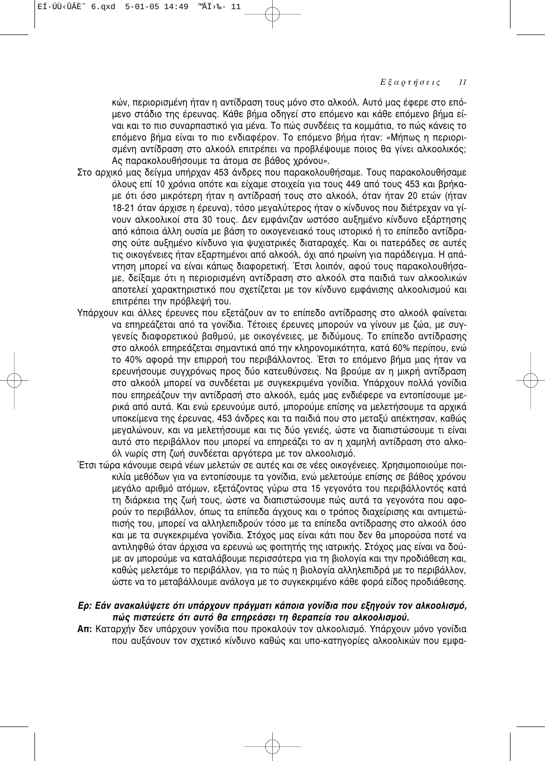κών, περιορισμένη ήταν η αντίδραση τους μόνο στο αλκοόλ. Αυτό μας έφερε στο επόμενο στάδιο της έρευνας. Κάθε βήμα οδηγεί στο επόμενο και κάθε επόμενο βήμα είναι και το πιο συναρπαστικό για μένα. Το πώς συνδέεις τα κομμάτια, το πώς κάνεις το επόμενο βήμα είναι το πιο ενδιαφέρον. Το επόμενο βήμα ήταν: «Μήπως η περιορισμένη αντίδραση στο αλκοόλ επιτρέπει να προβλέψουμε ποιος θα γίνει αλκοολικός; Ας παρακολουθήσουμε τα άτομα σε βάθος χρόνου».

- Στο αρχικό μας δείγμα υπήρχαν 453 άνδρες που παρακολουθήσαμε. Τους παρακολουθήσαμε όλους επί 10 χρόνια οπότε και είχαμε στοιχεία για τους 449 από τους 453 και βρήκαμε ότι όσο μικρότερη ήταν η αντίδρασή τους στο αλκοόλ, όταν ήταν 20 ετών (ήταν 18-21 όταν άρχισε η έρευνα), τόσο μεναλύτερος ήταν ο κίνδυνος που διέτρεχαν να γίνουν αλκοολικοί στα 30 τους. Δεν εμφάνιζαν ωστόσο αυξημένο κίνδυνο εξάρτησης από κάποια άλλη ουσία με βάση το οικογενειακό τους ιστορικό ή το επίπεδο αντίδρασης ούτε αυξημένο κίνδυνο για ψυχιατρικές διαταραχές. Και οι πατεράδες σε αυτές τις οικογένειες ήταν εξαρτημένοι από αλκοόλ, όχι από ηρωίνη για παράδειγμα. Η απάντηση μπορεί να είναι κάπως διαφορετική. Έτσι λοιπόν, αφού τους παρακολουθήσαμε, δείξαμε ότι η περιορισμένη αντίδραση στο αλκοόλ στα παιδιά των αλκοολικών αποτελεί χαρακτηριστικό που σχετίζεται με τον κίνδυνο εμφάνισης αλκοολισμού και επιτρέπει την πρόβλεψή του.
- Υπάρχουν και άλλες έρευνες που εξετάζουν αν το επίπεδο αντίδρασης στο αλκοόλ φαίνεται να επηρεάζεται από τα γονίδια. Τέτοιες έρευνες μπορούν να γίνουν με ζώα, με συγγενείς διαφορετικού βαθμού, με οικογένειες, με διδύμους. Το επίπεδο αντίδρασης στο αλκοόλ επηρεάζεται σημαντικά από την κληρονομικότητα, κατά 60% περίπου, ενώ το 40% αφορά την επιρροή του περιβάλλοντος. Έτσι το επόμενο βήμα μας ήταν να ερευνήσουμε συγχρόνως προς δύο κατευθύνσεις. Να βρούμε αν η μικρή αντίδραση στο αλκοόλ μπορεί να συνδέεται με συγκεκριμένα γονίδια. Υπάρχουν πολλά γονίδια που επηρεάζουν την αντίδρασή στο αλκοόλ, εμάς μας ενδιέφερε να εντοπίσουμε μερικά από αυτά. Και ενώ ερευνούμε αυτό, μπορούμε επίσης να μελετήσουμε τα αρχικά υποκείμενα της έρευνας, 453 άνδρες και τα παιδιά που στο μεταξύ απέκτησαν, καθώς μεγαλώνουν, και να μελετήσουμε και τις δύο γενιές, ώστε να διαπιστώσουμε τι είναι αυτό στο περιβάλλον που μπορεί να επηρεάζει το αν η χαμηλή αντίδραση στο αλκοόλ νωρίς στη ζωή συνδέεται αργότερα με τον αλκοολισμό.
- Έτσι τώρα κάνουμε σειρά νέων μελετών σε αυτές και σε νέες οικογένειες. Χρησιμοποιούμε ποικιλία μεθόδων για να εντοπίσουμε τα γονίδια, ενώ μελετούμε επίσης σε βάθος χρόνου μεγάλο αριθμό ατόμων, εξετάζοντας γύρω στα 15 γεγονότα του περιβάλλοντός κατά τη διάρκεια της ζωή τους, ώστε να διαπιστώσουμε πώς αυτά τα γεγονότα που αφορούν το περιβάλλον, όπως τα επίπεδα άνχους και ο τρόπος διαχείρισης και αντιμετώπισής του, μπορεί να αλληλεπιδρούν τόσο με τα επίπεδα αντίδρασης στο αλκοόλ όσο και με τα συγκεκριμένα γονίδια. Στόχος μας είναι κάτι που δεν θα μπορούσα ποτέ να αντιληφθώ όταν άρχισα να ερευνώ ως φοιτητής της ιατρικής. Στόχος μας είναι να δούμε αν μπορούμε να καταλάβουμε περισσότερα για τη βιολογία και την προδιάθεση και, καθώς μελετάμε το περιβάλλον, για το πώς η βιολογία αλληλεπιδρά με το περιβάλλον, ώστε να το μεταβάλλουμε ανάλογα με το συγκεκριμένο κάθε φορά είδος προδιάθεσης.

# Ερ: Εάν ανακαλύψετε ότι υπάρχουν πράγματι κάποια γονίδια που εξηγούν τον αλκοολισμό, πώς πιστεύετε ότι αυτό θα επηρεάσει τη θεραπεία του αλκοολισμού.

Απ: Καταρχήν δεν υπάρχουν γονίδια που προκαλούν τον αλκοολισμό. Υπάρχουν μόνο γονίδια που αυξάνουν τον σχετικό κίνδυνο καθώς και υπο-κατηγορίες αλκοολικών που εμφα-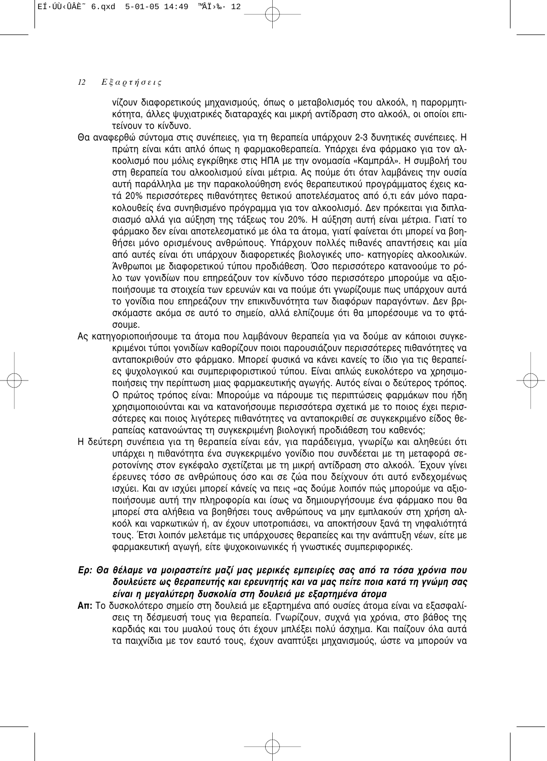# *12 <i>Eξαρτήσεις*

νίζουν διαφορετικούς μηχανισμούς, όπως ο μεταβολισμός του αλκοόλ, η παρορμητι-Κότητα, άλλες ψυχιατρικές διαταραχές και μικρή αντίδραση στο αλκοόλ, οι οποίοι επιτείνουν το κίνδυνο.

- Θα αναφερθώ σύντομα στις συνέπειες, για τη θεραπεία υπάρχουν 2-3 δυνητικές συνέπειες. Η πρώτη είναι κάτι απλό όπως η φαρμακοθεραπεία. Υπάρχει ένα φάρμακο για τον αλκοολισμό που μόλις εγκρίθηκε στις ΗΠΑ με την ονομασία «Καμπράλ». Η συμβολή του στη θεραπεία του αλκοολισμού είναι μέτρια. Ας πούμε ότι όταν λαμβάνεις την ουσία αυτή παράλληλα με την παρακολούθηση ενός θεραπευτικού προγράμματος έχεις κατά 20% περισσότερες πιθανότητες θετικού αποτελέσματος από ό.τι εάν μόνο παρα-Κολουθείς ένα συνηθισμένο πρόγραμμα για τον αλκοολισμό. Δεν πρόκειται για διπλασιασμό αλλά για αύξηση της τάξεως του 20%. Η αύξηση αυτή είναι μέτρια. Γιατί το εάρμακο δεν είναι αποτελεσματικό με όλα τα άτομα, γιατί φαίνεται ότι μπορεί να βοηθήσει μόνο ορισμένους ανθρώπους. Υπάρχουν πολλές πιθανές απαντήσεις και μία από αυτές είναι ότι υπάρχουν διαφορετικές βιολογικές υπο- κατηγορίες αλκοολικών. Άνθρωποι με διαφορετικού τύπου προδιάθεση. Όσο περισσότερο κατανοούμε το ρόλο των γονιδίων που επηρεάζουν τον κίνδυνο τόσο περισσότερο μπορούμε να αξιοποιήσουμε τα στοιχεία των ερευνών και να πούμε ότι γνωρίζουμε πως υπάρχουν αυτά το νονίδια που επηρεάζουν την επικινδυνότητα των διαφόρων παρανόντων. Δεν βρισκόμαστε ακόμα σε αυτό το σημείο, αλλά ελπίζουμε ότι θα μπορέσουμε να το φτάσουμε.
- Ας κατηγοριοποιήσουμε τα άτομα που λαμβάνουν θεραπεία για να δούμε αν κάποιοι συγκεκριμένοι τύποι γονιδίων καθορίζουν ποιοι παρουσιάζουν περισσότερες πιθανότητες να ανταποκριθούν στο φάρμακο. Μπορεί φυσικά να κάνει κανείς το ίδιο για τις θεραπείες ψυχολογικού και συμπεριφοριστικού τύπου. Είναι απλώς ευκολότερο να χρησιμοποιήσεις την περίπτωση μιας φαρμακευτικής αγωγής. Αυτός είναι ο δεύτερος τρόπος. Ο πρώτος τρόπος είναι: Μπορούμε να πάρουμε τις περιπτώσεις φαρμάκων που ήδη χρησιμοποιούνται και να κατανοήσουμε περισσότερα σχετικά με το ποιος έχει περισσότερες και ποιος λιγότερες πιθανότητες να ανταποκριθεί σε συνκεκριμένο είδος θεραπείας κατανοώντας τη συγκεκριμένη βιολογική προδιάθεση του καθενός;
- Η δεύτερη συνέπεια για τη θεραπεία είναι εάν, για παράδειγμα, γνωρίζω και αληθεύει ότι υπάρχει η πιθανότητα ένα συγκεκριμένο γονίδιο που συνδέεται με τη μεταφορά σεροτονίνης στον εγκέφαλο σχετίζεται με τη μικρή αντίδραση στο αλκοόλ. Έχουν γίνει έρευνες τόσο σε ανθρώπους όσο και σε ζώα που δείχνουν ότι αυτό ενδεχομένως ισχύει. Και αν ισχύει μπορεί κάνείς να πεις «ας δούμε λοιπόν πώς μπορούμε να αξιοποιήσουμε αυτή την πληροφορία και ίσως να δημιουργήσουμε ένα φάρμακο που θα μπορεί στα αλήθεια να βοηθήσει τους ανθρώπους να μην εμπλακούν στη χρήση αλκοόλ και ναρκωτικών ή, αν έχουν υποτροπιάσει, να αποκτήσουν ξανά τη νηφαλιότητά τους. Έτσι λοιπόν μελετάμε τις υπάρχουσες θεραπείες και την ανάπτυξη νέων, είτε με Φαρμακευτική αγωγή, είτε ψυχοκοινωνικές ή γνωστικές συμπεριφορικές.
- *Ēρ: Θα θέλαμε να μοιραστείτε μαζί μας μερικές εμπειρίες σας από τα τόσα χρόνια που* δουλεύετε ως θεραπευτής και ερευνητής και να μας πείτε ποια κατά τη γνώμη σας είναι η μεγαλύτερη δυσκολία στη δουλειά με εξαρτημένα άτομα
- **Απ:** Το δυσκολότερο σημείο στη δουλειά με εξαρτημένα από ουσίες άτομα είναι να εξασφαλίσεις τη δέσμευσή τους για θεραπεία. Γνωρίζουν, συχνά για χρόνια, στο βάθος της καρδιάς και του μυαλού τους ότι έχουν μπλέξει πολύ άσχημα. Και παίζουν όλα αυτά τα παιχνίδια με τον εαυτό τους, έχουν αναπτύξει μηχανισμούς, ώστε να μπορούν να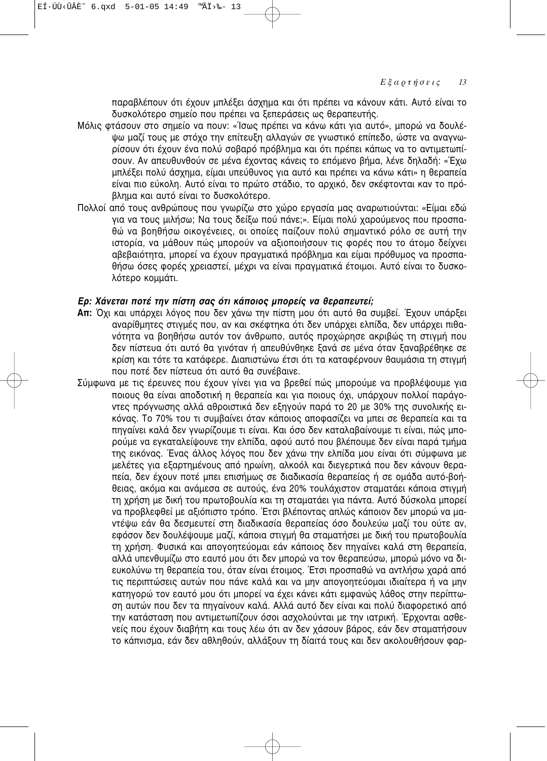παραβλέπουν ότι έχουν μπλέξει άσχημα και ότι πρέπει να κάνουν κάτι. Αυτό είναι το δυσκολότερο σημείο που πρέπει να ξεπεράσεις ως θεραπευτής.

- Μόλις φτάσουν στο σημείο να πουν: «Ίσως πρέπει να κάνω κάτι νια αυτό», μπορώ να δουλέψω μαζί τους με στόχο την επίτευξη αλλαγών σε γνωστικό επίπεδο, ώστε να αναγνωρίσουν ότι έχουν ένα πολύ σοβαρό πρόβλημα και ότι πρέπει κάπως να το αντιμετωπίσουν. Αν απευθυνθούν σε μένα έχοντας κάνεις το επόμενο βήμα, λένε δηλαδή: «Έχω μπλέξει πολύ άσχημα, είμαι υπεύθυνος για αυτό και πρέπει να κάνω κάτι» η θεραπεία είναι πιο εύκολη. Αυτό είναι το πρώτο στάδιο, το αρχικό, δεν σκέφτονται καν το πρό-' βλημα και αυτό είναι το δυσκολότερο.
- Πολλοί από τους ανθρώπους που γνωρίζω στο χώρο εργασία μας αναρωτιούνται: «Είμαι εδώ για να τους μιλήσω; Να τους δείξω πού πάνε;». Είμαι πολύ χαρούμενος που προσπαθώ να βοηθήσω οικονένειες, οι οποίες παίζουν πολύ σημαντικό ρόλο σε αυτή την ιστορία, να μάθουν πώς μπορούν να αξιοποιήσουν τις φορές που το άτομο δείχνει αβεβαιότητα, μπορεί να έχουν πραγματικά πρόβλημα και είμαι πρόθυμος να προσπαθήσω όσες φορές χρειαστεί, μέχρι να είναι πραγματικά έτοιμοι. Αυτό είναι το δυσκολότερο κομμάτι.

# *Eo: Χάνεται ποτέ την πίστη σας ότι κάποιος μπορείς να θεραπευτεί:*

- **Απ:** Όχι και υπάρχει λόγος που δεν χάνω την πίστη μου ότι αυτό θα συμβεί. Έχουν υπάρξει αναρίθμητες στιγμές που, αν και σκέφτηκα ότι δεν υπάρχει ελπίδα, δεν υπάρχει πιθανότητα να βοηθήσω αυτόν τον άνθρωπο, αυτός προχώρησε ακριβώς τη στιγμή που δεν πίστευα ότι αυτό θα γινόταν ή απευθύνθηκε ξανά σε μένα όταν ξαναβρέθηκε σε Κρίση και τότε τα κατάφερε. Διαπιστώνω έτσι ότι τα καταφέρνουν θαυμάσια τη στιγμή που ποτέ δεν πίστευα ότι αυτό θα συνέβαινε.
- Σύμφωνα με τις έρευνες που έχουν γίνει για να βρεθεί πώς μπορούμε να προβλέψουμε για ποιους θα είναι αποδοτική η θεραπεία και για ποιους όχι, υπάρχουν πολλοί παράγο-VΤες πρόγνωσης αλλά αθροιστικά δεν εξηγούν παρά το 20 με 30% της συνολικής ει-Κόνας. Το 70% του τι συμβαίνει όταν κάποιος αποφασίζει να μπει σε θεραπεία και τα πηγαίνει καλά δεν γνωρίζουμε τι είναι. Και όσο δεν καταλαβαίνουμε τι είναι, πώς μπορούμε να εγκαταλείψουνε την ελπίδα, αφού αυτό που βλέπουμε δεν είναι παρά τμήμα της εικόνας. Ένας άλλος λόγος που δεν χάνω την ελπίδα μου είναι ότι σύμφωνα με μελέτες για εξαρτημένους από ηρωίνη, αλκοόλ και διεγερτικά που δεν κάνουν θεραπεία, δεν έχουν ποτέ μπει επισήμως σε διαδικασία θεραπείας ή σε ομάδα αυτό-βοήθειας, ακόμα και ανάμεσα σε αυτούς, ένα 20% τουλάχιστον σταματάει κάποια στιγμή τη χρήση με δική του πρωτοβουλία και τη σταματάει για πάντα. Αυτό δύσκολα μπορεί να προβλεφθεί με αξιόπιστο τρόπο. Έτσι βλέποντας απλώς κάποιον δεν μπορώ να μαντέψω εάν θα δεσμευτεί στη διαδικασία θεραπείας όσο δουλεύω μαζί του ούτε αν, εφόσον δεν δουλέψουμε μαζί, κάποια στιγμή θα σταματήσει με δική του πρωτοβουλία τη χρήση. Φυσικά και απογοητεύομαι εάν κάποιος δεν πηγαίνει καλά στη θεραπεία, αλλά υπενθυμίζω στο εαυτό μου ότι δεν μπορώ να τον θεραπεύσω, μπορώ μόνο να διευκολύνω τη θεραπεία του, όταν είναι έτοιμος. Έτσι προσπαθώ να αντλήσω χαρά από τις περιπτώσεις αυτών που πάνε καλά και να μην απογοητεύομαι ιδιαίτερα ή να μην κατηγορώ τον εαυτό μου ότι μπορεί να έχει κάνει κάτι εμφανώς λάθος στην περίπτωση αυτών που δεν τα πηγαίνουν καλά. Αλλά αυτό δεν είναι και πολύ διαφορετικό από την κατάσταση που αντιμετωπίζουν όσοι ασχολούνται με την ιατρική. Έρχονται ασθενείς που έχουν διαβήτη και τους λέω ότι αν δεν χάσουν βάρος, εάν δεν σταματήσουν το κάπνισμα, εάν δεν αθληθούν, αλλάξουν τη δίαιτά τους και δεν ακολουθήσουν φαρ-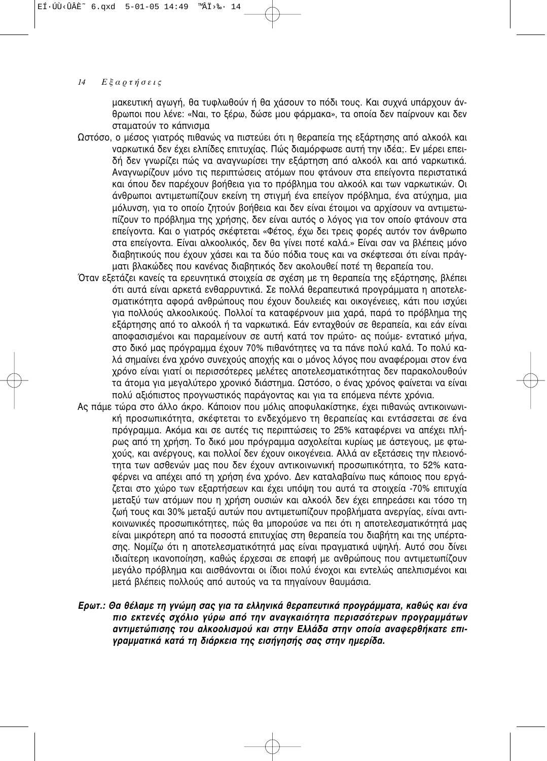μακευτική αγωγή, θα τυφλωθούν ή θα χάσουν το πόδι τους. Και συχνά υπάρχουν άνθρωποι που λένε: «Ναι, το ξέρω, δώσε μου φάρμακα», τα οποία δεν παίρνουν και δεν σταματούν το κάπνισμα

- Ωστόσο, ο μέσος γιατρός πιθανώς να πιστεύει ότι η θεραπεία της εξάρτησης από αλκοόλ και ναρκωτικά δεν έχει ελπίδες επιτυχίας. Πώς διαμόρφωσε αυτή την ιδέα;. Εν μέρει επειδή δεν γνωρίζει πώς να αναγνωρίσει την εξάρτηση από αλκοόλ και από ναρκωτικά. Αναγνωρίζουν μόνο τις περιπτώσεις ατόμων που φτάνουν στα επείγοντα περιστατικά και όπου δεν παρέχουν βοήθεια για το πρόβλημα του αλκοόλ και των ναρκωτικών. Οι άνθρωποι αντιμετωπίζουν εκείνη τη στιγμή ένα επείγον πρόβλημα, ένα ατύχημα, μια μόλυνση, για το οποίο ζητούν βοήθεια και δεν είναι έτοιμοι να αρχίσουν να αντιμετωπίζουν το πρόβλημα της χρήσης, δεν είναι αυτός ο λόγος για τον οποίο φτάνουν στα επείγοντα. Και ο γιατρός σκέφτεται «Φέτος, έχω δει τρεις φορές αυτόν τον άνθρωπο στα επείγοντα. Είναι αλκοολικός, δεν θα γίνει ποτέ καλά.» Είναι σαν να βλέπεις μόνο διαβητικούς που έχουν χάσει και τα δύο πόδια τους και να σκέφτεσαι ότι είναι πράγματι βλακώδες που κανένας διαβητικός δεν ακολουθεί ποτέ τη θεραπεία του.
- Όταν εξετάζει κανείς τα ερευνητικά στοιχεία σε σχέση με τη θεραπεία της εξάρτησης, βλέπει ότι αυτά είναι αρκετά ενθαρρυντικά. Σε πολλά θεραπευτικά προγράμματα η αποτελεσματικότητα αφορά ανθρώπους που έχουν δουλειές και οικονένειες, κάτι που ισχύει για πολλούς αλκοολικούς. Πολλοί τα καταφέρνουν μια χαρά, παρά το πρόβλημα της εξάρτησης από το αλκοόλ ή τα ναρκωτικά. Εάν ενταχθούν σε θεραπεία, και εάν είναι αποφασισμένοι και παραμείνουν σε αυτή κατά τον πρώτο- ας πούμε- εντατικό μήνα, στο δικό μας πρόγραμμα έχουν 70% πιθανότητες να τα πάνε πολύ καλά. Το πολύ καλά σημαίνει ένα χρόνο συνεχούς αποχής και ο μόνος λόγος που αναφέρομαι στον ένα χρόνο είναι γιατί οι περισσότερες μελέτες αποτελεσματικότητας δεν παρακολουθούν τα άτομα για μεγαλύτερο χρονικό διάστημα. Ωστόσο, ο ένας χρόνος φαίνεται να είναι πολύ αξιόπιστος προγνωστικός παράγοντας και για τα επόμενα πέντε χρόνια.
- Ας πάμε τώρα στο άλλο άκρο. Κάποιον που μόλις αποφυλακίστηκε, έχει πιθανώς αντικοινωνική προσωπικότητα, σκέφτεται το ενδεχόμενο τη θεραπείας και εντάσσεται σε ένα πρόγραμμα. Ακόμα και σε αυτές τις περιπτώσεις το 25% καταφέρνει να απέχει πλήρως από τη χρήση. Το δικό μου πρόγραμμα ασχολείται κυρίως με άστεγους, με φτωχούς, και ανέργους, και πολλοί δεν έχουν οικογένεια. Αλλά αν εξετάσεις την πλειονότητα των ασθενών μας που δεν έχουν αντικοινωνική προσωπικότητα, το 52% καταφέρνει να απέχει από τη χρήση ένα χρόνο. Δεν καταλαβαίνω πως κάποιος που εργάζεται στο χώρο των εξαρτήσεων και έχει υπόψη του αυτά τα στοιχεία -70% επιτυχία μεταξύ των ατόμων που η χρήση ουσιών και αλκοόλ δεν έχει επηρεάσει και τόσο τη ζωή τους και 30% μεταξύ αυτών που αντιμετωπίζουν προβλήματα ανερνίας, είναι αντικοινωνικές προσωπικότητες, πώς θα μπορούσε να πει ότι η αποτελεσματικότητά μας είναι μικρότερη από τα ποσοστά επιτυχίας στη θεραπεία του διαβήτη και της υπέρτασης. Νομίζω ότι η αποτελεσματικότητά μας είναι πραγματικά υψηλή. Αυτό σου δίνει ιδιαίτερη ικανοποίηση, καθώς έρχεσαι σε επαφή με ανθρώπους που αντιμετωπίζουν μεγάλο πρόβλημα και αισθάνονται οι ίδιοι πολύ ένοχοι και εντελώς απελπισμένοι και μετά βλέπεις πολλούς από αυτούς να τα πηγαίνουν θαυμάσια.
- Ερωτ.: Θα θέλαμε τη γνώμη σας για τα ελληνικά θεραπευτικά προγράμματα, καθώς και ένα πιο εκτενές σχόλιο γύρω από την αναγκαιότητα περισσότερων προγραμμάτων αντιμετώπισης του αλκοολισμού και στην Ελλάδα στην οποία αναφερθήκατε επιγραμματικά κατά τη διάρκεια της εισήγησής σας στην ημερίδα.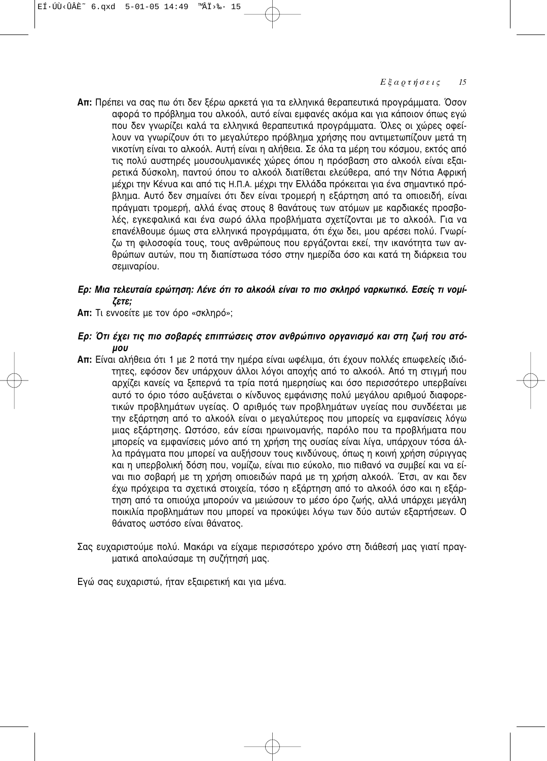## $E \xi \alpha \rho \tau \eta \sigma \epsilon \iota \zeta$  15

- **Απ:** Πρέπει να σας πω ότι δεν ξέρω αρκετά για τα ελληνικά θεραπευτικά προγράμματα. Όσον αφορά το πρόβλημα του αλκοόλ, αυτό είναι εμφανές ακόμα και για κάποιον όπως εγώ που δεν γνωρίζει καλά τα ελληνικά θεραπευτικά προνράμματα. Όλες οι χώρες οφείλουν να γνωρίζουν ότι το μεγαλύτερο πρόβλημα χρήσης που αντιμετωπίζουν μετά τη νικοτίνη είναι το αλκοόλ. Αυτή είναι η αλήθεια. Σε όλα τα μέρη του κόσμου, εκτός από τις πολύ αυστηρές μουσουλμανικές χώρες όπου η πρόσβαση στο αλκοόλ είναι εξαιρετικά δύσκολη, παντού όπου το αλκοόλ διατίθεται ελεύθερα, από την Νότια Αφρική μέχρι την Κένυα και από τις Η.Π.Α. μέχρι την Ελλάδα πρόκειται για ένα σημαντικό πρό-Bλημα. Αυτό δεν σημαίνει ότι δεν είναι τρομερή η εξάρτηση από τα οπιοειδή, είναι πράγματι τρομερή, αλλά ένας στους 8 θανάτους των ατόμων με καρδιακές προσβολές, εγκεφαλικά και ένα σωρό άλλα προβλήματα σχετίζονται με το αλκοόλ. Για να επανέλθουμε όμως στα ελληνικά προγράμματα, ότι έχω δει, μου αρέσει πολύ. Γνωρίζω τη φιλοσοφία τους, τους ανθρώπους που εργάζονται εκεί, την ικανότητα των ανθρώπων αυτών, που τη διαπίστωσα τόσο στην ημερίδα όσο και κατά τη διάρκεια του σεμιναρίου.
- *Ēρ: Μια τελευταία ερώτηση: Λένε ότι το αλκοόλ είναι το πιο σκληρό ναρκωτικό. Εσείς τι νομί-˙ÂÙÂ;*
- **Aπ:** Τι εννοείτε με τον όρο «σκληρό»;

EÍ·ÚÙ‹ÛÂȘ 6.qxd 5-01-05 14:49 ™ÂÏ›‰· 15

- *Ēρ: Ότι έχει τις πιο σοβαρές επιπτώσεις στον ανθρώπινο οργανισμό και στη ζωή του ατό-ÌÔ˘*
- **Απ:** Είναι αλήθεια ότι 1 με 2 ποτά την ημέρα είναι ωφέλιμα, ότι έχουν πολλές επωφελείς ιδιότητες, εφόσον δεν υπάρχουν άλλοι λόγοι αποχής από το αλκοόλ. Από τη στιγμή που αρχίζει κανείς να ξεπερνά τα τρία ποτά ημερησίως και όσο περισσότερο υπερβαίνει αυτό το όριο τόσο αυξάνεται ο κίνδυνος εμφάνισης πολύ μεγάλου αριθμού διαφορετικών προβλημάτων υγείας. Ο αριθμός των προβλημάτων υγείας που συνδέεται με την εξάρτηση από το αλκοόλ είναι ο μεναλύτερος που μπορείς να εμφανίσεις λόνω μιας εξάρτησης. Ωστόσο, εάν είσαι ηρωινομανής, παρόλο που τα προβλήματα που μπορείς να εμφανίσεις μόνο από τη χρήση της ουσίας είναι λίγα, υπάρχουν τόσα άλλα πράγματα που μπορεί να αυξήσουν τους κινδύνους, όπως η κοινή χρήση σύριγγας και η υπερβολική δόση που, νομίζω, είναι πιο εύκολο, πιο πιθανό να συμβεί και να είναι πιο σοβαρή με τη χρήση οπιοειδών παρά με τη χρήση αλκοόλ. Έτσι, αν και δεν έχω πρόχειρα τα σχετικά στοιχεία, τόσο η εξάρτηση από το αλκοόλ όσο και η εξάρτηση από τα οπιούχα μπορούν να μειώσουν το μέσο όρο ζωής, αλλά υπάρχει μεγάλη ποικιλία προβλημάτων που μπορεί να προκύψει λόνω των δύο αυτών εξαρτήσεων. Ο θάνατος ωστόσο είναι θάνατος.
- Σας ευχαριστούμε πολύ. Μακάρι να είχαμε περισσότερο χρόνο στη διάθεσή μας γιατί πραγματικά απολαύσαμε τη συζήτησή μας.

Εγώ σας ευχαριστώ, ήταν εξαιρετική και για μένα.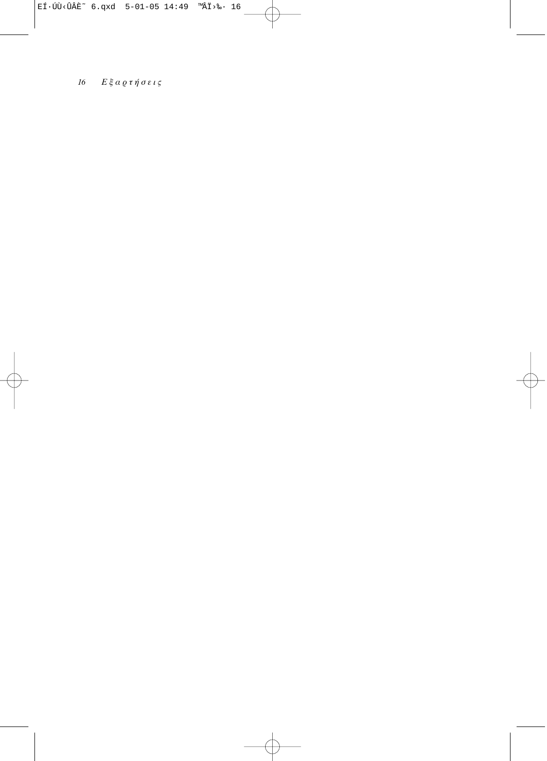$E \xi a \varrho \tau \eta \sigma \varepsilon \iota \varsigma$  $16\,$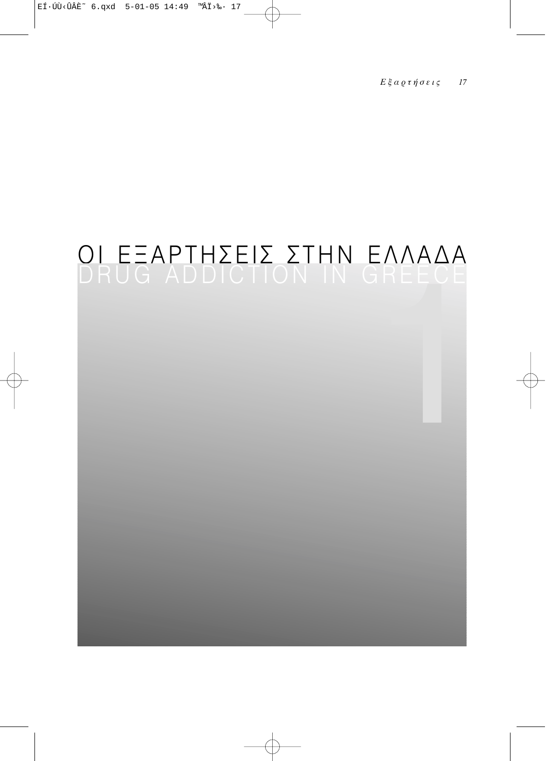$E \xi a \varrho \tau \eta \sigma \varepsilon \iota$ ς 17

# **OL EEAPTHEEIX XTHN EAAAAA**<br>Drug addiction in Greece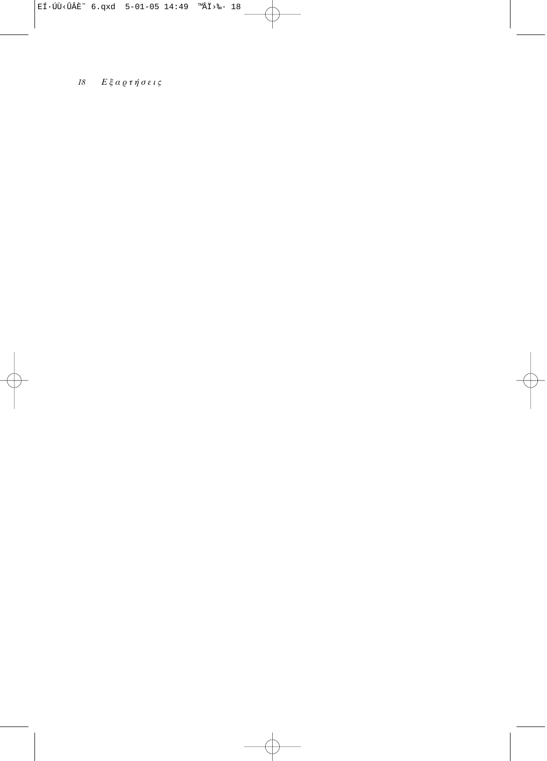$E \xi a \varrho \tau \eta \sigma \varepsilon \iota \varsigma$  $18\,$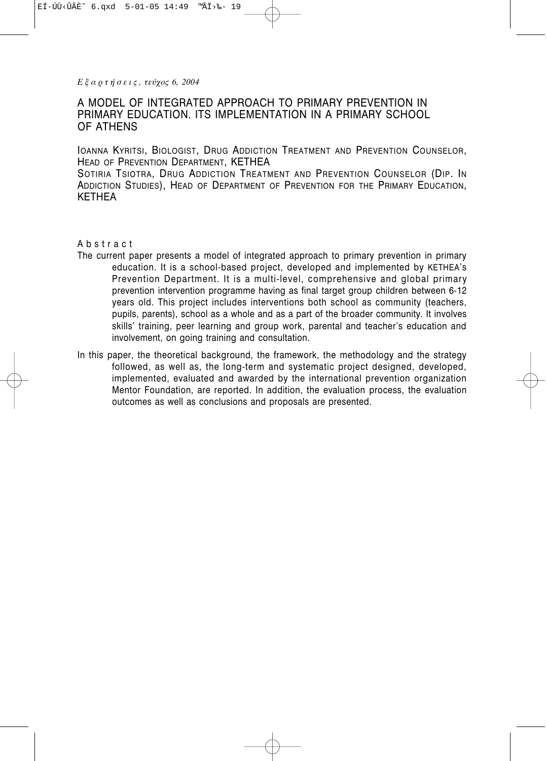*<i>Eξαρτήσεις, τεύχος 6, 2004* 

# A MODEL OF INTEGRATED APPROACH TO PRIMARY PREVENTION IN PRIMARY EDUCATION. ITS IMPLEMENTATION IN A PRIMARY SCHOOL OF ATHENS

IOANNA KYRITSI, BIOLOGIST, DRUG ADDICTION TREATMENT AND PREVENTION COUNSELOR, HEAD OF PREVENTION DEPARTMENT, KETHEA

SOTIRIA TSIOTRA, DRUG ADDICTION TREATMENT AND PREVENTION COUNSELOR (DIP. IN ADDICTION STUDIES), HEAD OF DEPARTMENT OF PREVENTION FOR THE PRIMARY EDUCATION, KETHEA

Abstract

- The current paper presents a model of integrated approach to primary prevention in primary education. It is a school-based project, developed and implemented by KETHEA's Prevention Department. It is a multi-level, comprehensive and global primary prevention intervention programme having as final target group children between 6-12 years old. This project includes interventions both school as community (teachers, pupils, parents), school as a whole and as a part of the broader community. It involves skills' training, peer learning and group work, parental and teacher's education and involvement, on going training and consultation.
- In this paper, the theoretical background, the framework, the methodology and the strategy followed, as well as, the long-term and systematic project designed, developed, implemented, evaluated and awarded by the international prevention organization Mentor Foundation, are reported. In addition, the evaluation process, the evaluation outcomes as well as conclusions and proposals are presented.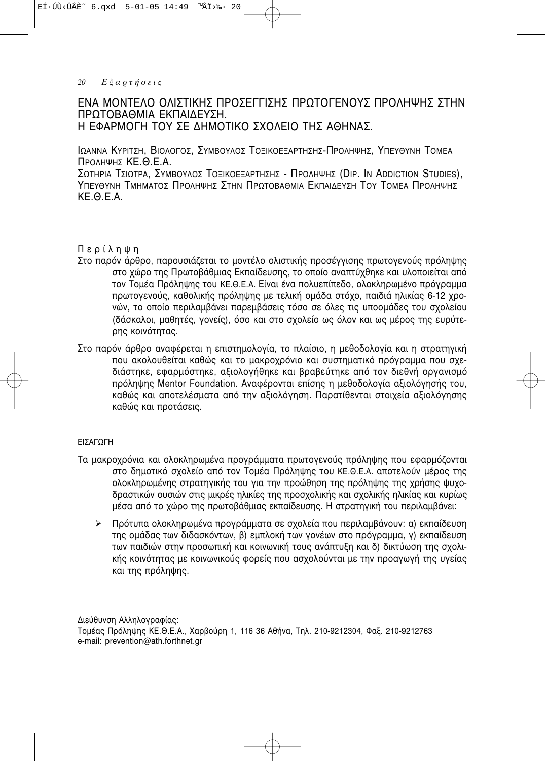# *20 <i>Eξαρτήσεις*

# ΕΝΑ ΜΟΝΤΕΛΟ ΟΛΙΣΤΙΚΉΣ ΠΡΟΣΕΓΓΙΣΗΣ ΠΡΩΤΟΓΕΝΟΎΣ ΠΡΟΛΗΨΗΣ ΣΤΗΝ ΠΡΩΤΟΒΑΘΜΙΑ ΕΚΠΑΙΔΕΥΣΗ. Η ΕΦΑΡΜΟΓΗ ΤΟΥ ΣΕ ΔΗΜΟΤΙΚΟ ΣΧΟΛΕΙΟ ΤΗΣ ΑΘΗΝΑΣ.

ΙΩΑΝΝΑ ΚΥΡΙΤΣΗ, ΒΙΟΛΟΓΟΣ, ΣΥΜΒΟΥΛΟΣ ΤΟΞΙΚΟΕΞΑΡΤΗΣΗΣ-ΠΡΟΛΗΨΗΣ, ΥΠΕΥΘΥΝΗ ΤΟΜΕΑ ПРОЛНΨНΣ KE.Θ.E.A.

 $\Sigma$ ΩΤΗΡΙΑ ΤΣΙΩΤΡΑ, ΣΥΜΒΟΥΛΟΣ ΤΟΞΙΚΟΕΞΑΡΤΗΣΗΣ - ΠΡΟΛΗΨΗΣ (DIP. IN ADDICTION STUDIES), ΥΠΕΥΘΥΝΗ ΤΜΗΜΑΤΟΣ ΠΡΟΛΗΨΗΣ ΣΤΗΝ ΠΡΩΤΟΒΑΘΜΙΑ ΕΚΠΑΙΔΕΥΣΗ ΤΟΥ ΤΟΜΕΑ ΠΡΟΛΗΨΗΣ ∫∂.£.∂.∞.

# Περίληψη

- Στο παρόν άρθρο, παρουσιάζεται το μοντέλο ολιστικής προσέννισης πρωτονενούς πρόληψης στο χώρο της Πρωτοβάθμιας Εκπαίδευσης, το οποίο αναπτύχθηκε και υλοποιείται από τον Τομέα Πρόληψης του ΚΕ.Θ.Ε.Α. Είναι ένα πολυεπίπεδο, ολοκληρωμένο πρόγραμμα πρωτογενούς, καθολικής πρόληψης με τελική ομάδα στόχο, παιδιά ηλικίας 6-12 χρονών, το οποίο περιλαμβάνει παρεμβάσεις τόσο σε όλες τις υποομάδες του σχολείου (δάσκαλοι, μαθητές, γονείς), όσο και στο σχολείο ως όλον και ως μέρος της ευρύτερης κοινότητας.
- Στο παρόν άρθρο αναφέρεται η επιστημολογία, το πλαίσιο, η μεθοδολογία και η στρατηγική που ακολουθείται καθώς και το μακροχρόνιο και συστηματικό πρόγραμμα που σχεδιάστηκε, εφαρμόστηκε, αξιολογήθηκε και βραβεύτηκε από τον διεθνή οργανισμό πρόληψης Mentor Foundation. Αναφέρονται επίσης η μεθοδολογία αξιολόγησής του, καθώς και αποτελέσματα από την αξιολόγηση. Παρατίθενται στοιχεία αξιολόγησης καθώς και προτάσεις.

# ∂I™A°ø°H

- Τα μακροχρόνια και ολοκληρωμένα προγράμματα πρωτογενούς πρόληψης που εφαρμόζονται στο δημοτικό σχολείο από τον Τομέα Πρόληψης του ΚΕ.Θ.Ε.Α. αποτελούν μέρος της ολοκληρωμένης στρατηγικής του για την προώθηση της πρόληψης της χρήσης ψυχοδραστικών ουσιών στις μικρές ηλικίες της προσχολικής και σχολικής ηλικίας και κυρίως μέσα από το χώρο της πρωτοβάθμιας εκπαίδευσης. Η στρατηγική του περιλαμβάνει:
	- > Πρότυπα ολοκληρωμένα προγράμματα σε σχολεία που περιλαμβάνουν: α) εκπαίδευση της ομάδας των διδασκόντων, β) εμπλοκή των γονέων στο πρόγραμμα, γ) εκπαίδευση των παιδιών στην προσωπική και κοινωνική τους ανάπτυξη και δ) δικτύωση της σχολικής κοινότητας με κοινωνικούς φορείς που ασχολούνται με την προαγωγή της υγείας και της πρόληψης.

Διεύθυνση Αλληλογραφίας:

Τομέας Πρόληψης ΚΕ.Θ.Ε.Α., Χαρβούρη 1, 116 36 Αθήνα, Τηλ. 210-9212304, Φαξ. 210-9212763 e-mail: prevention@ath.forthnet.gr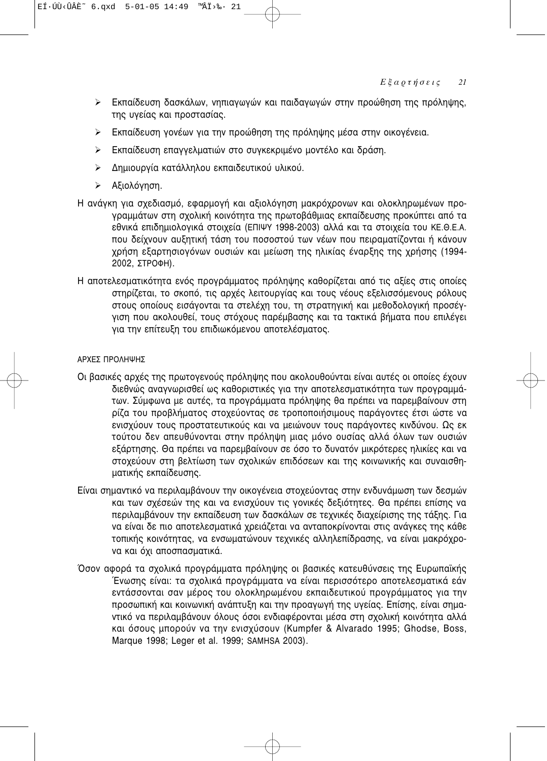- > Εκπαίδευση δασκάλων, νηπιαγωγών και παιδαγωγών στην προώθηση της πρόληψης, της υνείας και προστασίας.
- > Εκπαίδευση γονέων για την προώθηση της πρόληψης μέσα στην οικογένεια.
- $\triangleright$  Εκπαίδευση επαγγελματιών στο συγκεκριμένο μοντέλο και δράση.
- > Δημιουργία κατάλληλου εκπαιδευτικού υλικού.
- > Αξιολόγηση.
- Η ανάγκη για σχεδιασμό, εφαρμογή και αξιολόγηση μακρόχρονων και ολοκληρωμένων προγραμμάτων στη σχολική κοινότητα της πρωτοβάθμιας εκπαίδευσης προκύπτει από τα εθνικά επιδημιολογικά στοιχεία (ΕΠΙΨΥ 1998-2003) αλλά και τα στοιχεία του ΚΕ.Θ.Ε.Α. που δείχνουν αυξητική τάση του ποσοστού των νέων που πειραματίζονται ή κάνουν χρήση εξαρτησιογόνων ουσιών και μείωση της ηλικίας έναρξης της χρήσης (1994-2002, ΣΤΡΟΦΗ).
- Η αποτελεσματικότητα ενός προγράμματος πρόληψης καθορίζεται από τις αξίες στις οποίες στηρίζεται, το σκοπό, τις αρχές λειτουργίας και τους νέους εξελισσόμενους ρόλους στους οποίους εισάγονται τα στελέχη του, τη στρατηγική και μεθοδολογική προσέγγιση που ακολουθεί, τους στόχους παρέμβασης και τα τακτικά βήματα που επιλέγει για την επίτευξη του επιδιωκόμενου αποτελέσματος.

# **APXEΣ ΠΡΟΛΗΨΗΣ**

- Οι βασικές αρχές της πρωτογενούς πρόληψης που ακολουθούνται είναι αυτές οι οποίες έχουν διεθνώς αναγνωρισθεί ως καθοριστικές για την αποτελεσματικότητα των προγραμμάτων. Σύμφωνα με αυτές, τα προγράμματα πρόληψης θα πρέπει να παρεμβαίνουν στη ρίζα του προβλήματος στοχεύοντας σε τροποποιήσιμους παράγοντες έτσι ώστε να ενισχύουν τους προστατευτικούς και να μειώνουν τους παράγοντες κινδύνου. Ως εκ τούτου δεν απευθύνονται στην πρόληψη μιας μόνο ουσίας αλλά όλων των ουσιών εξάρτησης. Θα πρέπει να παρεμβαίνουν σε όσο το δυνατόν μικρότερες ηλικίες και να στοχεύουν στη βελτίωση των σχολικών επιδόσεων και της κοινωνικής και συναισθηματικής εκπαίδευσης.
- Είναι σημαντικό να περιλαμβάνουν την οικογένεια στοχεύοντας στην ενδυνάμωση των δεσμών και των σχέσεών της και να ενισχύουν τις γονικές δεξιότητες. Θα πρέπει επίσης να περιλαμβάνουν την εκπαίδευση των δασκάλων σε τεχνικές διαχείρισης της τάξης. Για να είναι δε πιο αποτελεσματικά χρειάζεται να ανταποκρίνονται στις ανάγκες της κάθε τοπικής κοινότητας, να ενσωματώνουν τεχνικές αλληλεπίδρασης, να είναι μακρόχρονα και όχι αποσπασματικά.
- Όσον αφορά τα σχολικά προγράμματα πρόληψης οι βασικές κατευθύνσεις της Ευρωπαϊκής Ένωσης είναι: τα σχολικά προγράμματα να είναι περισσότερο αποτελεσματικά εάν εντάσσονται σαν μέρος του ολοκληρωμένου εκπαιδευτικού προγράμματος για την προσωπική και κοινωνική ανάπτυξη και την προαγωγή της υγείας. Επίσης, είναι σημαντικό να περιλαμβάνουν όλους όσοι ενδιαφέρονται μέσα στη σχολική κοινότητα αλλά και όσους μπορούν να την ενισχύσουν (Kumpfer & Alvarado 1995; Ghodse, Boss, Marque 1998; Leger et al. 1999; SAMHSA 2003).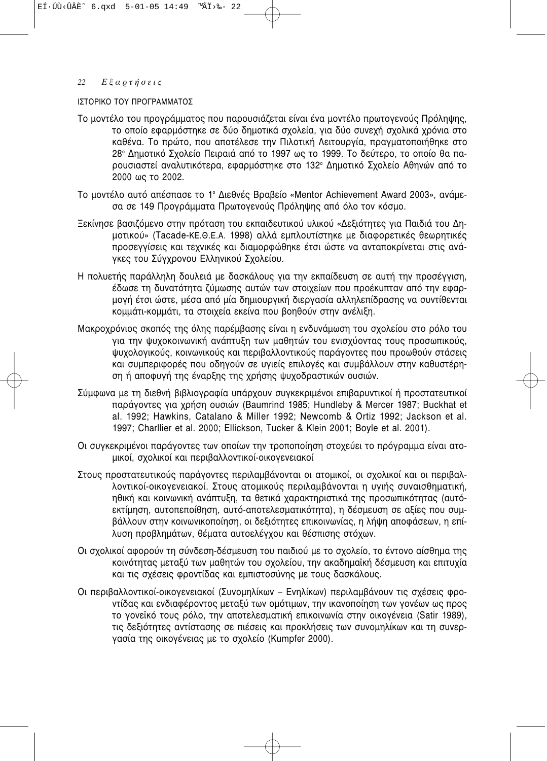# ΙΣΤΟΡΙΚΟ ΤΟΥ ΠΡΟΓΡΑΜΜΑΤΟΣ

- Το μοντέλο του προγράμματος που παρουσιάζεται είναι ένα μοντέλο πρωτογενούς Πρόληψης, το οποίο εφαρμόστηκε σε δύο δημοτικά σχολεία, για δύο συνεχή σχολικά χρόνια στο καθένα. Το πρώτο, που αποτέλεσε την Πιλοτική Λειτουργία, πραγματοποιήθηκε στο 28° Δημοτικό Σχολείο Πειραιά από το 1997 ως το 1999. Το δεύτερο, το οποίο θα παρουσιαστεί αναλυτικότερα, εφαρμόστηκε στο 132° Δημοτικό Σχολείο Αθηνών από το 2000 ως το 2002.
- Το μοντέλο αυτό απέσπασε το 1° Διεθνές Βραβείο «Mentor Achievement Award 2003», ανάμεσα σε 149 Προγράμματα Πρωτογενούς Πρόληψης από όλο τον κόσμο.
- Ξεκίνησε βασιζόμενο στην πρόταση του εκπαιδευτικού υλικού «Δεξιότητες για Παιδιά του Δημοτικού» (Tacade-KE.Θ.Ε.Α. 1998) αλλά εμπλουτίστηκε με διαφορετικές θεωρητικές προσεγγίσεις και τεχνικές και διαμορφώθηκε έτσι ώστε να ανταποκρίνεται στις ανάγκες του Σύγχρονου Ελληνικού Σχολείου.
- Η πολυετής παράλληλη δουλειά με δασκάλους για την εκπαίδευση σε αυτή την προσέγγιση, έδωσε τη δυνατότητα ζύμωσης αυτών των στοιχείων που προέκυπταν από την εφαρμογή έτσι ώστε, μέσα από μία δημιουργική διεργασία αλληλεπίδρασης να συντίθενται κομμάτι-κομμάτι, τα στοιχεία εκείνα που βοηθούν στην ανέλιξη.
- Μακροχρόνιος σκοπός της όλης παρέμβασης είναι η ενδυνάμωση του σχολείου στο ρόλο του για την ψυχοκοινωνική ανάπτυξη των μαθητών του ενισχύοντας τους προσωπικούς, ψυχολογικούς, κοινωνικούς και περιβαλλοντικούς παράγοντες που προωθούν στάσεις και συμπεριφορές που οδηγούν σε υγιείς επιλογές και συμβάλλουν στην καθυστέρηση ή αποφυγή της έναρξης της χρήσης ψυχοδραστικών ουσιών.
- Σύμφωνα με τη διεθνή βιβλιογραφία υπάρχουν συγκεκριμένοι επιβαρυντικοί ή προστατευτικοί παράγοντες για χρήση ουσιών (Baumrind 1985; Hundleby & Mercer 1987; Buckhat et al. 1992; Hawkins, Catalano & Miller 1992; Newcomb & Ortiz 1992; Jackson et al. 1997; Charllier et al. 2000; Ellickson, Tucker & Klein 2001; Boyle et al. 2001).
- Οι συγκεκριμένοι παράγοντες των οποίων την τροποποίηση στοχεύει το πρόγραμμα είναι ατομικοί, σχολικοί και περιβαλλοντικοί-οικογενειακοί
- Στους προστατευτικούς παράγοντες περιλαμβάνονται οι ατομικοί, οι σχολικοί και οι περιβαλλοντικοί-οικονενειακοί. Στους ατομικούς περιλαμβάνονται η υνιής συναισθηματική. ηθική και κοινωνική ανάπτυξη, τα θετικά χαρακτηριστικά της προσωπικότητας (αυτόεκτίμηση, αυτοπεποίθηση, αυτό-αποτελεσματικότητα), η δέσμευση σε αξίες που συμβάλλουν στην κοινωνικοποίηση, οι δεξιότητες επικοινωνίας, η λήψη αποφάσεων, η επίλυση προβλημάτων, θέματα αυτοελέγχου και θέσπισης στόχων.
- Οι σχολικοί αφορούν τη σύνδεση-δέσμευση του παιδιού με το σχολείο, το έντονο αίσθημα της κοινότητας μεταξύ των μαθητών του σχολείου, την ακαδημαϊκή δέσμευση και επιτυχία και τις σχέσεις φροντίδας και εμπιστοσύνης με τους δασκάλους.
- Οι περιβαλλοντικοί-οικογενειακοί (Συνομηλίκων Ενηλίκων) περιλαμβάνουν τις σχέσεις φρο-Vτίδας και ενδιαφέροντος μεταξύ των ομότιμων, την ικανοποίηση των γονέων ως προς το γονεϊκό τους ρόλο, την αποτελεσματική επικοινωνία στην οικογένεια (Satir 1989), τις δεξιότητες αντίστασης σε πιέσεις και προκλήσεις των συνομηλίκων και τη συνεργασία της οικογένειας με το σχολείο (Kumpfer 2000).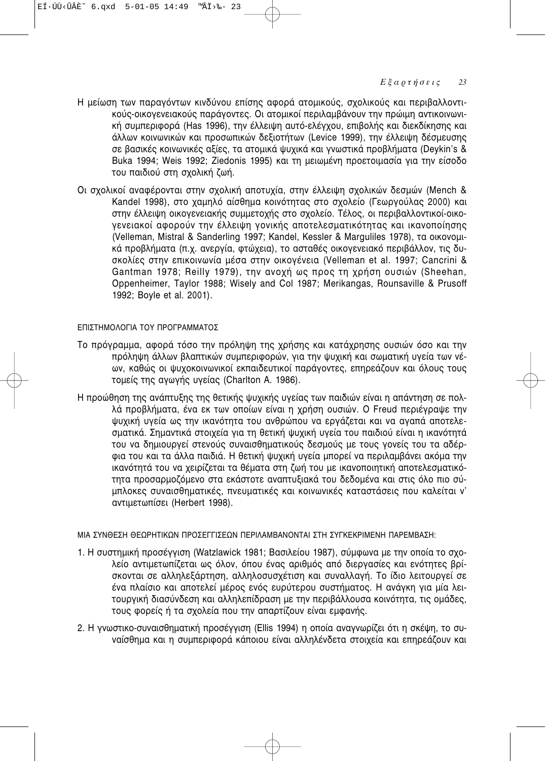- Η μείωση των παραγόντων κινδύνου επίσης αφορά ατομικούς, σχολικούς και περιβαλλοντι-Κούς-οικογενειακούς παράγοντες. Οι ατομικοί περιλαμβάνουν την πρώιμη αντικοινωνική συμπεριφορά (Has 1996), την έλλειψη αυτό-ελέγχου, επιβολής και διεκδίκησης και άλλων κοινωνικών και προσωπικών δεξιοτήτων (Levice 1999), την έλλειψη δέσμευσης σε βασικές κοινωνικές αξίες, τα ατομικά ψυχικά και γνωστικά προβλήματα (Deykin's & Buka 1994; Weis 1992; Ziedonis 1995) και τη μειωμένη προετοιμασία για την είσοδο του παιδιού στη σχολική ζωή.
- Οι σχολικοί αναφέρονται στην σχολική αποτυχία, στην έλλειψη σχολικών δεσμών (Mench & Kandel 1998), στο χαμηλό αίσθημα κοινότητας στο σχολείο (Γεωργούλας 2000) και στην έλλειψη οικογενειακής συμμετοχής στο σχολείο. Τέλος, οι περιβαλλοντικοί-οικογενειακοί αφορούν την έλλειψη γονικής αποτελεσματικότητας και ικανοποίησης (Velleman, Mistral & Sanderling 1997; Kandel, Kessler & Marguliles 1978), τα οικονομικά προβλήματα (π.χ. ανεργία, φτώχεια), το ασταθές οικογενειακό περιβάλλον, τις δυσκολίες στην επικοινωνία μέσα στην οικογένεια (Velleman et al. 1997; Cancrini & Gantman 1978; Reilly 1979), την ανοχή ως προς τη χρήση ουσιών (Sheehan, Oppenheimer, Taylor 1988; Wisely and Col 1987; Merikangas, Rounsaville & Prusoff 1992; Boyle et al. 2001).

# ΕΠΙΣΤΗΜΟΛΟΓΙΑ ΤΟΥ ΠΡΟΓΡΑΜΜΑΤΟΣ

- Το πρόγραμμα, αφορά τόσο την πρόληψη της χρήσης και κατάχρησης ουσιών όσο και την πρόληψη άλλων βλαπτικών συμπεριφορών, για την ψυχική και σωματική υγεία των νέων, καθώς οι ψυχοκοινωνικοί εκπαιδευτικοί παράγοντες, επηρεάζουν και όλους τους τομείς της αγωγής υγείας (Charlton A. 1986).
- Η προώθηση της ανάπτυξης της θετικής ψυχικής υγείας των παιδιών είναι η απάντηση σε πολλά προβλήματα, ένα εκ των οποίων είναι η χρήση ουσιών. Ο Freud περιέγραψε την ψυχική υγεία ως την ικανότητα του ανθρώπου να εργάζεται και να αγαπά αποτελεσματικά. Σημαντικά στοιχεία για τη θετική ψυχική υγεία του παιδιού είναι η ικανότητά του να δημιουργεί στενούς συναισθηματικούς δεσμούς με τους γονείς του τα αδέρφια του και τα άλλα παιδιά. Η θετική ψυχική υγεία μπορεί να περιλαμβάνει ακόμα την ικανότητά του να χειρίζεται τα θέματα στη ζωή του με ικανοποιητική αποτελεσματικότητα προσαρμοζόμενο στα εκάστοτε αναπτυξιακά του δεδομένα και στις όλο πιο σύμπλοκες συναισθηματικές, πνευματικές και κοινωνικές καταστάσεις που καλείται ν' αντιμετωπίσει (Herbert 1998).

# ΜΙΑ ΣΥΝΘΕΣΗ ΘΕΩΡΗΤΙΚΩΝ ΠΡΟΣΕΓΓΙΣΕΩΝ ΠΕΡΙΛΑΜΒΑΝΟΝΤΑΙ ΣΤΗ ΣΥΓΚΕΚΡΙΜΕΝΗ ΠΑΡΕΜΒΑΣΗ:

- 1. Η συστημική προσέγγιση (Watzlawick 1981; Βασιλείου 1987), σύμφωνα με την οποία το σχολείο αντιμετωπίζεται ως όλον, όπου ένας αριθμός από διεργασίες και ενότητες βρίσκονται σε αλληλεξάρτηση, αλληλοσυσχέτιση και συναλλαγή. Το ίδιο λειτουργεί σε ένα πλαίσιο και αποτελεί μέρος ενός ευρύτερου συστήματος. Η ανάνκη για μία λειτουργική διασύνδεση και αλληλεπίδραση με την περιβάλλουσα κοινότητα, τις ομάδες, τους φορείς ή τα σχολεία που την απαρτίζουν είναι εμφανής.
- 2. Η γνωστικο-συναισθηματική προσέγγιση (Ellis 1994) η οποία αναγνωρίζει ότι η σκέψη, το συναίσθημα και η συμπεριφορά κάποιου είναι αλληλένδετα στοιχεία και επηρεάζουν και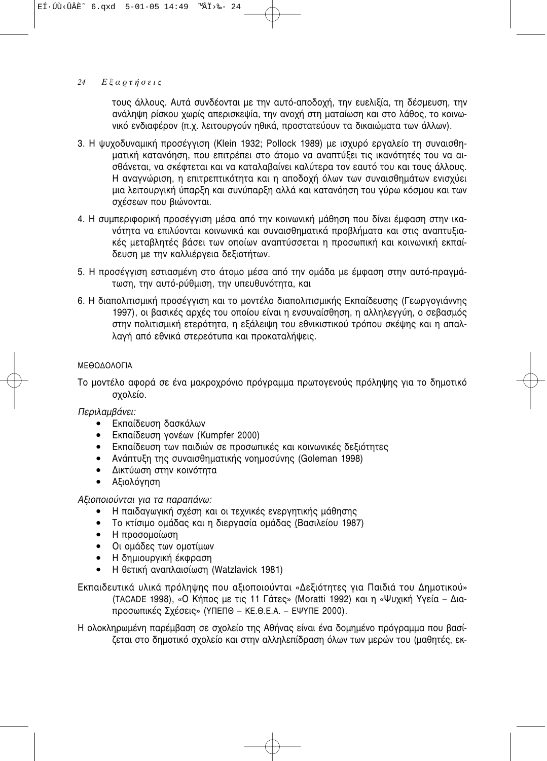> τους άλλους. Αυτά συνδέονται με την αυτό-αποδοχή, την ευελιξία, τη δέσμευση, την ανάληψη ρίσκου χωρίς απερισκεψία, την ανοχή στη ματαίωση και στο λάθος, το κοινωνικό ενδιαφέρον (π.χ. λειτουργούν ηθικά, προστατεύουν τα δικαιώματα των άλλων).

- 3. Η ψυχοδυναμική προσέγγιση (Klein 1932; Pollock 1989) με ισχυρό εργαλείο τη συναισθηματική κατανόηση, που επιτρέπει στο άτομο να αναπτύξει τις ικανότητές του να αισθάνεται, να σκέφτεται και να καταλαβαίνει καλύτερα τον εαυτό του και τους άλλους. Η αναγνώριση, η επιτρεπτικότητα και η αποδοχή όλων των συναισθημάτων ενισχύει μια λειτουργική ύπαρξη και συνύπαρξη αλλά και κατανόηση του γύρω κόσμου και των σχέσεων που βιώνονται.
- 4. Η συμπεριφορική προσέγγιση μέσα από την κοινωνική μάθηση που δίνει έμφαση στην ικανότητα να επιλύονται κοινωνικά και συναισθηματικά προβλήματα και στις αναπτυξιακές μεταβλητές βάσει των οποίων αναπτύσσεται η προσωπική και κοινωνική εκπαίδευση με την καλλιέργεια δεξιοτήτων.
- 5. Η προσέγγιση εστιασμένη στο άτομο μέσα από την ομάδα με έμφαση στην αυτό-πραγμάτωση, την αυτό-ρύθμιση, την υπευθυνότητα, και
- 6. Η διαπολιτισμική προσέγγιση και το μοντέλο διαπολιτισμικής Εκπαίδευσης (Γεωργογιάννης 1997), οι βασικές αρχές του οποίου είναι η ενσυναίσθηση, η αλληλεννύη, ο σεβασμός στην πολιτισμική ετερότητα, η εξάλειψη του εθνικιστικού τρόπου σκέψης και η απαλλαγή από εθνικά στερεότυπα και προκαταλήψεις.

## ΜΕΘΟΔΟΛΟΓΙΑ

Το μοντέλο αφορά σε ένα μακροχρόνιο πρόγραμμα πρωτογενούς πρόληψης για το δημοτικό σχολείο.

Περιλαμβάνει:

- Εκπαίδευση δασκάλων
- Εκπαίδευση γονέων (Kumpfer 2000)
- · Εκπαίδευση των παιδιών σε προσωπικές και κοινωνικές δεξιότητες
- Ανάπτυξη της συναισθηματικής νοημοσύνης (Goleman 1998)
- Δικτύωση στην κοινότητα
- Αξιολόγηση

Αξιοποιούνται για τα παραπάνω:

- Η παιδαγωγική σχέση και οι τεχνικές ενεργητικής μάθησης
- Το κτίσιμο ομάδας και η διεργασία ομάδας (Βασιλείου 1987)
- Η προσομοίωση
- Οι ομάδες των ομοτίμων
- Η δημιουργική έκφραση
- Η θετική αναπλαισίωση (Watzlavick 1981)
- Εκπαιδευτικά υλικά πρόληψης που αξιοποιούνται «Δεξιότητες για Παιδιά του Δημοτικού» (TACADE 1998), «Ο Κήπος με τις 11 Γάτες» (Moratti 1992) και η «Ψυχική Υγεία - Διαπροσωπικές Σχέσεις» (ΥΠΕΠΘ - ΚΕ.Θ.Ε.Α. - ΕΨΥΠΕ 2000).

Η ολοκληρωμένη παρέμβαση σε σχολείο της Αθήνας είναι ένα δομημένο πρόγραμμα που βασίζεται στο δημοτικό σχολείο και στην αλληλεπίδραση όλων των μερών του (μαθητές, εκ-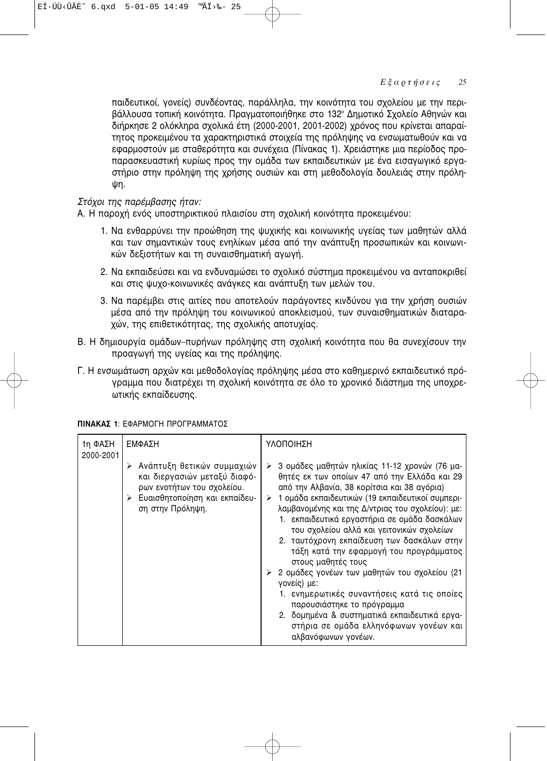# *<i>Eξαρτήσεις* 25

παιδευτικοί, γονείς) συνδέοντας, παράλληλα, την κοινότητα του σχολείου με την περιβάλλουσα τοπική κοινότητα. Πραγματοποιήθηκε στο 132° Δημοτικό Σχολείο Αθηνών και διήρκησε 2 ολόκληρα σχολικά έτη (2000-2001, 2001-2002) χρόνος που κρίνεται απαραίτητος προκειμένου τα χαρακτηριστικά στοιχεία της πρόληψης να ενσωματωθούν και να εφαρμοστούν με σταθερότητα και συνέχεια (Πίνακας 1). Χρειάστηκε μια περίοδος προπαρασκευαστική κυρίως προς την ομάδα των εκπαιδευτικών με ένα εισαγωγικό εργαστήριο στην πρόληψη της χρήσης ουσιών και στη μεθοδολογία δουλειάς στην πρόληψη.

# *Στόχοι της παρέμβασης ήταν:*

A. Η παροχή ενός υποστηρικτικού πλαισίου στη σχολική κοινότητα προκειμένου:

- 1. Να ενθαρρύνει την προώθηση της ψυχικής και κοινωνικής υγείας των μαθητών αλλά και των σημαντικών τους ενηλίκων μέσα από την ανάπτυξη προσωπικών και κοινωνικών δεξιοτήτων και τη συναισθηματική αγωγή.
- 2. Να εκπαιδεύσει και να ενδυναμώσει το σχολικό σύστημα προκειμένου να ανταποκριθεί και στις ψυχο-κοινωνικές ανάγκες και ανάπτυξη των μελών του.
- 3. Να παρέμβει στις αιτίες που αποτελούν παράγοντες κινδύνου για την χρήση ουσιών μέσα από την πρόληψη του κοινωνικού αποκλεισμού, των συναισθηματικών διαταραχών, της επιθετικότητας, της σχολικής αποτυχίας.
- B. Η δημιουργία ομάδων-πυρήνων πρόληψης στη σχολική κοινότητα που θα συνεχίσουν την προαγωγή της υγείας και της πρόληψης.
- Γ. Η ενσωμάτωση αρχών και μεθοδολογίας πρόληψης μέσα στο καθημερινό εκπαιδευτικό πρόγραμμα που διατρέχει τη σχολική κοινότητα σε όλο το χρονικό διάστημα της υποχρεωτικής εκπαίδευσης.

| 1η ΦΑΣΗ<br>2000-2001 | ΕΜΦΑΣΗ                                                                                                                                          | ΥΛΟΠΟΙΗΣΗ                                                                                                                                                                                                                                                                                                                                                                                                                                                                                                                                                                                                                                                                                                                                 |  |  |
|----------------------|-------------------------------------------------------------------------------------------------------------------------------------------------|-------------------------------------------------------------------------------------------------------------------------------------------------------------------------------------------------------------------------------------------------------------------------------------------------------------------------------------------------------------------------------------------------------------------------------------------------------------------------------------------------------------------------------------------------------------------------------------------------------------------------------------------------------------------------------------------------------------------------------------------|--|--|
|                      | > Ανάπτυξη θετικών συμμαχιών<br>και διεργασιών μεταξύ διαφό-<br>ρων ενοτήτων του σχολείου.<br>Ευαισθητοποίηση και εκπαίδευ-<br>ση στην Πρόληψη. | 3 ομάδες μαθητών ηλικίας 11-12 χρονών (76 μα-<br>➤<br>θητές εκ των οποίων 47 από την Ελλάδα και 29<br>από την Αλβανία, 38 κορίτσια και 38 αγόρια)<br>1 ομάδα εκπαιδευτικών (19 εκπαιδευτικοί συμπερι-<br>➤<br>λαμβανομένης και της Δ/ντριας του σχολείου): με:<br>1. εκπαιδευτικά εργαστήρια σε ομάδα δασκάλων<br>του σχολείου αλλά και γειτονικών σχολείων<br>2. ταυτόχρονη εκπαίδευση των δασκάλων στην<br>τάξη κατά την εφαρμογή του προγράμματος<br>στους μαθητές τους<br>> 2 ομάδες γονέων των μαθητών του σχολείου (21<br>γονείς) με:<br>1. ενημερωτικές συναντήσεις κατά τις οποίες<br>παρουσιάστηκε το πρόγραμμα<br>2. δομημένα & συστηματικά εκπαιδευτικά εργα-<br>στήρια σε ομάδα ελληνόφωνων γονέων και<br>αλβανόφωνων γονέων. |  |  |

# **ΠΙΝΑΚΑΣ 1: ΕΦΑΡΜΟΓΗ ΠΡΟΓΡΑΜΜΑΤΟΣ**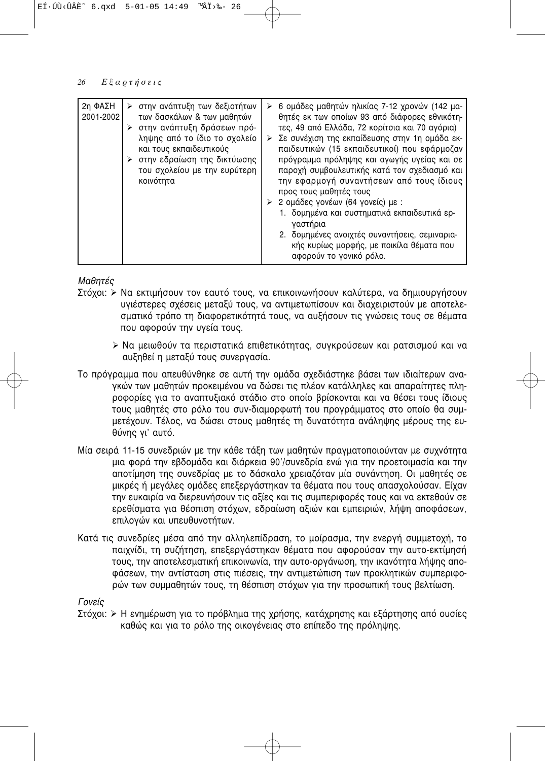| 2η ΦΑΣΗ<br>2001-2002 | στην ανάπτυξη των δεξιοτήτων<br>των δασκάλων & των μαθητών<br>στην ανάπτυξη δράσεων πρό-<br>ληψης από το ίδιο το σχολείο<br>και τους εκπαιδευτικούς<br>στην εδραίωση της δικτύωσης<br>του σχολείου με την ευρύτερη<br>κοινότητα | ≻ | 6 ομάδες μαθητών ηλικίας 7-12 χρονών (142 μα-<br>θητές εκ των οποίων 93 από διάφορες εθνικότη-<br>τες, 49 από Ελλάδα, 72 κορίτσια και 70 αγόρια)<br>Σε συνέχιση της εκπαίδευσης στην 1η ομάδα εκ-<br>παιδευτικών (15 εκπαιδευτικοί) που εφάρμοζαν<br>πρόγραμμα πρόληψης και αγωγής υγείας και σε<br>παροχή συμβουλευτικής κατά τον σχεδιασμό και<br>την εφαρμογή συναντήσεων από τους ίδιους<br>προς τους μαθητές τους<br>> 2 ομάδες γονέων (64 γονείς) με:<br>1. δομημένα και συστηματικά εκπαιδευτικά ερ-<br>γαστήρια<br>2. δομημένες ανοιχτές συναντήσεις, σεμιναρια- |
|----------------------|---------------------------------------------------------------------------------------------------------------------------------------------------------------------------------------------------------------------------------|---|--------------------------------------------------------------------------------------------------------------------------------------------------------------------------------------------------------------------------------------------------------------------------------------------------------------------------------------------------------------------------------------------------------------------------------------------------------------------------------------------------------------------------------------------------------------------------|
|                      |                                                                                                                                                                                                                                 |   | κής κυρίως μορφής, με ποικίλα θέματα που<br>αφορούν το γονικό ρόλο.                                                                                                                                                                                                                                                                                                                                                                                                                                                                                                      |

*Μαθητές* 

- Στόχοι: > Να εκτιμήσουν τον εαυτό τους, να επικοινωνήσουν καλύτερα, να δημιουργήσουν υγιέστερες σχέσεις μεταξύ τους, να αντιμετωπίσουν και διαχειριστούν με αποτελεσματικό τρόπο τη διαφορετικότητά τους, να αυξήσουν τις γνώσεις τους σε θέματα που αφορούν την υγεία τους.
	- ≻ Να μειωθούν τα περιστατικά επιθετικότητας, συγκρούσεων και ρατσισμού και να αυξηθεί η μεταξύ τους συνεργασία.
- Το πρόγραμμα που απευθύνθηκε σε αυτή την ομάδα σχεδιάστηκε βάσει των ιδιαίτερων αναγκών των μαθητών προκειμένου να δώσει τις πλέον κατάλληλες και απαραίτητες πληροφορίες για το αναπτυξιακό στάδιο στο οποίο βρίσκονται και να θέσει τους ίδιους τους μαθητές στο ρόλο του συν-διαμορφωτή του προγράμματος στο οποίο θα συμμετέχουν. Τέλος, να δώσει στους μαθητές τη δυνατότητα ανάληψης μέρους της ευθύνης γι' αυτό.
- Μία σειρά 11-15 συνεδριών με την κάθε τάξη των μαθητών πραγματοποιούνταν με συχνότητα μια φορά την εβδομάδα και διάρκεια 90'/συνεδρία ενώ για την προετοιμασία και την αποτίμηση της συνεδρίας με το δάσκαλο χρειαζόταν μία συνάντηση. Οι μαθητές σε μικρές ή μεγάλες ομάδες επεξεργάστηκαν τα θέματα που τους απασχολούσαν. Είχαν την ευκαιρία να διερευνήσουν τις αξίες και τις συμπεριφορές τους και να εκτεθούν σε ερεθίσματα για θέσπιση στόχων, εδραίωση αξιών και εμπειριών, λήψη αποφάσεων, επιλογών και υπευθυνοτήτων.
- Κατά τις συνεδρίες μέσα από την αλληλεπίδραση, το μοίρασμα, την ενεργή συμμετοχή, το παιχνίδι, τη συζήτηση, επεξεργάστηκαν θέματα που αφορούσαν την αυτο-εκτίμησή τους, την αποτελεσματική επικοινωνία, την αυτο-οργάνωση, την ικανότητα λήψης αποφάσεων, την αντίσταση στις πιέσεις, την αντιμετώπιση των προκλητικών συμπεριφορών των συμμαθητών τους, τη θέσπιση στόχων για την προσωπική τους βελτίωση.

 $T$ <sub>O</sub>*V*είς

Στόχοι: ≻ Η ενημέρωση για το πρόβλημα της χρήσης, κατάχρησης και εξάρτησης από ουσίες καθώς και για το ρόλο της οικογένειας στο επίπεδο της πρόληψης.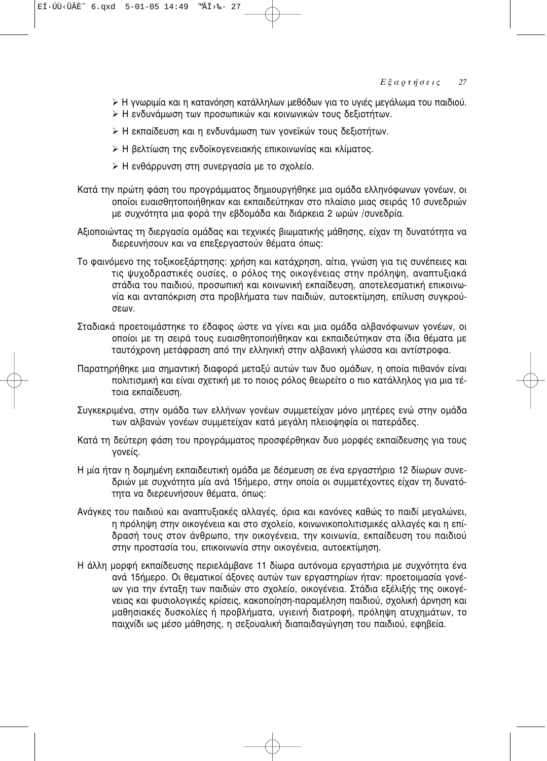- > Η γνωριμία και η κατανόηση κατάλληλων μεθόδων για το υγιές μεγάλωμα του παιδιού.
- > Η ενδυνάμωση των προσωπικών και κοινωνικών τους δεξιοτήτων.
- > Η εκπαίδευση και η ενδυνάμωση των γονεϊκών τους δεξιοτήτων.
- > Η βελτίωση της ενδοϊκογενειακής επικοινωνίας και κλίματος.
- > Η ενθάρρυνση στη συνεργασία με το σχολείο.
- Κατά την πρώτη φάση του προνράμματος δημιουργήθηκε μια ομάδα ελληνόφωνων γονέων, οι οποίοι ευαισθητοποιήθηκαν και εκπαιδεύτηκαν στο πλαίσιο μιας σειράς 10 συνεδριών με συχνότητα μια φορά την εβδομάδα και διάρκεια 2 ωρών /συνεδρία.
- Αξιοποιώντας τη διεργασία ομάδας και τεχνικές βιωματικής μάθησης, είχαν τη δυνατότητα να διερευνήσουν και να επεξεργαστούν θέματα όπως:
- Το φαινόμενο της τοξικοεξάρτησης: χρήση και κατάχρηση, αίτια, γνώση για τις συνέπειες και τις ψυχοδραστικές ουσίες, ο ρόλος της οικογένειας στην πρόληψη, αναπτυξιακά στάδια του παιδιού, προσωπική και κοινωνική εκπαίδευση, αποτελεσματική επικοινωνία και ανταπόκριση στα προβλήματα των παιδιών, αυτοεκτίμηση, επίλυση συγκρούσεων.
- Σταδιακά προετοιμάστηκε το έδαφος ώστε να γίνει και μια ομάδα αλβανόφωνων γονέων, οι οποίοι με τη σειρά τους ευαισθητοποιήθηκαν και εκπαιδεύτηκαν στα ίδια θέματα με ταυτόχρονη μετάφραση από την ελληνική στην αλβανική γλώσσα και αντίστροφα.
- Παρατηρήθηκε μια σημαντική διαφορά μεταξύ αυτών των δυο ομάδων, η οποία πιθανόν είναι πολιτισμική και είναι σχετική με το ποιος ρόλος θεωρείτο ο πιο κατάλληλος για μια τέτοια εκπαίδευση.
- Συγκεκριμένα, στην ομάδα των ελλήνων γονέων συμμετείχαν μόνο μητέρες ενώ στην ομάδα των αλβανών γονέων συμμετείχαν κατά μεγάλη πλειοψηφία οι πατεράδες.
- Κατά τη δεύτερη φάση του προγράμματος προσφέρθηκαν δυο μορφές εκπαίδευσης για τους γονείς.
- Η μία ήταν η δομημένη εκπαιδευτική ομάδα με δέσμευση σε ένα εργαστήριο 12 δίωρων συνεδριών με συχνότητα μία ανά 15ήμερο, στην οποία οι συμμετέχοντες είχαν τη δυνατότητα να διερευνήσουν θέματα, όπως:
- Ανάγκες του παιδιού και αναπτυξιακές αλλαγές, όρια και κανόνες καθώς το παιδί μεγαλώνει, η πρόληψη στην οικογένεια και στο σχολείο, κοινωνικοπολιτισμικές αλλαγές και η επίδρασή τους στον άνθρωπο, την οικογένεια, την κοινωνία, εκπαίδευση του παιδιού στην προστασία του, επικοινωνία στην οικογένεια, αυτοεκτίμηση.
- Η άλλη μορφή εκπαίδευσης περιελάμβανε 11 δίωρα αυτόνομα εργαστήρια με συχνότητα ένα ανά 15ήμερο. Οι θεματικοί άξονες αυτών των εργαστηρίων ήταν: προετοιμασία γονέων για την ένταξη των παιδιών στο σχολείο, οικογένεια. Στάδια εξέλιξής της οικογένειας και φυσιολογικές κρίσεις, κακοποίηση-παραμέληση παιδιού, σχολική άρνηση και μαθησιακές δυσκολίες ή προβλήματα, υγιεινή διατροφή, πρόληψη ατυχημάτων, το παιχνίδι ως μέσο μάθησης, η σεξουαλική διαπαιδαγώγηση του παιδιού, εφηβεία.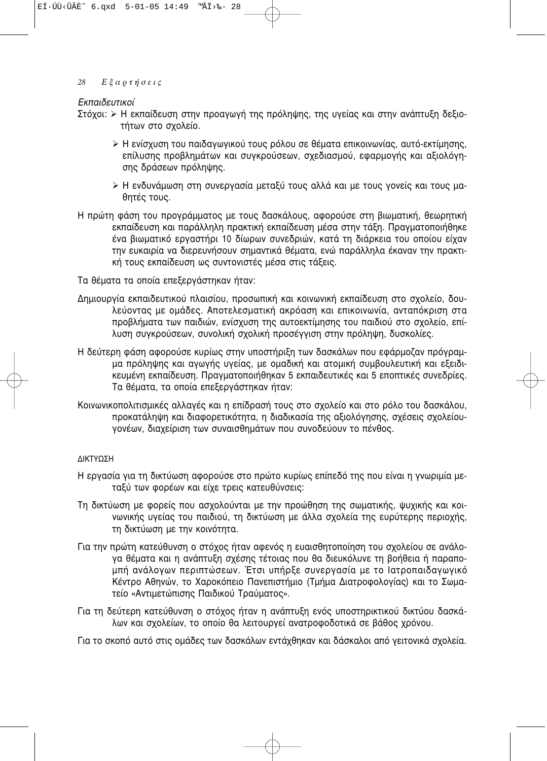*Eκπαιδευτικοί* 

- Στόχοι: > Η εκπαίδευση στην προαγωγή της πρόληψης, της υγείας και στην ανάπτυξη δεξιοτήτων στο σχολείο.
	- $\triangleright$  Η ενίσχυση του παιδαγωγικού τους ρόλου σε θέματα επικοινωνίας, αυτό-εκτίμησης, επίλυσης προβλημάτων και συγκρούσεων, σχεδιασμού, εφαρμογής και αξιολόγησης δράσεων πρόληψης.
	- ⊁ Η ενδυνάμωση στη συνεργασία μεταξύ τους αλλά και με τους γονείς και τους μαθητές τους.
- Η πρώτη φάση του προγράμματος με τους δασκάλους, αφορούσε στη βιωματική, θεωρητική εκπαίδευση και παράλληλη πρακτική εκπαίδευση μέσα στην τάξη. Πραγματοποιήθηκε ένα βιωματικό εργαστήρι 10 δίωρων συνεδριών, κατά τη διάρκεια του οποίου είχαν την ευκαιρία να διερευνήσουν σημαντικά θέματα, ενώ παράλληλα έκαναν την πρακτική τους εκπαίδευση ως συντονιστές μέσα στις τάξεις.

Τα θέματα τα οποία επεξεργάστηκαν ήταν:

- Δημιουργία εκπαιδευτικού πλαισίου, προσωπική και κοινωνική εκπαίδευση στο σχολείο, δουλεύοντας με ομάδες. Αποτελεσματική ακρόαση και επικοινωνία, ανταπόκριση στα προβλήματα των παιδιών, ενίσχυση της αυτοεκτίμησης του παιδιού στο σχολείο, επίλυση συγκρούσεων, συνολική σχολική προσέγγιση στην πρόληψη, δυσκολίες.
- Η δεύτερη φάση αφορούσε κυρίως στην υποστήριξη των δασκάλων που εφάρμοζαν πρόγραμμα πρόληψης και αγωγής υγείας, με ομαδική και ατομική συμβουλευτική και εξειδικευμένη εκπαίδευση. Πραγματοποιήθηκαν 5 εκπαιδευτικές και 5 εποπτικές συνεδρίες. Τα θέματα, τα οποία επεξεργάστηκαν ήταν:
- Κοινωνικοπολιτισμικές αλλαγές και η επίδρασή τους στο σχολείο και στο ρόλο του δασκάλου, προκατάληψη και διαφορετικότητα, η διαδικασία της αξιολόγησης, σχέσεις σχολείουγονέων, διαχείριση των συναισθημάτων που συνοδεύουν το πένθος.

# ΔΙΚΤΥΩΣΗ

- Η εργασία για τη δικτύωση αφορούσε στο πρώτο κυρίως επίπεδό της που είναι η γνωριμία μεταξύ των φορέων και είχε τρεις κατευθύνσεις:
- Τη δικτύωση με φορείς που ασχολούνται με την προώθηση της σωματικής, ψυχικής και κοινωνικής υγείας του παιδιού, τη δικτύωση με άλλα σχολεία της ευρύτερης περιοχής, τη δικτύωση με την κοινότητα.
- Για την πρώτη κατεύθυνση ο στόχος ήταν αφενός η ευαισθητοποίηση του σχολείου σε ανάλογα θέματα και η ανάπτυξη σχέσης τέτοιας που θα διευκόλυνε τη βοήθεια ή παραπομπή ανάλογων περιπτώσεων. Έτσι υπήρξε συνεργασία με το Ιατροπαιδαγωγικό Κέντρο Αθηνών, το Χαροκόπειο Πανεπιστήμιο (Τμήμα Διατροφολογίας) και το Σωματείο «Αντιμετώπισης Παιδικού Τραύματος».
- Για τη δεύτερη κατεύθυνση ο στόχος ήταν η ανάπτυξη ενός υποστηρικτικού δικτύου δασκάλων και σχολείων, το οποίο θα λειτουργεί ανατροφοδοτικά σε βάθος χρόνου.

Για το σκοπό αυτό στις ομάδες των δασκάλων εντάχθηκαν και δάσκαλοι από γειτονικά σχολεία.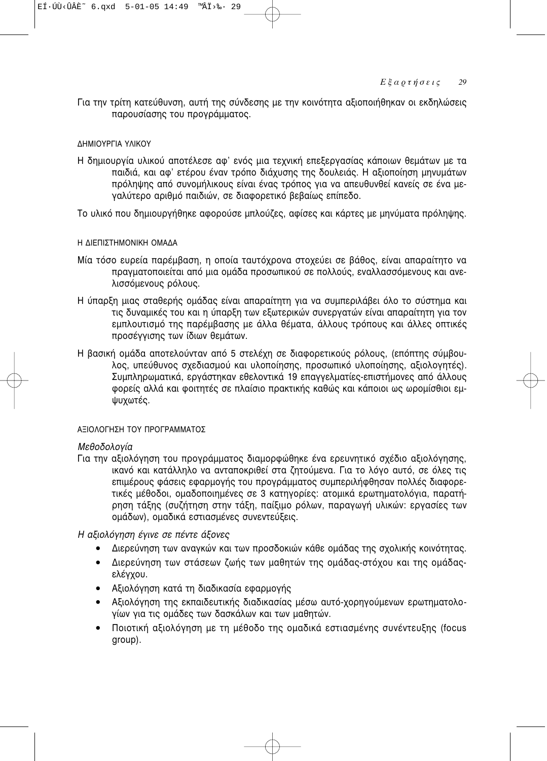#### Εξαρτήσεις 29

Για την τρίτη κατεύθυνση, αυτή της σύνδεσης με την κοινότητα αξιοποιήθηκαν οι εκδηλώσεις παρουσίασης του προγράμματος.

# ΔΗΜΙΟΥΡΓΙΑ ΥΛΙΚΟΥ

Η δημιουργία υλικού αποτέλεσε αφ' ενός μια τεχνική επεξεργασίας κάποιων θεμάτων με τα παιδιά, και αφ' ετέρου έναν τρόπο διάχυσης της δουλειάς. Η αξιοποίηση μηνυμάτων πρόληψης από συνομήλικους είναι ένας τρόπος για να απευθυνθεί κανείς σε ένα μεγαλύτερο αριθμό παιδιών, σε διαφορετικό βεβαίως επίπεδο.

Το υλικό που δημιουργήθηκε αφορούσε μπλούζες, αφίσες και κάρτες με μηνύματα πρόληψης.

# Η ΔΙΕΠΙΣΤΗΜΟΝΙΚΗ ΟΜΑΔΑ

- Μία τόσο ευρεία παρέμβαση, η οποία ταυτόχρονα στοχεύει σε βάθος, είναι απαραίτητο να πραγματοποιείται από μια ομάδα προσωπικού σε πολλούς, εναλλασσόμενους και ανελισσόμενους ρόλους.
- Η ύπαρξη μιας σταθερής ομάδας είναι απαραίτητη για να συμπεριλάβει όλο το σύστημα και τις δυναμικές του και η ύπαρξη των εξωτερικών συνεργατών είναι απαραίτητη για τον εμπλουτισμό της παρέμβασης με άλλα θέματα, άλλους τρόπους και άλλες οπτικές προσέγγισης των ίδιων θεμάτων.
- Η βασική ομάδα αποτελούνταν από 5 στελέχη σε διαφορετικούς ρόλους, (επόπτης σύμβουλος, υπεύθυνος σχεδιασμού και υλοποίησης, προσωπικό υλοποίησης, αξιολογητές). Συμπληρωματικά, εργάστηκαν εθελοντικά 19 επαγγελματίες-επιστήμονες από άλλους φορείς αλλά και φοιτητές σε πλαίσιο πρακτικής καθώς και κάποιοι ως ωρομίσθιοι εμψυχωτές.

# ΑΞΙΟΛΟΓΗΣΗ ΤΟΥ ΠΡΟΓΡΑΜΜΑΤΟΣ

# Μεθοδολογία

Για την αξιολόγηση του προγράμματος διαμορφώθηκε ένα ερευνητικό σχέδιο αξιολόγησης, ικανό και κατάλληλο να ανταποκριθεί στα ζητούμενα. Για το λόγο αυτό, σε όλες τις επιμέρους φάσεις εφαρμογής του προγράμματος συμπεριλήφθησαν πολλές διαφορετικές μέθοδοι, ομαδοποιημένες σε 3 κατηγορίες: ατομικά ερωτηματολόγια, παρατήρηση τάξης (συζήτηση στην τάξη, παίξιμο ρόλων, παραγωγή υλικών: εργασίες των ομάδων), ομαδικά εστιασμένες συνεντεύξεις.

Η αξιολόγηση έγινε σε πέντε άξονες

- · Διερεύνηση των αναγκών και των προσδοκιών κάθε ομάδας της σχολικής κοινότητας.
- Διερεύνηση των στάσεων ζωής των μαθητών της ομάδας-στόχου και της ομάδαςελέγχου.
- Αξιολόγηση κατά τη διαδικασία εφαρμογής
- Αξιολόγηση της εκπαιδευτικής διαδικασίας μέσω αυτό-χορηγούμενων ερωτηματολογίων για τις ομάδες των δασκάλων και των μαθητών.
- · Ποιοτική αξιολόγηση με τη μέθοδο της ομαδικά εστιασμένης συνέντευξης (focus group).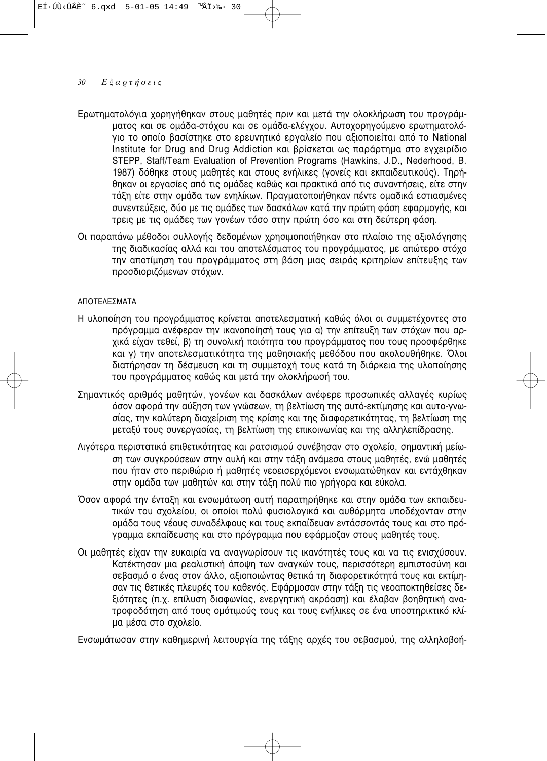- Ερωτηματολόγια χορηγήθηκαν στους μαθητές πριν και μετά την ολοκλήρωση του προγράμματος και σε ομάδα-στόχου και σε ομάδα-ελένχου. Αυτοχορηνούμενο ερωτηματολόγιο το οποίο βασίστηκε στο ερευνητικό εργαλείο που αξιοποιείται από το National Institute for Drug and Drug Addiction και βρίσκεται ως παράρτημα στο εγχειρίδιο STEPP, Staff/Team Evaluation of Prevention Programs (Hawkins, J.D., Nederhood, B. 1987) δόθηκε στους μαθητές και στους ενήλικες (γονείς και εκπαιδευτικούς). Τηρήθηκαν οι εργασίες από τις ομάδες καθώς και πρακτικά από τις συναντήσεις, είτε στην τάξη είτε στην ομάδα των ενηλίκων. Πρανματοποιήθηκαν πέντε ομαδικά εστιασμένες συνεντεύξεις, δύο με τις ομάδες των δασκάλων κατά την πρώτη φάση εφαρμονής, και τρεις με τις ομάδες των γονέων τόσο στην πρώτη όσο και στη δεύτερη φάση.
- Οι παραπάνω μέθοδοι συλλογής δεδομένων χρησιμοποιήθηκαν στο πλαίσιο της αξιολόγησης της διαδικασίας αλλά και του αποτελέσματος του προγράμματος, με απώτερο στόχο την αποτίμηση του προγράμματος στη βάση μιας σειράς κριτηρίων επίτευξης των προσδιοριζόμενων στόχων.

# ΑΠΟΤΕΛΕΣΜΑΤΑ

- Η υλοποίηση του προγράμματος κρίνεται αποτελεσματική καθώς όλοι οι συμμετέχοντες στο πρόγραμμα ανέφεραν την ικανοποίησή τους για α) την επίτευξη των στόχων που αρχικά είχαν τεθεί, β) τη συνολική ποιότητα του προγράμματος που τους προσφέρθηκε και γ) την αποτελεσματικότητα της μαθησιακής μεθόδου που ακολουθήθηκε. Όλοι διατήρησαν τη δέσμευση και τη συμμετοχή τους κατά τη διάρκεια της υλοποίησης του προγράμματος καθώς και μετά την ολοκλήρωσή του.
- Σημαντικός αριθμός μαθητών, γονέων και δασκάλων ανέφερε προσωπικές αλλαγές κυρίως όσον αφορά την αύξηση των γνώσεων, τη βελτίωση της αυτό-εκτίμησης και αυτο-γνωσίας, την καλύτερη διαχείριση της κρίσης και της διαφορετικότητας, τη βελτίωση της μεταξύ τους συνεργασίας, τη βελτίωση της επικοινωνίας και της αλληλεπίδρασης.
- Λιγότερα περιστατικά επιθετικότητας και ρατσισμού συνέβησαν στο σχολείο, σημαντική μείωση των συγκρούσεων στην αυλή και στην τάξη ανάμεσα στους μαθητές, ενώ μαθητές που ήταν στο περιθώριο ή μαθητές νεοεισερχόμενοι ενσωματώθηκαν και εντάχθηκαν στην ομάδα των μαθητών και στην τάξη πολύ πιο νρήνορα και εύκολα.
- Όσον αφορά την ένταξη και ενσωμάτωση αυτή παρατηρήθηκε και στην ομάδα των εκπαιδευτικών του σχολείου, οι οποίοι πολύ φυσιολογικά και αυθόρμητα υποδέχονταν στην ομάδα τους νέους συναδέλφους και τους εκπαίδευαν εντάσσοντάς τους και στο πρό-Vραμμα εκπαίδευσης και στο πρόγραμμα που εφάρμοζαν στους μαθητές τους.
- Οι μαθητές είχαν την ευκαιρία να αναγνωρίσουν τις ικανότητές τους και να τις ενισχύσουν. Κατέκτησαν μια ρεαλιστική άποψη των αναγκών τους, περισσότερη εμπιστοσύνη και σεβασμό ο ένας στον άλλο, αξιοποιώντας θετικά τη διαφορετικότητά τους και εκτίμησαν τις θετικές πλευρές του καθενός. Εφάρμοσαν στην τάξη τις νεοαποκτηθείσες δεξιότητες (π.χ. επίλυση διαφωνίας, ενεργητική ακρόαση) και έλαβαν βοηθητική ανατροφοδότηση από τους ομότιμούς τους και τους ενήλικες σε ένα υποστηρικτικό κλίμα μέσα στο σχολείο.

Ενσωμάτωσαν στην καθημερινή λειτουργία της τάξης αρχές του σεβασμού, της αλληλοβοή-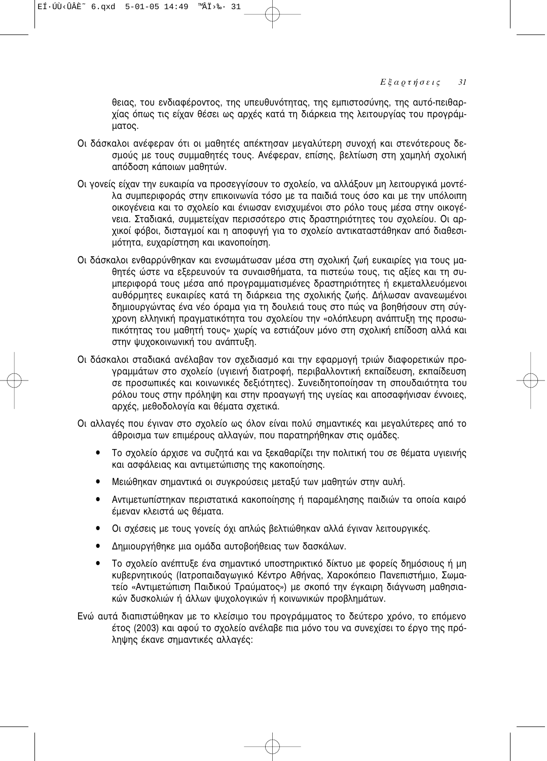## $E \xi \alpha \rho \tau \eta \sigma \epsilon \iota \varsigma$  31

EÍ·ÚÙ‹ÛÂȘ 6.qxd 5-01-05 14:49 ™ÂÏ›‰· 31

θειας, του ενδιαφέροντος, της υπευθυνότητας, της εμπιστοσύνης, της αυτό-πειθαργίας όπως τις είχαν θέσει ως αρχές κατά τη διάρκεια της λειτουργίας του προγράμ $u$ ατος.

- Οι δάσκαλοι ανέφεραν ότι οι μαθητές απέκτησαν μεγαλύτερη συνοχή και στενότερους δεσμούς με τους συμμαθητές τους. Ανέφεραν, επίσης, βελτίωση στη χαμηλή σχολική απόδοση κάποιων μαθητών.
- Οι γονείς είχαν την ευκαιρία να προσεγγίσουν το σχολείο, να αλλάξουν μη λειτουργικά μοντέλα συμπεριφοράς στην επικοινωνία τόσο με τα παιδιά τους όσο και με την υπόλοιπη οικονένεια και το σχολείο και ένιωσαν ενισχυμένοι στο ρόλο τους μέσα στην οικονένεια. Σταδιακά, συμμετείχαν περισσότερο στις δραστηριότητες του σχολείου. Οι αρχικοί φόβοι, δισταγμοί και η αποφυγή για το σχολείο αντικαταστάθηκαν από διαθεσιμότητα, ευχαρίστηση και ικανοποίηση.
- Οι δάσκαλοι ενθαρρύνθηκαν και ενσωμάτωσαν μέσα στη σχολική ζωή ευκαιρίες για τους μαθητές ώστε να εξερευνούν τα συναισθήματα, τα πιστεύω τους, τις αξίες και τη συμπεριφορά τους μέσα από προγραμματισμένες δραστηριότητες ή εκμεταλλευόμενοι αυθόρμητες ευκαιρίες κατά τη διάρκεια της σχολικής ζωής. Δήλωσαν ανανεωμένοι δημιουργώντας ένα νέο όραμα για τη δουλειά τους στο πώς να βοηθήσουν στη σύγχρονη ελληνική πραγματικότητα του σχολείου την «ολόπλευρη ανάπτυξη της προσωπικότητας του μαθητή τους» χωρίς να εστιάζουν μόνο στη σχολική επίδοση αλλά και στην ψυχοκοινωνική του ανάπτυξη.
- Οι δάσκαλοι σταδιακά ανέλαβαν τον σχεδιασμό και την εφαρμογή τριών διαφορετικών προγραμμάτων στο σχολείο (υγιεινή διατροφή, περιβαλλοντική εκπαίδευση, εκπαίδευση σε προσωπικές και κοινωνικές δεξιότητες). Συνειδητοποίησαν τη σπουδαιότητα του ρόλου τους στην πρόληψη και στην προαγωγή της υγείας και αποσαφήνισαν έννοιες, αρχές, μεθοδολογία και θέματα σχετικά.
- Οι αλλαγές που έγιναν στο σχολείο ως όλον είναι πολύ σημαντικές και μεγαλύτερες από το άθροισμα των επιμέρους αλλαγών, που παρατηρήθηκαν στις ομάδες.
	- Το σχολείο άρχισε να συζητά και να ξεκαθαρίζει την πολιτική του σε θέματα υγιεινής και ασφάλειας και αντιμετώπισης της κακοποίησης.
	- Mειώθηκαν σημαντικά οι συγκρούσεις μεταξύ των μαθητών στην αυλή.
	- Aντιμετωπίστηκαν περιστατικά κακοποίησης ή παραμέλησης παιδιών τα οποία καιρό έμεναν κλειστά ως θέματα.
	- Οι σχέσεις με τους γονείς όχι απλώς βελτιώθηκαν αλλά έγιναν λειτουργικές.
	- Δημιουργήθηκε μια ομάδα αυτοβοήθειας των δασκάλων.
	- Το σχολείο ανέπτυξε ένα σημαντικό υποστηρικτικό δίκτυο με φορείς δημόσιους ή μη κυβερνητικούς (Ιατροπαιδαγωγικό Κέντρο Αθήνας, Χαροκόπειο Πανεπιστήμιο, Σωματείο «Αντιμετώπιση Παιδικού Τραύματος») με σκοπό την έγκαιρη διάγνωση μαθησιακών δυσκολιών ή άλλων ψυχολογικών ή κοινωνικών προβλημάτων.
- Ενώ αυτά διαπιστώθηκαν με το κλείσιμο του προγράμματος το δεύτερο χρόνο, το επόμενο έτος (2003) και αφού το σχολείο ανέλαβε πια μόνο του να συνεχίσει το έργο της πρόληψης έκανε σημαντικές αλλαγές: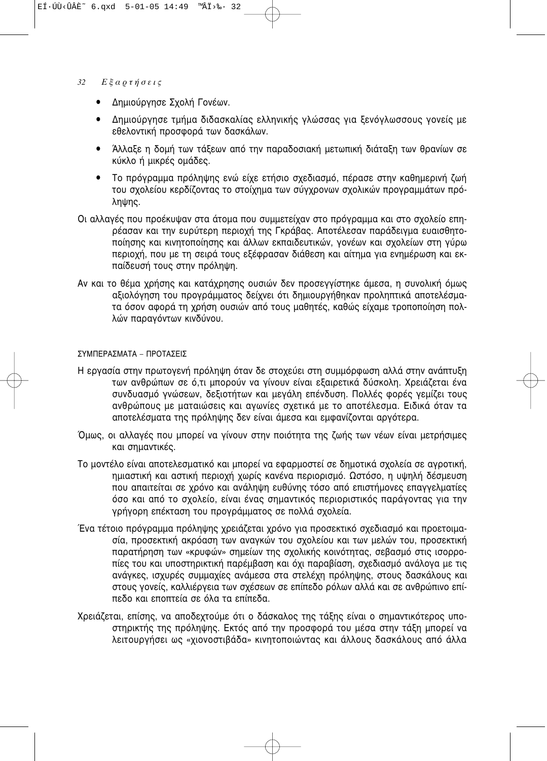- 32 *Eξαρτήσεις* 
	- Δημιούργησε Σχολή Γονέων.
	- Δημιούργησε τμήμα διδασκαλίας ελληνικής γλώσσας για ξενόγλωσσους γονείς με εθελοντική προσφορά των δασκάλων.
	- Άλλαξε η δομή των τάξεων από την παραδοσιακή μετωπική διάταξη των θρανίων σε κύκλο ή μικρές ομάδες.
	- Το πρόγραμμα πρόληψης ενώ είχε ετήσιο σχεδιασμό, πέρασε στην καθημερινή ζωή του σχολείου κερδίζοντας το στοίχημα των σύνχρονων σχολικών προγραμμάτων πρόληψης.
- Οι αλλαγές που προέκυψαν στα άτομα που συμμετείχαν στο πρόγραμμα και στο σχολείο επηρέασαν και την ευρύτερη περιοχή της Γκράβας. Αποτέλεσαν παράδειγμα ευαισθητοποίησης και κινητοποίησης και άλλων εκπαιδευτικών, γονέων και σχολείων στη γύρω περιοχή, που με τη σειρά τους εξέφρασαν διάθεση και αίτημα για ενημέρωση και εκπαίδευσή τους στην πρόληψη.
- Αν και το θέμα χρήσης και κατάχρησης ουσιών δεν προσεγγίστηκε άμεσα, η συνολική όμως αξιολόγηση του προγράμματος δείχνει ότι δημιουργήθηκαν προληπτικά αποτελέσματα όσον αφορά τη χρήση ουσιών από τους μαθητές, καθώς είχαμε τροποποίηση πολλών παραγόντων κινδύνου.

## ΣΥΜΠΕΡΑΣΜΑΤΑ – ΠΡΟΤΑΣΕΙΣ

- Η εργασία στην πρωτογενή πρόληψη όταν δε στοχεύει στη συμμόρφωση αλλά στην ανάπτυξη των ανθρώπων σε ό,τι μπορούν να γίνουν είναι εξαιρετικά δύσκολη. Χρειάζεται ένα συνδυασμό γνώσεων, δεξιοτήτων και μεγάλη επένδυση. Πολλές φορές γεμίζει τους ανθρώπους με ματαιώσεις και αγωνίες σχετικά με το αποτέλεσμα. Ειδικά όταν τα αποτελέσματα της πρόληψης δεν είναι άμεσα και εμφανίζονται αργότερα.
- Όμως, οι αλλαγές που μπορεί να γίνουν στην ποιότητα της ζωής των νέων είναι μετρήσιμες και σημαντικές.
- Το μοντέλο είναι αποτελεσματικό και μπορεί να εφαρμοστεί σε δημοτικά σχολεία σε αγροτική, ημιαστική και αστική περιοχή χωρίς κανένα περιορισμό. Ωστόσο, η υψηλή δέσμευση που απαιτείται σε χρόνο και ανάληψη ευθύνης τόσο από επιστήμονες επαγγελματίες όσο και από το σχολείο, είναι ένας σημαντικός περιοριστικός παράγοντας για την γρήγορη επέκταση του προγράμματος σε πολλά σχολεία.
- Ένα τέτοιο πρόγραμμα πρόληψης χρειάζεται χρόνο για προσεκτικό σχεδιασμό και προετοιμασία, προσεκτική ακρόαση των αναγκών του σχολείου και των μελών του, προσεκτική παρατήρηση των «κρυφών» σημείων της σχολικής κοινότητας, σεβασμό στις ισορροπίες του και υποστηρικτική παρέμβαση και όχι παραβίαση, σχεδιασμό ανάλογα με τις ανάγκες, ισχυρές συμμαχίες ανάμεσα στα στελέχη πρόληψης, στους δασκάλους και στους γονείς, καλλιέργεια των σχέσεων σε επίπεδο ρόλων αλλά και σε ανθρώπινο επίπεδο και εποπτεία σε όλα τα επίπεδα.
- Χρειάζεται, επίσης, να αποδεχτούμε ότι ο δάσκαλος της τάξης είναι ο σημαντικότερος υποστηρικτής της πρόληψης. Εκτός από την προσφορά του μέσα στην τάξη μπορεί να λειτουργήσει ως «χιονοστιβάδα» κινητοποιώντας και άλλους δασκάλους από άλλα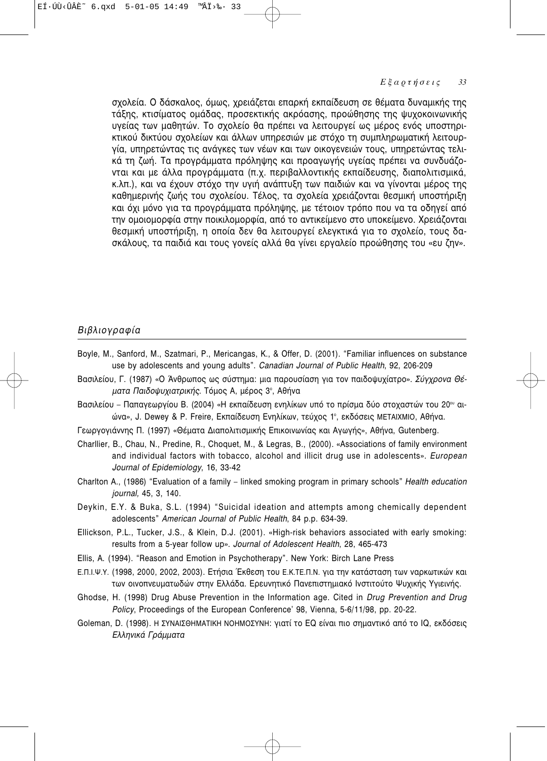σχολεία. Ο δάσκαλος, όμως, χρειάζεται επαρκή εκπαίδευση σε θέματα δυναμικής της τάξης, κτισίματος ομάδας, προσεκτικής ακρόασης, προώθησης της ψυχοκοινωνικής υγείας των μαθητών. Το σχολείο θα πρέπει να λειτουργεί ως μέρος ενός υποστηρικτικού δικτύου σχολείων και άλλων υπηρεσιών με στόχο τη συμπληρωματική λειτουργία, υπηρετώντας τις ανάγκες των νέων και των οικογενειών τους, υπηρετώντας τελικά τη ζωή. Τα προγράμματα πρόληψης και προαγωγής υγείας πρέπει να συνδυάζονται και με άλλα προγράμματα (π.χ. περιβαλλοντικής εκπαίδευσης, διαπολιτισμικά, κ.λπ.), και να έχουν στόχο την υγιή ανάπτυξη των παιδιών και να γίνονται μέρος της καθημερινής ζωής του σχολείου. Τέλος, τα σχολεία χρειάζονται θεσμική υποστήριξη και όχι μόνο για τα προγράμματα πρόληψης, με τέτοιον τρόπο που να τα οδηγεί από την ομοιομορφία στην ποικιλομορφία, από το αντικείμενο στο υποκείμενο. Χρειάζονται θεσμική υποστήριξη, η οποία δεν θα λειτουργεί ελεγκτικά για το σχολείο, τους δασκάλους, τα παιδιά και τους γονείς αλλά θα γίνει εργαλείο προώθησης του «ευ ζην».

# $B$ <sup>*Iβλιογραφία*</sup>

- Boyle, M., Sanford, M., Szatmari, P., Mericangas, K., & Offer, D. (2001). "Familiar influences on substance use by adolescents and young adults". *Canadian Journal of Public Health*, 92, 206-209
- Βασιλείου, Γ. (1987) «Ο Άνθρωπος ως σύστημα: μια παρουσίαση για τον παιδοψυχίατρο». *Σύγχρονα Θέματα Παιδοψυχιατρικής*. Τόμος Α, μέρος 3°, Αθήνα
- Βασιλείου Παπαγεωργίου Β. (2004) «Η εκπαίδευση ενηλίκων υπό το πρίσμα δύο στοχαστών του 20<sup>°</sup> αιώνα», J. Dewey & P. Freire, Εκπαίδευση Ενηλίκων, τεύχος 1°, εκδόσεις ΜΕΤΑΙΧΜΙΟ, Αθήνα.
- Γεωργογιάννης Π. (1997) «Θέματα Διαπολιτισμικής Επικοινωνίας και Αγωγής», Αθήνα, Gutenberg.
- Charllier, B., Chau, N., Predine, R., Choquet, M., & Legras, B., (2000). «Associations of family environment and individual factors with tobacco, alcohol and illicit drug use in adolescents». *European Journal of Epidemiology*, 16, 33-42
- Charlton A., (1986) "Evaluation of a family linked smoking program in primary schools" *Health education journal,* 45, 3, 140.
- Deykin, E.Y. & Buka, S.L. (1994) "Suicidal ideation and attempts among chemically dependent adolescents" *American Journal of Public Health*, 84 p.p. 634-39.
- Ellickson, P.L., Tucker, J.S., & Klein, D.J. (2001). «High-risk behaviors associated with early smoking: results from a 5-year follow up». *Journal of Adolescent Health*, 28, 465-473
- Ellis, A. (1994). "Reason and Emotion in Psychotherapy". New York: Birch Lane Press
- Ε.Π.Ι.Ψ.Υ. (1998, 2000, 2002, 2003). Ετήσια Έκθεση του Ε.Κ.ΤΕ.Π.Ν. για την κατάσταση των ναρκωτικών και των οινοπνευματωδών στην Ελλάδα. Ερευνητικό Πανεπιστημιακό Ινστιτούτο Ψυχικής Υγιεινής.
- Ghodse, H. (1998) Drug Abuse Prevention in the Information age. Cited in *Drug Prevention and Drug Policy*, Proceedings of the European Conference' 98, Vienna, 5-6/11/98, pp. 20-22.
- Goleman, D. (1998). Η ΣΥΝΑΙΣΘΗΜΑΤΙΚΗ ΝΟΗΜΟΣΥΝΗ: γιατί το EQ είναι πιο σημαντικό από το IQ, εκδόσεις *Ελληνικά Γράμματα*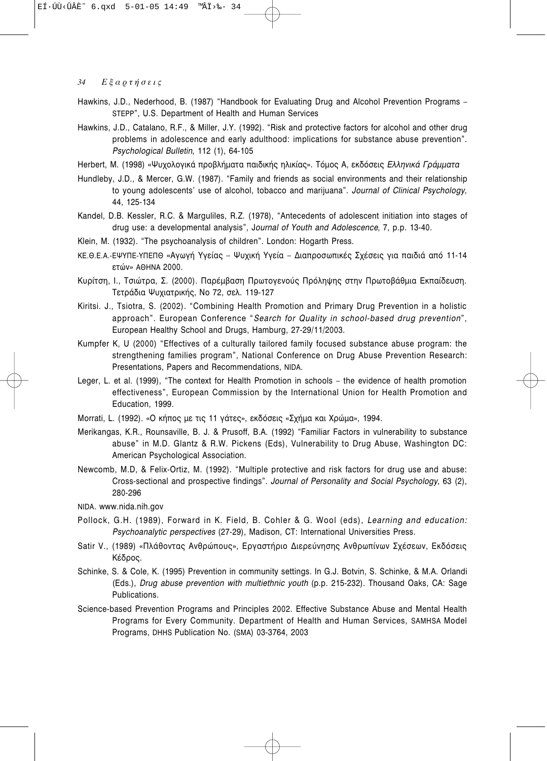- Hawkins, J.D., Nederhood, B. (1987) "Handbook for Evaluating Drug and Alcohol Prevention Programs -STEPP", U.S. Department of Health and Human Services
- Hawkins, J.D., Catalano, R.F., & Miller, J.Y. (1992). "Risk and protective factors for alcohol and other drug problems in adolescence and early adulthood: implications for substance abuse prevention". Psychological Bulletin, 112 (1), 64-105
- Herbert, Μ. (1998) «Ψυχολογικά προβλήματα παιδικής ηλικίας». Τόμος Α, εκδόσεις Ελληνικά Γράμματα
- Hundleby, J.D., & Mercer, G.W. (1987). "Family and friends as social environments and their relationship to young adolescents' use of alcohol, tobacco and marijuana". Journal of Clinical Psychology, 44, 125-134
- Kandel, D.B. Kessler, R.C. & Marguliles, R.Z. (1978), "Antecedents of adolescent initiation into stages of drug use: a developmental analysis", Journal of Youth and Adolescence, 7, p.p. 13-40.
- Klein, M. (1932). "The psychoanalysis of children". London: Hogarth Press.
- ΚΕ.Θ.Ε.Α.-ΕΨΥΠΕ-ΥΠΕΠΘ «Αγωγή Υγείας Ψυχική Υγεία Διαπροσωπικές Σχέσεις για παιδιά από 11-14 ετών» ΑΘΗΝΑ 2000.
- Κυρίτση, Ι., Τσιώτρα, Σ. (2000). Παρέμβαση Πρωτογενούς Πρόληψης στην Πρωτοβάθμια Εκπαίδευση. Τετράδια Ψυχιατρικής, Νο 72, σελ. 119-127
- Kiritsi. J., Tsiotra, S. (2002). "Combining Health Promotion and Primary Drug Prevention in a holistic approach". European Conference "Search for Quality in school-based drug prevention", European Healthy School and Drugs, Hamburg, 27-29/11/2003.
- Kumpfer K, U (2000) "Effectives of a culturally tailored family focused substance abuse program: the strengthening families program", National Conference on Drug Abuse Prevention Research: Presentations, Papers and Recommendations, NIDA.
- Leger, L. et al. (1999), "The context for Health Promotion in schools the evidence of health promotion effectiveness", European Commission by the International Union for Health Promotion and Education, 1999.
- Morrati, L. (1992). «Ο κήπος με τις 11 γάτες», εκδόσεις «Σχήμα και Χρώμα», 1994.
- Merikangas, K.R., Rounsaville, B. J. & Prusoff, B.A. (1992) "Familiar Factors in vulnerability to substance abuse" in M.D. Glantz & R.W. Pickens (Eds), Vulnerability to Drug Abuse, Washington DC: American Psychological Association.
- Newcomb, M.D, & Felix-Ortiz, M. (1992). "Multiple protective and risk factors for drug use and abuse: Cross-sectional and prospective findings". Journal of Personality and Social Psychology, 63 (2), 280-296

- Pollock, G.H. (1989), Forward in K. Field, B. Cohler & G. Wool (eds), Learning and education: Psychoanalytic perspectives (27-29), Madison, CT: International Universities Press.
- Satir V., (1989) «Πλάθοντας Ανθρώπους», Εργαστήριο Διερεύνησης Ανθρωπίνων Σχέσεων, Εκδόσεις Κέδρος.
- Schinke, S. & Cole, K. (1995) Prevention in community settings. In G.J. Botvin, S. Schinke, & M.A. Orlandi (Eds.), Drug abuse prevention with multiethnic youth (p.p. 215-232). Thousand Oaks, CA: Sage Publications.
- Science-based Prevention Programs and Principles 2002. Effective Substance Abuse and Mental Health Programs for Every Community. Department of Health and Human Services, SAMHSA Model Programs, DHHS Publication No. (SMA) 03-3764, 2003

NIDA. www.nida.nih.gov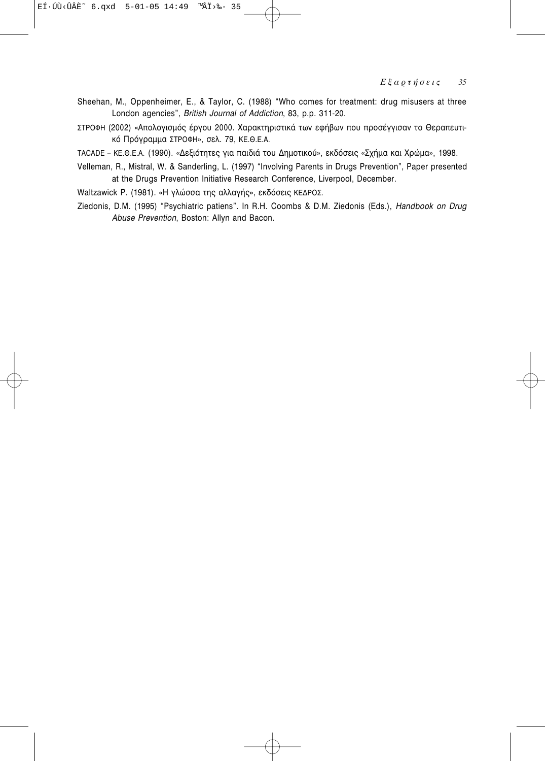- Sheehan, M., Oppenheimer, E., & Taylor, C. (1988) "Who comes for treatment: drug misusers at three London agencies", British Journal of Addiction, 83, p.p. 311-20.
- ΣΤΡΟΦΗ (2002) «Απολογισμός έργου 2000. Χαρακτηριστικά των εφήβων που προσέγγισαν το Θεραπευτικό Πρόγραμμα ΣΤΡΟΦΗ», σελ. 79, ΚΕ.Θ.Ε.Α.

ΤΑCADE - ΚΕ.Θ.Ε.Α. (1990). «Δεξιότητες για παιδιά του Δημοτικού», εκδόσεις «Σχήμα και Χρώμα», 1998.

Velleman, R., Mistral, W. & Sanderling, L. (1997) "Involving Parents in Drugs Prevention", Paper presented at the Drugs Prevention Initiative Research Conference, Liverpool, December.

Waltzawick P. (1981). «Η γλώσσα της αλλαγής», εκδόσεις ΚΕΔΡΟΣ.

Ziedonis, D.M. (1995) "Psychiatric patiens". In R.H. Coombs & D.M. Ziedonis (Eds.), Handbook on Drug Abuse Prevention, Boston: Allyn and Bacon.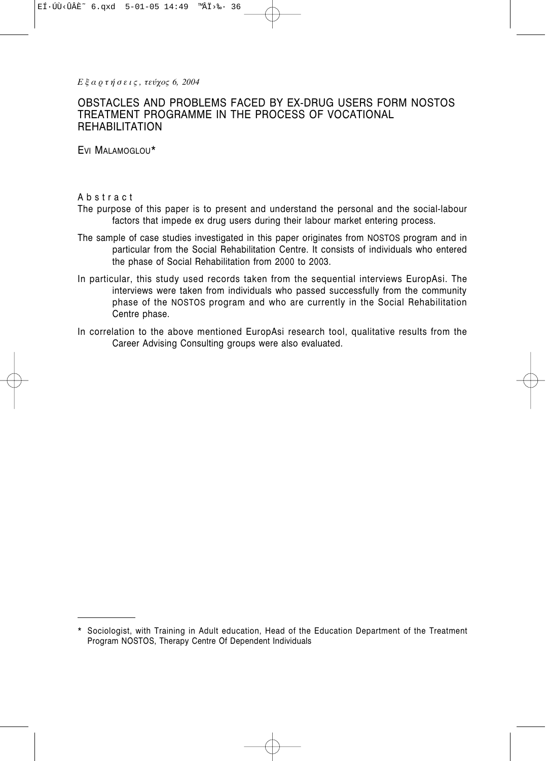Εξαρτήσεις, τεύχος 6, 2004

# OBSTACLES AND PROBLEMS FACED BY EX-DRUG USERS FORM NOSTOS TREATMENT PROGRAMME IN THE PROCESS OF VOCATIONAL **REHABILITATION**

EVI MALAMOGLOU\*

Abstract

- The purpose of this paper is to present and understand the personal and the social-labour factors that impede ex drug users during their labour market entering process.
- The sample of case studies investigated in this paper originates from NOSTOS program and in particular from the Social Rehabilitation Centre. It consists of individuals who entered the phase of Social Rehabilitation from 2000 to 2003.
- In particular, this study used records taken from the sequential interviews EuropAsi. The interviews were taken from individuals who passed successfully from the community phase of the NOSTOS program and who are currently in the Social Rehabilitation Centre phase.
- In correlation to the above mentioned EuropAsi research tool, qualitative results from the Career Advising Consulting groups were also evaluated.

<sup>\*</sup> Sociologist, with Training in Adult education, Head of the Education Department of the Treatment Program NOSTOS, Therapy Centre Of Dependent Individuals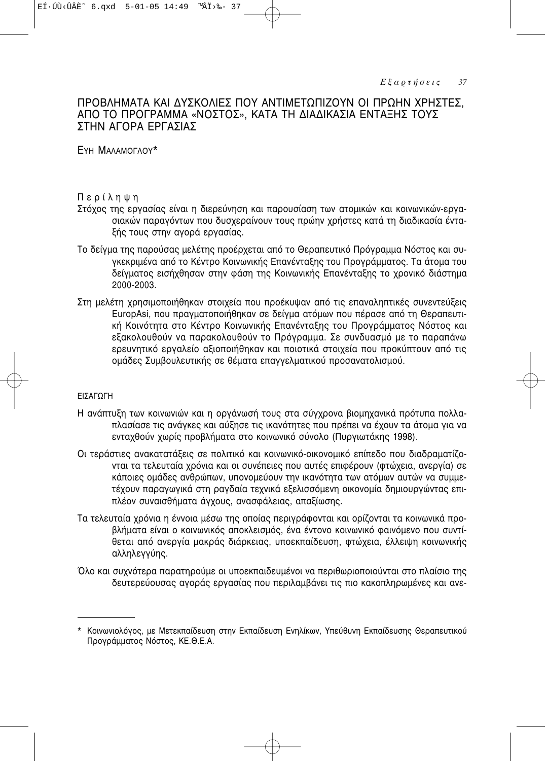#### EÍ·ÚÙ‹ÛÂȘ 6.qxd 5-01-05 14:49 ™ÂÏ›‰· 37

ΠΡΟΒΛΗΜΑΤΑ ΚΑΙ ΔΥΣΚΟΛΙΕΣ ΠΟΥ ΑΝΤΙΜΕΤΩΠΙΖΟΥΝ ΟΙ ΠΡΩΗΝ ΧΡΗΣΤΕΣ. ΑΠΟ ΤΟ ΠΡΟΓΡΑΜΜΑ «ΝΟΣΤΟΣ», ΚΑΤΑ ΤΗ ΔΙΑΔΙΚΑΣΙΑ ΕΝΤΑΞΗΣ ΤΟΥΣ ΣΤΗΝ ΑΓΟΡΑ ΕΡΓΑΣΙΑΣ

EYH MAAAMOFAOY<sup>\*</sup>

 $\Pi$ ερίληψη

- Στόχος της εργασίας είναι η διερεύνηση και παρουσίαση των ατομικών και κοινωνικών-εργασιακών παραγόντων που δυσχεραίνουν τους πρώην χρήστες κατά τη διαδικασία ένταξής τους στην αγορά εργασίας.
- Το δείγμα της παρούσας μελέτης προέρχεται από το Θεραπευτικό Πρόγραμμα Νόστος και συγκεκριμένα από το Κέντρο Κοινωνικής Επανένταξης του Προγράμματος. Τα άτομα του δείγματος εισήχθησαν στην φάση της Κοινωνικής Επανένταξης το χρονικό διάστημα 2000-2003.
- Στη μελέτη χρησιμοποιήθηκαν στοιχεία που προέκυψαν από τις επαναληπτικές συνεντεύξεις EuropAsi, που πραγματοποιήθηκαν σε δείγμα ατόμων που πέρασε από τη Θεραπευτική Κοινότητα στο Κέντρο Κοινωνικής Επανένταξης του Προγράμματος Νόστος και εξακολουθούν να παρακολουθούν το Πρόγραμμα. Σε συνδυασμό με το παραπάνω ερευνητικό εργαλείο αξιοποιήθηκαν και ποιοτικά στοιχεία που προκύπτουν από τις ομάδες Συμβουλευτικής σε θέματα επαγγελματικού προσανατολισμού.

# ΕΙΣΑΓΩΓΗ

- Η ανάπτυξη των κοινωνιών και η οργάνωσή τους στα σύγχρονα βιομηχανικά πρότυπα πολλαπλασίασε τις ανάγκες και αύξησε τις ικανότητες που πρέπει να έχουν τα άτομα για να ενταχθούν χωρίς προβλήματα στο κοινωνικό σύνολο (Πυργιωτάκης 1998).
- Οι τεράστιες ανακατατάξεις σε πολιτικό και κοινωνικό-οικονομικό επίπεδο που διαδραματίζονται τα τελευταία χρόνια και οι συνέπειες που αυτές επιφέρουν (φτώχεια, ανεργία) σε κάποιες ομάδες ανθρώπων, υπονομεύουν την ικανότητα των ατόμων αυτών να συμμετέχουν παραγωγικά στη ραγδαία τεχνικά εξελισσόμενη οικονομία δημιουργώντας επιπλέον συναισθήματα άγχους, ανασφάλειας, απαξίωσης.
- Τα τελευταία χρόνια η έννοια μέσω της οποίας περιγράφονται και ορίζονται τα κοινωνικά προβλήματα είναι ο κοινωνικός αποκλεισμός, ένα έντονο κοινωνικό φαινόμενο που συντίθεται από ανεργία μακράς διάρκειας, υποεκπαίδευση, φτώχεια, έλλειψη κοινωνικής αλληλεγγύης.
- Όλο και συχνότερα παρατηρούμε οι υποεκπαιδευμένοι να περιθωριοποιούνται στο πλαίσιο της δευτερεύουσας αγοράς εργασίας που περιλαμβάνει τις πιο κακοπληρωμένες και ανε-

<sup>\*</sup> Κοινωνιολόγος, με Μετεκπαίδευση στην Εκπαίδευση Ενηλίκων, Υπεύθυνη Εκπαίδευσης Θεραπευτικού Προγράμματος Νόστος, ΚΕ.Θ.Ε.Α.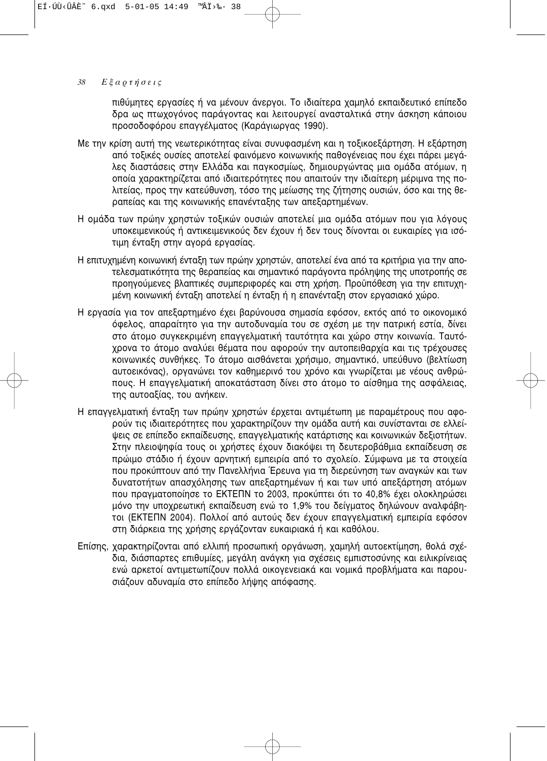> πιθύμητες εργασίες ή να μένουν άνεργοι. Το ιδιαίτερα χαμηλό εκπαιδευτικό επίπεδο δρα ως πτωχογόνος παράγοντας και λειτουργεί ανασταλτικά στην άσκηση κάποιου προσοδοφόρου επαννέλματος (Καράνιωρνας 1990).

- Με την κρίση αυτή της νεωτερικότητας είναι συνυφασμένη και η τοξικοεξάρτηση. Η εξάρτηση από τοξικές ουσίες αποτελεί φαινόμενο κοινωνικής παθογένειας που έχει πάρει μεγάλες διαστάσεις στην Ελλάδα και παγκοσμίως, δημιουργώντας μια ομάδα ατόμων, η οποία χαρακτηρίζεται από ιδιαιτερότητες που απαιτούν την ιδιαίτερη μέριμνα της πολιτείας, προς την κατεύθυνση, τόσο της μείωσης της ζήτησης ουσιών, όσο και της θεραπείας και της κοινωνικής επανένταξης των απεξαρτημένων.
- Η ομάδα των πρώην χρηστών τοξικών ουσιών αποτελεί μια ομάδα ατόμων που για λόγους υποκειμενικούς ή αντικειμενικούς δεν έχουν ή δεν τους δίνονται οι ευκαιρίες για ισότιμη ένταξη στην αγορά εργασίας.
- Η επιτυχημένη κοινωνική ένταξη των πρώην χρηστών, αποτελεί ένα από τα κριτήρια για την αποτελεσματικότητα της θεραπείας και σημαντικό παράγοντα πρόληψης της υποτροπής σε προηγούμενες βλαπτικές συμπεριφορές και στη χρήση. Προϋπόθεση για την επιτυχημένη κοινωνική ένταξη αποτελεί η ένταξη ή η επανένταξη στον εργασιακό χώρο.
- Η εργασία για τον απεξαρτημένο έχει βαρύνουσα σημασία εφόσον, εκτός από το οικονομικό όφελος, απαραίτητο για την αυτοδυναμία του σε σχέση με την πατρική εστία, δίνει στο άτομο συγκεκριμένη επαγγελματική ταυτότητα και χώρο στην κοινωνία. Ταυτόχρονα το άτομο αναλύει θέματα που αφορούν την αυτοπειθαρχία και τις τρέχουσες κοινωνικές συνθήκες. Το άτομο αισθάνεται χρήσιμο, σημαντικό, υπεύθυνο (βελτίωση αυτοεικόνας), οργανώνει τον καθημερινό του χρόνο και γνωρίζεται με νέους ανθρώπους. Η επαγγελματική αποκατάσταση δίνει στο άτομο το αίσθημα της ασφάλειας, της αυτοαξίας, του ανήκειν.
- Η επαγγελματική ένταξη των πρώην χρηστών έρχεται αντιμέτωπη με παραμέτρους που αφορούν τις ιδιαιτερότητες που χαρακτηρίζουν την ομάδα αυτή και συνίστανται σε ελλείψεις σε επίπεδο εκπαίδευσης, επαγγελματικής κατάρτισης και κοινωνικών δεξιοτήτων. Στην πλειοψηφία τους οι χρήστες έχουν διακόψει τη δευτεροβάθμια εκπαίδευση σε πρώιμο στάδιο ή έχουν αρνητική εμπειρία από το σχολείο. Σύμφωνα με τα στοιχεία που προκύπτουν από την Πανελλήνια Έρευνα για τη διερεύνηση των αναγκών και των δυνατοτήτων απασχόλησης των απεξαρτημένων ή και των υπό απεξάρτηση ατόμων που πραγματοποίησε το ΕΚΤΕΠΝ το 2003, προκύπτει ότι το 40,8% έχει ολοκληρώσει μόνο την υποχρεωτική εκπαίδευση ενώ το 1,9% του δείγματος δηλώνουν αναλφάβητοι (ΕΚΤΕΠΝ 2004). Πολλοί από αυτούς δεν έχουν επαγγελματική εμπειρία εφόσον στη διάρκεια της χρήσης εργάζονταν ευκαιριακά ή και καθόλου.
- Επίσης, χαρακτηρίζονται από ελλιπή προσωπική οργάνωση, χαμηλή αυτοεκτίμηση, θολά σχέδια, διάσπαρτες επιθυμίες, μεγάλη ανάγκη για σχέσεις εμπιστοσύνης και ειλικρίνειας ενώ αρκετοί αντιμετωπίζουν πολλά οικογενειακά και νομικά προβλήματα και παρουσιάζουν αδυναμία στο επίπεδο λήψης απόφασης.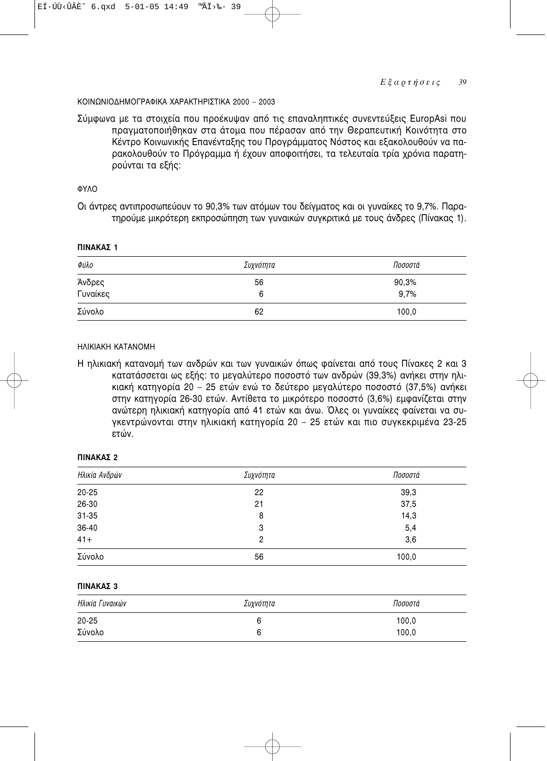#### ΚΟΙΝΩΝΙΟΔΗΜΟΓΡΑΦΙΚΑ ΧΑΡΑΚΤΗΡΙΣΤΙΚΑ 2000 - 2003

Σύμφωνα με τα στοιχεία που προέκυψαν από τις επαναληπτικές συνεντεύξεις EuropAsi που πραγματοποιήθηκαν στα άτομα που πέρασαν από την Θεραπευτική Κοινότητα στο Κέντρο Κοινωνικής Επανένταξης του Προγράμματος Νόστος και εξακολουθούν να παρακολουθούν το Πρόγραμμα ή έχουν αποφοιτήσει, τα τελευταία τρία χρόνια παρατηρούνται τα εξής:

# ºY§O

**¶INAKA™ 1**

Οι άντρες αντιπροσωπεύουν το 90,3% των ατόμων του δείγματος και οι γυναίκες το 9,7%. Παρατηρούμε μικρότερη εκπροσώπηση των γυναικών συγκριτικά με τους άνδρες (Πίνακας 1).

| Φύλο               | Συχνότητα | Ποσοστά |  |
|--------------------|-----------|---------|--|
| Άνδρες<br>Γυναίκες | 56        | 90,3%   |  |
|                    | 6         | 9,7%    |  |
| Σύνολο             | 62        | 100,0   |  |

#### ∏§IKIAKH KATANOMH

Η ηλικιακή κατανομή των ανδρών και των γυναικών όπως φαίνεται από τους Πίνακες 2 και 3 κατατάσσεται ως εξής: το μεγαλύτερο ποσοστό των ανδρών (39,3%) ανήκει στην ηλι-KΙακή κατηγορία 20 – 25 ετών ενώ το δεύτερο μεγαλύτερο ποσοστό (37,5%) ανήκει στην κατηγορία 26-30 ετών. Αντίθετα το μικρότερο ποσοστό (3,6%) εμφανίζεται στην ανώτερη ηλικιακή κατηγορία από 41 ετών και άνω. Όλες οι γυναίκες φαίνεται να συγκεντρώνονται στην ηλικιακή κατηγορία 20 - 25 ετών και πιο συγκεκριμένα 23-25 ετών.

### **¶INAKA™ 2**

| Ηλικία Ανδρών | Συχνότητα      | Ποσοστά |  |  |
|---------------|----------------|---------|--|--|
| $20 - 25$     | 22             | 39,3    |  |  |
| 26-30         | 21             | 37,5    |  |  |
| 31-35         | 8              | 14,3    |  |  |
| 36-40         | 3              | 5,4     |  |  |
| $41+$         | $\overline{2}$ | 3,6     |  |  |
| Σύνολο        | 56             | 100,0   |  |  |

#### **¶INAKA™ 3**

| Ηλικία Γυναικών | Συχνότητα | Ποσοστά |
|-----------------|-----------|---------|
| $20 - 25$       |           | 100.0   |
| Σύνολο          |           | 100,0   |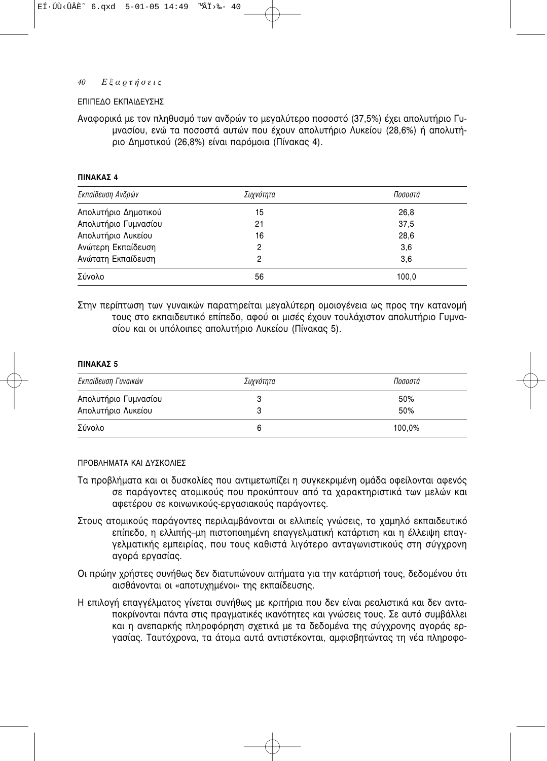#### ΕΠΙΠΕΔΟ ΕΚΠΑΙΔΕΥΣΗΣ

Aναφορικά με τον πληθυσμό των ανδρών το μεγαλύτερο ποσοστό (37,5%) έχει απολυτήριο Γυμνασίου, ενώ τα ποσοστά αυτών που έχουν απολυτήριο Λυκείου (28,6%) ή απολυτήριο Δημοτικού (26,8%) είναι παρόμοια (Πίνακας 4).

# **¶INAKA™ 4**

| Εκπαίδευση Ανδρών    | Συχνότητα | Ποσοστά |  |
|----------------------|-----------|---------|--|
| Απολυτήριο Δημοτικού | 15        | 26,8    |  |
| Απολυτήριο Γυμνασίου | 21        | 37,5    |  |
| Απολυτήριο Λυκείου   | 16        | 28,6    |  |
| Ανώτερη Εκπαίδευση   | 2         | 3,6     |  |
| Ανώτατη Εκπαίδευση   | 2         | 3,6     |  |
| Σύνολο               | 56        | 100.0   |  |

Στην περίπτωση των γυναικών παρατηρείται μεγαλύτερη ομοιογένεια ως προς την κατανομή τους στο εκπαιδευτικό επίπεδο, αφού οι μισές έχουν τουλάχιστον απολυτήριο Γυμνασίου και οι υπόλοιπες απολυτήριο Λυκείου (Πίνακας 5).

#### **¶INAKA™ 5**

| Εκπαίδευση Γυναικών  | Συχνότητα | Ποσοστά |  |
|----------------------|-----------|---------|--|
| Απολυτήριο Γυμνασίου |           | 50%     |  |
| Απολυτήριο Λυκείου   |           | 50%     |  |
| Σύνολο               |           | 100.0%  |  |

# ΠΡΟΒΛΗΜΑΤΑ ΚΑΙ ΔΥΣΚΟΛΙΕΣ

- Τα προβλήματα και οι δυσκολίες που αντιμετωπίζει η συγκεκριμένη ομάδα οφείλονται αφενός σε παράγοντες ατομικούς που προκύπτουν από τα χαρακτηριστικά των μελών και αφετέρου σε κοινωνικούς-εργασιακούς παράγοντες.
- Στους ατομικούς παράγοντες περιλαμβάνονται οι ελλιπείς γνώσεις, το χαμηλό εκπαιδευτικό επίπεδο, η ελλιπής-μη πιστοποιημένη επαγγελματική κατάρτιση και η έλλειψη επαγγελματικής εμπειρίας, που τους καθιστά λιγότερο ανταγωνιστικούς στη σύγχρονη αγορά εργασίας.
- Οι πρώην χρήστες συνήθως δεν διατυπώνουν αιτήματα για την κατάρτισή τους, δεδομένου ότι αισθάνονται οι «αποτυχημένοι» της εκπαίδευσης.
- Η επιλογή επαγγέλματος γίνεται συνήθως με κριτήρια που δεν είναι ρεαλιστικά και δεν ανταποκρίνονται πάντα στις πραγματικές ικανότητες και γνώσεις τους. Σε αυτό συμβάλλει και η ανεπαρκής πληροφόρηση σχετικά με τα δεδομένα της σύγχρονης αγοράς εργασίας. Ταυτόχρονα, τα άτομα αυτά αντιστέκονται, αμφισβητώντας τη νέα πληροφο-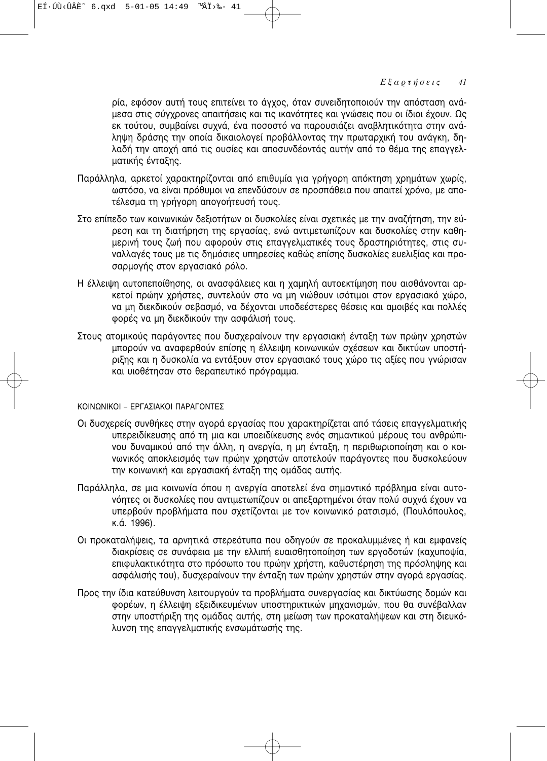#### $E \xi \alpha \varrho \tau \eta \sigma \varepsilon \iota \zeta$  41

EÍ·ÚÙ‹ÛÂȘ 6.qxd 5-01-05 14:49 ™ÂÏ›‰· 41

ρία, εφόσον αυτή τους επιτείνει το άγχος, όταν συνειδητοποιούν την απόσταση ανάμεσα στις σύγχρονες απαιτήσεις και τις ικανότητες και γνώσεις που οι ίδιοι έχουν. Ως εκ τούτου, συμβαίνει συχνά, ένα ποσοστό να παρουσιάζει αναβλητικότητα στην ανάληψη δράσης την οποία δικαιολογεί προβάλλοντας την πρωταρχική του ανάγκη, δηλαδή την αποχή από τις ουσίες και αποσυνδέοντάς αυτήν από το θέμα της επαγγελματικής ένταξης.

- Παράλληλα, αρκετοί χαρακτηρίζονται από επιθυμία για γρήγορη απόκτηση χρημάτων χωρίς, ωστόσο, να είναι πρόθυμοι να επενδύσουν σε προσπάθεια που απαιτεί χρόνο, με αποτέλεσμα τη γρήγορη απογοήτευσή τους.
- Στο επίπεδο των κοινωνικών δεξιοτήτων οι δυσκολίες είναι σχετικές με την αναζήτηση, την εύρεση και τη διατήρηση της εργασίας, ενώ αντιμετωπίζουν και δυσκολίες στην καθημερινή τους ζωή που αφορούν στις επαγγελματικές τους δραστηριότητες, στις συvαλλαγές τους με τις δημόσιες υπηρεσίες καθώς επίσης δυσκολίες ευελιξίας και προσαρμογής στον εργασιακό ρόλο.
- Η έλλειψη αυτοπεποίθησης, οι ανασφάλειες και η χαμηλή αυτοεκτίμηση που αισθάνονται αρ-**Κετοί πρώην χρήστες, συντελούν στο να μη νιώθουν ισότιμοι στον εργασιακό χώρο,** να μη διεκδικούν σεβασμό, να δέχονται υποδεέστερες θέσεις και αμοιβές και πολλές φορές να μη διεκδικούν την ασφάλισή τους.
- Στους ατομικούς παράγοντες που δυσχεραίνουν την εργασιακή ένταξη των πρώην χρηστών LIΠΟρούν να αναφερθούν επίσης η έλλειψη κοινωνικών σχέσεων και δικτύων υποστήpιξης και η δυσκολία να εντάξουν στον εργασιακό τους χώρο τις αξίες που γνώρισαν και υιοθέτησαν στο θεραπευτικό πρόγραμμα.

#### ΚΟΙΝΩΝΙΚΟΙ – ΕΡΓΑΣΙΑΚΟΙ ΠΑΡΑΓΟΝΤΕΣ

- Οι δυσχερείς συνθήκες στην αγορά εργασίας που χαρακτηρίζεται από τάσεις επαγγελματικής υπερειδίκευσης από τη μια και υποειδίκευσης ενός σημαντικού μέρους του ανθρώπιvου δυναμικού από την άλλη, η ανεργία, η μη ένταξη, η περιθωριοποίηση και ο κοινωνικός αποκλεισμός των πρώην χρηστών αποτελούν παράγοντες που δυσκολεύουν την κοινωνική και εργασιακή ένταξη της ομάδας αυτής.
- Παράλληλα, σε μια κοινωνία όπου η ανεργία αποτελεί ένα σημαντικό πρόβλημα είναι αυτονόητες οι δυσκολίες που αντιμετωπίζουν οι απεξαρτημένοι όταν πολύ συχνά έχουν να υπερβούν προβλήματα που σχετίζονται με τον κοινωνικό ρατσισμό, (Πουλόπουλος, κ.ά. 1996).
- Οι προκαταλήψεις, τα αρνητικά στερεότυπα που οδηγούν σε προκαλυμμένες ή και εμφανείς διακρίσεις σε συνάφεια με την ελλιπή ευαισθητοποίηση των εργοδοτών (καχυποψία, επιφυλακτικότητα στο πρόσωπο του πρώην χρήστη, καθυστέρηση της πρόσληψης και ασφάλισής του), δυσχεραίνουν την ένταξη των πρώην χρηστών στην αγορά εργασίας.
- Προς την ίδια κατεύθυνση λειτουργούν τα προβλήματα συνεργασίας και δικτύωσης δομών και φορέων, η έλλειψη εξειδικευμένων υποστηρικτικών μηχανισμών, που θα συνέβαλλαν στην υποστήριξη της ομάδας αυτής, στη μείωση των προκαταλήψεων και στη διευκόλυνση της επαγγελματικής ενσωμάτωσής της.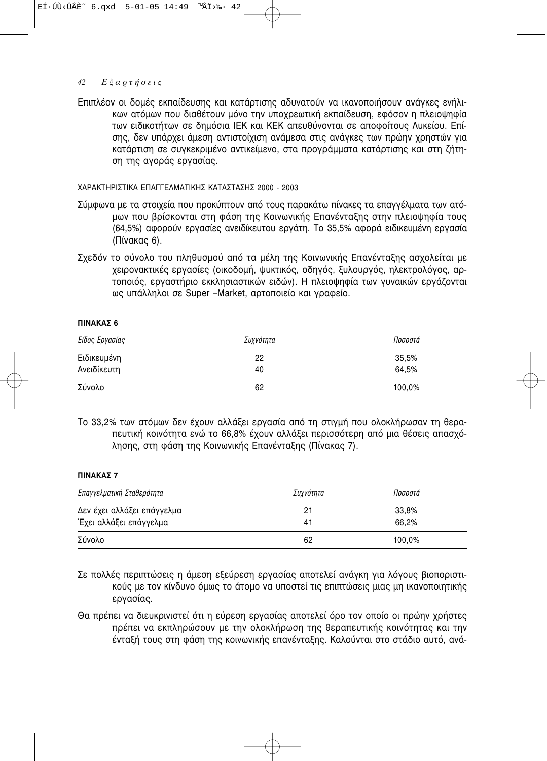Επιπλέον οι δομές εκπαίδευσης και κατάρτισης αδυνατούν να ικανοποιήσουν ανάγκες ενήλι-Κων ατόμων που διαθέτουν μόνο την υποχρεωτική εκπαίδευση, εφόσον η πλειοψηφία των ειδικοτήτων σε δημόσια ΙΕΚ και ΚΕΚ απευθύνονται σε αποφοίτους Λυκείου. Επίσης, δεν υπάρχει άμεση αντιστοίχιση ανάμεσα στις ανάγκες των πρώην χρηστών για κατάρτιση σε συγκεκριμένο αντικείμενο, στα προγράμματα κατάρτισης και στη ζήτηση της αγοράς εργασίας.

# ΧΑΡΑΚΤΗΡΙΣΤΙΚΑ ΕΠΑΓΓΕΛΜΑΤΙΚΗΣ ΚΑΤΑΣΤΑΣΗΣ 2000 - 2003

- Σύμφωνα με τα στοιχεία που προκύπτουν από τους παρακάτω πίνακες τα επαγγέλματα των ατόμων που βρίσκονται στη φάση της Κοινωνικής Επανένταξης στην πλειοψηφία τους (64,5%) αφορούν εργασίες ανειδίκευτου εργάτη. Το 35,5% αφορά ειδικευμένη εργασία (Πίνακας 6).
- Σχεδόν το σύνολο του πληθυσμού από τα μέλη της Κοινωνικής Επανένταξης ασχολείται με χειρονακτικές εργασίες (οικοδομή, ψυκτικός, οδηγός, ξυλουργός, ηλεκτρολόγος, αρτοποιός, εργαστήριο εκκλησιαστικών ειδών). Η πλειοψηφία των γυναικών εργάζονται ως υπάλληλοι σε Super –Market, αρτοποιείο και γραφείο.

# **¶INAKA™ 6**

| Είδος Εργασίας | Συχνότητα | Ποσοστά |
|----------------|-----------|---------|
| Ειδικευμένη    | 22        | 35,5%   |
| Ανειδίκευτη    | 40        | 64.5%   |
| Σύνολο         | 62        | 100.0%  |

Το 33,2% των ατόμων δεν έχουν αλλάξει εργασία από τη στιγμή που ολοκλήρωσαν τη θεραπευτική κοινότητα ενώ το 66,8% έχουν αλλάξει περισσότερη από μια θέσεις απασχόλησης, στη φάση της Κοινωνικής Επανένταξης (Πίνακας 7).

# **ΠΙΝΑΚΑΣ 7**

| Επαγγελματική Σταθερότητα                            | Συχνότητα | Ποσοστά        |
|------------------------------------------------------|-----------|----------------|
| Δεν έχει αλλάξει επάγγελμα<br>Έχει αλλάξει επάγγελμα | 21<br>41  | 33,8%<br>66.2% |
| Σύνολο                                               | 62        | 100.0%         |

Σε πολλές περιπτώσεις η άμεση εξεύρεση εργασίας αποτελεί ανάγκη για λόγους βιοποριστι-Κούς με τον κίνδυνο όμως το άτομο να υποστεί τις επιπτώσεις μιας μη ικανοποιητικής εργασίας.

Θα πρέπει να διευκρινιστεί ότι η εύρεση εργασίας αποτελεί όρο τον οποίο οι πρώην χρήστες πρέπει να εκπληρώσουν με την ολοκλήρωση της θεραπευτικής κοινότητας και την ένταξή τους στη φάση της κοινωνικής επανένταξης. Καλούνται στο στάδιο αυτό, ανά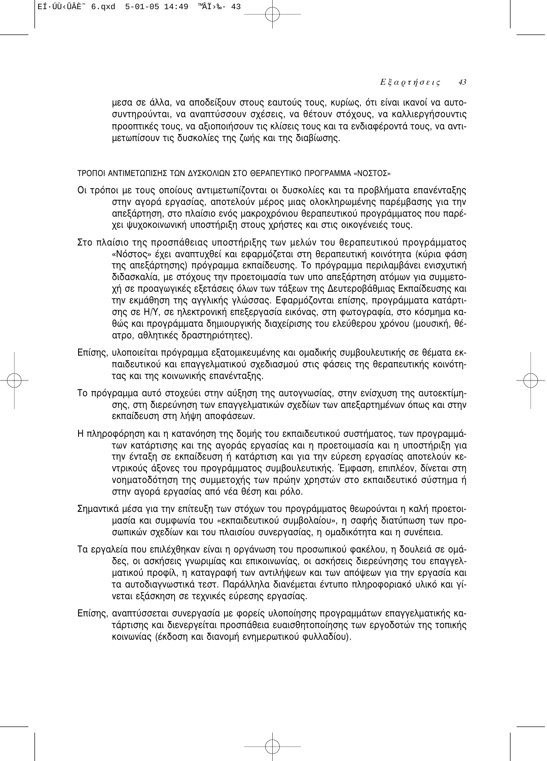μεσα σε άλλα, να αποδείξουν στους εαυτούς τους, κυρίως, ότι είναι ικανοί να αυτοσυντηρούνται, να αναπτύσσουν σχέσεις, να θέτουν στόχους, να καλλιεργήσουντις προοπτικές τους, να αξιοποιήσουν τις κλίσεις τους και τα ενδιαφέροντά τους, να αντιμετωπίσουν τις δυσκολίες της ζωής και της διαβίωσης.

TPOΠΟΙ ΑΝΤΙΜΕΤΩΠΙΣΗΣ ΤΩΝ ΔΥΣΚΟΛΙΩΝ ΣΤΟ ΘΕΡΑΠΕΥΤΙΚΟ ΠΡΟΓΡΑΜΜΑ «ΝΟΣΤΟΣ»

- Οι τρόποι με τους οποίους αντιμετωπίζονται οι δυσκολίες και τα προβλήματα επανένταξης στην αγορά εργασίας, αποτελούν μέρος μιας ολοκληρωμένης παρέμβασης για την απεξάρτηση, στο πλαίσιο ενός μακροχρόνιου θεραπευτικού προγράμματος που παρέχει ψυχοκοινωνική υποστήριξη στους χρήστες και στις οικογένειές τους.
- Στο πλαίσιο της προσπάθειας υποστήριξης των μελών του θεραπευτικού προγράμματος «Νόστος» έχει αναπτυχθεί και εφαρμόζεται στη θεραπευτική κοινότητα (κύρια φάση της απεξάρτησης) πρόγραμμα εκπαίδευσης. Το πρόγραμμα περιλαμβάνει ενισχυτική διδασκαλία, με στόχους την προετοιμασία των υπο απεξάρτηση ατόμων για συμμετογή σε προαγωγικές εξετάσεις όλων των τάξεων της Δευτεροβάθμιας Εκπαίδευσης και την εκμάθηση της αγγλικής γλώσσας. Εφαρμόζονται επίσης, προγράμματα κατάρτισης σε Η/Υ, σε ηλεκτρονική επεξεργασία εικόνας, στη φωτογραφία, στο κόσμημα καθώς και προγράμματα δημιουργικής διαχείρισης του ελεύθερου χρόνου (μουσική, θέατρο, αθλητικές δραστηριότητες).
- Επίσης, υλοποιείται πρόγραμμα εξατομικευμένης και ομαδικής συμβουλευτικής σε θέματα εκπαιδευτικού και επαγγελματικού σχεδιασμού στις φάσεις της θεραπευτικής κοινότητας και της κοινωνικής επανένταξης.
- Το πρόγραμμα αυτό στοχεύει στην αύξηση της αυτογνωσίας, στην ενίσχυση της αυτοεκτίμησης, στη διερεύνηση των επαγγελματικών σχεδίων των απεξαρτημένων όπως και στην εκπαίδευση στη λήψη αποφάσεων.
- Η πληροφόρηση και η κατανόηση της δομής του εκπαιδευτικού συστήματος, των προγραμμάτων κατάρτισης και της αγοράς εργασίας και η προετοιμασία και η υποστήριξη για την ένταξη σε εκπαίδευση ή κατάρτιση και για την εύρεση εργασίας αποτελούν κε-Vτρικούς άξονες του προγράμματος συμβουλευτικής. Έμφαση, επιπλέον, δίνεται στη voηματοδότηση της συμμετοχής των πρώην χρηστών στο εκπαιδευτικό σύστημα ή στην αγορά εργασίας από νέα θέση και ρόλο.
- Σημαντικά μέσα για την επίτευξη των στόχων του προγράμματος θεωρούνται η καλή προετοιμασία και συμφωνία του «εκπαιδευτικού συμβολαίου», η σαφής διατύπωση των προσωπικών σχεδίων και του πλαισίου συνεργασίας, η ομαδικότητα και η συνέπεια.
- Τα εργαλεία που επιλέχθηκαν είναι η οργάνωση του προσωπικού φακέλου, η δουλειά σε ομάδες, οι ασκήσεις γνωριμίας και επικοινωνίας, οι ασκήσεις διερεύνησης του επαγγελματικού προφίλ, η καταγραφή των αντιλήψεων και των απόψεων για την εργασία και τα αυτοδιαγνωστικά τεστ. Παράλληλα διανέμεται έντυπο πληροφοριακό υλικό και γίνεται εξάσκηση σε τεχνικές εύρεσης εργασίας.
- Επίσης, αναπτύσσεται συνεργασία με φορείς υλοποίησης προγραμμάτων επαγγελματικής κατάρτισης και διενεργείται προσπάθεια ευαισθητοποίησης των εργοδοτών της τοπικής κοινωνίας (έκδοση και διανομή ενημερωτικού φυλλαδίου).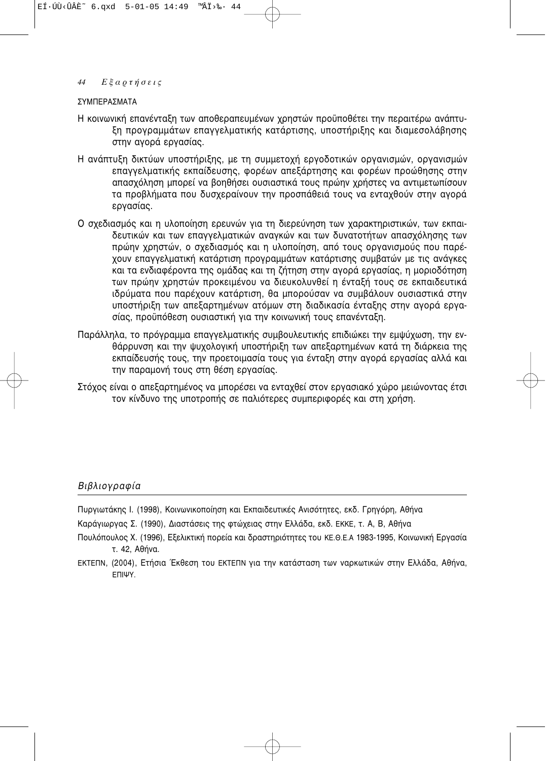#### ΣΥΜΠΕΡΑΣΜΑΤΑ

- Η κοινωνική επανένταξη των αποθεραπευμένων χρηστών προϋποθέτει την περαιτέρω ανάπτυξη προγραμμάτων επαγγελματικής κατάρτισης, υποστήριξης και διαμεσολάβησης στην αγορά εργασίας.
- Η ανάπτυξη δικτύων υποστήριξης, με τη συμμετοχή εργοδοτικών οργανισμών, οργανισμών επαγγελματικής εκπαίδευσης, φορέων απεξάρτησης και φορέων προώθησης στην απασχόληση μπορεί να βοηθήσει ουσιαστικά τους πρώην χρήστες να αντιμετωπίσουν τα προβλήματα που δυσχεραίνουν την προσπάθειά τους να ενταχθούν στην αγορά εργασίας.
- Ο σχεδιασμός και η υλοποίηση ερευνών για τη διερεύνηση των χαρακτηριστικών, των εκπαιδευτικών και των επαγγελματικών αναγκών και των δυνατοτήτων απασχόλησης των πρώην χρηστών, ο σχεδιασμός και η υλοποίηση, από τους οργανισμούς που παρέχουν επαγγελματική κατάρτιση προγραμμάτων κατάρτισης συμβατών με τις ανάγκες και τα ενδιαφέροντα της ομάδας και τη ζήτηση στην αγορά εργασίας, η μοριοδότηση των πρώην χρηστών προκειμένου να διευκολυνθεί η ένταξή τους σε εκπαιδευτικά ιδρύματα που παρέχουν κατάρτιση. θα μπορούσαν να συμβάλουν ουσιαστικά στην υποστήριξη των απεξαρτημένων ατόμων στη διαδικασία ένταξης στην αγορά εργασίας, προϋπόθεση ουσιαστική για την κοινωνική τους επανένταξη.
- Παράλληλα, το πρόγραμμα επαγγελματικής συμβουλευτικής επιδιώκει την εμψύχωση, την ενθάρρυνση και την ψυχολογική υποστήριξη των απεξαρτημένων κατά τη διάρκεια της εκπαίδευσής τους, την προετοιμασία τους για ένταξη στην αγορά εργασίας αλλά και την παραμονή τους στη θέση εργασίας.
- Στόχος είναι ο απεξαρτημένος να μπορέσει να ενταχθεί στον εργασιακό χώρο μειώνοντας έτσι τον κίνδυνο της υποτροπής σε παλιότερες συμπεριφορές και στη χρήση.

# $B$ *ιβλιογραφία*

Πυργιωτάκης Ι. (1998), Κοινωνικοποίηση και Εκπαιδευτικές Ανισότητες, εκδ. Γρηγόρη, Αθήνα

Καράγιωργας Σ. (1990), Διαστάσεις της φτώχειας στην Ελλάδα, εκδ. ΕΚΚΕ, τ. Α, Β, Αθήνα

Πουλόπουλος Χ. (1996), Εξελικτική πορεία και δραστηριότητες του ΚΕ.Θ.Ε.Α 1983-1995, Κοινωνική Εργασία τ. 42, Αθήνα.

ΕΚΤΕΠΝ, (2004), Ετήσια Έκθεση του ΕΚΤΕΠΝ για την κατάσταση των ναρκωτικών στην Ελλάδα, Αθήνα,  $F\Pi$ lΨY.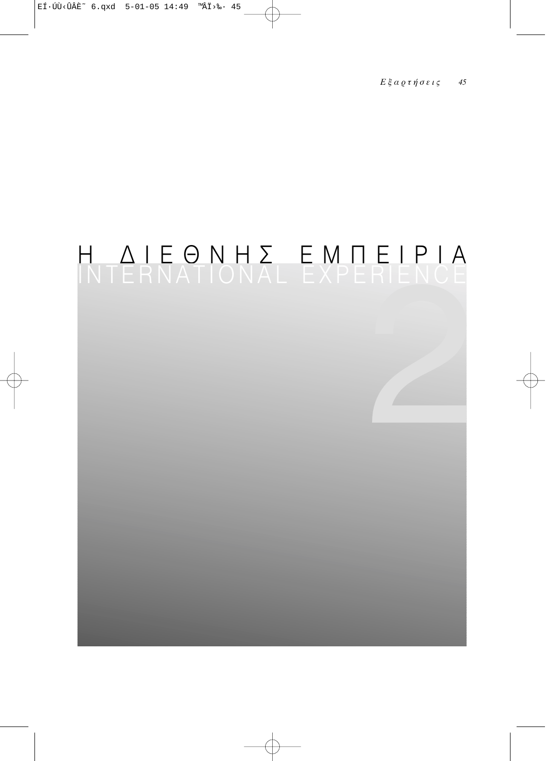$E \xi a \varrho \tau \eta \sigma \varepsilon \iota$  5 45

# H AIEONH E E M THE IPIA<br>INTERNATIONAL EXPERIENCE

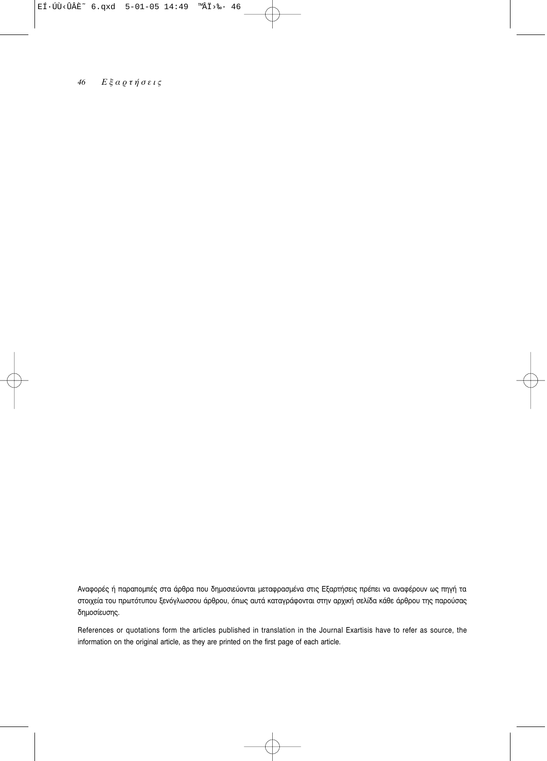Αναφορές ή παραπομπές στα άρθρα που δημοσιεύονται μεταφρασμένα στις Εξαρτήσεις πρέπει να αναφέρουν ως πηγή τα στοιχεία του πρωτότυπου ξενόγλωσσου άρθρου, όπως αυτά καταγράφονται στην αρχική σελίδα κάθε άρθρου της παρούσας δημοσίευσης.

References or quotations form the articles published in translation in the Journal Exartisis have to refer as source, the information on the original article, as they are printed on the first page of each article.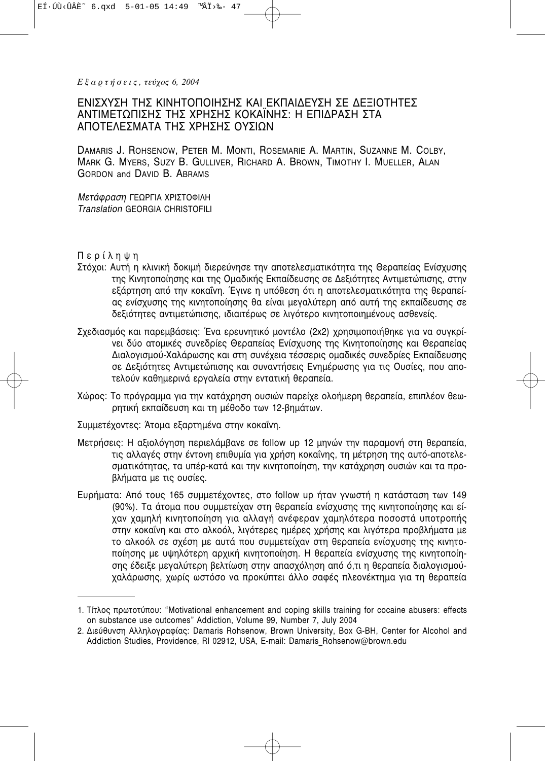Εξαρτήσεις, τεύχος 6, 2004

# ΕΝΙΣΧΥΣΗ ΤΗΣ ΚΙΝΗΤΟΠΟΙΗΣΗΣ ΚΑΙ ΕΚΠΑΙΔΕΥΣΗ ΣΕ ΔΕΞΙΟΤΗΤΕΣ ΑΝΤΙΜΕΤΩΠΙΣΗΣ ΤΗΣ ΧΡΗΣΗΣ ΚΟΚΑΪΝΗΣ: Η ΕΠΙΔΡΑΣΗ ΣΤΑ ΑΠΟΤΕΛΕΣΜΑΤΑ ΤΗΣ ΧΡΗΣΗΣ ΟΥΣΙΩΝ

DAMARIS J. ROHSENOW, PETER M. MONTI, ROSEMARIE A. MARTIN, SUZANNE M. COLBY, MARK G. MYERS, SUZY B. GULLIVER, RICHARD A. BROWN, TIMOTHY I. MUELLER, ALAN GORDON and DAVID B. ABRAMS

Μετάφραση ΓΕΩΡΓΙΑ ΧΡΙΣΤΟΦΙΛΗ **Translation GEORGIA CHRISTOFILI** 

Περίληψη

- Στόχοι: Αυτή η κλινική δοκιμή διερεύνησε την αποτελεσματικότητα της Θεραπείας Ενίσχυσης της Κινητοποίησης και της Ομαδικής Εκπαίδευσης σε Δεξιότητες Αντιμετώπισης, στην εξάρτηση από την κοκαΐνη. Έγινε η υπόθεση ότι η αποτελεσματικότητα της θεραπείας ενίσχυσης της κινητοποίησης θα είναι μεγαλύτερη από αυτή της εκπαίδευσης σε δεξιότητες αντιμετώπισης, ιδιαιτέρως σε λινότερο κινητοποιημένους ασθενείς.
- Σχεδιασμός και παρεμβάσεις: Ένα ερευνητικό μοντέλο (2x2) χρησιμοποιήθηκε για να συγκρίνει δύο ατομικές συνεδρίες Θεραπείας Ενίσχυσης της Κινητοποίησης και Θεραπείας Διαλογισμού-Χαλάρωσης και στη συνέχεια τέσσερις ομαδικές συνεδρίες Εκπαίδευσης σε Δεξιότητες Αντιμετώπισης και συναντήσεις Ενημέρωσης για τις Ουσίες, που αποτελούν καθημερινά εργαλεία στην εντατική θεραπεία.
- Χώρος: Το πρόγραμμα για την κατάχρηση ουσιών παρείχε ολοήμερη θεραπεία, επιπλέον θεωρητική εκπαίδευση και τη μέθοδο των 12-βημάτων.

Συμμετέχοντες: Άτομα εξαρτημένα στην κοκαΐνη.

- Μετρήσεις: Η αξιολόγηση περιελάμβανε σε follow up 12 μηνών την παραμονή στη θεραπεία, τις αλλαγές στην έντονη επιθυμία για χρήση κοκαΐνης, τη μέτρηση της αυτό-αποτελεσματικότητας, τα υπέρ-κατά και την κινητοποίηση, την κατάχρηση ουσιών και τα προβλήματα με τις ουσίες.
- Ευρήματα: Από τους 165 συμμετέχοντες, στο follow up ήταν γνωστή η κατάσταση των 149 (90%). Τα άτομα που συμμετείχαν στη θεραπεία ενίσχυσης της κινητοποίησης και είχαν χαμηλή κινητοποίηση για αλλαγή ανέφεραν χαμηλότερα ποσοστά υποτροπής στην κοκαΐνη και στο αλκοόλ, λιγότερες ημέρες χρήσης και λιγότερα προβλήματα με το αλκοόλ σε σχέση με αυτά που συμμετείχαν στη θεραπεία ενίσχυσης της κινητοποίησης με υψηλότερη αρχική κινητοποίηση. Η θεραπεία ενίσχυσης της κινητοποίησης έδειξε μεγαλύτερη βελτίωση στην απασχόληση από ό,τι η θεραπεία διαλογισμούχαλάρωσης, χωρίς ωστόσο να προκύπτει άλλο σαφές πλεονέκτημα για τη θεραπεία

<sup>1.</sup> Τίτλος πρωτοτύπου: "Motivational enhancement and coping skills training for cocaine abusers: effects on substance use outcomes" Addiction, Volume 99, Number 7, July 2004

<sup>2.</sup> Διεύθυνση Αλληλογραφίας: Damaris Rohsenow, Brown University, Box G-BH, Center for Alcohol and Addiction Studies, Providence, RI 02912, USA, E-mail: Damaris Rohsenow@brown.edu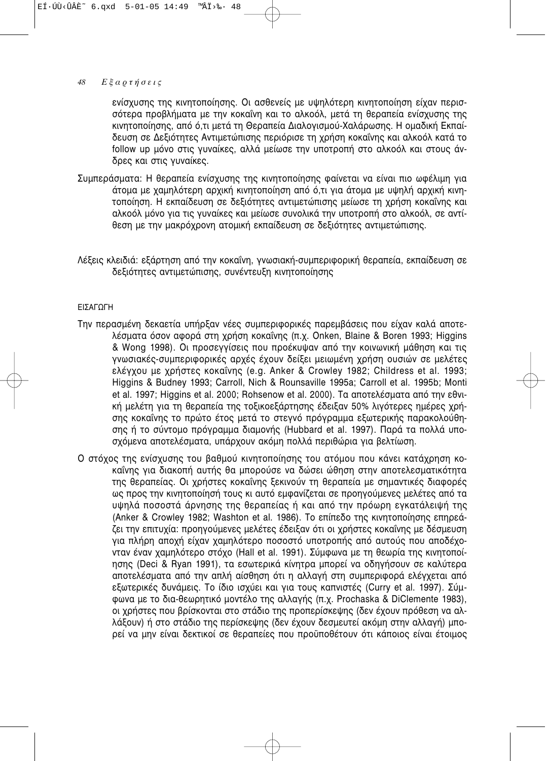ενίσχυσης της κινητοποίησης. Οι ασθενείς με υψηλότερη κινητοποίηση είχαν περισσότερα προβλήματα με την κοκαΐνη και το αλκοόλ, μετά τη θεραπεία ενίσχυσης της κινητοποίησης, από ό,τι μετά τη Θεραπεία Διαλογισμού-Χαλάρωσης. Η ομαδική Εκπαίδευση σε Δεξιότητες Αντιμετώπισης περιόρισε τη χρήση κοκαΐνης και αλκοόλ κατά το follow up μόνο στις γυναίκες, αλλά μείωσε την υποτροπή στο αλκοόλ και στους άνδρες και στις γυναίκες.

- Συμπεράσματα: Η θεραπεία ενίσχυσης της κινητοποίησης φαίνεται να είναι πιο ωφέλιμη για άτομα με χαμηλότερη αρχική κινητοποίηση από ό,τι για άτομα με υψηλή αρχική κινητοποίηση. Η εκπαίδευση σε δεξιότητες αντιμετώπισης μείωσε τη χρήση κοκαΐνης και αλκοόλ μόνο για τις γυναίκες και μείωσε συνολικά την υποτροπή στο αλκοόλ, σε αντίθεση με την μακρόχρονη ατομική εκπαίδευση σε δεξιότητες αντιμετώπισης.
- Λέξεις κλειδιά: εξάρτηση από την κοκαΐνη, γνωσιακή-συμπεριφορική θεραπεία, εκπαίδευση σε δεξιότητες αντιμετώπισης, συνέντευξη κινητοποίησης

# **ΕΙΣΑΓΩΓΗ**

- Την περασμένη δεκαετία υπήρξαν νέες συμπεριφορικές παρεμβάσεις που είχαν καλά αποτελέσματα όσον αφορά στη χρήση κοκαΐνης (π.χ. Onken, Blaine & Boren 1993; Higgins & Wong 1998). Οι προσεγγίσεις που προέκυψαν από την κοινωνική μάθηση και τις γνωσιακές-συμπεριφορικές αρχές έχουν δείξει μειωμένη χρήση ουσιών σε μελέτες ελέγχου με χρήστες κοκαΐνης (e.g. Anker & Crowley 1982; Childress et al. 1993; Higgins & Budney 1993; Carroll, Nich & Rounsaville 1995a; Carroll et al. 1995b; Monti et al. 1997; Higgins et al. 2000; Rohsenow et al. 2000). Τα αποτελέσματα από την εθνική μελέτη για τη θεραπεία της τοξικοεξάρτησης έδειξαν 50% λιγότερες ημέρες χρήσης κοκαΐνης το πρώτο έτος μετά το στεγνό πρόγραμμα εξωτερικής παρακολούθησης ή το σύντομο πρόγραμμα διαμονής (Hubbard et al. 1997). Παρά τα πολλά υποσχόμενα αποτελέσματα, υπάρχουν ακόμη πολλά περιθώρια για βελτίωση.
- Ο στόχος της ενίσχυσης του βαθμού κινητοποίησης του ατόμου που κάνει κατάχρηση κοκαΐνης για διακοπή αυτής θα μπορούσε να δώσει ώθηση στην αποτελεσματικότητα της θεραπείας. Οι χρήστες κοκαΐνης ξεκινούν τη θεραπεία με σημαντικές διαφορές ως προς την κινητοποίησή τους κι αυτό εμφανίζεται σε προηγούμενες μελέτες από τα υψηλά ποσοστά άρνησης της θεραπείας ή και από την πρόωρη εγκατάλειψή της (Anker & Crowley 1982; Washton et al. 1986). Το επίπεδο της κινητοποίησης επηρεάζει την επιτυχία: προηγούμενες μελέτες έδειξαν ότι οι χρήστες κοκαΐνης με δέσμευση για πλήρη αποχή είχαν χαμηλότερο ποσοστό υποτροπής από αυτούς που αποδέχο-Vταν έναν χαμηλότερο στόχο (Hall et al. 1991). Σύμφωνα με τη θεωρία της κινητοποίησης (Deci & Ryan 1991), τα εσωτερικά κίνητρα μπορεί να οδηγήσουν σε καλύτερα αποτελέσματα από την απλή αίσθηση ότι η αλλαγή στη συμπεριφορά ελέγχεται από εξωτερικές δυνάμεις. Το ίδιο ισχύει και για τους καπνιστές (Curry et al. 1997). Σύμφωνα με το δια-θεωρητικό μοντέλο της αλλαγής (π.χ. Prochaska & DiClemente 1983), οι χρήστες που βρίσκονται στο στάδιο της προπερίσκεψης (δεν έχουν πρόθεση να αλλάξουν) ή στο στάδιο της περίσκεψης (δεν έχουν δεσμευτεί ακόμη στην αλλαγή) μπορεί να μην είναι δεκτικοί σε θεραπείες που προϋποθέτουν ότι κάποιος είναι έτοιμος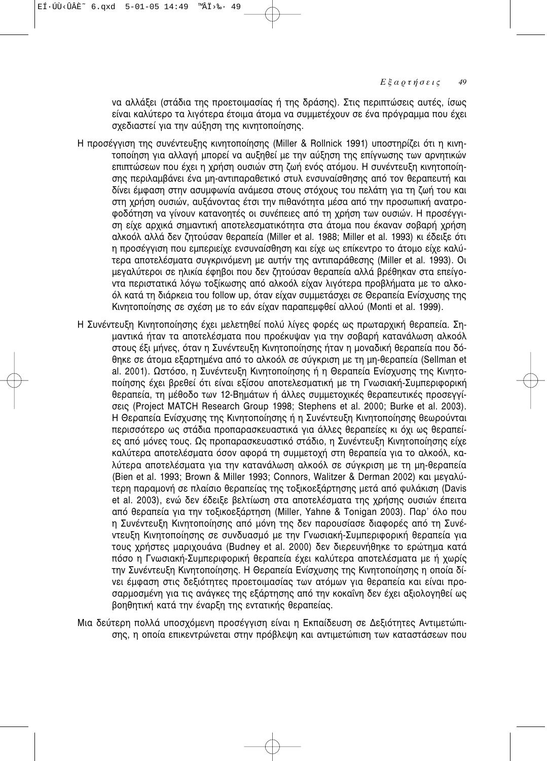EÍ·ÚÙ‹ÛÂȘ 6.qxd 5-01-05 14:49 ™ÂÏ›‰· 49

vα αλλάξει (στάδια της προετοιμασίας ή της δράσης). Στις περιπτώσεις αυτές, ίσως είναι καλύτερο τα λιγότερα έτοιμα άτομα να συμμετέχουν σε ένα πρόγραμμα που έχει σχεδιαστεί για την αύξηση της κινητοποίησης.

- Η προσέγγιση της συνέντευξης κινητοποίησης (Miller & Rollnick 1991) υποστηρίζει ότι η κινητοποίηση για αλλαγή μπορεί να αυξηθεί με την αύξηση της επίγνωσης των αρνητικών επιπτώσεων που έχει η χρήση ουσιών στη ζωή ενός ατόμου. Η συνέντευξη κινητοποίησης περιλαμβάνει ένα μη-αντιπαραθετικό στυλ ενσυναίσθησης από τον θεραπευτή και δίνει έμφαση στην ασυμφωνία ανάμεσα στους στόχους του πελάτη για τη ζωή του και στη χρήση ουσιών, αυξάνοντας έτσι την πιθανότητα μέσα από την προσωπική ανατροφοδότηση να γίνουν κατανοητές οι συνέπειες από τη χρήση των ουσιών. Η προσέγγιση είχε αρχικά σημαντική αποτελεσματικότητα στα άτομα που έκαναν σοβαρή χρήση aλκοόλ αλλά δεν ζητούσαν θεραπεία (Miller et al. 1988; Miller et al. 1993) κι έδειξε ότι η προσέγγιση που εμπεριείχε ενσυναίσθηση και είχε ως επίκεντρο το άτομο είχε καλύτερα αποτελέσματα συγκρινόμενη με αυτήν της αντιπαράθεσης (Miller et al. 1993). Οι μεγαλύτεροι σε ηλικία έφηβοι που δεν ζητούσαν θεραπεία αλλά βρέθηκαν στα επείγοντα περιστατικά λόγω τοξίκωσης από αλκοόλ είχαν λιγότερα προβλήματα με το αλκοόλ κατά τη διάρκεια του follow up, όταν είχαν συμμετάσχει σε Θεραπεία Ενίσχυσης της Κινητοποίησης σε σχέση με το εάν είχαν παραπεμφθεί αλλού (Monti et al. 1999).
- Η Συνέντευξη Κινητοποίησης έχει μελετηθεί πολύ λίγες φορές ως πρωταρχική θεραπεία. Σημαντικά ήταν τα αποτελέσματα που προέκυψαν για την σοβαρή κατανάλωση αλκοόλ στους έξι μήνες, όταν η Συνέντευξη Κινητοποίησης ήταν η μοναδική θεραπεία που δόθηκε σε άτομα εξαρτημένα από το αλκοόλ σε σύγκριση με τη μη-θεραπεία (Sellman et al. 2001). Ωστόσο, η Συνέντευξη Κινητοποίησης ή η Θεραπεία Ενίσχυσης της Κινητοποίησης έχει βρεθεί ότι είναι εξίσου αποτελεσματική με τη Γνωσιακή-Συμπεριφορική θεραπεία, τη μέθοδο των 12-Βημάτων ή άλλες συμμετοχικές θεραπευτικές προσεγγί-ÛÂȘ (Project MATCH Research Group 1998; Stephens et al. 2000; Burke et al. 2003). Η Θεραπεία Ενίσχυσης της Κινητοποίησης ή η Συνέντευξη Κινητοποίησης θεωρούνται περισσότερο ως στάδια προπαρασκευαστικά για άλλες θεραπείες κι όχι ως θεραπείες από μόνες τους. Ως προπαρασκευαστικό στάδιο, η Συνέντευξη Κινητοποίησης είχε καλύτερα αποτελέσματα όσον αφορά τη συμμετοχή στη θεραπεία για το αλκοόλ, καλύτερα αποτελέσματα για την κατανάλωση αλκοόλ σε σύγκριση με τη μη-θεραπεία (Bien et al. 1993; Brown & Miller 1993; Connors, Walitzer & Derman 2002) και μεγαλύτερη παραμονή σε πλαίσιο θεραπείας της τοξικοεξάρτησης μετά από φυλάκιση (Davis et al. 2003), ενώ δεν έδειξε βελτίωση στα αποτελέσματα της χρήσης ουσιών έπειτα από θεραπεία για την τοξικοεξάρτηση (Miller, Yahne & Tonigan 2003). Παρ' όλο που η Συνέντευξη Κινητοποίησης από μόνη της δεν παρουσίασε διαφορές από τη Συνέ-Vτευξη Κινητοποίησης σε συνδυασμό με την Γνωσιακή-Συμπεριφορική θεραπεία για τους χρήστες μαριχουάνα (Budney et al. 2000) δεν διερευνήθηκε το ερώτημα κατά πόσο η Γνωσιακή-Συμπεριφορική θεραπεία έχει καλύτερα αποτελέσματα με ή χωρίς την Συνέντευξη Κινητοποίησης. Η Θεραπεία Ενίσχυσης της Κινητοποίησης η οποία δίvει έμφαση στις δεξιότητες προετοιμασίας των ατόμων για θεραπεία και είναι προσαρμοσμένη για τις ανάγκες της εξάρτησης από την κοκαΐνη δεν έχει αξιολογηθεί ως βοηθητική κατά την έναρξη της εντατικής θεραπείας.
- Μια δεύτερη πολλά υποσχόμενη προσέγγιση είναι η Εκπαίδευση σε Δεξιότητες Αντιμετώπισης, η οποία επικεντρώνεται στην πρόβλεψη και αντιμετώπιση των καταστάσεων που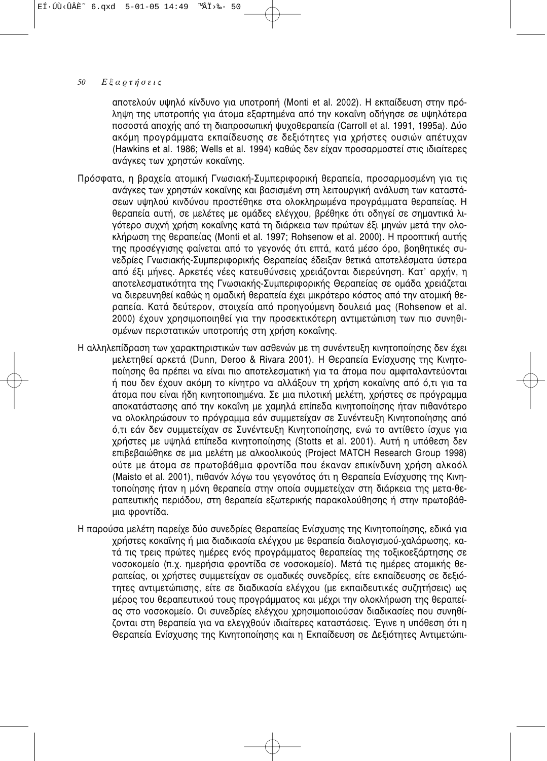αποτελούν υψηλό κίνδυνο για υποτροπή (Monti et al. 2002). Η εκπαίδευση στην πρόληψη της υποτροπής για άτομα εξαρτημένα από την κοκαΐνη οδήγησε σε υψηλότερα ποσοστά αποχής από τη διαπροσωπική ψυχοθεραπεία (Carroll et al. 1991, 1995a). Δύο ακόμη προγράμματα εκπαίδευσης σε δεξιότητες για χρήστες ουσιών απέτυχαν (Hawkins et al. 1986; Wells et al. 1994) καθώς δεν είχαν προσαρμοστεί στις ιδιαίτερες ανάγκες των χρηστών κοκαΐνης.

- Πρόσφατα, η βραχεία ατομική Γνωσιακή-Συμπεριφορική θεραπεία, προσαρμοσμένη για τις ανάγκες των χρηστών κοκαΐνης και βασισμένη στη λειτουργική ανάλυση των καταστάσεων υψηλού κινδύνου προστέθηκε στα ολοκληρωμένα προγράμματα θεραπείας. Η θεραπεία αυτή, σε μελέτες με ομάδες ελέγχου, βρέθηκε ότι οδηγεί σε σημαντικά λιγότερο συχνή χρήση κοκαΐνης κατά τη διάρκεια των πρώτων έξι μηνών μετά την ολοκλήρωση της θεραπείας (Monti et al. 1997; Rohsenow et al. 2000). Η προοπτική αυτής της προσέγγισης φαίνεται από το γεγονός ότι επτά, κατά μέσο όρο, βοηθητικές συνεδρίες Γνωσιακής-Συμπεριφορικής Θεραπείας έδειξαν θετικά αποτελέσματα ύστερα από έξι μήνες. Αρκετές νέες κατευθύνσεις χρειάζονται διερεύνηση. Κατ' αρχήν, η αποτελεσματικότητα της Γνωσιακής-Συμπεριφορικής Θεραπείας σε ομάδα χρειάζεται να διερευνηθεί καθώς η ομαδική θεραπεία έχει μικρότερο κόστος από την ατομική θεραπεία. Κατά δεύτερον, στοιχεία από προηγούμενη δουλειά μας (Rohsenow et al. 2000) έχουν χρησιμοποιηθεί για την προσεκτικότερη αντιμετώπιση των πιο συνηθισμένων περιστατικών υποτροπής στη χρήση κοκαΐνης.
- Η αλληλεπίδραση των χαρακτηριστικών των ασθενών με τη συνέντευξη κινητοποίησης δεν έχει μελετηθεί αρκετά (Dunn, Deroo & Rivara 2001). Η Θεραπεία Ενίσχυσης της Κινητοποίησης θα πρέπει να είναι πιο αποτελεσματική για τα άτομα που αμφιταλαντεύονται ή που δεν έχουν ακόμη το κίνητρο να αλλάξουν τη χρήση κοκαΐνης από ό,τι για τα άτομα που είναι ήδη κινητοποιημένα. Σε μια πιλοτική μελέτη, χρήστες σε πρόγραμμα αποκατάστασης από την κοκαΐνη με χαμηλά επίπεδα κινητοποίησης ήταν πιθανότερο να ολοκληρώσουν το πρόνραμμα εάν συμμετείχαν σε Συνέντευξη Κινητοποίησης από ό,τι εάν δεν συμμετείχαν σε Συνέντευξη Κινητοποίησης, ενώ το αντίθετο ίσχυε για γρήστες με υψηλά επίπεδα κινητοποίησης (Stotts et al. 2001). Αυτή η υπόθεση δεν επιβεβαιώθηκε σε μια μελέτη με αλκοολικούς (Project MATCH Research Group 1998) ούτε με άτομα σε πρωτοβάθμια φροντίδα που έκαναν επικίνδυνη χρήση αλκοόλ (Maisto et al. 2001), πιθανόν λόγω του γεγονότος ότι η Θεραπεία Ενίσχυσης της Κινητοποίησης ήταν η μόνη θεραπεία στην οποία συμμετείχαν στη διάρκεια της μετα-θεραπευτικής περιόδου, στη θεραπεία εξωτερικής παρακολούθησης ή στην πρωτοβάθμια φροντίδα.
- Η παρούσα μελέτη παρείχε δύο συνεδρίες Θεραπείας Ενίσχυσης της Κινητοποίησης, εδικά για χρήστες κοκαΐνης ή μια διαδικασία ελέγχου με θεραπεία διαλογισμού-χαλάρωσης, κατά τις τρεις πρώτες ημέρες ενός προγράμματος θεραπείας της τοξικοεξάρτησης σε νοσοκομείο (π.χ. ημερήσια φροντίδα σε νοσοκομείο). Μετά τις ημέρες ατομικής θεραπείας, οι χρήστες συμμετείχαν σε ομαδικές συνεδρίες, είτε εκπαίδευσης σε δεξιότητες αντιμετώπισης, είτε σε διαδικασία ελέγχου (με εκπαιδευτικές συζητήσεις) ως μέρος του θεραπευτικού τους προγράμματος και μέχρι την ολοκλήρωση της θεραπείας στο νοσοκομείο. Οι συνεδρίες ελέγχου χρησιμοποιούσαν διαδικασίες που συνηθίζονται στη θεραπεία για να ελεγχθούν ιδιαίτερες καταστάσεις. Έγινε η υπόθεση ότι η Θεραπεία Ενίσχυσης της Κινητοποίησης και η Εκπαίδευση σε Δεξιότητες Αντιμετώπι-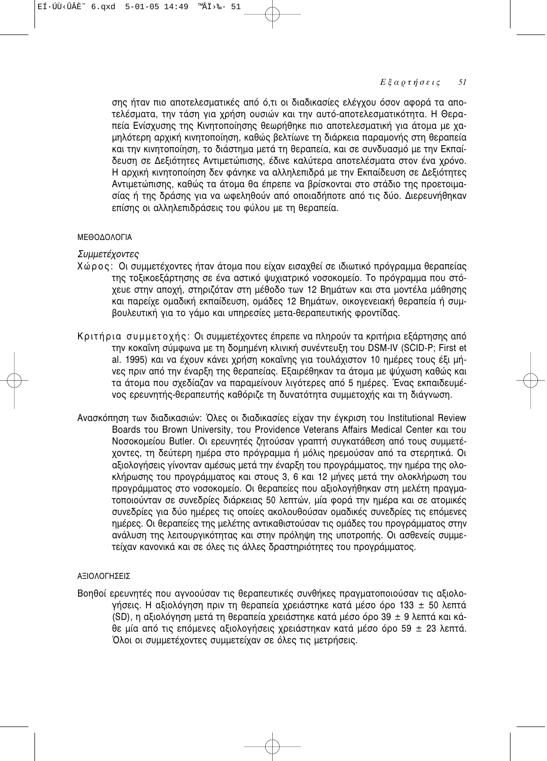σης ήταν πιο αποτελεσματικές από ό,τι οι διαδικασίες ελέγχου όσον αφορά τα αποτελέσματα, την τάση για χρήση ουσιών και την αυτό-αποτελεσματικότητα. Η Θεραπεία Ενίσχυσης της Κινητοποίησης θεωρήθηκε πιο αποτελεσματική για άτομα με χαμηλότερη αρχική κινητοποίηση, καθώς βελτίωνε τη διάρκεια παραμονής στη θεραπεία και την κινητοποίηση, το διάστημα μετά τη θεραπεία, και σε συνδυασμό με την Εκπαίδευση σε Δεξιότητες Αντιμετώπισης, έδινε καλύτερα αποτελέσματα στον ένα χρόνο. Η αρχική κινητοποίηση δεν φάνηκε να αλληλεπιδρά με την Εκπαίδευση σε Δεξιότητες Αντιμετώπισης, καθώς τα άτομα θα έπρεπε να βρίσκονται στο στάδιο της προετοιμασίας ή της δράσης για να ωφεληθούν από οποιαδήποτε από τις δύο. Διερευνήθηκαν επίσης οι αλληλεπιδράσεις του φύλου με τη θεραπεία.

## ΜΕΘΟΔΟΛΟΓΙΑ

#### $\mathcal{I}$ *UWWETÉXOVTEC*

- Χώρος: Οι συμμετέχοντες ήταν άτομα που είχαν εισαχθεί σε ιδιωτικό πρόγραμμα θεραπείας της τοξικοεξάρτησης σε ένα αστικό ψυχιατρικό νοσοκομείο. Το πρόγραμμα που στόχευε στην αποχή, στηριζόταν στη μέθοδο των 12 Βημάτων και στα μοντέλα μάθησης και παρείχε ομαδική εκπαίδευση, ομάδες 12 Βημάτων, οικογενειακή θεραπεία ή συμβουλευτική για το γάμο και υπηρεσίες μετα-θεραπευτικής φροντίδας.
- Κριτήρια συμμετοχής: Οι συμμετέχοντες έπρεπε να πληρούν τα κριτήρια εξάρτησης από την κοκαΐνη σύμφωνα με τη δομημένη κλινική συνέντευξη του DSM-IV (SCID-P; First et al. 1995) και να έχουν κάνει χρήση κοκαΐνης για τουλάχιστον 10 ημέρες τους έξι μήνες πριν από την έναρξη της θεραπείας. Εξαιρέθηκαν τα άτομα με ψύχωση καθώς και τα άτομα που σχεδίαζαν να παραμείνουν λιγότερες από 5 ημέρες. Ένας εκπαιδευμέ-VOC ερευνητής-θεραπευτής καθόριζε τη δυνατότητα συμμετοχής και τη διάγνωση.
- ∞Ó·ÛÎfiËÛË ÙˆÓ ‰È·‰ÈηÛÈÒÓ: ŸÏ˜ ÔÈ ‰È·‰Èηۛ˜ ›¯·Ó ÙËÓ ¤ÁÎÚÈÛË ÙÔ˘ Institutional Review Boards Tou Brown University, Tou Providence Veterans Affairs Medical Center Kal Tou Νοσοκομείου Butler. Οι ερευνητές ζητούσαν γραπτή συγκατάθεση από τους συμμετέχοντες, τη δεύτερη ημέρα στο πρόγραμμα ή μόλις ηρεμούσαν από τα στερητικά. Οι αξιολογήσεις γίνονταν αμέσως μετά την έναρξη του προγράμματος, την ημέρα της ολοκλήρωσης του προγράμματος και στους 3, 6 και 12 μήνες μετά την ολοκλήρωση του προγράμματος στο νοσοκομείο. Οι θεραπείες που αξιολογήθηκαν στη μελέτη πραγματοποιούνταν σε συνεδρίες διάρκειας 50 λεπτών, μία φορά την ημέρα και σε ατομικές συνεδρίες για δύο ημέρες τις οποίες ακολουθούσαν ομαδικές συνεδρίες τις επόμενες ημέρες. Οι θεραπείες της μελέτης αντικαθιστούσαν τις ομάδες του προγράμματος στην ανάλυση της λειτουργικότητας και στην πρόληψη της υποτροπής. Οι ασθενείς συμμετείχαν κανονικά και σε όλες τις άλλες δραστηριότητες του προγράμματος.

# ΑΞΙΟΛΟΓΗΣΕΙΣ

Bonθοί ερευνητές που αγνοούσαν τις θεραπευτικές συνθήκες πραγματοποιούσαν τις αξιολογήσεις. Η αξιολόγηση πριν τη θεραπεία χρειάστηκε κατά μέσο όρο 133 ± 50 λεπτά (SD), η αξιολόγηση μετά τη θεραπεία χρειάστηκε κατά μέσο όρο 39 ± 9 λεπτά και κάθε μία από τις επόμενες αξιολογήσεις χρειάστηκαν κατά μέσο όρο 59 ± 23 λεπτά. Όλοι οι συμμετέχοντες συμμετείχαν σε όλες τις μετρήσεις.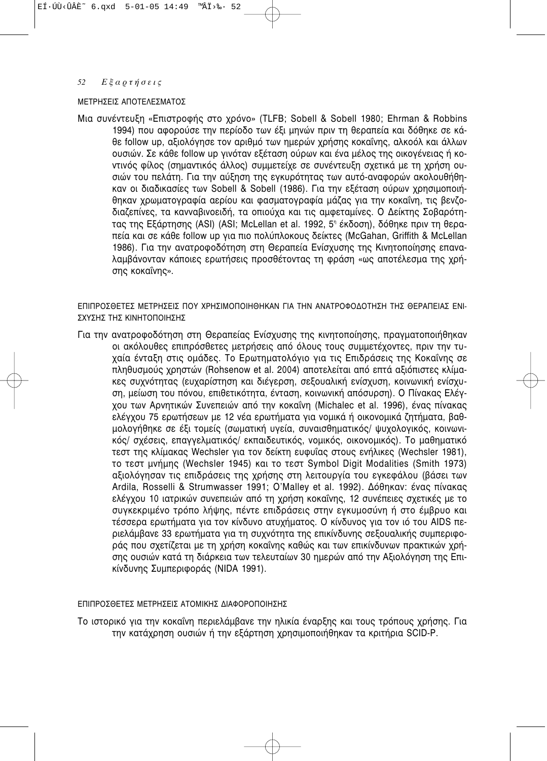#### ΜΕΤΡΗΣΕΙΣ ΑΠΟΤΕΛΕΣΜΑΤΟΣ

Μια συνέντευξη «Επιστροφής στο χρόνο» (TLFB; Sobell & Sobell 1980; Ehrman & Robbins 1994) που αφορούσε την περίοδο των έξι μηνών πριν τη θεραπεία και δόθηκε σε κάθε follow up, αξιολόγησε τον αριθμό των ημερών χρήσης κοκαΐνης, αλκοόλ και άλλων ουσιών. Σε κάθε follow up γινόταν εξέταση ούρων και ένα μέλος της οικογένειας ή κο-VTIVÓC Φίλος (σημαντικός άλλος) συμμετείχε σε συνέντευξη σχετικά με τη χρήση ουσιών του πελάτη. Για την αύξηση της ενκυρότητας των αυτό-αναφορών ακολουθήθηκαν οι διαδικασίες των Sobell & Sobell (1986). Για την εξέταση ούρων χρησιμοποιήθηκαν χρωματονραφία αερίου και φασματονραφία μάζας για την κοκαΐνη, τις βενζοδιαζεπίνες, τα κανναβινοειδή, τα οπιούχα και τις αμφεταμίνες. Ο Δείκτης Σοβαρότητας της Εξάρτησης (ASI) (ASI; McLellan et al. 1992, 5<sup>η</sup> έκδοση), δόθηκε πριν τη θεραπεία και σε κάθε follow up για πιο πολύπλοκους δείκτες (McGahan, Griffith & McLellan 1986). Για την ανατροφοδότηση στη Θεραπεία Ενίσχυσης της Κινητοποίησης επαναλαμβάνονταν κάποιες ερωτήσεις προσθέτοντας τη φράση «ως αποτέλεσμα της χρήσης κοκαΐνης».

ΕΠΙΠΡΟΣΘΕΤΕΣ ΜΕΤΡΗΣΕΙΣ ΠΟΥ ΧΡΗΣΙΜΟΠΟΙΗΘΗΚΑΝ ΓΙΑ ΤΗΝ ΑΝΑΤΡΟΦΟΔΟΤΗΣΗ ΤΗΣ ΘΕΡΑΠΕΙΑΣ ΕΝΙ-ΣΧΥΣΗΣ ΤΗΣ ΚΙΝΗΤΟΠΟΙΗΣΗΣ

Για την ανατροφοδότηση στη Θεραπείας Ενίσχυσης της κινητοποίησης, πραγματοποιήθηκαν οι ακόλουθες επιπρόσθετες μετρήσεις από όλους τους συμμετέχοντες, πριν την τυχαία ένταξη στις ομάδες. Το Ερωτηματολόγιο για τις Επιδράσεις της Κοκαΐνης σε πληθυσμούς χρηστών (Rohsenow et al. 2004) αποτελείται από επτά αξιόπιστες κλίμακες συχνότητας (ευχαρίστηση και διέγερση, σεξουαλική ενίσχυση, κοινωνική ενίσχυση, μείωση του πόνου, επιθετικότητα, ένταση, κοινωνική απόσυρση). Ο Πίνακας Ελέγχου των Αρνητικών Συνεπειών από την κοκαΐνη (Michalec et al. 1996), ένας πίνακας ελέγχου 75 ερωτήσεων με 12 νέα ερωτήματα για νομικά ή οικονομικά ζητήματα, βαθμολογήθηκε σε έξι τομείς (σωματική υγεία, συναισθηματικός/ ψυχολογικός, κοινωνι-Κός/ σχέσεις, επαγγελματικός/ εκπαιδευτικός, νομικός, οικονομικός). Το μαθηματικό τεστ της κλίμακας Wechsler για τον δείκτη ευφυΐας στους ενήλικες (Wechsler 1981), το τεστ μνήμης (Wechsler 1945) και το τεστ Symbol Digit Modalities (Smith 1973) αξιολόγησαν τις επιδράσεις της χρήσης στη λειτουργία του εγκεφάλου (βάσει των Ardila, Rosselli & Strumwasser 1991; O'Malley et al. 1992). Δόθηκαν: ένας πίνακας ελέγχου 10 ιατρικών συνεπειών από τη χρήση κοκαΐνης, 12 συνέπειες σχετικές με το συγκεκριμένο τρόπο λήψης, πέντε επιδράσεις στην εγκυμοσύνη ή στο έμβρυο και τέσσερα ερωτήματα για τον κίνδυνο ατυχήματος. Ο κίνδυνος για τον ιό του AIDS πεpιελάμβανε 33 ερωτήματα για τη συχνότητα της επικίνδυνης σεξουαλικής συμπεριφοράς που σχετίζεται με τη χρήση κοκαΐνης καθώς και των επικίνδυνων πρακτικών χρήσης ουσιών κατά τη διάρκεια των τελευταίων 30 ημερών από την Αξιολόγηση της Επικίνδυνης Συμπεριφοράς (NIDA 1991).

#### ΕΠΙΠΡΟΣΘΕΤΕΣ ΜΕΤΡΗΣΕΙΣ ΑΤΟΜΙΚΗΣ ΔΙΑΦΟΡΟΠΟΙΗΣΗΣ

Το ιστορικό για την κοκαΐνη περιελάμβανε την ηλικία έναρξης και τους τρόπους χρήσης. Για την κατάχρηση ουσιών ή την εξάρτηση χρησιμοποιήθηκαν τα κριτήρια SCID-P.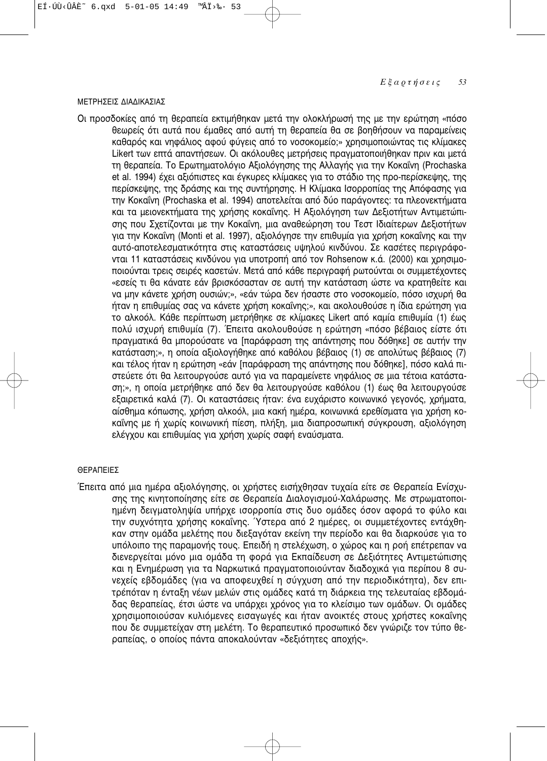#### ΜΕΤΡΗΣΕΙΣ ΔΙΑΔΙΚΑΣΙΑΣ

Οι προσδοκίες από τη θεραπεία εκτιμήθηκαν μετά την ολοκλήρωσή της με την ερώτηση «πόσο θεωρείς ότι αυτά που έμαθες από αυτή τη θεραπεία θα σε βοηθήσουν να παραμείνεις καθαρός και νηφάλιος αφού φύγεις από το νοσοκομείο;» χρησιμοποιώντας τις κλίμακες Likert των επτά απαντήσεων. Οι ακόλουθες μετρήσεις πραγματοποιήθηκαν πριν και μετά τη θεραπεία. Το Ερωτηματολόγιο Αξιολόγησης της Αλλαγής για την Κοκαΐνη (Prochaska et al. 1994) έχει αξιόπιστες και έγκυρες κλίμακες για το στάδιο της προ-περίσκεψης, της περίσκεψης, της δράσης και της συντήρησης. Η Κλίμακα Ισορροπίας της Απόφασης για την Κοκαΐνη (Prochaska et al. 1994) αποτελείται από δύο παράνοντες: τα πλεονεκτήματα και τα μειονεκτήματα της χρήσης κοκαΐνης. Η Αξιολόγηση των Δεξιοτήτων Αντιμετώπισης που Σχετίζονται με την Κοκαΐνη, μια αναθεώρηση του Τεστ Ιδιαίτερων Δεξιοτήτων για την Κοκαΐνη (Monti et al. 1997), αξιολόγησε την επιθυμία για χρήση κοκαΐνης και την αυτό-αποτελεσματικότητα στις καταστάσεις υψηλού κινδύνου. Σε κασέτες περιγράφονται 11 καταστάσεις κινδύνου για υποτροπή από τον Rohsenow κ.ά. (2000) και χρησιμοποιούνται τρεις σειρές κασετών. Μετά από κάθε περινραφή ρωτούνται οι συμμετέχοντες «εσείς τι θα κάνατε εάν βρισκόσασταν σε αυτή την κατάσταση ώστε να κρατηθείτε και να μην κάνετε χρήση ουσιών;», «εάν τώρα δεν ήσαστε στο νοσοκομείο, πόσο ισχυρή θα ήταν η επιθυμίας σας να κάνετε χρήση κοκαΐνης;», και ακολουθούσε η ίδια ερώτηση για το αλκοόλ. Κάθε περίπτωση μετρήθηκε σε κλίμακες Likert από καμία επιθυμία (1) έως πολύ ισχυρή επιθυμία (7). Έπειτα ακολουθούσε η ερώτηση «πόσο βέβαιος είστε ότι πραγματικά θα μπορούσατε να [παράφραση της απάντησης που δόθηκε] σε αυτήν την κατάσταση;», η οποία αξιολογήθηκε από καθόλου βέβαιος (1) σε απολύτως βέβαιος (7) και τέλος ήταν η ερώτηση «εάν [παράφραση της απάντησης που δόθηκε], πόσο καλά πιστεύετε ότι θα λειτουργούσε αυτό για να παραμείνετε νηφάλιος σε μια τέτοια κατάσταση:», η οποία μετρήθηκε από δεν θα λειτουργούσε καθόλου (1) έως θα λειτουργούσε εξαιρετικά καλά (7). Οι καταστάσεις ήταν: ένα ευχάριστο κοινωνικό γεγονός, χρήματα, αίσθημα κόπωσης, χρήση αλκοόλ, μια κακή ημέρα, κοινωνικά ερεθίσματα για χρήση κοκαΐνης με ή χωρίς κοινωνική πίεση, πλήξη, μια διαπροσωπική σύγκρουση, αξιολόγηση ελέγχου και επιθυμίας για χρήση χωρίς σαφή εναύσματα.

#### ΘΕΡΑΠΕΙΕΣ

Έπειτα από μια ημέρα αξιολόγησης, οι χρήστες εισήχθησαν τυχαία είτε σε Θεραπεία Ενίσχυσης της κινητοποίησης είτε σε Θεραπεία Διαλογισμού-Χαλάρωσης. Με στρωματοποιημένη δειγματοληψία υπήρχε ισορροπία στις δυο ομάδες όσον αφορά το φύλο και την συχνότητα χρήσης κοκαΐνης. Ύστερα από 2 ημέρες, οι συμμετέχοντες εντάχθηκαν στην ομάδα μελέτης που διεξαγόταν εκείνη την περίοδο και θα διαρκούσε για το υπόλοιπο της παραμονής τους. Επειδή η στελέχωση, ο χώρος και η ροή επέτρεπαν να διενεργείται μόνο μια ομάδα τη φορά για Εκπαίδευση σε Δεξιότητες Αντιμετώπισης και η Ενημέρωση για τα Ναρκωτικά πραγματοποιούνταν διαδοχικά για περίπου 8 συνεχείς εβδομάδες (για να αποφευχθεί η σύγχυση από την περιοδικότητα), δεν επιτρέπόταν η ένταξη νέων μελών στις ομάδες κατά τη διάρκεια της τελευταίας εβδομάδας θεραπείας, έτσι ώστε να υπάρχει χρόνος για το κλείσιμο των ομάδων. Οι ομάδες χρησιμοποιούσαν κυλιόμενες εισαγωγές και ήταν ανοικτές στους χρήστες κοκαΐνης που δε συμμετείχαν στη μελέτη. Το θεραπευτικό προσωπικό δεν γνώριζε τον τύπο θεραπείας, ο οποίος πάντα αποκαλούνταν «δεξιότητες αποχής».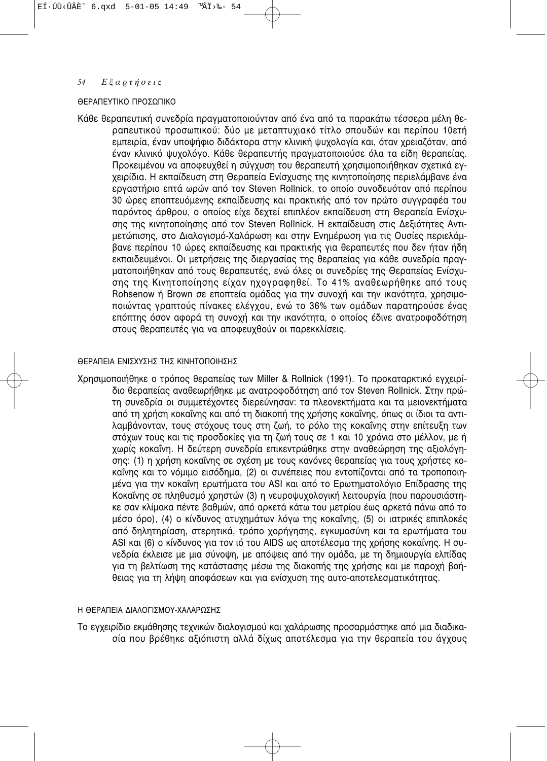#### ΘΕΡΑΠΕΥΤΙΚΟ ΠΡΟΣΩΠΙΚΟ

Κάθε θεραπευτική συνεδρία πραγματοποιούνταν από ένα από τα παρακάτω τέσσερα μέλη θεραπευτικού προσωπικού: δύο με μεταπτυχιακό τίτλο σπουδών και περίπου 10ετή εμπειρία, έναν υποψήφιο διδάκτορα στην κλινική ψυχολογία και, όταν χρειαζόταν, από έναν κλινικό ψυχολόγο. Κάθε θεραπευτής πραγματοποιούσε όλα τα είδη θεραπείας. Προκειμένου να αποφευχθεί η σύνχυση του θεραπευτή χρησιμοποιήθηκαν σχετικά ενχειρίδια. Η εκπαίδευση στη Θεραπεία Ενίσχυσης της κινητοποίησης περιελάμβανε ένα εργαστήριο επτά ωρών από τον Steven Rollnick, το οποίο συνοδευόταν από περίπου 30 ώρες εποπτευόμενης εκπαίδευσης και πρακτικής από τον πρώτο συννραφέα του παρόντος άρθρου, ο οποίος είχε δεχτεί επιπλέον εκπαίδευση στη Θεραπεία Ενίσχυσης της κινητοποίησης από τον Steven Rollnick. Η εκπαίδευση στις Δεξιότητες Αντιιετώπισης, στο Διαλογισμό-Χαλάρωση και στην Ενημέρωση για τις Ουσίες περιελάμβανε περίπου 10 ώρες εκπαίδευσης και πρακτικής για θεραπευτές που δεν ήταν ήδη εκπαιδευμένοι. Οι μετρήσεις της διεργασίας της θεραπείας για κάθε συνεδρία πραγματοποιήθηκαν από τους θεραπευτές, ενώ όλες οι συνεδρίες της Θεραπείας Ενίσχυσης της Κινητοποίησης είχαν ηχογραφηθεί. Το 41% αναθεωρήθηκε από τους Rohsenow ή Brown σε εποπτεία ομάδας για την συνοχή και την ικανότητα, χρησιμοποιώντας γραπτούς πίνακες ελέγχου, ενώ το 36% των ομάδων παρατηρούσε ένας επόπτης όσον αφορά τη συνοχή και την ικανότητα, ο οποίος έδινε ανατροφοδότηση στους θεραπευτές για να αποφευχθούν οι παρεκκλίσεις.

# ΘΕΡΑΠΕΙΑ ΕΝΙΣΧΥΣΗΣ ΤΗΣ ΚΙΝΗΤΟΠΟΙΗΣΗΣ

Χρησιμοποιήθηκε ο τρόπος θεραπείας των Miller & Rollnick (1991). Το προκαταρκτικό εγχειρίδιο θεραπείας αναθεωρήθηκε με ανατροφοδότηση από τον Steven Rollnick. Στην πρώτη συνεδρία οι συμμετέχοντες διερεύνησαν: τα πλεονεκτήματα και τα μειονεκτήματα από τη χρήση κοκαΐνης και από τη διακοπή της χρήσης κοκαΐνης, όπως οι ίδιοι τα αντιλαμβάνονταν, τους στόχους τους στη ζωή, το ρόλο της κοκαΐνης στην επίτευξη των στόχων τους και τις προσδοκίες για τη ζωή τους σε 1 και 10 χρόνια στο μέλλον, με ή χωρίς κοκαΐνη. Η δεύτερη συνεδρία επικεντρώθηκε στην αναθεώρηση της αξιολόγησης: (1) η χρήση κοκαΐνης σε σχέση με τους κανόνες θεραπείας για τους χρήστες κοκαΐνης και το νόμιμο εισόδημα, (2) οι συνέπειες που εντοπίζονται από τα τροποποιημένα για την κοκαΐνη ερωτήματα του ASI και από το Ερωτηματολόγιο Επίδρασης της Κοκαΐνης σε πληθυσμό χρηστών (3) η νευροψυχολογική λειτουργία (που παρουσιάστηκε σαν κλίμακα πέντε βαθμών, από αρκετά κάτω του μετρίου έως αρκετά πάνω από το μέσο όρο), (4) ο κίνδυνος ατυχημάτων λόγω της κοκαΐνης, (5) οι ιατρικές επιπλοκές από δηλητηρίαση, στερητικά, τρόπο χορήγησης, εγκυμοσύνη και τα ερωτήματα του ASI και (6) ο κίνδυνος για τον ιό του AIDS ως αποτέλεσμα της χρήσης κοκαΐνης. Η συνεδρία έκλεισε με μια σύνοψη, με απόψεις από την ομάδα, με τη δημιουργία ελπίδας για τη βελτίωση της κατάστασης μέσω της διακοπής της χρήσης και με παροχή βοήθειας για τη λήψη αποφάσεων και για ενίσχυση της αυτο-αποτελεσματικότητας.

# Η ΘΕΡΑΠΕΙΑ ΔΙΑΛΟΓΙΣΜΟΥ-ΧΑΛΑΡΩΣΗΣ

Το εγχειρίδιο εκμάθησης τεχνικών διαλογισμού και χαλάρωσης προσαρμόστηκε από μια διαδικασία που βρέθηκε αξιόπιστη αλλά δίχως αποτέλεσμα για την θεραπεία του άγχους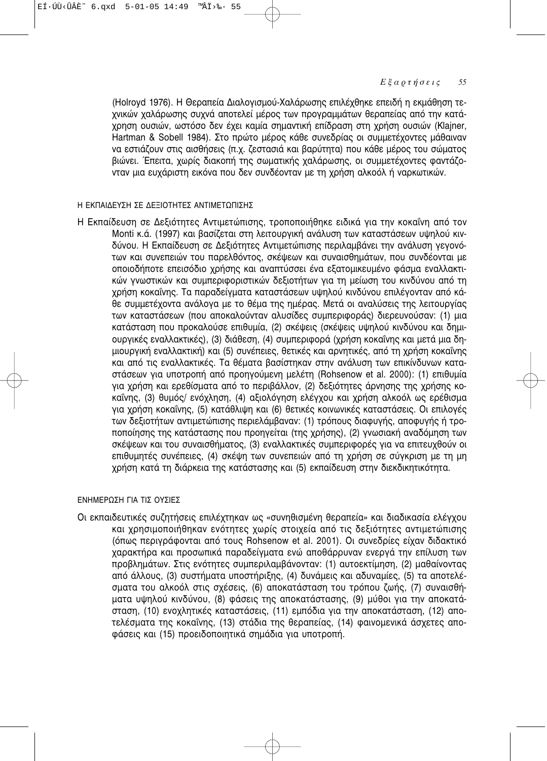(Holroyd 1976). Η Θεραπεία Διαλογισμού-Χαλάρωσης επιλέχθηκε επειδή η εκμάθηση τεχνικών χαλάρωσης συχνά αποτελεί μέρος των προγραμμάτων θεραπείας από την κατάχρηση ουσιών, ωστόσο δεν έχει καμία σημαντική επίδραση στη χρήση ουσιών (Klainer, Hartman & Sobell 1984). Στο πρώτο μέρος κάθε συνεδρίας οι συμμετέχοντες μάθαιναν να εστιάζουν στις αισθήσεις (π.χ. ζεστασιά και βαρύτητα) που κάθε μέρος του σώματος βιώνει. Έπειτα, χωρίς διακοπή της σωματικής χαλάρωσης, οι συμμετέχοντες φαντάζονταν μια ευχάριστη εικόνα που δεν συνδέονταν με τη χρήση αλκοόλ ή ναρκωτικών.

# Η ΕΚΠΑΙΔΕΥΣΗ ΣΕ ΔΕΞΙΟΤΗΤΕΣ ΑΝΤΙΜΕΤΩΠΙΣΗΣ

Η Εκπαίδευση σε Δεξιότητες Αντιμετώπισης, τροποποιήθηκε ειδικά για την κοκαΐνη από τον Monti κ.ά. (1997) και βασίζεται στη λειτουργική ανάλυση των καταστάσεων υψηλού κινδύνου. Η Εκπαίδευση σε Δεξιότητες Αντιμετώπισης περιλαμβάνει την ανάλυση γεγονότων και συνεπειών του παρελθόντος, σκέψεων και συναισθημάτων, που συνδέονται με οποιοδήποτε επεισόδιο χρήσης και αναπτύσσει ένα εξατομικευμένο φάσμα εναλλακτικών γνωστικών και συμπεριφοριστικών δεξιοτήτων για τη μείωση του κινδύνου από τη χρήση κοκαΐνης. Τα παραδείγματα καταστάσεων υψηλού κινδύνου επιλέγονταν από κάθε συμμετέχοντα ανάλογα με το θέμα της ημέρας. Μετά οι αναλύσεις της λειτουργίας των καταστάσεων (που αποκαλούνταν αλυσίδες συμπεριφοράς) διερευνούσαν: (1) μια κατάσταση που προκαλούσε επιθυμία. (2) σκέψεις (σκέψεις υψηλού κινδύνου και δημιουργικές εναλλακτικές), (3) διάθεση, (4) συμπεριφορά (χρήση κοκαΐνης και μετά μια δημιουργική εναλλακτική) και (5) συνέπειες, θετικές και αρνητικές, από τη χρήση κοκαΐνης και από τις εναλλακτικές. Τα θέματα βασίστηκαν στην ανάλυση των επικίνδυνων καταστάσεων για υποτροπή από προηγούμενη μελέτη (Rohsenow et al. 2000): (1) επιθυμία για χρήση και ερεθίσματα από το περιβάλλον, (2) δεξιότητες άρνησης της χρήσης κοκαΐνης, (3) θυμός/ ενόχληση, (4) αξιολόγηση ελέγχου και χρήση αλκοόλ ως ερέθισμα για χρήση κοκαΐνης, (5) κατάθλιψη και (6) θετικές κοινωνικές καταστάσεις. Οι επιλογές των δεξιοτήτων αντιμετώπισης περιελάμβαναν: (1) τρόπους διαφυγής, αποφυγής ή τροποποίησης της κατάστασης που προηγείται (της χρήσης), (2) γνωσιακή αναδόμηση των σκέψεων και του συναισθήματος, (3) εναλλακτικές συμπεριφορές για να επιτευχθούν οι επιθυμητές συνέπειες, (4) σκέψη των συνεπειών από τη χρήση σε σύγκριση με τη μη χρήση κατά τη διάρκεια της κατάστασης και (5) εκπαίδευση στην διεκδικητικότητα.

## ΕΝΗΜΕΡΩΣΗ ΓΙΑ ΤΙΣ ΟΥΣΙΕΣ

Οι εκπαιδευτικές συζητήσεις επιλέχτηκαν ως «συνηθισμένη θεραπεία» και διαδικασία ελέγχου και χρησιμοποιήθηκαν ενότητες χωρίς στοιχεία από τις δεξιότητες αντιμετώπισης (όπως περιγράφονται από τους Rohsenow et al. 2001). Οι συνεδρίες είχαν διδακτικό χαρακτήρα και προσωπικά παραδείγματα ενώ αποθάρρυναν ενεργά την επίλυση των προβλημάτων. Στις ενότητες συμπεριλαμβάνονταν: (1) αυτοεκτίμηση, (2) μαθαίνοντας από άλλους, (3) συστήματα υποστήριξης, (4) δυνάμεις και αδυναμίες, (5) τα αποτελέσματα του αλκοόλ στις σχέσεις, (6) αποκατάσταση του τρόπου ζωής, (7) συναισθήματα υψηλού κινδύνου, (8) φάσεις της αποκατάστασης, (9) μύθοι για την αποκατάσταση, (10) ενοχλητικές καταστάσεις, (11) εμπόδια για την αποκατάσταση, (12) αποτελέσματα της κοκαΐνης, (13) στάδια της θεραπείας, (14) φαινομενικά άσχετες αποφάσεις και (15) προειδοποιητικά σημάδια για υποτροπή.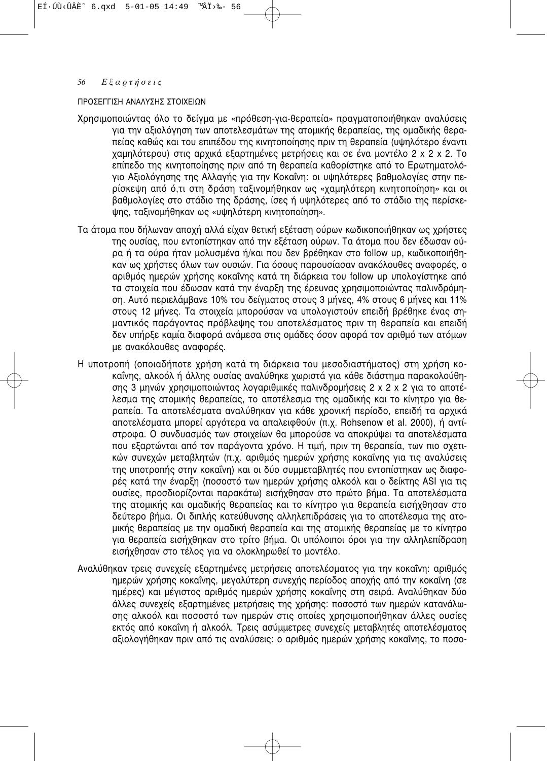#### ΠΡΟΣΕΓΓΙΣΗ ΑΝΑΛΥΣΗΣ ΣΤΟΙΧΕΙΩΝ

- Χρησιμοποιώντας όλο το δείγμα με «πρόθεση-για-θεραπεία» πραγματοποιήθηκαν αναλύσεις για την αξιολόγηση των αποτελεσμάτων της ατομικής θεραπείας, της ομαδικής θεραπείας καθώς και του επιπέδου της κινητοποίησης πριν τη θεραπεία (υψηλότερο έναντι χαμηλότερου) στις αρχικά εξαρτημένες μετρήσεις και σε ένα μοντέλο 2 x 2 x 2. Το επίπεδο της κινητοποίησης πριν από τη θεραπεία καθορίστηκε από το Ερωτηματολόγιο Αξιολόγησης της Αλλαγής για την Κοκαΐνη: οι υψηλότερες βαθμολογίες στην περίσκεψη από ό,τι στη δράση ταξινομήθηκαν ως «χαμηλότερη κινητοποίηση» και οι βαθμολογίες στο στάδιο της δράσης, ίσες ή υψηλότερες από το στάδιο της περίσκεψης, ταξινομήθηκαν ως «υψηλότερη κινητοποίηση».
- Τα άτομα που δήλωναν αποχή αλλά είχαν θετική εξέταση ούρων κωδικοποιήθηκαν ως χρήστες της ουσίας, που εντοπίστηκαν από την εξέταση ούρων. Τα άτομα που δεν έδωσαν ούρα ή τα ούρα ήταν μολυσμένα ή/και που δεν βρέθηκαν στο follow up, κωδικοποιήθηκαν ως χρήστες όλων των ουσιών. Για όσους παρουσίασαν ανακόλουθες αναφορές, ο αριθμός ημερών χρήσης κοκαΐνης κατά τη διάρκεια του follow up υπολογίστηκε από τα στοιχεία που έδωσαν κατά την έναρξη της έρευνας χρησιμοποιώντας παλινδρόμηση. Αυτό περιελάμβανε 10% του δείγματος στους 3 μήνες, 4% στους 6 μήνες και 11% στους 12 μήνες. Τα στοιχεία μπορούσαν να υπολογιστούν επειδή βρέθηκε ένας σημαντικός παράγοντας πρόβλεψης του αποτελέσματος πριν τη θεραπεία και επειδή δεν υπήρξε καμία διαφορά ανάμεσα στις ομάδες όσον αφορά τον αριθμό των ατόμων με ανακόλουθες αναφορές.
- Η υποτροπή (οποιαδήποτε χρήση κατά τη διάρκεια του μεσοδιαστήματος) στη χρήση κοκαΐνης, αλκοόλ ή άλλης ουσίας αναλύθηκε χωριστά για κάθε διάστημα παρακολούθησης 3 μηνών χρησιμοποιώντας λοναριθμικές παλινδρομήσεις 2 x 2 x 2 για το αποτέλεσμα της ατομικής θεραπείας, το αποτέλεσμα της ομαδικής και το κίνητρο για θεραπεία. Τα αποτελέσματα αναλύθηκαν για κάθε χρονική περίοδο, επειδή τα αρχικά αποτελέσματα μπορεί αργότερα να απαλειφθούν (π.χ. Rohsenow et al. 2000), ή αντίστροφα. Ο συνδυασμός των στοιχείων θα μπορούσε να αποκρύψει τα αποτελέσματα που εξαρτώνται από τον παράγοντα χρόνο. Η τιμή, πριν τη θεραπεία, των πιο σχετικών συνεχών μεταβλητών (π.χ. αριθμός ημερών χρήσης κοκαΐνης για τις αναλύσεις της υποτροπής στην κοκαΐνη) και οι δύο συμμεταβλητές που εντοπίστηκαν ως διαφορές κατά την έναρξη (ποσοστό των ημερών χρήσης αλκοόλ και ο δείκτης ASI για τις ουσίες, προσδιορίζονται παρακάτω) εισήχθησαν στο πρώτο βήμα. Τα αποτελέσματα της ατομικής και ομαδικής θεραπείας και το κίνητρο για θεραπεία εισήχθησαν στο δεύτερο βήμα. Οι διπλής κατεύθυνσης αλληλεπιδράσεις για το αποτέλεσμα της ατομικής θεραπείας με την ομαδική θεραπεία και της ατομικής θεραπείας με το κίνητρο για θεραπεία εισήχθηκαν στο τρίτο βήμα. Οι υπόλοιποι όροι για την αλληλεπίδραση εισήχθησαν στο τέλος για να ολοκληρωθεί το μοντέλο.
- Αναλύθηκαν τρεις συνεχείς εξαρτημένες μετρήσεις αποτελέσματος για την κοκαΐνη: αριθμός ημερών χρήσης κοκαΐνης, μεγαλύτερη συνεχής περίοδος αποχής από την κοκαΐνη (σε ημέρες) και μέγιστος αριθμός ημερών χρήσης κοκαΐνης στη σειρά. Αναλύθηκαν δύο άλλες συνεχείς εξαρτημένες μετρήσεις της χρήσης: ποσοστό των ημερών κατανάλωσης αλκοόλ και ποσοστό των ημερών στις οποίες χρησιμοποιήθηκαν άλλες ουσίες εκτός από κοκαΐνη ή αλκοόλ. Τρεις ασύμμετρες συνεχείς μεταβλητές αποτελέσματος αξιολογήθηκαν πριν από τις αναλύσεις: ο αριθμός ημερών χρήσης κοκαΐνης, το ποσο-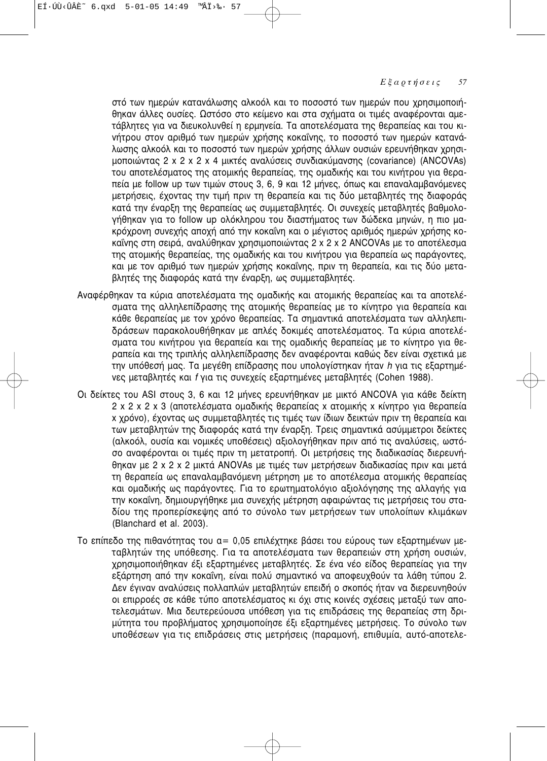στό των ημερών κατανάλωσης αλκοόλ και το ποσοστό των ημερών που χρησιμοποιήθηκαν άλλες ουσίες. Ωστόσο στο κείμενο και στα σχήματα οι τιμές αναφέρονται αμετάβλητες για να διευκολυνθεί η ερμηνεία. Τα αποτελέσματα της θεραπείας και του κινήτρου στον αριθμό των ημερών χρήσης κοκαΐνης, το ποσοστό των ημερών κατανάλωσης αλκοόλ και το ποσοστό των ημερών χρήσης άλλων ουσιών ερευνήθηκαν χρησιμοποιώντας 2 x 2 x 2 x 4 μικτές αναλύσεις συνδιακύμανσης (covariance) (ANCOVAs) του αποτελέσματος της ατομικής θεραπείας, της ομαδικής και του κινήτρου για θεραπεία με follow up των τιμών στους 3, 6, 9 και 12 μήνες, όπως και επαναλαμβανόμενες LIΕΤρήσεις, έχοντας την τιμή πριν τη θεραπεία και τις δύο μεταβλητές της διαφοράς κατά την έναρξη της θεραπείας ως συμμεταβλητές. Οι συνεχείς μεταβλητές βαθμολογήθηκαν για το follow up ολόκληρου του διαστήματος των δώδεκα μηνών, η πιο μα-Κρόχρονη συνεχής αποχή από την κοκαΐνη και ο μέγιστος αριθμός ημερών χρήσης κοκαΐνης στη σειρά, αναλύθηκαν χρησιμοποιώντας 2 x 2 x 2 ANCOVAs με το αποτέλεσμα της ατομικής θεραπείας, της ομαδικής και του κινήτρου για θεραπεία ως παράγοντες, και με τον αριθμό των ημερών χρήσης κοκαΐνης, πριν τη θεραπεία, και τις δύο μεταβλητές της διαφοράς κατά την έναρξη, ως συμμεταβλητές.

- Αναφέρθηκαν τα κύρια αποτελέσματα της ομαδικής και ατομικής θεραπείας και τα αποτελέσματα της αλληλεπίδρασης της ατομικής θεραπείας με το κίνητρο για θεραπεία και κάθε θεραπείας με τον χρόνο θεραπείας. Τα σημαντικά αποτελέσματα των αλληλεπιδράσεων παρακολουθήθηκαν με απλές δοκιμές αποτελέσματος. Τα κύρια αποτελέσματα του κινήτρου για θεραπεία και της ομαδικής θεραπείας με το κίνητρο για θεραπεία και της τριπλής αλληλεπίδρασης δεν αναφέρονται καθώς δεν είναι σχετικά με την υπόθεσή μας. Τα μενέθη επίδρασης που υπολονίστηκαν ήταν *h* για τις εξαρτημέvες μεταβλητές και *f* για τις συνεχείς εξαρτημένες μεταβλητές (Cohen 1988).
- Οι δείκτες του ASI στους 3, 6 και 12 μήνες ερευνήθηκαν με μικτό ANCOVA για κάθε δείκτη 2 x 2 x 2 x 3 (αποτελέσματα ομαδικής θεραπείας x ατομικής x κίνητρο για θεραπεία x χρόνο), έχοντας ως συμμεταβλητές τις τιμές των ίδιων δεικτών πριν τη θεραπεία και των μεταβλητών της διαφοράς κατά την έναρξη. Τρεις σημαντικά ασύμμετροι δείκτες (αλκοόλ, ουσία και νομικές υποθέσεις) αξιολογήθηκαν πριν από τις αναλύσεις, ωστόσο αναφέρονται οι τιμές πριν τη μετατροπή. Οι μετρήσεις της διαδικασίας διερευνήθηκαν με 2 x 2 x 2 μικτά ANOVAs με τιμές των μετρήσεων διαδικασίας πριν και μετά τη θεραπεία ως επαναλαμβανόμενη μέτρηση με το αποτέλεσμα ατομικής θεραπείας και ομαδικής ως παράγοντες. Για το ερωτηματολόγιο αξιολόγησης της αλλαγής για την κοκαΐνη, δημιουργήθηκε μια συνεχής μέτρηση αφαιρώντας τις μετρήσεις του σταδίου της προπερίσκεψης από το σύνολο των μετρήσεων των υπολοίπων κλιμάκων (Blanchard et al. 2003).
- Το επίπεδο της πιθανότητας του α= 0,05 επιλέχτηκε βάσει του εύρους των εξαρτημένων μεταβλητών της υπόθεσης. Για τα αποτελέσματα των θεραπειών στη χρήση ουσιών, χρησιμοποιήθηκαν έξι εξαρτημένες μεταβλητές. Σε ένα νέο είδος θεραπείας για την εξάρτηση από την κοκαΐνη, είναι πολύ σημαντικό να αποφευχθούν τα λάθη τύπου 2. Δεν έγιναν αναλύσεις πολλαπλών μεταβλητών επειδή ο σκοπός ήταν να διερευνηθούν οι επιρροές σε κάθε τύπο αποτελέσματος κι όχι στις κοινές σχέσεις μεταξύ των αποτελεσμάτων. Μια δευτερεύουσα υπόθεση για τις επιδράσεις της θεραπείας στη δριμύτητα του προβλήματος χρησιμοποίησε έξι εξαρτημένες μετρήσεις. Το σύνολο των υποθέσεων για τις επιδράσεις στις μετρήσεις (παραμονή, επιθυμία, αυτό-αποτελε-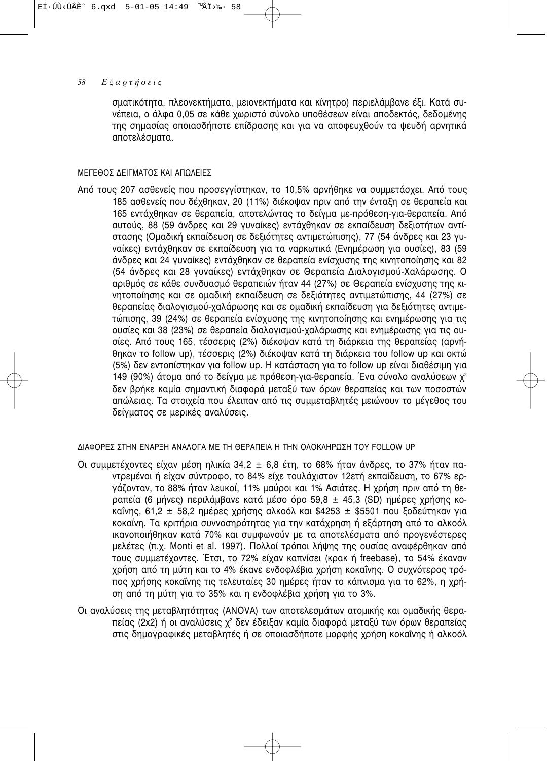.58  $E$ ξαρτήσεις

> σματικότητα, πλεονεκτήματα, μειονεκτήματα και κίνητρο) περιελάμβανε έξι. Κατά συνέπεια, ο άλφα 0,05 σε κάθε χωριστό σύνολο υποθέσεων είναι αποδεκτός, δεδομένης της σημασίας οποιασδήποτε επίδρασης και για να αποφευχθούν τα ψευδή αρνητικά αποτελέσματα.

#### ΜΕΓΕΘΟΣ ΔΕΙΓΜΑΤΟΣ ΚΑΙ ΑΠΩΛΕΙΕΣ

Από τους 207 ασθενείς που προσεννίστηκαν, το 10.5% αρνήθηκε να συμμετάσχει. Από τους 185 ασθενείς που δέχθηκαν, 20 (11%) διέκοψαν πριν από την ένταξη σε θεραπεία και 165 εντάχθηκαν σε θεραπεία, αποτελώντας το δείγμα με-πρόθεση-για-θεραπεία. Από αυτούς, 88 (59 άνδρες και 29 γυναίκες) εντάχθηκαν σε εκπαίδευση δεξιοτήτων αντίστασης (Ομαδική εκπαίδευση σε δεξιότητες αντιμετώπισης), 77 (54 άνδρες και 23 γυναίκες) εντάχθηκαν σε εκπαίδευση για τα ναρκωτικά (Ενημέρωση για ουσίες), 83 (59 άνδρες και 24 γυναίκες) εντάχθηκαν σε θεραπεία ενίσχυσης της κινητοποίησης και 82 (54 άνδρες και 28 γυναίκες) εντάχθηκαν σε Θεραπεία Διαλογισμού-Χαλάρωσης. Ο αριθμός σε κάθε συνδυασμό θεραπειών ήταν 44 (27%) σε Θεραπεία ενίσχυσης της κινητοποίησης και σε ομαδική εκπαίδευση σε δεξιότητες αντιμετώπισης, 44 (27%) σε θεραπείας διαλογισμού-χαλάρωσης και σε ομαδική εκπαίδευση για δεξιότητες αντιμετώπισης, 39 (24%) σε θεραπεία ενίσχυσης της κινητοποίησης και ενημέρωσης για τις ουσίες και 38 (23%) σε θεραπεία διαλογισμού-χαλάρωσης και ενημέρωσης για τις ουσίες. Από τους 165, τέσσερις (2%) διέκοψαν κατά τη διάρκεια της θεραπείας (αρνήθηκαν το follow up), τέσσερις (2%) διέκοψαν κατά τη διάρκεια του follow up και οκτώ (5%) δεν εντοπίστηκαν για follow up. Η κατάσταση για το follow up είναι διαθέσιμη για 149 (90%) άτομα από το δείγμα με πρόθεση-για-θεραπεία. Ένα σύνολο αναλύσεων χ<sup>2</sup> δεν βρήκε καμία σημαντική διαφορά μεταξύ των όρων θεραπείας και των ποσοστών απώλειας. Τα στοιχεία που έλειπαν από τις συμμεταβλητές μειώνουν το μένεθος του δείγματος σε μερικές αναλύσεις.

ΔΙΑΦΟΡΕΣ ΣΤΗΝ ΕΝΑΡΞΗ ΑΝΑΛΟΓΑ ΜΕ ΤΗ ΘΕΡΑΠΕΙΑ Η ΤΗΝ ΟΛΟΚΛΗΡΩΣΗ ΤΟΥ FOLLOW UP

- Οι συμμετέχοντες είχαν μέση ηλικία 34,2 ± 6,8 έτη, το 68% ήταν άνδρες, το 37% ήταν παντρεμένοι ή είχαν σύντροφο, το 84% είχε τουλάχιστον 12ετή εκπαίδευση, το 67% εργάζονταν, το 88% ήταν λευκοί, 11% μαύροι και 1% Ασιάτες. Η χρήση πριν από τη θεραπεία (6 μήνες) περιλάμβανε κατά μέσο όρο 59,8 ± 45,3 (SD) ημέρες χρήσης κοκαΐνης, 61,2  $\pm$  58,2 ημέρες χρήσης αλκοόλ και \$4253  $\pm$  \$5501 που ξοδεύτηκαν για κοκαΐνη. Τα κριτήρια συννοσηρότητας για την κατάχρηση ή εξάρτηση από το αλκοόλ ικανοποιήθηκαν κατά 70% και συμφωνούν με τα αποτελέσματα από προνενέστερες μελέτες (π.χ. Monti et al. 1997). Πολλοί τρόποι λήψης της ουσίας αναφέρθηκαν από τους συμμετέχοντες. Έτσι, το 72% είχαν καπνίσει (κρακ ή freebase), το 54% έκαναν χρήση από τη μύτη και το 4% έκανε ενδοφλέβια χρήση κοκαΐνης. Ο συχνότερος τρόπος χρήσης κοκαΐνης τις τελευταίες 30 ημέρες ήταν το κάπνισμα για το 62%, η χρήση από τη μύτη για το 35% και η ενδοφλέβια χρήση για το 3%.
- Οι αναλύσεις της μεταβλητότητας (ANOVA) των αποτελεσμάτων ατομικής και ομαδικής θεραπείας (2x2) ή οι αναλύσεις χ<sup>2</sup> δεν έδειξαν καμία διαφορά μεταξύ των όρων θεραπείας στις δημογραφικές μεταβλητές ή σε οποιασδήποτε μορφής χρήση κοκαΐνης ή αλκοόλ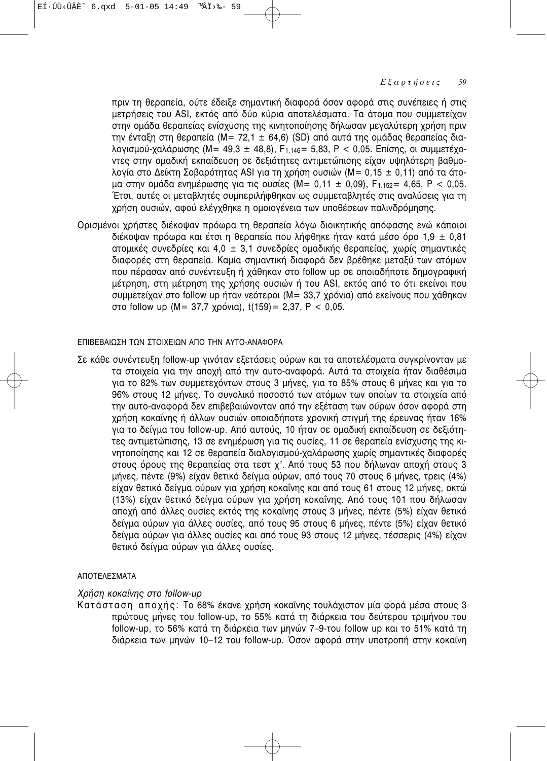πριν τη θεραπεία, ούτε έδειξε σημαντική διαφορά όσον αφορά στις συνέπειες ή στις μετρήσεις του ASI, εκτός από δύο κύρια αποτελέσματα. Τα άτομα που συμμετείχαν στην ομάδα θεραπείας ενίσχυσης της κινητοποίησης δήλωσαν μεγαλύτερη χρήση πριν την ένταξη στη θεραπεία (M= 72,1 ± 64,6) (SD) από αυτά της ομάδας θεραπείας δια- $\lambda$ ογισμού-χαλάρωσης (M= 49,3 ± 48,8), F<sub>1,146</sub> = 5,83, P < 0,05. Επίσης, οι συμμετέχο-Vτες στην ομαδική εκπαίδευση σε δεξιότητες αντιμετώπισης είχαν υψηλότερη βαθμολογία στο Δείκτη Σοβαρότητας ASI για τη χρήση ουσιών (M= 0,15 ± 0,11) από τα άτομα στην ομάδα ενημέρωσης για τις ουσίες (M= 0,11  $\pm$  0,09), F<sub>1.152</sub> = 4,65, P < 0,05. Έτσι, αυτές οι μεταβλητές συμπεριλήφθηκαν ως συμμεταβλητές στις αναλύσεις για τη χρήση ουσιών, αφού ελέγχθηκε η ομοιογένεια των υποθέσεων παλινδρόμησης.

Ορισμένοι χρήστες διέκοψαν πρόωρα τη θεραπεία λόγω διοικητικής απόφασης ενώ κάποιοι διέκοψαν πρόωρα και έτσι η θεραπεία που λήφθηκε ήταν κατά μέσο όρο 1,9  $\pm$  0,81 ατομικές συνεδρίες και 4,0 ± 3,1 συνεδρίες ομαδικής θεραπείας, χωρίς σημαντικές διαφορές στη θεραπεία. Καμία σημαντική διαφορά δεν βρέθηκε μεταξύ των ατόμων που πέρασαν από συνέντευξη ή χάθηκαν στο follow up σε οποιαδήποτε δημογραφική μέτρηση, στη μέτρηση της χρήσης ουσιών ή του ASI, εκτός από το ότι εκείνοι που συμμετείχαν στο follow up ήταν νεότεροι (M= 33,7 χρόνια) από εκείνους που χάθηκαν στο follow up (M= 37,7 χρόνια),  $t(159) = 2,37$ , P < 0,05.

#### ΕΠΙΒΕΒΑΙΩΣΗ ΤΩΝ ΣΤΟΙΧΕΙΩΝ ΑΠΟ ΤΗΝ ΑΥΤΟ-ΑΝΑΦΟΡΑ

Σε κάθε συνέντευξη follow-up γινόταν εξετάσεις ούρων και τα αποτελέσματα συγκρίνονταν με τα στοιχεία για την αποχή από την αυτο-αναφορά. Αυτά τα στοιχεία ήταν διαθέσιμα για το 82% των συμμετεχόντων στους 3 μήνες, για το 85% στους 6 μήνες και για το 96% στους 12 μήνες. Το συνολικό ποσοστό των ατόμων των οποίων τα στοιχεία από την αυτο-αναφορά δεν επιβεβαιώνονταν από την εξέταση των ούρων όσον αφορά στη χρήση κοκαΐνης ή άλλων ουσιών οποιαδήποτε χρονική στιγμή της έρευνας ήταν 16% για το δείγμα του follow-up. Από αυτούς, 10 ήταν σε ομαδική εκπαίδευση σε δεξιότητες αντιμετώπισης, 13 σε ενημέρωση για τις ουσίες, 11 σε θεραπεία ενίσχυσης της κινητοποίησης και 12 σε θεραπεία διαλογισμού-χαλάρωσης χωρίς σημαντικές διαφορές στους όρους της θεραπείας στα τεστ χ². Από τους 53 που δήλωναν αποχή στους 3 μήνες, πέντε (9%) είχαν θετικό δείγμα ούρων, από τους 70 στους 6 μήνες, τρεις (4%) είχαν θετικό δείγμα ούρων για χρήση κοκαΐνης και από τους 61 στους 12 μήνες, οκτώ (13%) είχαν θετικό δείγμα ούρων για χρήση κοκαΐνης. Από τους 101 που δήλωσαν αποχή από άλλες ουσίες εκτός της κοκαΐνης στους 3 μήνες, πέντε (5%) είχαν θετικό δείγμα ούρων για άλλες ουσίες, από τους 95 στους 6 μήνες, πέντε (5%) είχαν θετικό δείγμα ούρων για άλλες ουσίες και από τους 93 στους 12 μήνες, τέσσερις (4%) είχαν θετικό δείγμα ούρων για άλλες ουσίες.

# AΠΟΤΕΛΕΣΜΑΤΑ

# *Xρήση κοκαΐνης στο follow-up*

Κατάσταση αποχής: Το 68% έκανε χρήση κοκαΐνης τουλάχιστον μία φορά μέσα στους 3 πρώτους μήνες του follow-up, το 55% κατά τη διάρκεια του δεύτερου τριμήνου του follow-up, το 56% κατά τη διάρκεια των μηνών 7–9-του follow up και το 51% κατά τη διάρκεια των μηνών 10-12 του follow-up. Όσον αφορά στην υποτροπή στην κοκαΐνη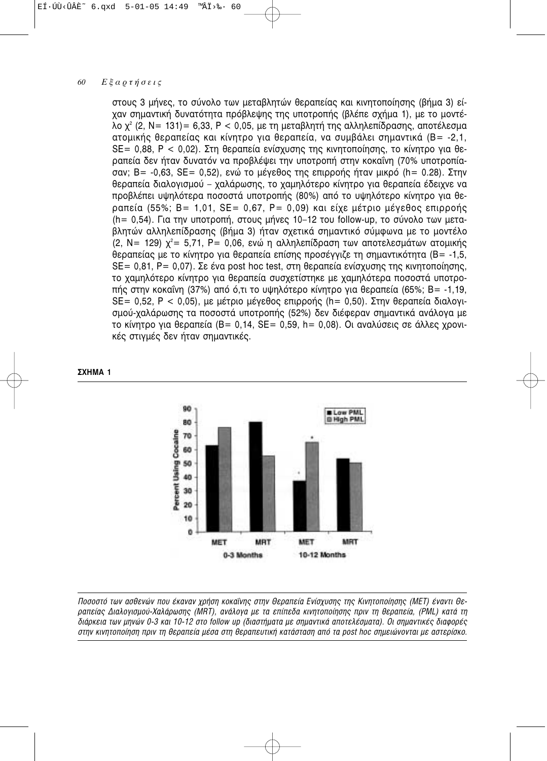στους 3 μήνες, το σύνολο των μεταβλητών θεραπείας και κινητοποίησης (βήμα 3) είγαν σημαντική δυνατότητα πρόβλεψης της υποτροπής (βλέπε σχήμα 1), με το μοντέ- $\lambda$ ο χ<sup>2</sup> (2, N= 131)= 6,33, P < 0,05, με τη μεταβλητή της αλληλεπίδρασης, αποτέλεσμα ατομικής θεραπείας και κίνητρο για θεραπεία, να συμβάλει σημαντικά (B= -2,1,  $SE = 0.88$ , P < 0.02). Στη θεραπεία ενίσχυσης της κινητοποίησης, το κίνητρο για θεραπεία δεν ήταν δυνατόν να προβλέψει την υποτροπή στην κοκαΐνη (70% υποτροπίασαν; B= -0,63, SE= 0,52), ενώ το μέγεθος της επιρροής ήταν μικρό (h= 0.28). Στην θεραπεία διαλογισμού – χαλάρωσης, το χαμηλότερο κίνητρο για θεραπεία έδειχνε να προβλέπει υψηλότερα ποσοστά υποτροπής (80%) από το υψηλότερο κίνητρο για θε $ρ$ απεία (55%; B= 1,01, SE= 0,67, P= 0,09) και είχε μέτριο μέγεθος επιρροής (h= 0,54). Για την υποτροπή, στους μήνες 10-12 του follow-up, το σύνολο των μεταβλητών αλληλεπίδρασης (βήμα 3) ήταν σχετικά σημαντικό σύμφωνα με το μοντέλο (2, N= 129) χ²= 5,71, P= 0,06, ενώ η αλληλεπίδραση των αποτελεσμάτων ατομικής θεραπείας με το κίνητρο για θεραπεία επίσης προσέγγιζε τη σημαντικότητα (B= -1,5,  $SE = 0.81$ , P= 0.07). Σε ένα post hoc test, στη θεραπεία ενίσχυσης της κινητοποίησης, το χαμηλότερο κίνητρο για θεραπεία συσχετίστηκε με χαμηλότερα ποσοστά υποτροπής στην κοκαΐνη (37%) από ό,τι το υψηλότερο κίνητρο για θεραπεία (65%; B= -1,19,  $SE = 0.52$ , P < 0.05), με μέτριο μέγεθος επιρροής (h= 0.50). Στην θεραπεία διαλογισμού-χαλάρωσης τα ποσοστά υποτροπής (52%) δεν διέφεραν σημαντικά ανάλογα με το κίνητρο για θεραπεία (B= 0,14, SE= 0,59, h= 0,08). Οι αναλύσεις σε άλλες χρονικές στιγμές δεν ήταν σημαντικές.



#### **™XHMA 1**

Ποσοστό των ασθενών που έκαναν χρήση κοκαΐνης στην Θεραπεία Ενίσχυσης της Κινητοποίησης (MET) έναντι Θεραπείας Διαλογισμού-Χαλάρωσης (MRT), ανάλογα με τα επίπεδα κινητοποίησης πριν τη θεραπεία, (PML) κατά τη διάρκεια των μηνών 0-3 και 10-12 στο follow *up (διαστήματα με σημαντικά αποτελέσματα). Οι σημαντικές διαφορές* στην κινητοποίηση πριν τη θεραπεία μέσα στη θεραπευτική κατάσταση από τα post hoc σημειώνονται με αστερίσκο.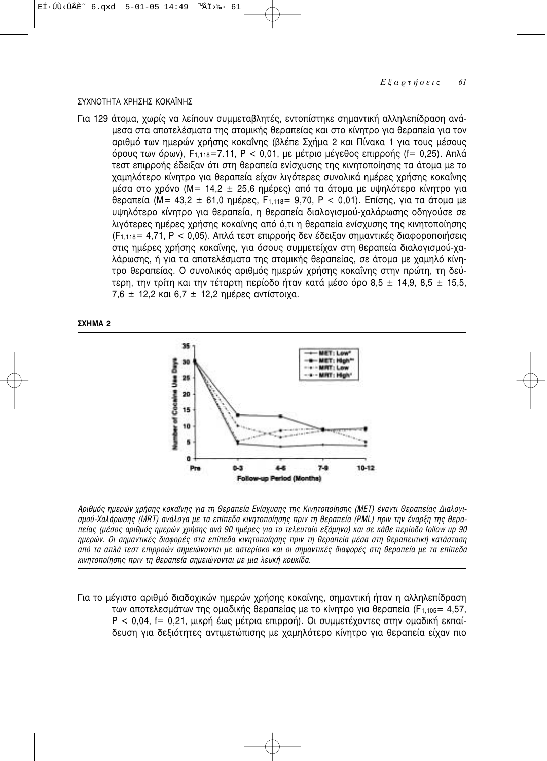#### ΣΥΧΝΟΤΗΤΑ ΧΡΗΣΗΣ ΚΟΚΑΪΝΗΣ

Για 129 άτομα, χωρίς να λείπουν συμμεταβλητές, εντοπίστηκε σημαντική αλληλεπίδραση ανάμεσα στα αποτελέσματα της ατομικής θεραπείας και στο κίνητρο για θεραπεία για τον αριθμό των ημερών χρήσης κοκαΐνης (βλέπε Σχήμα 2 και Πίνακα 1 για τους μέσους όρους των όρων), F<sub>1,118</sub>=7,11, P < 0,01, με μέτριο μέγεθος επιρροής (f= 0,25). Απλά τεστ επιρροής έδειξαν ότι στη θεραπεία ενίσχυσης της κινητοποίησης τα άτομα με το <u>γαμηλότερο κίνητρο για θεραπεία είχαν λιγότερες συνολικά ημέρες χρήσης κοκαΐνης</u> μέσα στο χρόνο (M= 14,2  $\pm$  25,6 ημέρες) από τα άτομα με υψηλότερο κίνητρο για θεραπεία (M= 43,2 ± 61,0 ημέρες, F<sub>1,118</sub>= 9,70, P < 0,01). Επίσης, για τα άτομα με υψηλότερο κίνητρο για θεραπεία, η θεραπεία διαλογισμού-χαλάρωσης οδηγούσε σε λιγότερες ημέρες χρήσης κοκαΐνης από ό,τι η θεραπεία ενίσχυσης της κινητοποίησης  $(F_{1,118}= 4.71, P < 0.05)$ . Απλά τεστ επιρροής δεν έδειξαν σημαντικές διαφοροποιήσεις στις ημέρες χρήσης κοκαΐνης, για όσους συμμετείχαν στη θεραπεία διαλογισμού-χαλάρωσης, ή για τα αποτελέσματα της ατομικής θεραπείας, σε άτομα με χαμηλό κίνητρο θεραπείας. Ο συνολικός αριθμός ημερών χρήσης κοκαΐνης στην πρώτη, τη δεύτερη, την τρίτη και την τέταρτη περίοδο ήταν κατά μέσο όρο 8,5  $\pm$  14,9, 8,5  $\pm$  15,5, 7.6  $\pm$  12.2 kg 6,7  $\pm$  12.2 ημέρες αντίστοιχα.





*Αριθμός ημερών χρήσης κοκαΐνης για τη Θεραπεία Ενίσχυσης της Κινητοποίησης (ΜΕΤ) έναντι Θεραπείας Διαλογι*σμού-Χαλάρωσης (MRT) ανάλογα με τα επίπεδα κινητοποίησης πριν τη θεραπεία (PML) πριν την έναρξη της θερα*τιείας (μέσος αριθμός ημερών χρήσης ανά 90 ημέρες για το τελευταίο εξάμηνο) και σε κάθε περίοδο follow up 90* ημερών. Οι σημαντικές διαφορές στα επίπεδα κινητοποίησης πριν τη θεραπεία μέσα στη θεραπευτική κατάσταση *·fi Ù· ·Ï¿ ÙÂÛÙ ÂÈÚÚÔÒÓ ÛËÌÂÈÒÓÔÓÙ·È Ì ·ÛÙÂÚ›ÛÎÔ Î·È ÔÈ ÛËÌ·ÓÙÈΤ˜ ‰È·ÊÔÚ¤˜ ÛÙË ıÂڷ›· Ì ٷ ›‰· KIVNTOΠΟ*Ι΄ *ΠΟΙΝ Τη θεραπεία σημειώνονται με μια λευκή κουκίδα.* 

Για το μέγιστο αριθμό διαδοχικών ημερών χρήσης κοκαΐνης, σημαντική ήταν η αλληλεπίδραση των αποτελεσμάτων της ομαδικής θεραπείας με το κίνητρο για θεραπεία (F<sub>1,105</sub> = 4,57,  $P < 0.04$ , f= 0.21, μικρή έως μέτρια επιρροή). Οι συμμετέχοντες στην ομαδική εκπαίδευση για δεξιότητες αντιμετώπισης με χαμηλότερο κίνητρο για θεραπεία είχαν πιο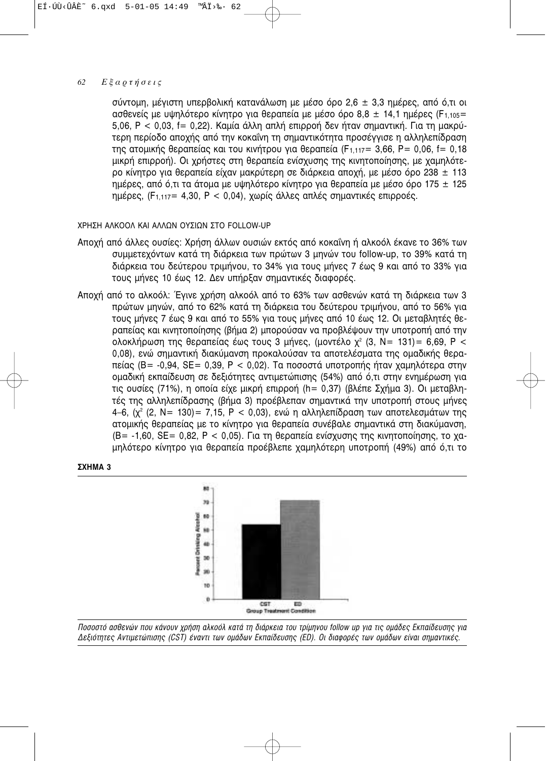σύντομη, μέγιστη υπερβολική κατανάλωση με μέσο όρο 2,6  $\pm$  3,3 ημέρες, από ό,τι οι  $\alpha$ σθενείς με υψηλότερο κίνητρο για θεραπεία με μέσο όρο 8,8  $\pm$  14,1 ημέρες (F<sub>1,105</sub>= 5,06, P < 0,03, f = 0,22). Καμία άλλη απλή επιρροή δεν ήταν σημαντική. Για τη μακρύτερη περίοδο αποχής από την κοκαΐνη τη σημαντικότητα προσέγγισε η αλληλεπίδραση тης ατομικής θεραπείας και του κινήτρου για θεραπεία (F<sub>1,117</sub> = 3,66, P = 0,06, f = 0,18 μικρή επιρροή). Οι χρήστες στη θεραπεία ενίσχυσης της κινητοποίησης, με χαμηλότερο κίνητρο για θεραπεία είχαν μακρύτερη σε διάρκεια αποχή, με μέσο όρο 238  $\pm$  113 ημέρες, από ό,τι τα άτομα με υψηλότερο κίνητρο για θεραπεία με μέσο όρο 175  $\pm$  125  $\mu$ μέρες, (F<sub>1,117</sub> = 4,30, P < 0,04), χωρίς άλλες απλές σημαντικές επιρροές.

# ΧΡΗΣΗ ΑΛΚΟΟΛ ΚΑΙ ΑΛΛΩΝ ΟΥΣΙΩΝ ΣΤΟ FOLLOW-UP

- Αποχή από άλλες ουσίες: Χρήση άλλων ουσιών εκτός από κοκαΐνη ή αλκοόλ έκανε το 36% των συμμετεχόντων κατά τη διάρκεια των πρώτων 3 μηνών του follow-up, το 39% κατά τη διάρκεια του δεύτερου τριμήνου, το 34% για τους μήνες 7 έως 9 και από το 33% για τους μήνες 10 έως 12. Δεν υπήρξαν σημαντικές διαφορές.
- Αποχή από το αλκοόλ: Έγινε χρήση αλκοόλ από το 63% των ασθενών κατά τη διάρκεια των 3 πρώτων μηνών, από το 62% κατά τη διάρκεια του δεύτερου τριμήνου, από το 56% για τους μήνες 7 έως 9 και από το 55% για τους μήνες από 10 έως 12. Οι μεταβλητές θεραπείας και κινητοποίησης (βήμα 2) μπορούσαν να προβλέψουν την υποτροπή από την ολοκλήρωση της θεραπείας έως τους 3 μήνες, (μοντέλο χ<sup>2</sup> (3, N= 131)= 6,69, P < 0,08), ενώ σημαντική διακύμανση προκαλούσαν τα αποτελέσματα της ομαδικής θεραπείας (B= -0,94, SE= 0,39, P < 0,02). Τα ποσοστά υποτροπής ήταν χαμηλότερα στην ομαδική εκπαίδευση σε δεξιότητες αντιμετώπισης (54%) από ό,τι στην ενημέρωση για τις ουσίες (71%), η οποία είχε μικρή επιρροή (h= 0,37) (βλέπε Σχήμα 3). Οι μεταβλητές της αλληλεπίδρασης (βήμα 3) προέβλεπαν σημαντικά την υποτροπή στους μήνες 4–6,  $(x^2 (2, N = 130) = 7,15, P < 0,03)$ , ενώ η αλληλεπίδραση των αποτελεσμάτων της ατομικής θεραπείας με το κίνητρο για θεραπεία συνέβαλε σημαντικά στη διακύμανση,  $(B = -1,60, SE = 0,82, P < 0,05)$ . Για τη θεραπεία ενίσχυσης της κινητοποίησης, το χαμηλότερο κίνητρο για θεραπεία προέβλεπε χαμηλότερη υποτροπή (49%) από ό,τι το





*Ποσοστό ασθενών που κάνουν χρήση αλκοόλ κατά τη διάρκεια του τρίμηνου follow up για τις ομάδες Εκπαίδευσης για* Δεξιότητες Αντιμετώπισης (CST) έναντι των ομάδων Εκπαίδευσης (ED). Οι διαφορές των ομάδων είναι σημαντικές.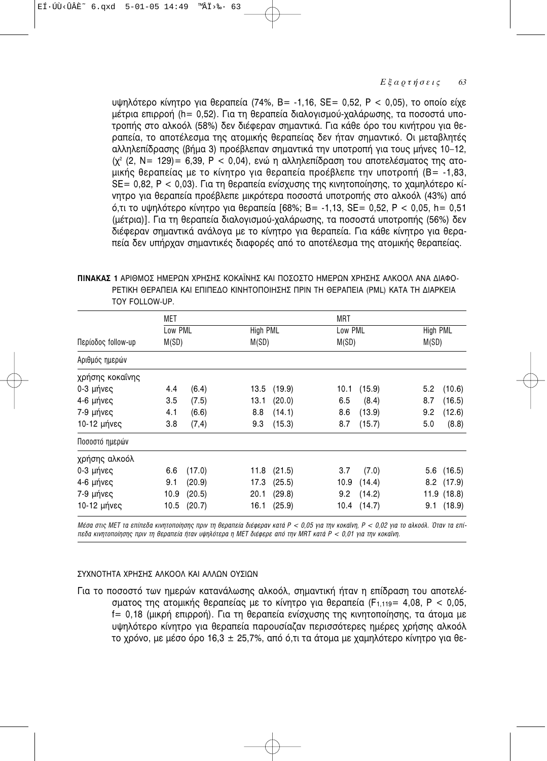υψηλότερο κίνητρο για θεραπεία (74%, B= -1,16, SE= 0,52, P < 0,05), το οποίο είχε μέτρια επιρροή (h= 0,52). Για τη θεραπεία διαλογισμού-χαλάρωσης, τα ποσοστά υποτροπής στο αλκοόλ (58%) δεν διέφεραν σημαντικά. Για κάθε όρο του κινήτρου νια θεραπεία, το αποτέλεσμα της ατομικής θεραπείας δεν ήταν σημαντικό. Οι μεταβλητές αλληλεπίδρασης (βήμα 3) προέβλεπαν σημαντικά την υποτροπή για τους μήνες 10–12,  $(x^2$  (2, N= 129) = 6,39, P < 0,04), ενώ η αλληλεπίδραση του αποτελέσματος της ατομικής θεραπείας με το κίνητρο για θεραπεία προέβλεπε την υποτροπή (B= -1,83,  $SE = 0.82$ , P < 0.03). Για τη θεραπεία ενίσχυσης της κινητοποίησης, το χαμηλότερο κίνητρο για θεραπεία προέβλεπε μικρότερα ποσοστά υποτροπής στο αλκοόλ (43%) από  $6.$ τι το υψηλότερο κίνητρο για θεραπεία [68%; B= -1,13, SE= 0,52, P < 0,05, h= 0,51 (μέτρια)]. Για τη θεραπεία διαλογισμού-χαλάρωσης, τα ποσοστά υποτροπής (56%) δεν διέφεραν σημαντικά ανάλογα με το κίνητρο για θεραπεία. Για κάθε κίνητρο για θεραπεία δεν υπήρχαν σημαντικές διαφορές από το αποτέλεσμα της ατομικής θεραπείας.

ΠΙΝΑΚΑΣ 1 ΑΡΙΘΜΟΣ ΗΜΕΡΩΝ ΧΡΗΣΗΣ ΚΟΚΑΪNΗΣ ΚΑΙ ΠΟΣΟΣΤΟ ΗΜΕΡΩΝ ΧΡΗΣΗΣ ΑΛΚΟΟΛ ΑΝΑ ΔΙΑΦΟ-PETIKH ΘΕΡΑΠΕΙΑ ΚΑΙ ΕΠΙΠΕΔΟ ΚΙΝΗΤΟΠΟΙΗΣΗΣ ΠΡΙΝ ΤΗ ΘΕΡΑΠΕΙΑ (PML) ΚΑΤΑ ΤΗ ΔΙΑΡΚΕΙΑ TOY FOLLOW-UP.

|                    | MET   |                 |       |                 | <b>MRT</b> |         |       |              |  |
|--------------------|-------|-----------------|-------|-----------------|------------|---------|-------|--------------|--|
|                    |       | Low PML         |       | High PML        |            | Low PML |       | High PML     |  |
| Περίοδος follow-up | M(SD) |                 | M(SD) |                 | M(SD)      |         | M(SD) |              |  |
| Αριθμός ημερών     |       |                 |       |                 |            |         |       |              |  |
| χρήσης κοκαΐνης    |       |                 |       |                 |            |         |       |              |  |
| 0-3 μήνες          | 4.4   | (6.4)           |       | $13.5$ (19.9)   | 10.1       | (15.9)  | 5.2   | (10.6)       |  |
| 4-6 μήνες          | 3.5   | (7.5)           | 13.1  | (20.0)          | 6.5        | (8.4)   | 8.7   | (16.5)       |  |
| 7-9 μήνες          | 4.1   | (6.6)           | 8.8   | (14.1)          | 8.6        | (13.9)  | 9.2   | (12.6)       |  |
| 10-12 μήνες        | 3.8   | (7, 4)          | 9.3   | (15.3)          | 8.7        | (15.7)  | 5.0   | (8.8)        |  |
| Ποσοστό ημερών     |       |                 |       |                 |            |         |       |              |  |
| χρήσης αλκοόλ      |       |                 |       |                 |            |         |       |              |  |
| 0-3 μήνες          | 6.6   | (17.0)          |       | $11.8$ $(21.5)$ | 3.7        | (7.0)   |       | $5.6$ (16.5) |  |
| 4-6 μήνες          | 9.1   | (20.9)          | 17.3  | (25.5)          | 10.9       | (14.4)  |       | $8.2$ (17.9) |  |
| 7-9 μήνες          | 10.9  | (20.5)          | 20.1  | (29.8)          | 9.2        | (14.2)  |       | 11.9 (18.8)  |  |
| 10-12 μήνες        |       | $10.5$ $(20.7)$ | 16.1  | (25.9)          | 10.4       | (14.7)  |       | 9.1(18.9)    |  |

*Mέσα στις ΜΕΤ τα επίπεδα κινητοποίησης πριν τη θεραπεία διέφεραν κατά P < 0,05 για την κοκαΐνη, P < 0,02 για το αλκοόλ. Όταν τα επί*πεδα κινητοποίησης πριν τη θεραπεία ήταν υψηλότερα η ΜΕΤ διέφερε από την Μ*RT κατά P < 0,01 για την κοκαΐνη*.

## ΣΥΧΝΟΤΗΤΑ ΧΡΗΣΗΣ ΑΛΚΟΟΛ ΚΑΙ ΑΛΛΩΝ ΟΥΣΙΩΝ

EÍ·ÚÙ‹ÛÂȘ 6.qxd 5-01-05 14:49 ™ÂÏ›‰· 63

Για το ποσοστό των ημερών κατανάλωσης αλκοόλ, σημαντική ήταν η επίδραση του αποτελέσματος της ατομικής θεραπείας με το κίνητρο για θεραπεία (F1,119= 4,08, P < 0,05, f= 0,18 (μικρή επιρροή). Για τη θεραπεία ενίσχυσης της κινητοποίησης, τα άτομα με υψηλότερο κίνητρο για θεραπεία παρουσίαζαν περισσότερες ημέρες χρήσης αλκοόλ το χρόνο, με μέσο όρο 16,3  $\pm$  25,7%, από ό,τι τα άτομα με χαμηλότερο κίνητρο για θε-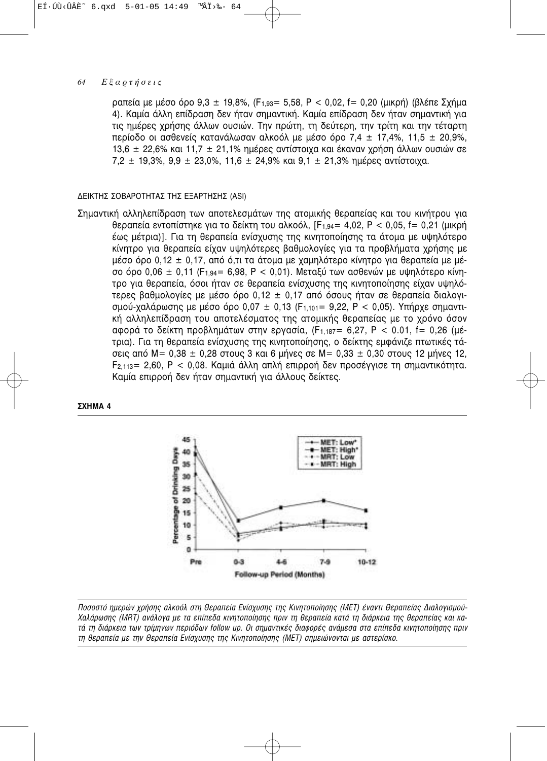$\beta$ απεία με μέσο όρο 9,3 ± 19,8%, (F<sub>1,93</sub> = 5,58, P < 0,02, f = 0,20 (μικρή) (βλέπε Σχήμα 4). Καμία άλλη επίδραση δεν ήταν σημαντική. Καμία επίδραση δεν ήταν σημαντική για τις ημέρες χρήσης άλλων ουσιών. Την πρώτη, τη δεύτερη, την τρίτη και την τέταρτη περίοδο οι ασθενείς κατανάλωσαν αλκοόλ με μέσο όρο 7,4  $\pm$  17,4%, 11,5  $\pm$  20,9%, 13,6  $\pm$  22,6% και 11,7  $\pm$  21,1% ημέρες αντίστοιχα και έκαναν χρήση άλλων ουσιών σε 7,2  $\pm$  19,3%, 9,9  $\pm$  23,0%, 11,6  $\pm$  24,9% και 9,1  $\pm$  21,3% ημέρες αντίστοιχα.

# ΔΕΙΚΤΗΣ ΣΟΒΑΡΟΤΗΤΑΣ ΤΗΣ ΕΞΑΡΤΗΣΗΣ (ASI)

Σημαντική αλληλεπίδραση των αποτελεσμάτων της ατομικής θεραπείας και του κινήτρου για θεραπεία εντοπίστηκε για το δείκτη του αλκοόλ, [F<sub>1,94</sub> = 4,02, P < 0,05, f = 0,21 (μικρή έως μέτρια)]. Για τη θεραπεία ενίσχυσης της κινητοποίησης τα άτομα με υψηλότερο κίνητρο για θεραπεία είχαν υψηλότερες βαθμολογίες για τα προβλήματα χρήσης με μέσο όρο 0,12  $\pm$  0,17, από ό,τι τα άτομα με χαμηλότερο κίνητρο για θεραπεία με μέσο όρο 0,06  $\pm$  0,11 (F<sub>1,94</sub> = 6,98, P < 0,01). Μεταξύ των ασθενών με υψηλότερο κίνητρο για θεραπεία, όσοι ήταν σε θεραπεία ενίσχυσης της κινητοποίησης είχαν υψηλότερες βαθμολογίες με μέσο όρο 0,12 ± 0,17 από όσους ήταν σε θεραπεία διαλογισμού-χαλάρωσης με μέσο όρο 0,07  $\pm$  0,13 (F<sub>1,101</sub> = 9,22, P < 0,05). Υπήρχε σημαντική αλληλεπίδραση του αποτελέσματος της ατομικής θεραπείας με το χρόνο όσον αφορά το δείκτη προβλημάτων στην εργασία, (F<sub>1,187</sub> = 6,27, P < 0.01, f = 0,26 (μέτρια). Για τη θεραπεία ενίσχυσης της κινητοποίησης, ο δείκτης εμφάνιζε πτωτικές τάσεις από  $M = 0.38 \pm 0.28$  στους 3 και 6 μήνες σε  $M = 0.33 \pm 0.30$  στους 12 μήνες 12,  $F_{2,113} = 2,60$ , P < 0,08. Καμιά άλλη απλή επιρροή δεν προσέγγισε τη σημαντικότητα. Καμία επιρροή δεν ήταν σημαντική για άλλους δείκτες.





Ποσοστό ημερών χρήσης αλκοόλ στη Θεραπεία Ενίσχυσης της Κινητοποίησης (MET) έναντι Θεραπείας Διαλογισμού-Χαλάρωσης (MRT) ανάλογα με τα επίπεδα κινητοποίησης πριν τη θεραπεία κατά τη διάρκεια της θεραπείας και κατά τη διάρκεια των τρίμηνων περιόδων follow up. Οι σημαντικές διαφορές ανάμεσα στα επίπεδα κινητοποίησης πριν τη θεραπεία με την Θεραπεία Ενίσχυσης της Κινητοποίησης (ΜΕΤ) σημειώνονται με αστερίσκο.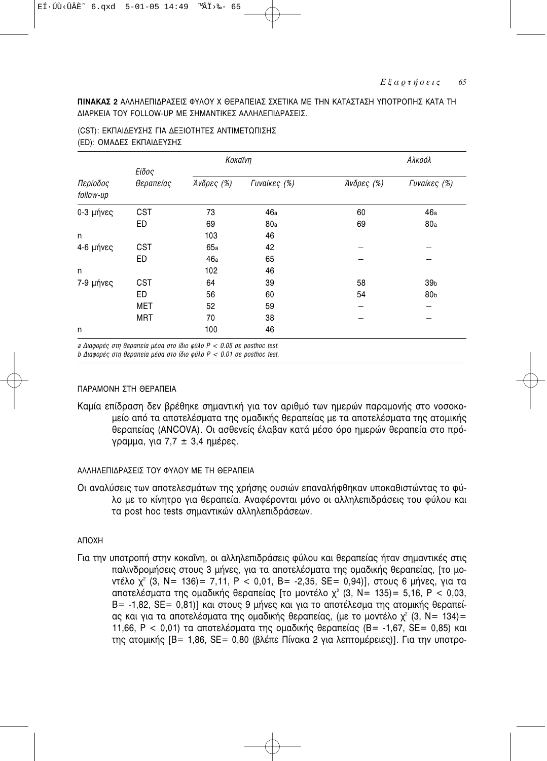#### EÍ·ÚÙ<ÛÂÈ<sup>~</sup> 6.qxd 5-01-05 14:49 ™ÂÏ>‰· 65

# ΠΙΝΑΚΑΣ 2 ΑΛΛΗΛΕΠΙΔΡΑΣΕΙΣ ΦΥΛΟΥ Χ ΘΕΡΑΠΕΙΑΣ ΣΧΕΤΙΚΑ ΜΕ ΤΗΝ ΚΑΤΑΣΤΑΣΗ ΥΠΟΤΡΟΠΗΣ ΚΑΤΑ ΤΗ ΔΙΑΡΚΕΙΑ ΤΟΥ FOLLOW-UP ΜΕ ΣΗΜΑΝΤΙΚΕΣ ΑΛΛΗΛΕΠΙΔΡΑΣΕΙΣ.

# (CST): ΕΚΠΑΙΔΕΥΣΗΣ ΓΙΑ ΔΕΞΙΟΤΗΤΕΣ ΑΝΤΙΜΕΤΩΠΙΣΗΣ (ED): ΟΜΑΔΕΣ ΕΚΠΑΙΔΕΥΣΗΣ

| Περίοδος<br>follow-up |                    | Кокаї и    |              |            | Αλκοόλ          |
|-----------------------|--------------------|------------|--------------|------------|-----------------|
|                       | Είδος<br>θεραπείας | Άνδρες (%) | Γυναίκες (%) | Άνδρες (%) | Γυναίκες (%)    |
| 0-3 μήνες             | <b>CST</b>         | 73         | 46a          | 60         | 46a             |
|                       | ED                 | 69         | 80a          | 69         | 80a             |
| n                     |                    | 103        | 46           |            |                 |
| 4-6 μήνες             | <b>CST</b>         | 65a        | 42           |            |                 |
|                       | ED                 | 46a        | 65           |            |                 |
| n                     |                    | 102        | 46           |            |                 |
| 7-9 μήνες             | <b>CST</b>         | 64         | 39           | 58         | 39 <sub>b</sub> |
|                       | ED                 | 56         | 60           | 54         | 80b             |
|                       | <b>MET</b>         | 52         | 59           |            |                 |
|                       | <b>MRT</b>         | 70         | 38           |            |                 |
| n                     |                    | 100        | 46           |            |                 |

a Διαφορές στη θεραπεία μέσα στο ίδιο φύλο  $P < 0.05$  σε posthoc test.  $b$  Διαφορές στη θεραπεία μέσα στο ίδιο φύλο  $P < 0.01$  σε posthoc test.

#### ПАРАМОЛН УТН ӨГРАПГІА

Καμία επίδραση δεν βρέθηκε σημαντική για τον αριθμό των ημερών παραμονής στο νοσοκομείο από τα αποτελέσματα της ομαδικής θεραπείας με τα αποτελέσματα της ατομικής θεραπείας (ANCOVA). Οι ασθενείς έλαβαν κατά μέσο όρο ημερών θεραπεία στο πρόγραμμα, για 7,7  $\pm$  3,4 ημέρες.

# ΑΛΛΗΛΕΠΙΔΡΑΣΕΙΣ ΤΟΥ ΦΥΛΟΥ ΜΕ ΤΗ ΘΕΡΑΠΕΙΑ

Οι αναλύσεις των αποτελεσμάτων της χρήσης ουσιών επαναλήφθηκαν υποκαθιστώντας το φύλο με το κίνητρο για θεραπεία. Αναφέρονται μόνο οι αλληλεπιδράσεις του φύλου και τα post hoc tests σημαντικών αλληλεπιδράσεων.

# АПОХН

Για την υποτροπή στην κοκαΐνη, οι αλληλεπιδράσεις φύλου και θεραπείας ήταν σημαντικές στις παλινδρομήσεις στους 3 μήνες, για τα αποτελέσματα της ομαδικής θεραπείας, [το μοντέλο χ<sup>2</sup> (3, N= 136) = 7,11, P < 0,01, B = -2,35, SE = 0,94)], στους 6 μήνες, για τα αποτελέσματα της ομαδικής θεραπείας [το μοντέλο χ<sup>2</sup> (3, N= 135) = 5,16, P < 0,03, B = -1,82, SE = 0,81)] και στους 9 μήνες και για το αποτέλεσμα της ατομικής θεραπείας και για τα αποτελέσματα της ομαδικής θεραπείας, (με το μοντέλο χ<sup>2</sup> (3, N= 134) = 11,66, P < 0,01) τα αποτελέσματα της ομαδικής θεραπείας (B= -1,67, SE= 0,85) και της ατομικής [B= 1,86, SE= 0,80 (βλέπε Πίνακα 2 για λεπτομέρειες)]. Για την υποτρο-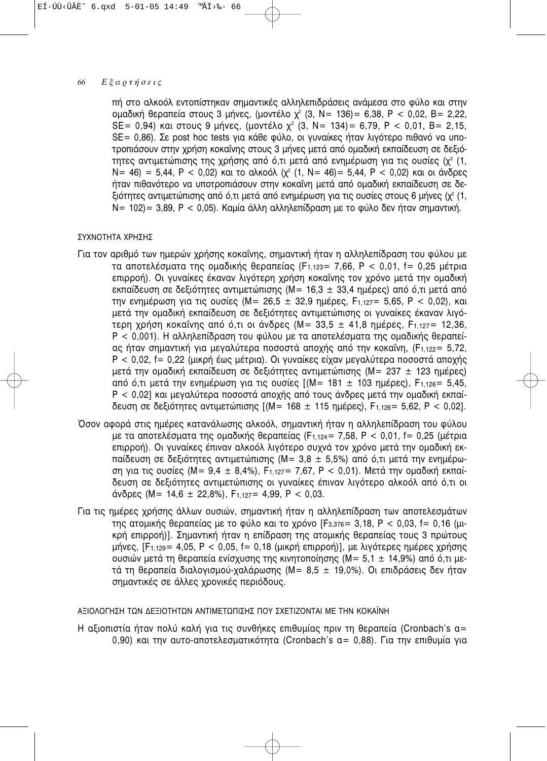πή στο αλκοόλ εντοπίστηκαν σημαντικές αλληλεπιδράσεις ανάμεσα στο φύλο και στην ομαδική θεραπεία στους 3 μήνες, (μοντέλο χ<sup>2</sup> (3, N= 136)= 6,38, P < 0,02, B= 2,22, SE= 0,94) και στους 9 μήνες, (μοντέλο χ<sup>2</sup> (3, N= 134)= 6,79, P < 0,01, B= 2,15, SE= 0,86). Σε post hoc tests για κάθε φύλο, οι γυναίκες ήταν λιγότερο πιθανό να υποτροπιάσουν στην χρήση κοκαΐνης στους 3 μήνες μετά από ομαδική εκπαίδευση σε δεξιότητες αντιμετώπισης της χρήσης από ό,τι μετά από ενημέρωση για τις ουσίες (χ<sup>2</sup> (1,  $N= 46$ ) = 5,44, P < 0,02) και το αλκοόλ (χ<sup>2</sup> (1, N= 46)= 5,44, P < 0,02) και οι άνδρες ήταν πιθανότερο να υποτροπιάσουν στην κοκαΐνη μετά από ομαδική εκπαίδευση σε δεξιότητες αντιμετώπισης από ό,τι μετά από ενημέρωση για τις ουσίες στους 6 μήνες (χ<sup>2</sup> (1,  $N = 102$ ) = 3,89, P < 0,05). Καμία άλλη αλληλεπίδραση με το φύλο δεν ήταν σημαντική.

# **ΣΥΧΝΟΤΗΤΑ ΧΡΗΣΗΣ**

- Για τον αριθμό των ημερών χρήσης κοκαΐνης, σημαντική ήταν η αλληλεπίδραση του φύλου με τα αποτελέσματα της ομαδικής θεραπείας (F<sub>1,123</sub> = 7,66, P < 0,01, f = 0,25 μέτρια επιρροή). Οι γυναίκες έκαναν λιγότερη χρήση κοκαΐνης τον χρόνο μετά την ομαδική εκπαίδευση σε δεξιότητες αντιμετώπισης (M= 16,3 ± 33,4 ημέρες) από ό,τι μετά από την ενημέρωση για τις ουσίες (M= 26,5  $\pm$  32,9 ημέρες, F<sub>1,127</sub> = 5,65, P < 0,02), και μετά την ομαδική εκπαίδευση σε δεξιότητες αντιμετώπισης οι γυναίκες έκαναν λιγότερη χρήση κοκαΐνης από ό,τι οι άνδρες (M= 33,5  $\pm$  41,8 ημέρες, F<sub>1,127</sub>= 12,36,  $P < 0,001$ ). Η αλληλεπίδραση του φύλου με τα αποτελέσματα της ομαδικής θεραπείας ήταν σημαντική για μεγαλύτερα ποσοστά αποχής από την κοκαΐνη, (F<sub>1,122</sub>= 5,72,  $P < 0.02$ , f= 0.22 (μικρή έως μέτρια). Οι γυναίκες είχαν μεγαλύτερα ποσοστά αποχής μετά την ομαδική εκπαίδευση σε δεξιότητες αντιμετώπισης (M= 237 ± 123 ημέρες) από ό,τι μετά την ενημέρωση για τις ουσίες  $[(M = 181 \pm 103 \text{ n}]\text{m/2pc})$ , F<sub>1,126</sub> = 5,45,  $P < 0.02$ ] και μεγαλύτερα ποσοστά αποχής από τους άνδρες μετά την ομαδική εκπαίδευση σε δεξιότητες αντιμετώπισης  $[(M = 168 \pm 115 \text{ n\textmu} /26)$ , F<sub>1,126</sub> = 5,62, P < 0,02].
- Όσον αφορά στις ημέρες κατανάλωσης αλκοόλ, σημαντική ήταν η αλληλεπίδραση του φύλου με τα αποτελέσματα της ομαδικής θεραπείας (F<sub>1,124</sub> = 7,58, P < 0,01, f = 0,25 (μέτρια επιρροή). Οι γυναίκες έπιναν αλκοόλ λιγότερο συχνά τον χρόνο μετά την ομαδική εκπαίδευση σε δεξιότητες αντιμετώπισης (M= 3,8  $\pm$  5,5%) από ό,τι μετά την ενημέρωση για τις ουσίες (M= 9,4 ± 8,4%), F<sub>1,127</sub> = 7,67, P < 0,01). Μετά την ομαδική εκπαίδευση σε δεξιότητες αντιμετώπισης οι γυναίκες έπιναν λιγότερο αλκοόλ από ό,τι οι  $áv\delta$ ρες (M= 14,6 ± 22,8%), F<sub>1,127</sub> = 4,99, P < 0,03.
- Για τις ημέρες χρήσης άλλων ουσιών, σημαντική ήταν η αλληλεπίδραση των αποτελεσμάτων της ατομικής θεραπείας με το φύλο και το χρόνο [F3,376 = 3,18, P < 0,03, f = 0,16 (μικρή επιρροή)]. Σημαντική ήταν η επίδραση της ατομικής θεραπείας τους 3 πρώτους μήνες,  $[F_{1,129} = 4.05, P < 0.05, f = 0.18$  (μικρή επιρροή)], με λιγότερες ημέρες χρήσης ουσιών μετά τη θεραπεία ενίσχυσης της κινητοποίησης (M= 5,1 ± 14,9%) από ό,τι μετά τη θεραπεία διαλογισμού-χαλάρωσης (M= 8,5 ± 19,0%). Οι επιδράσεις δεν ήταν σημαντικές σε άλλες χρονικές περιόδους.

# ΑΞΙΟΛΟΓΗΣΗ ΤΩΝ ΔΕΞΙΟΤΗΤΩΝ ΑΝΤΙΜΕΤΩΠΙΣΗΣ ΠΟΥ ΣΧΕΤΙΖΟΝΤΑΙ ΜΕ ΤΗΝ ΚΟΚΑΪΝΗ

Η αξιοπιστία ήταν πολύ καλή για τις συνθήκες επιθυμίας πριν τη θεραπεία (Cronbach's α= 0,90) και την αυτο-αποτελεσματικότητα (Cronbach's  $a = 0.88$ ). Για την επιθυμία για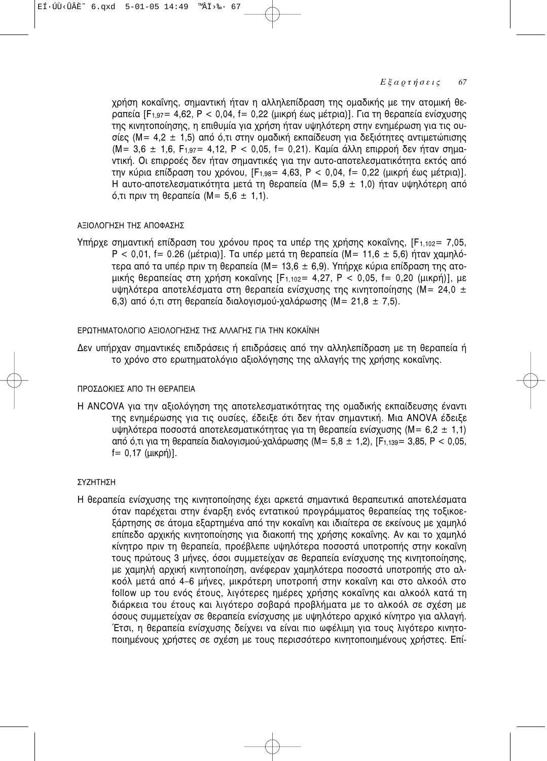χρήση κοκαΐνης, σημαντική ήταν η αλληλεπίδραση της ομαδικής με την ατομική θε- $\beta$ απεία [F<sub>1,97</sub> = 4,62, P < 0,04, f = 0,22 (μικρή έως μέτρια)]. Για τη θεραπεία ενίσχυσης της κινητοποίησης, η επιθυμία για χρήση ήταν υψηλότερη στην ενημέρωση για τις ουσίες (M= 4,2 ± 1,5) από ό,τι στην ομαδική εκπαίδευση για δεξιότητες αντιμετώπισης  $(M= 3.6 \pm 1.6, F_{1.97} = 4.12, P < 0.05, f = 0.21)$ . Καμία άλλη επιρροή δεν ήταν σημαντική. Οι επιρροές δεν ήταν σημαντικές για την αυτο-αποτελεσματικότητα εκτός από την κύρια επίδραση του χρόνου, [F<sub>1,98</sub> = 4,63, P < 0,04, f = 0,22 (μικρή έως μέτρια)]. Η αυτο-αποτελεσματικότητα μετά τη θεραπεία (M= 5,9  $\pm$  1,0) ήταν υψηλότερη από  $\delta$ .τι πριν τη θεραπεία (M= 5.6  $\pm$  1.1).

#### ΔΞΙΟΛΟΓΗΣΗ ΤΗΣ ΑΠΟΦΑΣΗΣ

Υπήρχε σημαντική επίδραση του χρόνου προς τα υπέρ της χρήσης κοκαΐνης, [F<sub>1,102</sub>= 7,05, P < 0,01, f = 0.26 (μέτρια)]. Τα υπέρ μετά τη θεραπεία (M = 11,6 ± 5,6) ήταν χαμηλότερα από τα υπέρ πριν τη θεραπεία (M= 13,6  $\pm$  6,9). Υπήρχε κύρια επίδραση της ατομικής θεραπείας στη χρήση κοκαΐνης [F<sub>1,102</sub> = 4,27, P < 0,05, f = 0,20 (μικρή)], με υψηλότερα αποτελέσματα στη θεραπεία ενίσχυσης της κινητοποίησης (M= 24,0  $\pm$ 6,3) από ό,τι στη θεραπεία διαλογισμού-χαλάρωσης (M= 21,8  $\pm$  7,5).

ΕΡΩΤΗΜΑΤΟΛΟΓΙΟ ΑΞΙΟΛΟΓΗΣΗΣ ΤΗΣ ΑΛΛΑΓΗΣ ΓΙΑ ΤΗΝ ΚΟΚΑΪNΗ

Δεν υπήρχαν σημαντικές επιδράσεις ή επιδράσεις από την αλληλεπίδραση με τη θεραπεία ή το χρόνο στο ερωτηματολόγιο αξιολόγησης της αλλαγής της χρήσης κοκαΐνης.

# ΠΡΟΣΛΟΚΙΕΣ ΑΠΟ ΤΗ ΘΕΡΑΠΕΙΑ

Η ANCOVA για την αξιολόγηση της αποτελεσματικότητας της ομαδικής εκπαίδευσης έναντι της ενημέρωσης για τις ουσίες, έδειξε ότι δεν ήταν σημαντική. Μια ANOVA έδειξε υψηλότερα ποσοστά αποτελεσματικότητας για τη θεραπεία ενίσχυσης (M= 6,2  $\pm$  1,1) από ό,τι για τη θεραπεία διαλογισμού-χαλάρωσης (M= 5,8  $\pm$  1,2), [F<sub>1,139</sub>= 3,85, P < 0,05,  $f = 0.17$  ( $\mu$ Koń)].

# ΣΥΖΗΤΗΣΗ

Η θεραπεία ενίσχυσης της κινητοποίησης έχει αρκετά σημαντικά θεραπευτικά αποτελέσματα <u>όταν παρέχεται στην έναρξη ενός εντατικού προγράμματος θεραπείας της τοξικοε-</u> ξάρτησης σε άτομα εξαρτημένα από την κοκαΐνη και ιδιαίτερα σε εκείνους με χαμηλό επίπεδο αρχικής κινητοποίησης για διακοπή της χρήσης κοκαΐνης. Αν και το χαμηλό κίνητρο πριν τη θεραπεία, προέβλεπε υψηλότερα ποσοστά υποτροπής στην κοκαΐνη τους πρώτους 3 μήνες, όσοι συμμετείχαν σε θεραπεία ενίσχυσης της κινητοποίησης, με χαμηλή αρχική κινητοποίηση, ανέφεραν χαμηλότερα ποσοστά υποτροπής στο αλκοόλ μετά από 4–6 μήνες, μικρότερη υποτροπή στην κοκαΐνη και στο αλκοόλ στο follow up του ενός έτους, λιγότερες ημέρες χρήσης κοκαΐνης και αλκοόλ κατά τη διάρκεια του έτους και λιγότερο σοβαρά προβλήματα με το αλκοόλ σε σχέση με όσους συμμετείχαν σε θεραπεία ενίσχυσης με υψηλότερο αρχικό κίνητρο για αλλαγή. Έτσι, η θεραπεία ενίσχυσης δείχνει να είναι πιο ωφέλιμη για τους λιγότερο κινητοποιημένους χρήστες σε σχέση με τους περισσότερο κινητοποιημένους χρήστες. Επί-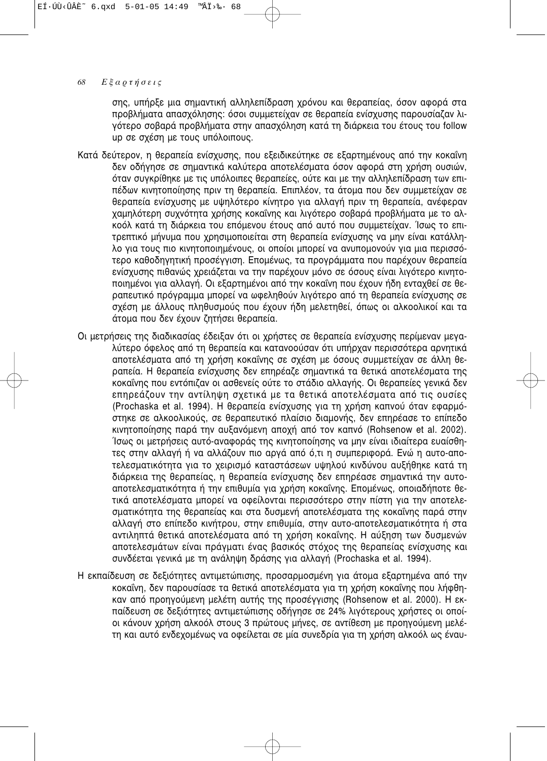σης, υπήρξε μια σημαντική αλληλεπίδραση χρόνου και θεραπείας, όσον αφορά στα προβλήματα απασχόλησης: όσοι συμμετείχαν σε θεραπεία ενίσχυσης παρουσίαζαν λιγότερο σοβαρά προβλήματα στην απασχόληση κατά τη διάρκεια του έτους του follow up σε σχέση με τους υπόλοιπους.

- Κατά δεύτερον, η θεραπεία ενίσχυσης, που εξειδικεύτηκε σε εξαρτημένους από την κοκαΐνη δεν οδήγησε σε σημαντικά καλύτερα αποτελέσματα όσον αφορά στη χρήση ουσιών, όταν συγκρίθηκε με τις υπόλοιπες θεραπείες, ούτε και με την αλληλεπίδραση των επιπέδων κινητοποίησης πριν τη θεραπεία. Επιπλέον, τα άτομα που δεν συμμετείχαν σε θεραπεία ενίσχυσης με υψηλότερο κίνητρο για αλλαγή πριν τη θεραπεία, ανέφεραν χαμηλότερη συχνότητα χρήσης κοκαΐνης και λιγότερο σοβαρά προβλήματα με το αλ-Κοόλ κατά τη διάρκεια του επόμενου έτους από αυτό που συμμετείχαν. Ίσως το επιτρεπτικό μήνυμα που χρησιμοποιείται στη θεραπεία ενίσχυσης να μην είναι κατάλληλο για τους πιο κινητοποιημένους, οι οποίοι μπορεί να ανυπομονούν για μια περισσότερο καθοδηγητική προσέγγιση. Επομένως, τα προγράμματα που παρέχουν θεραπεία ενίσχυσης πιθανώς χρειάζεται να την παρέχουν μόνο σε όσους είναι λιγότερο κινητοποιημένοι για αλλαγή. Οι εξαρτημένοι από την κοκαΐνη που έχουν ήδη ενταχθεί σε θεραπευτικό πρόγραμμα μπορεί να ωφεληθούν λιγότερο από τη θεραπεία ενίσχυσης σε σχέση με άλλους πληθυσμούς που έχουν ήδη μελετηθεί, όπως οι αλκοολικοί και τα άτομα που δεν έχουν ζητήσει θεραπεία.
- Οι μετρήσεις της διαδικασίας έδειξαν ότι οι χρήστες σε θεραπεία ενίσχυσης περίμεναν μεγαλύτερο όφελος από τη θεραπεία και κατανοούσαν ότι υπήρχαν περισσότερα αρνητικά αποτελέσματα από τη χρήση κοκαΐνης σε σχέση με όσους συμμετείχαν σε άλλη θεραπεία. Η θεραπεία ενίσχυσης δεν επηρέαζε σημαντικά τα θετικά αποτελέσματα της κοκαΐνης που εντόπιζαν οι ασθενείς ούτε το στάδιο αλλαγής. Οι θεραπείες γενικά δεν επηρεάζουν την αντίληψη σχετικά με τα θετικά αποτελέσματα από τις ουσίες (Prochaska et al. 1994). Η θεραπεία ενίσχυσης για τη χρήση καπνού όταν εφαρμόστηκε σε αλκοολικούς, σε θεραπευτικό πλαίσιο διαμονής, δεν επηρέασε το επίπεδο KIVNTOΠΟΙΝΟΊΟ ΠΑΙ ΤΗΝ αυξανόμενη αποχή από τον καπνό (Rohsenow et al. 2002). Ίσως οι μετρήσεις αυτό-αναφοράς της κινητοποίησης να μην είναι ιδιαίτερα ευαίσθητες στην αλλαγή ή να αλλάζουν πιο αργά από ό,τι η συμπεριφορά. Ενώ η αυτο-αποτελεσματικότητα για το χειρισμό καταστάσεων υψηλού κινδύνου αυξήθηκε κατά τη διάρκεια της θεραπείας, η θεραπεία ενίσχυσης δεν επηρέασε σημαντικά την αυτοαποτελεσματικότητα ή την επιθυμία για χρήση κοκαΐνης. Επομένως, οποιαδήποτε θετικά αποτελέσματα μπορεί να οφείλονται περισσότερο στην πίστη για την αποτελεσματικότητα της θεραπείας και στα δυσμενή αποτελέσματα της κοκαΐνης παρά στην αλλαγή στο επίπεδο κινήτρου, στην επιθυμία, στην αυτο-αποτελεσματικότητα ή στα αντιληπτά θετικά αποτελέσματα από τη χρήση κοκαΐνης. Η αύξηση των δυσμενών αποτελεσμάτων είναι πράγματι ένας βασικός στόχος της θεραπείας ενίσχυσης και συνδέεται γενικά με τη ανάληψη δράσης για αλλαγή (Prochaska et al. 1994).
- Η εκπαίδευση σε δεξιότητες αντιμετώπισης, προσαρμοσμένη για άτομα εξαρτημένα από την κοκαΐνη, δεν παρουσίασε τα θετικά αποτελέσματα για τη χρήση κοκαΐνης που λήφθηκαν από προηγούμενη μελέτη αυτής της προσέγγισης (Rohsenow et al. 2000). Η εκπαίδευση σε δεξιότητες αντιμετώπισης οδήγησε σε 24% λιγότερους χρήστες οι οποίοι κάνουν χρήση αλκοόλ στους 3 πρώτους μήνες, σε αντίθεση με προηγούμενη μελέτη και αυτό ενδεχομένως να οφείλεται σε μία συνεδρία για τη χρήση αλκοόλ ως έναυ-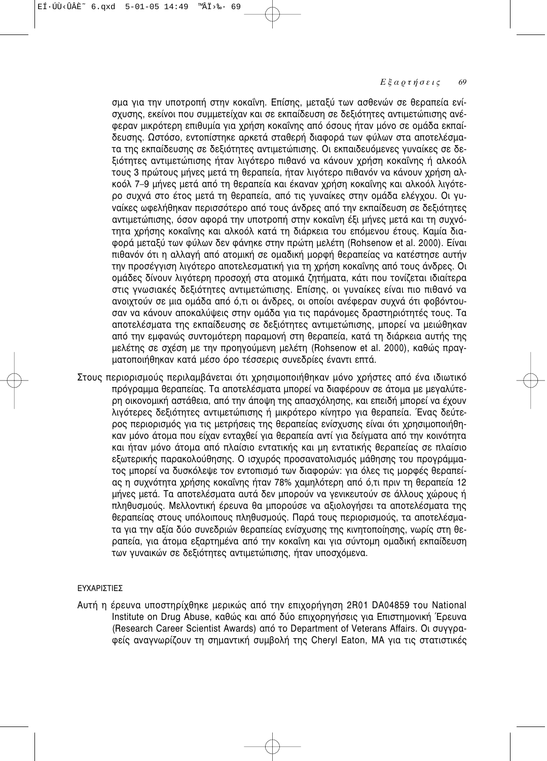σμα για την υποτροπή στην κοκαΐνη. Επίσης, μεταξύ των ασθενών σε θεραπεία ενίσχυσης, εκείνοι που συμμετείχαν και σε εκπαίδευση σε δεξιότητες αντιμετώπισης ανέφεραν μικρότερη επιθυμία για χρήση κοκαΐνης από όσους ήταν μόνο σε ομάδα εκπαίδευσης. Ωστόσο, εντοπίστηκε αρκετά σταθερή διαφορά των φύλων στα αποτελέσματα της εκπαίδευσης σε δεξιότητες αντιμετώπισης. Οι εκπαιδευόμενες γυναίκες σε δεξιότητες αντιμετώπισης ήταν λιγότερο πιθανό να κάνουν χρήση κοκαΐνης ή αλκοόλ τους 3 πρώτους μήνες μετά τη θεραπεία, ήταν λιγότερο πιθανόν να κάνουν χρήση αλ-ΚΟόλ 7–9 μήνες μετά από τη θεραπεία και έκαναν χρήση κοκαΐνης και αλκοόλ λιγότερο συχνά στο έτος μετά τη θεραπεία, από τις γυναίκες στην ομάδα ελέγχου. Οι γυναίκες ωφελήθηκαν περισσότερο από τους άνδρες από την εκπαίδευση σε δεξιότητες αντιμετώπισης, όσον αφορά την υποτροπή στην κοκαΐνη έξι μήνες μετά και τη συχνότητα χρήσης κοκαΐνης και αλκοόλ κατά τη διάρκεια του επόμενου έτους. Καμία διαφορά μεταξύ των φύλων δεν φάνηκε στην πρώτη μελέτη (Rohsenow et al. 2000). Είναι πιθανόν ότι η αλλαγή από ατομική σε ομαδική μορφή θεραπείας να κατέστησε αυτήν την προσέγγιση λιγότερο αποτελεσματική για τη χρήση κοκαΐνης από τους άνδρες. Οι ομάδες δίνουν λιγότερη προσοχή στα ατομικά ζητήματα, κάτι που τονίζεται ιδιαίτερα στις γνωσιακές δεξιότητες αντιμετώπισης. Επίσης, οι γυναίκες είναι πιο πιθανό να ανοιχτούν σε μια ομάδα από ό,τι οι άνδρες, οι οποίοι ανέφεραν συχνά ότι φοβόντουσαν να κάνουν αποκαλύψεις στην ομάδα για τις παράνομες δραστηριότητές τους. Τα αποτελέσματα της εκπαίδευσης σε δεξιότητες αντιμετώπισης, μπορεί να μειώθηκαν από την εμφανώς συντομότερη παραμονή στη θεραπεία, κατά τη διάρκεια αυτής της μελέτης σε σχέση με την προηγούμενη μελέτη (Rohsenow et al. 2000), καθώς πραγματοποιήθηκαν κατά μέσο όρο τέσσερις συνεδρίες έναντι επτά.

Στους περιορισμούς περιλαμβάνεται ότι χρησιμοποιήθηκαν μόνο χρήστες από ένα ιδιωτικό πρόγραμμα θεραπείας. Τα αποτελέσματα μπορεί να διαφέρουν σε άτομα με μεγαλύτερη οικονομική αστάθεια, από την άποψη της απασχόλησης, και επειδή μπορεί να έχουν λιγότερες δεξιότητες αντιμετώπισης ή μικρότερο κίνητρο για θεραπεία. Ένας δεύτερος περιορισμός για τις μετρήσεις της θεραπείας ενίσχυσης είναι ότι χρησιμοποιήθηκαν μόνο άτομα που είχαν ενταχθεί για θεραπεία αντί για δείγματα από την κοινότητα και ήταν μόνο άτομα από πλαίσιο εντατικής και μη εντατικής θεραπείας σε πλαίσιο εξωτερικής παρακολούθησης. Ο ισχυρός προσανατολισμός μάθησης του προγράμματος μπορεί να δυσκόλεψε τον εντοπισμό των διαφορών: για όλες τις μορφές θεραπείας η συχνότητα χρήσης κοκαΐνης ήταν 78% χαμηλότερη από ό,τι πριν τη θεραπεία 12 μήνες μετά. Τα αποτελέσματα αυτά δεν μπορούν να γενικευτούν σε άλλους χώρους ή πληθυσμούς. Μελλοντική έρευνα θα μπορούσε να αξιολογήσει τα αποτελέσματα της θεραπείας στους υπόλοιπους πληθυσμούς. Παρά τους περιορισμούς, τα αποτελέσματα για την αξία δύο συνεδριών θεραπείας ενίσχυσης της κινητοποίησης, νωρίς στη θεραπεία, για άτομα εξαρτημένα από την κοκαΐνη και για σύντομη ομαδική εκπαίδευση των γυναικών σε δεξιότητες αντιμετώπισης, ήταν υποσχόμενα.

# EYXAPIΣTIEΣ

EÍ·ÚÙ‹ÛÂȘ 6.qxd 5-01-05 14:49 ™ÂÏ›‰· 69

Aυτή η έρευνα υποστηρίχθηκε μερικώς από την επιχορήγηση 2R01 DA04859 του National Institute on Drug Abuse, καθώς και από δύο επιχορηγήσεις για Επιστημονική Έρευνα (Research Career Scientist Awards) από το Department of Veterans Affairs. Οι συγγραφείς αναγνωρίζουν τη σημαντική συμβολή της Cheryl Eaton, MA για τις στατιστικές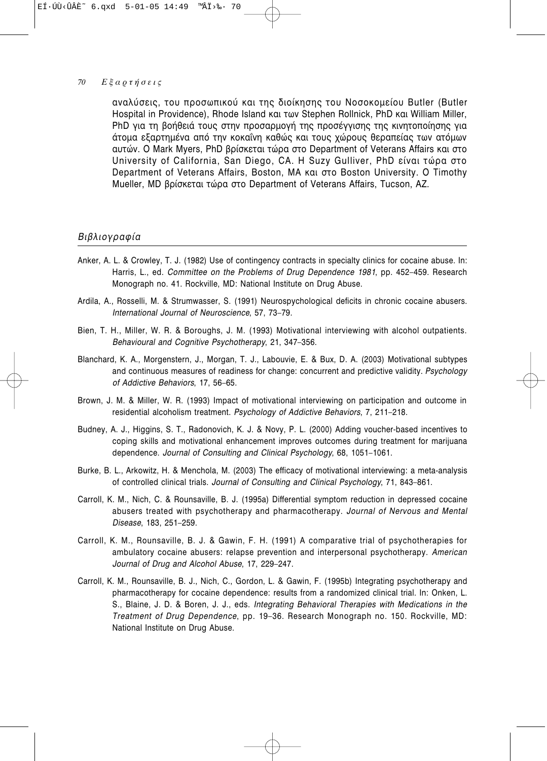αναλύσεις, του προσωπικού και της διοίκησης του Νοσοκομείου Butler (Butler Hospital in Providence), Rhode Island και των Stephen Rollnick, PhD και William Miller, PhD για τη βοήθειά τους στην προσαρμογή της προσέγγισης της κινητοποίησης για άτομα εξαρτημένα από την κοκαΐνη καθώς και τους χώρους θεραπείας των ατόμων αυτών. Ο Mark Myers, PhD βρίσκεται τώρα στο Department of Veterans Affairs και στο University of California, San Diego, CA. H Suzy Gulliver, PhD είναι τώρα στο Department of Veterans Affairs, Boston, MA kai στο Boston University. O Timothy Mueller, MD βρίσκεται τώρα στο Department of Veterans Affairs, Tucson, AZ.

# Βιβλιογραφία

- Anker, A. L. & Crowley, T. J. (1982) Use of contingency contracts in specialty clinics for cocaine abuse. In: Harris, L., ed. Committee on the Problems of Drug Dependence 1981, pp. 452-459. Research Monograph no. 41. Rockville, MD: National Institute on Drug Abuse.
- Ardila, A., Rosselli, M. & Strumwasser, S. (1991) Neurospychological deficits in chronic cocaine abusers. International Journal of Neuroscience, 57, 73-79.
- Bien, T. H., Miller, W. R. & Boroughs, J. M. (1993) Motivational interviewing with alcohol outpatients. Behavioural and Cognitive Psychotherapy, 21, 347-356.
- Blanchard, K. A., Morgenstern, J., Morgan, T. J., Labouvie, E. & Bux, D. A. (2003) Motivational subtypes and continuous measures of readiness for change: concurrent and predictive validity. Psychology of Addictive Behaviors, 17, 56-65.
- Brown, J. M. & Miller, W. R. (1993) Impact of motivational interviewing on participation and outcome in residential alcoholism treatment. Psychology of Addictive Behaviors, 7, 211-218.
- Budney, A. J., Higgins, S. T., Radonovich, K. J. & Novy, P. L. (2000) Adding voucher-based incentives to coping skills and motivational enhancement improves outcomes during treatment for marijuana dependence. Journal of Consulting and Clinical Psychology, 68, 1051-1061.
- Burke, B. L., Arkowitz, H. & Menchola, M. (2003) The efficacy of motivational interviewing: a meta-analysis of controlled clinical trials. Journal of Consulting and Clinical Psychology, 71, 843-861.
- Carroll, K. M., Nich, C. & Rounsaville, B. J. (1995a) Differential symptom reduction in depressed cocaine abusers treated with psychotherapy and pharmacotherapy. Journal of Nervous and Mental Disease, 183, 251-259.
- Carroll, K. M., Rounsaville, B. J. & Gawin, F. H. (1991) A comparative trial of psychotherapies for ambulatory cocaine abusers: relapse prevention and interpersonal psychotherapy. American Journal of Drug and Alcohol Abuse, 17, 229-247.
- Carroll, K. M., Rounsaville, B. J., Nich, C., Gordon, L. & Gawin, F. (1995b) Integrating psychotherapy and pharmacotherapy for cocaine dependence: results from a randomized clinical trial. In: Onken, L. S., Blaine, J. D. & Boren, J. J., eds. Integrating Behavioral Therapies with Medications in the Treatment of Drug Dependence, pp. 19-36. Research Monograph no. 150. Rockville, MD: National Institute on Drug Abuse.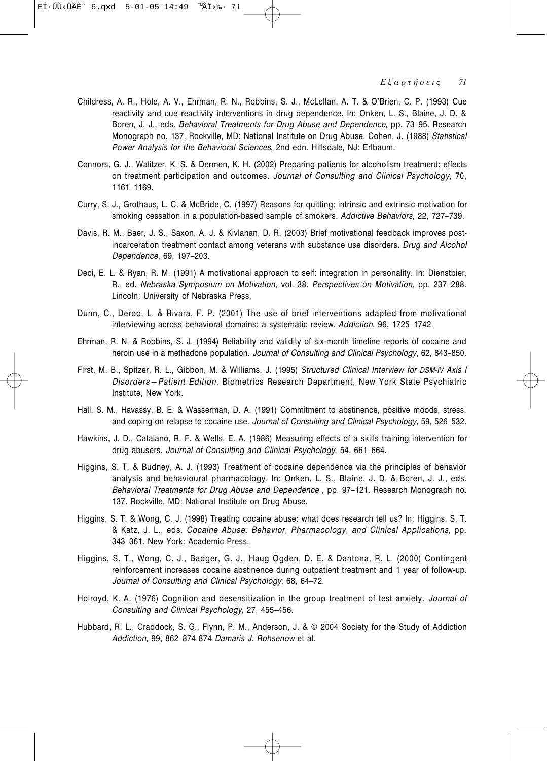EÍ·ÚÙ‹ÛÂȘ 6.qxd 5-01-05 14:49 ™ÂÏ›‰· 71

- Childress, A. R., Hole, A. V., Ehrman, R. N., Robbins, S. J., McLellan, A. T. & O'Brien, C. P. (1993) Cue reactivity and cue reactivity interventions in drug dependence. In: Onken, L. S., Blaine, J. D. & Boren, J. J., eds. *Behavioral Treatments for Drug Abuse and Dependence*, pp. 73–95. Research Monograph no. 137. Rockville, MD: National Institute on Drug Abuse. Cohen, J. (1988) *Statistical Power Analysis for the Behavioral Sciences*, 2nd edn. Hillsdale, NJ: Erlbaum.
- Connors, G. J., Walitzer, K. S. & Dermen, K. H. (2002) Preparing patients for alcoholism treatment: effects on treatment participation and outcomes. *Journal of Consulting and Clinical Psychology*, 70, 1161–1169.
- Curry, S. J., Grothaus, L. C. & McBride, C. (1997) Reasons for quitting: intrinsic and extrinsic motivation for smoking cessation in a population-based sample of smokers. *Addictive Behaviors*, 22, 727–739.
- Davis, R. M., Baer, J. S., Saxon, A. J. & Kivlahan, D. R. (2003) Brief motivational feedback improves postincarceration treatment contact among veterans with substance use disorders. *Drug and Alcohol Dependence*, 69, 197–203.
- Deci, E. L. & Ryan, R. M. (1991) A motivational approach to self: integration in personality. In: Dienstbier, R., ed. *Nebraska Symposium on Motivation*, vol. 38. *Perspectives on Motivation*, pp. 237–288. Lincoln: University of Nebraska Press.
- Dunn, C., Deroo, L. & Rivara, F. P. (2001) The use of brief interventions adapted from motivational interviewing across behavioral domains: a systematic review. *Addiction*, 96, 1725–1742.
- Ehrman, R. N. & Robbins, S. J. (1994) Reliability and validity of six-month timeline reports of cocaine and heroin use in a methadone population. *Journal of Consulting and Clinical Psychology*, 62, 843–850.
- First, M. B., Spitzer, R. L., Gibbon, M. & Williams, J. (1995) *Structured Clinical Interview for DSM-IV Axis I Disorders—Patient Edition*. Biometrics Research Department, New York State Psychiatric Institute, New York.
- Hall, S. M., Havassy, B. E. & Wasserman, D. A. (1991) Commitment to abstinence, positive moods, stress, and coping on relapse to cocaine use. *Journal of Consulting and Clinical Psychology*, 59, 526–532.
- Hawkins, J. D., Catalano, R. F. & Wells, E. A. (1986) Measuring effects of a skills training intervention for drug abusers. *Journal of Consulting and Clinical Psychology*, 54, 661–664.
- Higgins, S. T. & Budney, A. J. (1993) Treatment of cocaine dependence via the principles of behavior analysis and behavioural pharmacology. In: Onken, L. S., Blaine, J. D. & Boren, J. J., eds. *Behavioral Treatments for Drug Abuse and Dependence* , pp. 97–121. Research Monograph no. 137. Rockville, MD: National Institute on Drug Abuse.
- Higgins, S. T. & Wong, C. J. (1998) Treating cocaine abuse: what does research tell us? In: Higgins, S. T. & Katz, J. L., eds. *Cocaine Abuse: Behavior, Pharmacology, and Clinical Applications*, pp. 343–361. New York: Academic Press.
- Higgins, S. T., Wong, C. J., Badger, G. J., Haug Ogden, D. E. & Dantona, R. L. (2000) Contingent reinforcement increases cocaine abstinence during outpatient treatment and 1 year of follow-up. *Journal of Consulting and Clinical Psychology*, 68, 64–72.
- Holroyd, K. A. (1976) Cognition and desensitization in the group treatment of test anxiety. *Journal of Consulting and Clinical Psychology*, 27, 455–456.
- Hubbard, R. L., Craddock, S. G., Flynn, P. M., Anderson, J. & © 2004 Society for the Study of Addiction *Addiction,* 99, 862–874 874 *Damaris J. Rohsenow* et al.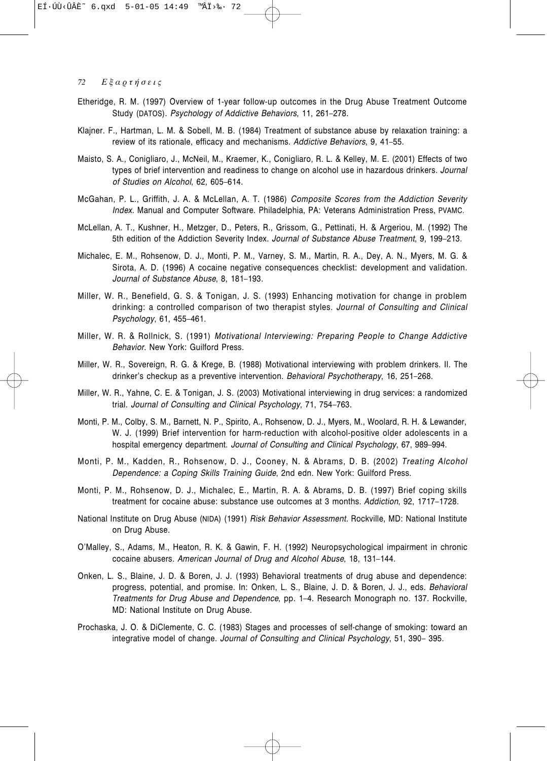- Etheridge, R. M. (1997) Overview of 1-year follow-up outcomes in the Drug Abuse Treatment Outcome Study (DATOS). *Psychology of Addictive Behaviors*, 11, 261–278.
- Klajner. F., Hartman, L. M. & Sobell, M. B. (1984) Treatment of substance abuse by relaxation training: a review of its rationale, efficacy and mechanisms. *Addictive Behaviors*, 9, 41–55.
- Maisto, S. A., Conigliaro, J., McNeil, M., Kraemer, K., Conigliaro, R. L. & Kelley, M. E. (2001) Effects of two types of brief intervention and readiness to change on alcohol use in hazardous drinkers. *Journal of Studies on Alcohol*, 62, 605–614.
- McGahan, P. L., Griffith, J. A. & McLellan, A. T. (1986) *Composite Scores from the Addiction Severity Index.* Manual and Computer Software. Philadelphia, PA: Veterans Administration Press, PVAMC.
- McLellan, A. T., Kushner, H., Metzger, D., Peters, R., Grissom, G., Pettinati, H. & Argeriou, M. (1992) The 5th edition of the Addiction Severity Index. *Journal of Substance Abuse Treatment*, 9, 199–213.
- Michalec, E. M., Rohsenow, D. J., Monti, P. M., Varney, S. M., Martin, R. A., Dey, A. N., Myers, M. G. & Sirota, A. D. (1996) A cocaine negative consequences checklist: development and validation. *Journal of Substance Abuse*, 8, 181–193.
- Miller, W. R., Benefield, G. S. & Tonigan, J. S. (1993) Enhancing motivation for change in problem drinking: a controlled comparison of two therapist styles. *Journal of Consulting and Clinical Psychology*, 61, 455–461.
- Miller, W. R. & Rollnick, S. (1991) *Motivational Interviewing: Preparing People to Change Addictive Behavior*. New York: Guilford Press.
- Miller, W. R., Sovereign, R. G. & Krege, B. (1988) Motivational interviewing with problem drinkers. II. The drinker's checkup as a preventive intervention. *Behavioral Psychotherapy*, 16, 251–268.
- Miller, W. R., Yahne, C. E. & Tonigan, J. S. (2003) Motivational interviewing in drug services: a randomized trial. *Journal of Consulting and Clinical Psychology*, 71, 754–763.
- Monti, P. M., Colby, S. M., Barnett, N. P., Spirito, A., Rohsenow, D. J., Myers, M., Woolard, R. H. & Lewander, W. J. (1999) Brief intervention for harm-reduction with alcohol-positive older adolescents in a hospital emergency department. *Journal of Consulting and Clinical Psychology*, 67, 989–994.
- Monti, P. M., Kadden, R., Rohsenow, D. J., Cooney, N. & Abrams, D. B. (2002) *Treating Alcohol Dependence: a Coping Skills Training Guide*, 2nd edn. New York: Guilford Press.
- Monti, P. M., Rohsenow, D. J., Michalec, E., Martin, R. A. & Abrams, D. B. (1997) Brief coping skills treatment for cocaine abuse: substance use outcomes at 3 months. *Addiction*, 92, 1717–1728.
- National Institute on Drug Abuse (NIDA) (1991) *Risk Behavior Assessment.* Rockville, MD: National Institute on Drug Abuse.
- O'Malley, S., Adams, M., Heaton, R. K. & Gawin, F. H. (1992) Neuropsychological impairment in chronic cocaine abusers. *American Journal of Drug and Alcohol Abuse*, 18, 131–144.
- Onken, L. S., Blaine, J. D. & Boren, J. J. (1993) Behavioral treatments of drug abuse and dependence: progress, potential, and promise. In: Onken, L. S., Blaine, J. D. & Boren, J. J., eds. *Behavioral Treatments for Drug Abuse and Dependence*, pp. 1–4. Research Monograph no. 137. Rockville, MD: National Institute on Drug Abuse.
- Prochaska, J. O. & DiClemente, C. C. (1983) Stages and processes of self-change of smoking: toward an integrative model of change. *Journal of Consulting and Clinical Psychology*, 51, 390– 395.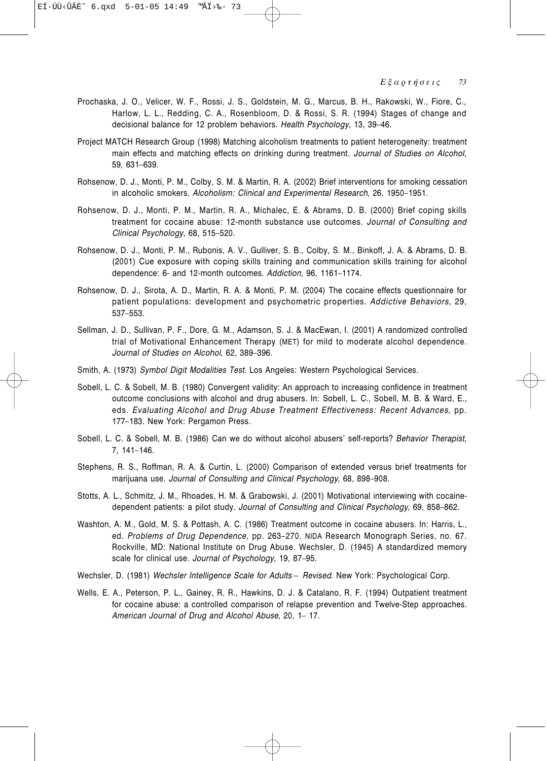- Prochaska, J. O., Velicer, W. F., Rossi, J. S., Goldstein, M. G., Marcus, B. H., Rakowski, W., Fiore, C., Harlow, L. L., Redding, C. A., Rosenbloom, D. & Rossi, S. R. (1994) Stages of change and decisional balance for 12 problem behaviors. *Health Psychology*, 13, 39–46.
- Project MATCH Research Group (1998) Matching alcoholism treatments to patient heterogeneity: treatment main effects and matching effects on drinking during treatment. *Journal of Studies on Alcohol*, 59, 631–639.
- Rohsenow, D. J., Monti, P. M., Colby, S. M. & Martin, R. A. (2002) Brief interventions for smoking cessation in alcoholic smokers. *Alcoholism: Clinical and Experimental Research*, 26, 1950–1951.
- Rohsenow, D. J., Monti, P. M., Martin, R. A., Michalec, E. & Abrams, D. B. (2000) Brief coping skills treatment for cocaine abuse: 12-month substance use outcomes. *Journal of Consulting and Clinical Psychology*, 68, 515–520.
- Rohsenow, D. J., Monti, P. M., Rubonis, A. V., Gulliver, S. B., Colby, S. M., Binkoff, J. A. & Abrams, D. B. (2001) Cue exposure with coping skills training and communication skills training for alcohol dependence: 6- and 12-month outcomes. *Addiction*, 96, 1161–1174.
- Rohsenow, D. J., Sirota, A. D., Martin, R. A. & Monti, P. M. (2004) The cocaine effects questionnaire for patient populations: development and psychometric properties. *Addictive Behaviors*, 29, 537–553.
- Sellman, J. D., Sullivan, P. F., Dore, G. M., Adamson, S. J. & MacEwan, I. (2001) A randomized controlled trial of Motivational Enhancement Therapy (MET) for mild to moderate alcohol dependence. *Journal of Studies on Alcohol*, 62, 389–396.
- Smith, A. (1973) *Symbol Digit Modalities Test*. Los Angeles: Western Psychological Services.
- Sobell, L. C. & Sobell, M. B. (1980) Convergent validity: An approach to increasing confidence in treatment outcome conclusions with alcohol and drug abusers. In: Sobell, L. C., Sobell, M. B. & Ward, E., eds. *Evaluating Alcohol and Drug Abuse Treatment Effectiveness: Recent Advances*, pp. 177–183. New York: Pergamon Press.
- Sobell, L. C. & Sobell, M. B. (1986) Can we do without alcohol abusers' self-reports? *Behavior Therapist*, 7, 141–146.
- Stephens, R. S., Roffman, R. A. & Curtin, L. (2000) Comparison of extended versus brief treatments for marijuana use. *Journal of Consulting and Clinical Psychology*, 68, 898–908.
- Stotts, A. L., Schmitz, J. M., Rhoades, H. M. & Grabowski, J. (2001) Motivational interviewing with cocainedependent patients: a pilot study. *Journal of Consulting and Clinical Psychology*, 69, 858–862.
- Washton, A. M., Gold, M. S. & Pottash, A. C. (1986) Treatment outcome in cocaine abusers. In: Harris, L., ed. *Problems of Drug Dependence*, pp. 263–270. NIDA Research Monograph Series, no. 67. Rockville, MD: National Institute on Drug Abuse. Wechsler, D. (1945) A standardized memory scale for clinical use. *Journal of Psychology*, 19, 87–95.
- Wechsler, D. (1981) *Wechsler Intelligence Scale for Adults— Revised*. New York: Psychological Corp.
- Wells, E. A., Peterson, P. L., Gainey, R. R., Hawkins, D. J. & Catalano, R. F. (1994) Outpatient treatment for cocaine abuse: a controlled comparison of relapse prevention and Twelve-Step approaches. *American Journal of Drug and Alcohol Abuse*, 20, 1– 17.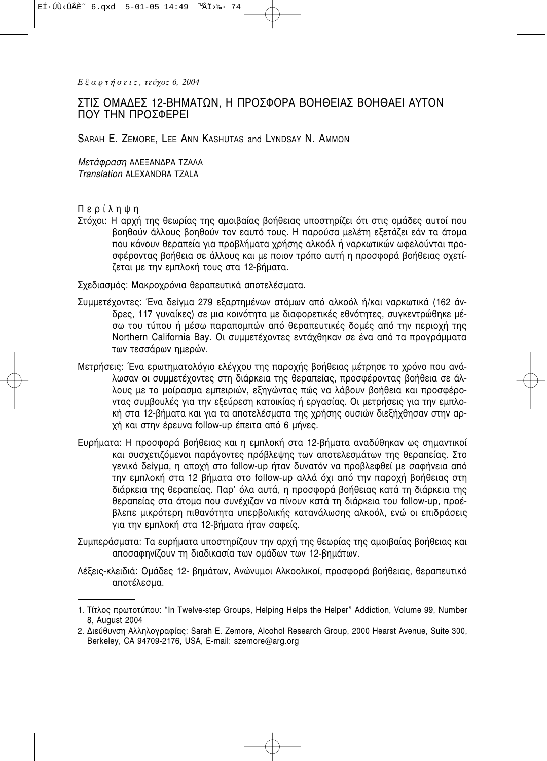$E \xi a \varrho \tau \eta \sigma \varepsilon \iota$ ς, τεύχος 6, 2004

# ΣΤΙΣ ΟΜΑΔΕΣ 12-ΒΗΜΑΤΩΝ, Η ΠΡΟΣΦΟΡΑ ΒΟΗΘΕΙΑΣ ΒΟΗΘΑΕΙ ΑΥΤΟΝ ΠΟΥ ΤΗΝ ΠΡΟΣΦΕΡΕΙ

SARAH E. ZEMORE, LEE ANN KASHUTAS and LYNDSAY N. AMMON

Μετάφραση ΑΛΕΞΑΝΔΡΑ ΤΖΑΛΑ Translation ALEXANDRA TZALA

Περίληψη

Στόχοι: Η αρχή της θεωρίας της αμοιβαίας βοήθειας υποστηρίζει ότι στις ομάδες αυτοί που βοηθούν άλλους βοηθούν τον εαυτό τους. Η παρούσα μελέτη εξετάζει εάν τα άτομα που κάνουν θεραπεία για προβλήματα χρήσης αλκοόλ ή ναρκωτικών ωφελούνται προσφέροντας βοήθεια σε άλλους και με ποιον τρόπο αυτή η προσφορά βοήθειας σχετίζεται με την εμπλοκή τους στα 12-βήματα.

Σχεδιασμός: Μακροχρόνια θεραπευτικά αποτελέσματα.

- Συμμετέχοντες: Ένα δείγμα 279 εξαρτημένων ατόμων από αλκοόλ ή/και ναρκωτικά (162 άνδρες, 117 γυναίκες) σε μια κοινότητα με διαφορετικές εθνότητες, συγκεντρώθηκε μέσω του τύπου ή μέσω παραπομπών από θεραπευτικές δομές από την περιοχή της Northern California Bay. Οι συμμετέχοντες εντάχθηκαν σε ένα από τα προγράμματα των τεσσάρων ημερών.
- Μετρήσεις: Ένα ερωτηματολόγιο ελέγχου της παροχής βοήθειας μέτρησε το χρόνο που ανάλωσαν οι συμμετέχοντες στη διάρκεια της θεραπείας, προσφέροντας βοήθεια σε άλλους με το μοίρασμα εμπειριών, εξηγώντας πώς να λάβουν βοήθεια και προσφέροντας συμβουλές για την εξεύρεση κατοικίας ή εργασίας. Οι μετρήσεις για την εμπλοκή στα 12-βήματα και για τα αποτελέσματα της χρήσης ουσιών διεξήχθησαν στην αρχή και στην έρευνα follow-up έπειτα από 6 μήνες.
- Ευρήματα: Η προσφορά βοήθειας και η εμπλοκή στα 12-βήματα αναδύθηκαν ως σημαντικοί και συσχετιζόμενοι παράγοντες πρόβλεψης των αποτελεσμάτων της θεραπείας. Στο γενικό δείγμα, η αποχή στο follow-up ήταν δυνατόν να προβλεφθεί με σαφήνεια από την εμπλοκή στα 12 βήματα στο follow-up αλλά όχι από την παροχή βοήθειας στη διάρκεια της θεραπείας. Παρ' όλα αυτά, η προσφορά βοήθειας κατά τη διάρκεια της θεραπείας στα άτομα που συνέχιζαν να πίνουν κατά τη διάρκεια του follow-up, προέβλεπε μικρότερη πιθανότητα υπερβολικής κατανάλωσης αλκοόλ, ενώ οι επιδράσεις για την εμπλοκή στα 12-βήματα ήταν σαφείς.
- Συμπεράσματα: Τα ευρήματα υποστηρίζουν την αρχή της θεωρίας της αμοιβαίας βοήθειας και αποσαφηνίζουν τη διαδικασία των ομάδων των 12-βημάτων.
- Λέξεις-κλειδιά: Ομάδες 12- βημάτων, Ανώνυμοι Αλκοολικοί, προσφορά βοήθειας, θεραπευτικό αποτέλεσμα.

<sup>1.</sup> Τίτλος πρωτοτύπου: "In Twelve-step Groups, Helping Helps the Helper" Addiction, Volume 99, Number 8, August 2004

<sup>2.</sup> Διεύθυνση Αλληλογραφίας: Sarah E. Zemore, Alcohol Research Group, 2000 Hearst Avenue, Suite 300, Berkeley, CA 94709-2176, USA, E-mail: szemore@arg.org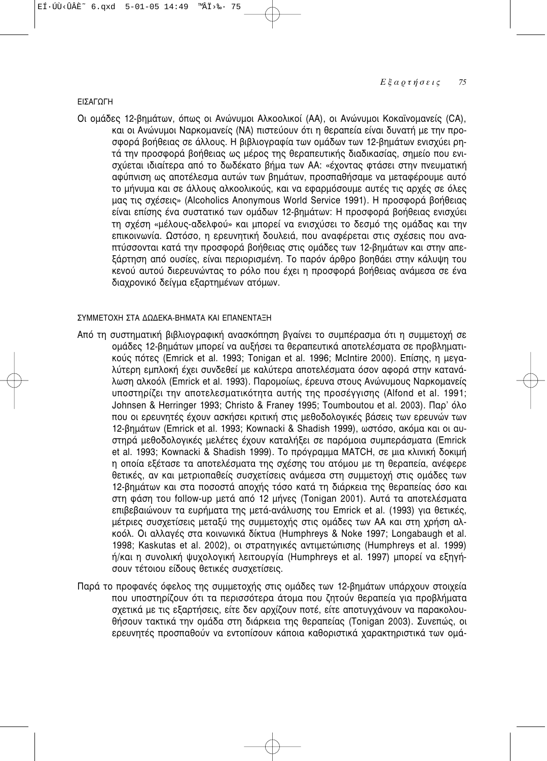## ΕΙΣΑΓΩΓΗ

Οι ομάδες 12-βημάτων, όπως οι Ανώνυμοι Αλκοολικοί (ΑΑ), οι Ανώνυμοι Κοκαϊνομανείς (CA), και οι Ανώνυμοι Ναρκομανείς (ΝΑ) πιστεύουν ότι η θεραπεία είναι δυνατή με την προσφορά βοήθειας σε άλλους. Η βιβλιογραφία των ομάδων των 12-βημάτων ενισχύει ρητά την προσφορά βοήθειας ως μέρος της θεραπευτικής διαδικασίας, σημείο που ενισχύεται ιδιαίτερα από το δωδέκατο βήμα των ΑΑ: «έχοντας φτάσει στην πνευματική αφύπνιση ως αποτέλεσμα αυτών των βημάτων, προσπαθήσαμε να μεταφέρουμε αυτό το μήνυμα και σε άλλους αλκοολικούς, και να εφαρμόσουμε αυτές τις αρχές σε όλες μας τις σχέσεις» (Alcoholics Anonymous World Service 1991). Η προσφορά βοήθειας είναι επίσης ένα συστατικό των ομάδων 12-βημάτων: Η προσφορά βοήθειας ενισχύει τη σχέση «μέλους-αδελφού» και μπορεί να ενισχύσει το δεσμό της ομάδας και την επικοινωνία. Ωστόσο, η ερευνητική δουλειά, που αναφέρεται στις σχέσεις που αναπτύσσονται κατά την προσφορά βοήθειας στις ομάδες των 12-βημάτων και στην απεξάρτηση από ουσίες, είναι περιορισμένη. Το παρόν άρθρο βοηθάει στην κάλυψη του κενού αυτού διερευνώντας το ρόλο που έχει η προσφορά βοήθειας ανάμεσα σε ένα διαχρονικό δείγμα εξαρτημένων ατόμων.

# **ΣΥΜΜΕΤΟΧΗ ΣΤΑ ΛΟΛΕΚΑ-ΒΗΜΑΤΑ ΚΑΙ ΕΠΑΝΕΝΤΑΞΗ**

- Από τη συστηματική βιβλιογραφική ανασκόπηση βγαίνει το συμπέρασμα ότι η συμμετοχή σε ομάδες 12-βημάτων μπορεί να αυξήσει τα θεραπευτικά αποτελέσματα σε προβληματικούς πότες (Emrick et al. 1993; Tonigan et al. 1996; McIntire 2000). Επίσης, η μεγαλύτερη εμπλοκή έχει συνδεθεί με καλύτερα αποτελέσματα όσον αφορά στην κατανάλωση αλκοόλ (Emrick et al. 1993). Παρομοίως, έρευνα στους Ανώνυμους Ναρκομανείς υποστηρίζει την αποτελεσματικότητα αυτής της προσέγγισης (Alfond et al. 1991; Johnsen & Herringer 1993; Christo & Franey 1995; Toumboutou et al. 2003). Παρ' όλο που οι ερευνητές έχουν ασκήσει κριτική στις μεθοδολογικές βάσεις των ερευνών των 12-βημάτων (Emrick et al. 1993; Kownacki & Shadish 1999), ωστόσο, ακόμα και οι αυστηρά μεθοδολογικές μελέτες έχουν καταλήξει σε παρόμοια συμπεράσματα (Emrick et al. 1993; Kownacki & Shadish 1999). Το πρόγραμμα MATCH, σε μια κλινική δοκιμή η οποία εξέτασε τα αποτελέσματα της σχέσης του ατόμου με τη θεραπεία, ανέφερε θετικές, αν και μετριοπαθείς συσχετίσεις ανάμεσα στη συμμετοχή στις ομάδες των 12-βημάτων και στα ποσοστά αποχής τόσο κατά τη διάρκεια της θεραπείας όσο και στη φάση του follow-up μετά από 12 μήνες (Tonigan 2001). Αυτά τα αποτελέσματα επιβεβαιώνουν τα ευρήματα της μετά-ανάλυσης του Emrick et al. (1993) για θετικές, μέτριες συσχετίσεις μεταξύ της συμμετοχής στις ομάδες των ΑΑ και στη χρήση αλκοόλ. Οι αλλαγές στα κοινωνικά δίκτυα (Humphreys & Noke 1997; Longabaugh et al. 1998; Kaskutas et al. 2002), οι στρατηγικές αντιμετώπισης (Humphreys et al. 1999) ή/και η συνολική ψυχολογική λειτουργία (Humphreys et al. 1997) μπορεί να εξηγήσουν τέτοιου είδους θετικές συσχετίσεις.
- Παρά το προφανές όφελος της συμμετοχής στις ομάδες των 12-βημάτων υπάρχουν στοιχεία που υποστηρίζουν ότι τα περισσότερα άτομα που ζητούν θεραπεία για προβλήματα σχετικά με τις εξαρτήσεις, είτε δεν αρχίζουν ποτέ, είτε αποτυγχάνουν να παρακολουθήσουν τακτικά την ομάδα στη διάρκεια της θεραπείας (Tonigan 2003). Συνεπώς, οι ερευνητές προσπαθούν να εντοπίσουν κάποια καθοριστικά χαρακτηριστικά των ομά-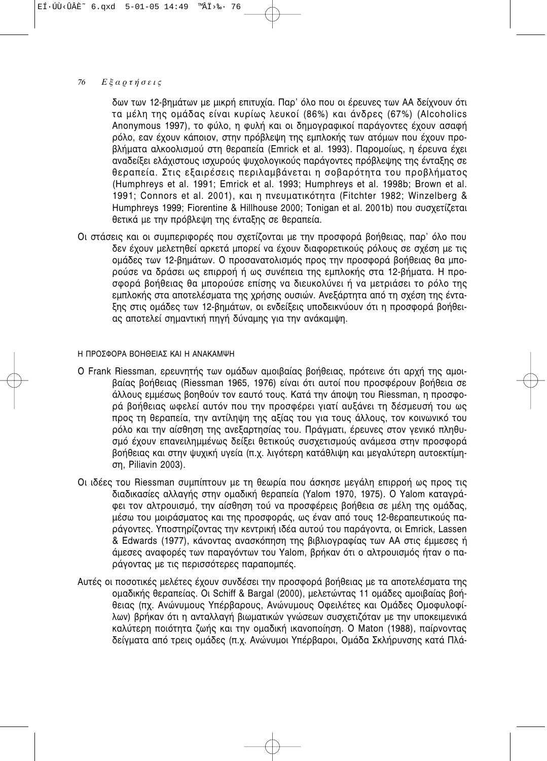δων των 12-βημάτων με μικρή επιτυχία. Παρ' όλο που οι έρευνες των ΑΑ δείχνουν ότι τα μέλη της ομάδας είναι κυρίως λευκοί (86%) και άνδρες (67%) (Alcoholics Anonymous 1997), το φύλο, η φυλή και οι δημογραφικοί παράγοντες έχουν ασαφή ρόλο, εαν έχουν κάποιον, στην πρόβλεψη της εμπλοκής των ατόμων που έχουν προβλήματα αλκοολισμού στη θεραπεία (Emrick et al. 1993). Παρομοίως, η έρευνα έχει αναδείξει ελάχιστους ισχυρούς ψυχολογικούς παράγοντες πρόβλεψης της ένταξης σε θεραπεία. Στις εξαιρέσεις περιλαμβάνεται η σοβαρότητα του προβλήματος (Humphreys et al. 1991; Emrick et al. 1993; Humphreys et al. 1998b; Brown et al. 1991; Connors et al. 2001), και η πνευματικότητα (Fitchter 1982; Winzelberg & Humphreys 1999; Fiorentine & Hillhouse 2000; Tonigan et al. 2001b) που συσχετίζεται θετικά με την πρόβλεψη της ένταξης σε θεραπεία.

Οι στάσεις και οι συμπεριφορές που σχετίζονται με την προσφορά βοήθειας, παρ' όλο που δεν έχουν μελετηθεί αρκετά μπορεί να έχουν διαφορετικούς ρόλους σε σχέση με τις ομάδες των 12-βημάτων. Ο προσανατολισμός προς την προσφορά βοήθειας θα μπορούσε να δράσει ως επιρροή ή ως συνέπεια της εμπλοκής στα 12-βήματα. Η προσφορά βοήθειας θα μπορούσε επίσης να διευκολύνει ή να μετριάσει το ρόλο της εμπλοκής στα αποτελέσματα της χρήσης ουσιών. Ανεξάρτητα από τη σχέση της ένταξης στις ομάδες των 12-βημάτων, οι ενδείξεις υποδεικνύουν ότι η προσφορά βοήθειας αποτελεί σημαντική πηγή δύναμης για την ανάκαμψη.

# Η ΠΡΟΣΦΟΡΑ ΒΟΗΘΕΙΑΣ ΚΑΙ Η ΑΝΑΚΑΜΨΗ

- Ο Frank Riessman, ερευνητής των ομάδων αμοιβαίας βοήθειας, πρότεινε ότι αρχή της αμοιβαίας βοήθειας (Riessman 1965, 1976) είναι ότι αυτοί που προσφέρουν βοήθεια σε άλλους εμμέσως βοηθούν τον εαυτό τους. Κατά την άποψη του Riessman, η προσφορά βοήθειας ωφελεί αυτόν που την προσφέρει γιατί αυξάνει τη δέσμευσή του ως προς τη θεραπεία, την αντίληψη της αξίας του για τους άλλους, τον κοινωνικό του ρόλο και την αίσθηση της ανεξαρτησίας του. Πράγματι, έρευνες στον γενικό πληθυσμό έχουν επανειλημμένως δείξει θετικούς συσχετισμούς ανάμεσα στην προσφορά βοήθειας και στην ψυχική υγεία (π.χ. λιγότερη κατάθλιψη και μεγαλύτερη αυτοεκτίμηση, Piliavin 2003).
- Οι ιδέες του Riessman συμπίπτουν με τη θεωρία που άσκησε μεγάλη επιρροή ως προς τις διαδικασίες αλλαγής στην ομαδική θεραπεία (Yalom 1970, 1975). Ο Yalom καταγράφει τον αλτρουισμό, την αίσθηση τού να προσφέρεις βοήθεια σε μέλη της ομάδας, μέσω του μοιράσματος και της προσφοράς, ως έναν από τους 12-θεραπευτικούς παράγοντες. Υποστηρίζοντας την κεντρική ιδέα αυτού του παράγοντα, οι Emrick, Lassen & Edwards (1977), κάνοντας ανασκόπηση της βιβλιογραφίας των ΑΑ στις έμμεσες ή άμεσες αναφορές των παραγόντων του Yalom, βρήκαν ότι ο αλτρουισμός ήταν ο παράγοντας με τις περισσότερες παραπομπές.
- Aυτές οι ποσοτικές μελέτες έχουν συνδέσει την προσφορά βοήθειας με τα αποτελέσματα της ομαδικής θεραπείας. Οι Schiff & Bargal (2000), μελετώντας 11 ομάδες αμοιβαίας βοήθειας (πχ. Ανώνυμους Υπέρβαρους, Ανώνυμους Οφειλέτες και Ομάδες Ομοφυλοφίλων) βρήκαν ότι η ανταλλαγή βιωματικών γνώσεων συσχετιζόταν με την υποκειμενικά καλύτερη ποιότητα ζωής και την ομαδική ικανοποίηση. Ο Maton (1988), παίρνοντας δείγματα από τρεις ομάδες (π.χ. Ανώνυμοι Υπέρβαροι, Ομάδα Σκλήρυνσης κατά Πλά-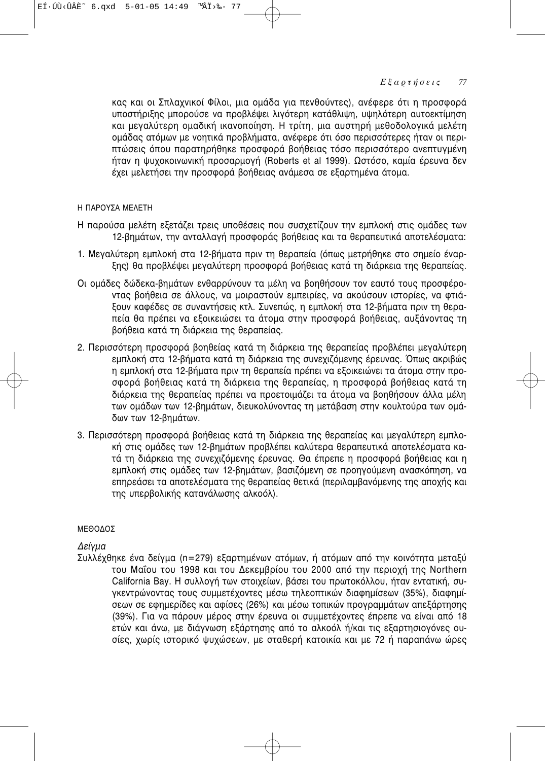κας και οι Σπλαχνικοί Φίλοι, μια ομάδα για πενθούντες), ανέφερε ότι η προσφορά υποστήριξης μπορούσε να προβλέψει λιγότερη κατάθλιψη, υψηλότερη αυτοεκτίμηση και μεγαλύτερη ομαδική ικανοποίηση. Η τρίτη, μια αυστηρή μεθοδολογικά μελέτη ομάδας ατόμων με νοητικά προβλήματα, ανέφερε ότι όσο περισσότερες ήταν οι περιπτώσεις όπου παρατηρήθηκε προσφορά βοήθειας τόσο περισσότερο ανεπτυγμένη ήταν η ψυχοκοινωνική προσαρμογή (Roberts et al 1999). Ωστόσο, καμία έρευνα δεν έχει μελετήσει την προσφορά βοήθειας ανάμεσα σε εξαρτημένα άτομα.

# Η ΠΑΡΟΥΣΑ ΜΕΛΕΤΗ

EÍ·ÚÙ<ÛÂÈ~ 6.qxd 5-01-05 14:49 ™ÂÏ>‰· 77

- Η παρούσα μελέτη εξετάζει τρεις υποθέσεις που συσχετίζουν την εμπλοκή στις ομάδες των 12-βημάτων, την ανταλλαγή προσφοράς βοήθειας και τα θεραπευτικά αποτελέσματα:
- 1. Μεγαλύτερη εμπλοκή στα 12-βήματα πριν τη θεραπεία (όπως μετρήθηκε στο σημείο έναρξης) θα προβλέψει μεγαλύτερη προσφορά βοήθειας κατά τη διάρκεια της θεραπείας.
- Οι ομάδες δώδεκα-βημάτων ενθαρρύνουν τα μέλη να βοηθήσουν τον εαυτό τους προσφέροντας βοήθεια σε άλλους, να μοιραστούν εμπειρίες, να ακούσουν ιστορίες, να φτιάξουν καφέδες σε συναντήσεις κτλ. Συνεπώς, η εμπλοκή στα 12-βήματα πριν τη θεραπεία θα πρέπει να εξοικειώσει τα άτομα στην προσφορά βοήθειας, αυξάνοντας τη βοήθεια κατά τη διάρκεια της θεραπείας.
- 2. Περισσότερη προσφορά βοηθείας κατά τη διάρκεια της θεραπείας προβλέπει μεγαλύτερη εμπλοκή στα 12-βήματα κατά τη διάρκεια της συνεχιζόμενης έρευνας. Όπως ακριβώς η εμπλοκή στα 12-βήματα πριν τη θεραπεία πρέπει να εξοικειώνει τα άτομα στην προσφορά βοήθειας κατά τη διάρκεια της θεραπείας, η προσφορά βοήθειας κατά τη διάρκεια της θεραπείας πρέπει να προετοιμάζει τα άτομα να βοηθήσουν άλλα μέλη των ομάδων των 12-βημάτων, διευκολύνοντας τη μετάβαση στην κουλτούρα των ομάδων των 12-βημάτων.
- 3. Περισσότερη προσφορά βοήθειας κατά τη διάρκεια της θεραπείας και μεγαλύτερη εμπλοκή στις ομάδες των 12-βημάτων προβλέπει καλύτερα θεραπευτικά αποτελέσματα κατά τη διάρκεια της συνεχιζόμενης έρευνας. Θα έπρεπε η προσφορά βοήθειας και η εμπλοκή στις ομάδες των 12-βημάτων, βασιζόμενη σε προηγούμενη ανασκόπηση, να επηρεάσει τα αποτελέσματα της θεραπείας θετικά (περιλαμβανόμενης της αποχής και της υπερβολικής κατανάλωσης αλκοόλ).

# ΜΕΘΟΔΟΣ

Δείνμα

Συλλέχθηκε ένα δείγμα (n=279) εξαρτημένων ατόμων, ή ατόμων από την κοινότητα μεταξύ του Μαΐου του 1998 και του Δεκεμβρίου του 2000 από την περιοχή της Northern California Bay. Η συλλογή των στοιχείων, βάσει του πρωτοκόλλου, ήταν εντατική, συγκεντρώνοντας τους συμμετέχοντες μέσω τηλεοπτικών διαφημίσεων (35%), διαφημίσεων σε εφημερίδες και αφίσες (26%) και μέσω τοπικών προγραμμάτων απεξάρτησης (39%). Για να πάρουν μέρος στην έρευνα οι συμμετέχοντες έπρεπε να είναι από 18 ετών και άνω, με διάγνωση εξάρτησης από το αλκοόλ ή/και τις εξαρτησιογόνες ουσίες, χωρίς ιστορικό ψυχώσεων, με σταθερή κατοικία και με 72 ή παραπάνω ώρες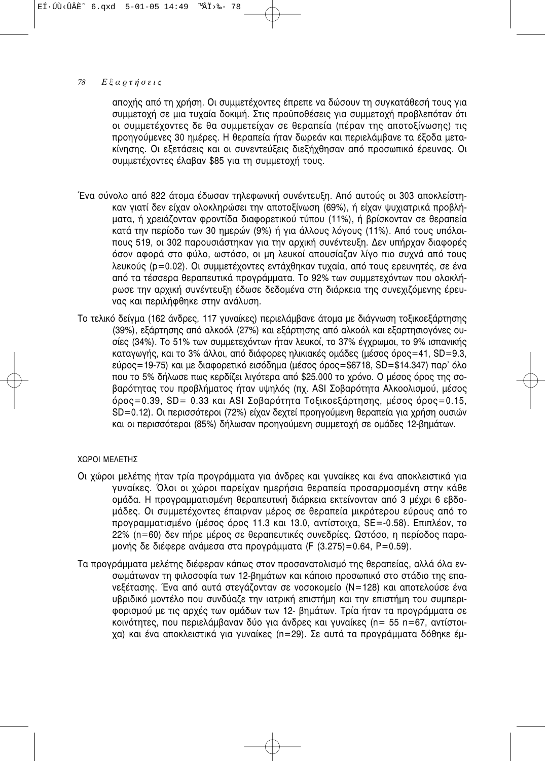αποχής από τη χρήση. Οι συμμετέχοντες έπρεπε να δώσουν τη συγκατάθεσή τους για συμμετοχή σε μια τυχαία δοκιμή. Στις προϋποθέσεις για συμμετοχή προβλεπόταν ότι οι συμμετέχοντες δε θα συμμετείχαν σε θεραπεία (πέραν της αποτοξίνωσης) τις προηγούμενες 30 ημέρες. Η θεραπεία ήταν δωρεάν και περιελάμβανε τα έξοδα μετακίνησης. Οι εξετάσεις και οι συνεντεύξεις διεξήχθησαν από προσωπικό έρευνας. Οι συμμετέχοντες έλαβαν \$85 για τη συμμετοχή τους.

- Ένα σύνολο από 822 άτομα έδωσαν τηλεφωνική συνέντευξη. Από αυτούς οι 303 αποκλείστηκαν γιατί δεν είχαν ολοκληρώσει την αποτοξίνωση (69%), ή είχαν ψυχιατρικά προβλήματα, ή χρειάζονταν φροντίδα διαφορετικού τύπου (11%), ή βρίσκονταν σε θεραπεία κατά την περίοδο των 30 ημερών (9%) ή για άλλους λόγους (11%). Από τους υπόλοιπους 519, οι 302 παρουσιάστηκαν για την αρχική συνέντευξη. Δεν υπήρχαν διαφορές όσον αφορά στο φύλο, ωστόσο, οι μη λευκοί απουσίαζαν λίγο πιο συχνά από τους λευκούς (p=0.02). Οι συμμετέχοντες εντάχθηκαν τυχαία, από τους ερευνητές, σε ένα από τα τέσσερα θεραπευτικά προγράμματα. Το 92% των συμμετεχόντων που ολοκλήρωσε την αρχική συνέντευξη έδωσε δεδομένα στη διάρκεια της συνεχιζόμενης έρευνας και περιλήφθηκε στην ανάλυση.
- Το τελικό δείγμα (162 άνδρες, 117 γυναίκες) περιελάμβανε άτομα με διάγνωση τοξικοεξάρτησης (39%), εξάρτησης από αλκοόλ (27%) και εξάρτησης από αλκοόλ και εξαρτησιογόνες ουσίες (34%). Το 51% των συμμετεχόντων ήταν λευκοί, το 37% έγχρωμοι, το 9% ισπανικής  $\kappa$ αταγωγής, και το 3% άλλοι, από διάφορες ηλικιακές ομάδες (μέσος όρος=41, SD=9.3,  $ε$ ύρος = 19-75) και με διαφορετικό εισόδημα (μέσος όρος = \$6718, SD=\$14.347) παρ' όλο που το 5% δήλωσε πως κερδίζει λιγότερα από \$25.000 το χρόνο. Ο μέσος όρος της σοβαρότητας του προβλήματος ήταν υψηλός (πχ. ASI Σοβαρότητα Αλκοολισμού, μέσος  $600$ ς=0.39, SD= 0.33 και ASI Σοβαρότητα Τοξικοεξάρτησης, μέσος όρος=0.15, SD=0.12). Οι περισσότεροι (72%) είχαν δεχτεί προηγούμενη θεραπεία για χρήση ουσιών και οι περισσότεροι (85%) δήλωσαν προηγούμενη συμμετοχή σε ομάδες 12-βημάτων.

## ΧΩΡΟΙ ΜΕΛΕΤΗΣ

- Οι χώροι μελέτης ήταν τρία προγράμματα για άνδρες και γυναίκες και ένα αποκλειστικά για γυναίκες. Όλοι οι χώροι παρείχαν ημερήσια θεραπεία προσαρμοσμένη στην κάθε ομάδα. Η προγραμματισμένη θεραπευτική διάρκεια εκτείνονταν από 3 μέχρι 6 εβδομάδες. Οι συμμετέχοντες έπαιρναν μέρος σε θεραπεία μικρότερου εύρους από το προγραμματισμένο (μέσος όρος 11.3 και 13.0, αντίστοιχα, SE=-0.58). Επιπλέον, το  $22\%$  (n=60) δεν πήρε μέρος σε θεραπευτικές συνεδρίες. Ωστόσο, η περίοδος παραμονής δε διέφερε ανάμεσα στα προγράμματα (F (3.275)=0.64, P=0.59).
- Τα προγράμματα μελέτης διέφεραν κάπως στον προσανατολισμό της θεραπείας, αλλά όλα ενσωμάτωναν τη φιλοσοφία των 12-βημάτων και κάποιο προσωπικό στο στάδιο της επαvεξέτασης. Ένα από αυτά στεγάζονταν σε νοσοκομείο (N=128) και αποτελούσε ένα υβριδικό μοντέλο που συνδύαζε την ιατρική επιστήμη και την επιστήμη του συμπερι-ΦΟρισμού με τις αρχές των ομάδων των 12- βημάτων. Τρία ήταν τα προγράμματα σε  $K$ οινότητες, που περιελάμβαναν δύο για άνδρες και γυναίκες (n= 55 n=67, αντίστοιχα) και ένα αποκλειστικά για γυναίκες (n=29). Σε αυτά τα προγράμματα δόθηκε έμ-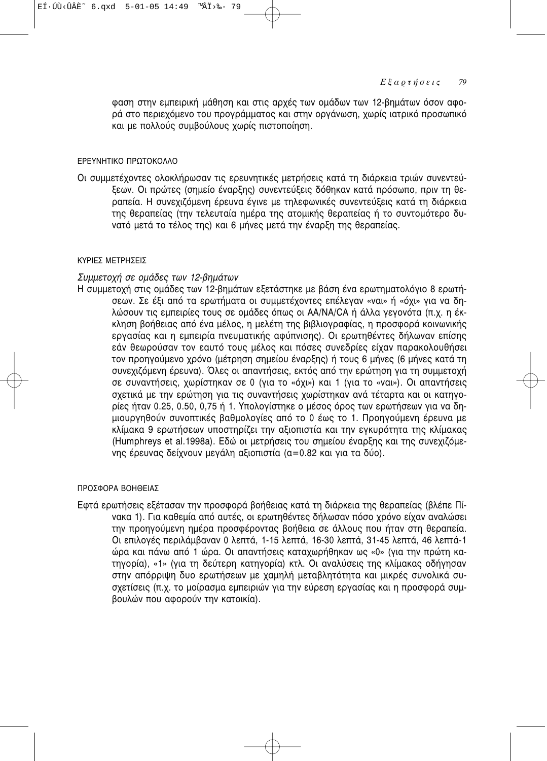φαση στην εμπειρική μάθηση και στις αρχές των ομάδων των 12-βημάτων όσον αφορά στο περιεχόμενο του προγράμματος και στην οργάνωση, χωρίς ιατρικό προσωπικό και με πολλούς συμβούλους χωρίς πιστοποίηση.

# ΕΡΕΥΝΗΤΙΚΟ ΠΡΩΤΟΚΟΛΛΟ

Οι συμμετέχοντες ολοκλήρωσαν τις ερευνητικές μετρήσεις κατά τη διάρκεια τριών συνεντεύξεων. Οι πρώτες (σημείο έναρξης) συνεντεύξεις δόθηκαν κατά πρόσωπο, πριν τη θεραπεία. Η συνεχιζόμενη έρευνα έγινε με τηλεφωνικές συνεντεύξεις κατά τη διάρκεια της θεραπείας (την τελευταία ημέρα της ατομικής θεραπείας ή το συντομότερο δυνατό μετά το τέλος της) και 6 μήνες μετά την έναρξη της θεραπείας.

## ΚΥΡΙΕΣ ΜΕΤΡΗΣΕΙΣ

# Συμμετοχή σε ομάδες των 12-βημάτων

Η συμμετοχή στις ομάδες των 12-βημάτων εξετάστηκε με βάση ένα ερωτηματολόγιο 8 ερωτήσεων. Σε έξι από τα ερωτήματα οι συμμετέχοντες επέλεγαν «ναι» ή «όχι» για να δηλώσουν τις εμπειρίες τους σε ομάδες όπως οι ΑΑ/ΝΑ/CA ή άλλα γεγονότα (π.χ. η έκκληση βοήθειας από ένα μέλος, η μελέτη της βιβλιονραφίας, η προσφορά κοινωνικής εργασίας και η εμπειρία πνευματικής αφύπνισης). Οι ερωτηθέντες δήλωναν επίσης εάν θεωρούσαν τον εαυτό τους μέλος και πόσες συνεδρίες είχαν παρακολουθήσει τον προηγούμενο χρόνο (μέτρηση σημείου έναρξης) ή τους 6 μήνες (6 μήνες κατά τη συνεχιζόμενη έρευνα). Όλες οι απαντήσεις, εκτός από την ερώτηση για τη συμμετοχή σε συναντήσεις, χωρίστηκαν σε 0 (για το «όχι») και 1 (για το «ναι»). Οι απαντήσεις σχετικά με την ερώτηση για τις συναντήσεις χωρίστηκαν ανά τέταρτα και οι κατηγορίες ήταν 0.25, 0.50, 0,75 ή 1. Υπολογίστηκε ο μέσος όρος των ερωτήσεων για να δημιουργηθούν συνοπτικές βαθμολογίες από το 0 έως το 1. Προηγούμενη έρευνα με κλίμακα 9 ερωτήσεων υποστηρίζει την αξιοπιστία και την εγκυρότητα της κλίμακας (Humphreys et al.1998a). Εδώ οι μετρήσεις του σημείου έναρξης και της συνεχιζόμενης έρευνας δείχνουν μεγάλη αξιοπιστία (α=0.82 και για τα δύο).

## ΠΡΟΣΦΟΡΑ ΒΟΗΘΕΙΑΣ

Εφτά ερωτήσεις εξέτασαν την προσφορά βοήθειας κατά τη διάρκεια της θεραπείας (βλέπε Πίνακα 1). Για καθεμία από αυτές, οι ερωτηθέντες δήλωσαν πόσο χρόνο είχαν αναλώσει την προηγούμενη ημέρα προσφέροντας βοήθεια σε άλλους που ήταν στη θεραπεία. Οι επιλογές περιλάμβαναν 0 λεπτά, 1-15 λεπτά, 16-30 λεπτά, 31-45 λεπτά, 46 λεπτά-1 ώρα και πάνω από 1 ώρα. Οι απαντήσεις καταχωρήθηκαν ως «0» (για την πρώτη κατηγορία), «1» (για τη δεύτερη κατηγορία) κτλ. Οι αναλύσεις της κλίμακας οδήγησαν στην απόρριψη δυο ερωτήσεων με χαμηλή μεταβλητότητα και μικρές συνολικά συσχετίσεις (π.χ. το μοίρασμα εμπειριών για την εύρεση εργασίας και η προσφορά συμβουλών που αφορούν την κατοικία).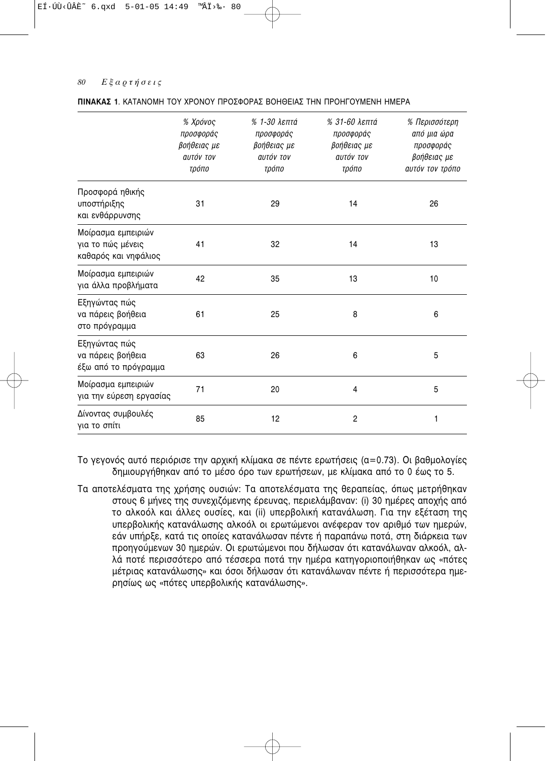## *80 <i>Eξαρτήσεις*

|                                                                 | % Χρόνος<br>προσφοράς<br>βοήθειας με<br>αυτόν τον<br>τρόπο | % 1-30 λεπτά<br>προσφοράς<br>βοήθειας με<br>αυτόν τον<br>τρόπο | % 31-60 λεπτά<br>προσφοράς<br>βοήθειας με<br>αυτόν τον<br>τρόπο | % Περισσότερη<br>από μια ώρα<br>προσφοράς<br>βοήθειας με<br>αυτόν τον τρόπο |
|-----------------------------------------------------------------|------------------------------------------------------------|----------------------------------------------------------------|-----------------------------------------------------------------|-----------------------------------------------------------------------------|
| Προσφορά ηθικής<br>υποστήριξης<br>και ενθάρρυνσης               | 31                                                         | 29                                                             | 14                                                              | 26                                                                          |
| Μοίρασμα εμπειριών<br>για το πώς μένεις<br>καθαρός και νηφάλιος | 41                                                         | 32                                                             | 14                                                              | 13                                                                          |
| Μοίρασμα εμπειριών<br>για άλλα προβλήματα                       | 42                                                         | 35                                                             | 13                                                              | 10                                                                          |
| Εξηγώντας πώς<br>να πάρεις βοήθεια<br>στο πρόγραμμα             | 61                                                         | 25                                                             | 8                                                               | 6                                                                           |
| Εξηγώντας πώς<br>να πάρεις βοήθεια<br>έξω από το πρόγραμμα      | 63                                                         | 26                                                             | 6                                                               | 5                                                                           |
| Μοίρασμα εμπειριών<br>για την εύρεση εργασίας                   | 71                                                         | 20                                                             | 4                                                               | 5                                                                           |
| Δίνοντας συμβουλές<br>για το σπίτι                              | 85                                                         | 12                                                             | $\overline{c}$                                                  | 1                                                                           |

## **ΠΙΝΑΚΑΣ 1.** ΚΑΤΑΝΟΜΗ ΤΟΥ ΧΡΟΝΟΥ ΠΡΟΣΦΟΡΑΣ ΒΟΗΘΕΙΑΣ ΤΗΝ ΠΡΟΗΓΟΥΜΕΝΗ ΗΜΕΡΑ

Το γεγονός αυτό περιόρισε την αρχική κλίμακα σε πέντε ερωτήσεις (α=0.73). Οι βαθμολογίες δημιουργήθηκαν από το μέσο όρο των ερωτήσεων, με κλίμακα από το 0 έως το 5.

Τα αποτελέσματα της χρήσης ουσιών: Τα αποτελέσματα της θεραπείας, όπως μετρήθηκαν στους 6 μήνες της συνεχιζόμενης έρευνας, περιελάμβαναν: (i) 30 ημέρες αποχής από το αλκοόλ και άλλες ουσίες, και (ii) υπερβολική κατανάλωση. Για την εξέταση της υπερβολικής κατανάλωσης αλκοόλ οι ερωτώμενοι ανέφεραν τον αριθμό των ημερών, εάν υπήρξε, κατά τις οποίες κατανάλωσαν πέντε ή παραπάνω ποτά, στη διάρκεια των προηγούμενων 30 ημερών. Οι ερωτώμενοι που δήλωσαν ότι κατανάλωναν αλκοόλ, αλλά ποτέ περισσότερο από τέσσερα ποτά την ημέρα κατηγοριοποιήθηκαν ως «πότες μέτριας κατανάλωσης» και όσοι δήλωσαν ότι κατανάλωναν πέντε ή περισσότερα ημερησίως ως «πότες υπερβολικής κατανάλωσης».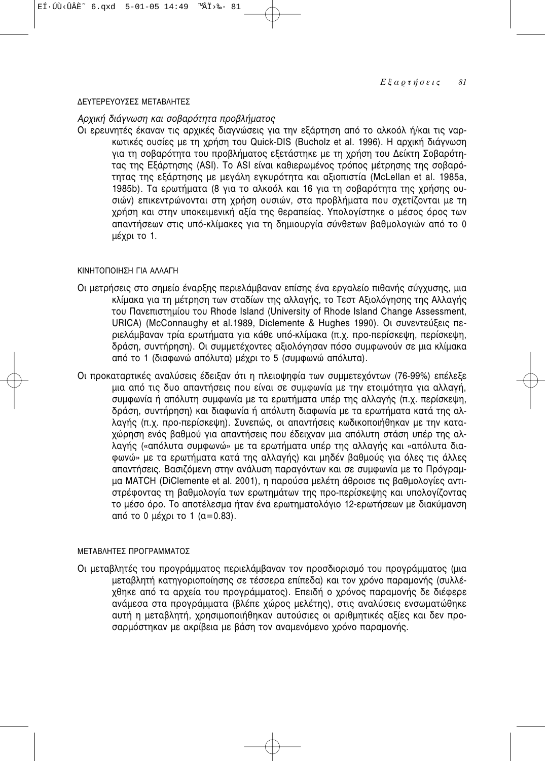### ΔΕΥΤΕΡΕΥΟΥΣΕΣ ΜΕΤΑΒΛΗΤΕΣ

*Aρχική διάγνωση και σοβαρότητα προβλήματος* 

Οι ερευνητές έκαναν τις αρχικές διαγνώσεις για την εξάρτηση από το αλκοόλ ή/και τις ναρκωτικές ουσίες με τη χρήση του Quick-DIS (Bucholz et al. 1996). Η αρχική διάγνωση για τη σοβαρότητα του προβλήματος εξετάστηκε με τη χρήση του Δείκτη Σοβαρότητας της Εξάρτησης (ASI). Το ASI είναι καθιερωμένος τρόπος μέτρησης της σοβαρότητας της εξάρτησης με μεγάλη εγκυρότητα και αξιοπιστία (McLellan et al. 1985a, 1985b). Τα ερωτήματα (8 για το αλκοόλ και 16 για τη σοβαρότητα της χρήσης ουσιών) επικεντρώνονται στη χρήση ουσιών, στα προβλήματα που σχετίζονται με τη χρήση και στην υποκειμενική αξία της θεραπείας. Υπολογίστηκε ο μέσος όρος των απαντήσεων στις υπό-κλίμακες για τη δημιουργία σύνθετων βαθμολογιών από το 0 μέχρι το 1.

## KINHTOΠOIHΣH ΓIA AΛΛΑΓΗ

- Οι μετρήσεις στο σημείο έναρξης περιελάμβαναν επίσης ένα εργαλείο πιθανής σύγχυσης, μια κλίμακα για τη μέτρηση των σταδίων της αλλαγής, το Τεστ Αξιολόγησης της Αλλαγής TOU Πανεπιστημίου του Rhode Island (University of Rhode Island Change Assessment, URICA) (McConnaughy et al.1989, Diclemente & Hughes 1990). Οι συνεντεύξεις πεpιελάμβαναν τρία ερωτήματα για κάθε υπό-κλίμακα (π.χ. προ-περίσκεψη, περίσκεψη, δράση, συντήρηση). Οι συμμετέχοντες αξιολόγησαν πόσο συμφωνούν σε μια κλίμακα από το 1 (διαφωνώ απόλυτα) μέχρι το 5 (συμφωνώ απόλυτα).
- Οι προκαταρτικές αναλύσεις έδειξαν ότι η πλειοψηφία των συμμετεχόντων (76-99%) επέλεξε μια από τις δυο απαντήσεις που είναι σε συμφωνία με την ετοιμότητα για αλλαγή, συμφωνία ή απόλυτη συμφωνία με τα ερωτήματα υπέρ της αλλαγής (π.χ. περίσκεψη, δράση, συντήρηση) και διαφωνία ή απόλυτη διαφωνία με τα ερωτήματα κατά της αλλαγής (π.χ. προ-περίσκεψη). Συνεπώς, οι απαντήσεις κωδικοποιήθηκαν με την καταχώρηση ενός βαθμού για απαντήσεις που έδειχναν μια απόλυτη στάση υπέρ της αλλαγής («απόλυτα συμφωνώ» με τα ερωτήματα υπέρ της αλλαγής και «απόλυτα διαφωνώ» με τα ερωτήματα κατά της αλλαγής) και μηδέν βαθμούς για όλες τις άλλες απαντήσεις. Βασιζόμενη στην ανάλυση παραγόντων και σε συμφωνία με το Πρόγραμμα MATCH (DiClemente et al. 2001), η παρούσα μελέτη άθροισε τις βαθμολογίες αντιστρέφοντας τη βαθμολογία των ερωτημάτων της προ-περίσκεψης και υπολογίζοντας το μέσο όρο. Το αποτέλεσμα ήταν ένα ερωτηματολόγιο 12-ερωτήσεων με διακύμανση από το 0 μέχρι το 1 ( $\alpha$ =0.83).

## ΜΕΤΑΒΛΗΤΕΣ ΠΡΟΓΡΑΜΜΑΤΟΣ

Οι μεταβλητές του προγράμματος περιελάμβαναν τον προσδιορισμό του προγράμματος (μια μεταβλητή κατηγοριοποίησης σε τέσσερα επίπεδα) και τον χρόνο παραμονής (συλλέχθηκε από τα αρχεία του προγράμματος). Επειδή ο χρόνος παραμονής δε διέφερε ανάμεσα στα προγράμματα (βλέπε χώρος μελέτης), στις αναλύσεις ενσωματώθηκε αυτή η μεταβλητή, χρησιμοποιήθηκαν αυτούσιες οι αριθμητικές αξίες και δεν προσαρμόστηκαν με ακρίβεια με βάση τον αναμενόμενο χρόνο παραμονής.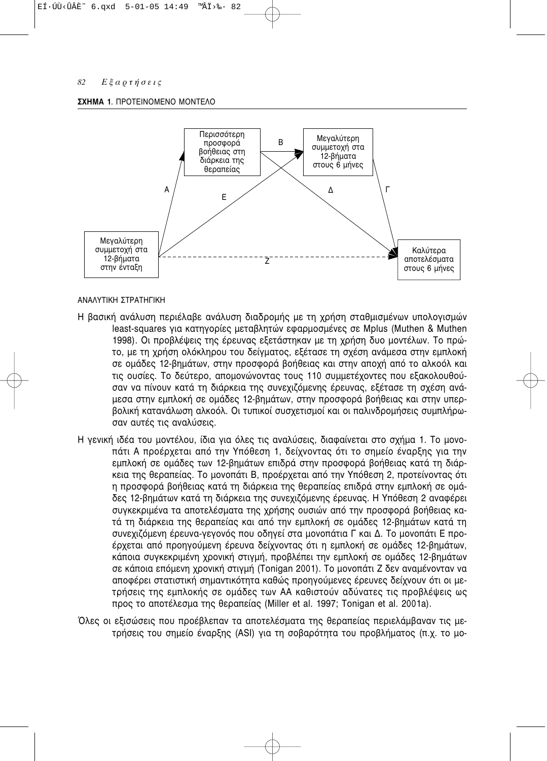# *82 <i>Eξαρτήσεις*





# **ΑΝΑΛΥΤΙΚΗ ΣΤΡΑΤΗΓΙΚΗ**

- Η βασική ανάλυση περιέλαβε ανάλυση διαδρομής με τη χρήση σταθμισμένων υπολογισμών least-squares για κατηγορίες μεταβλητών εφαρμοσμένες σε Mplus (Muthen & Muthen 1998). Οι προβλέψεις της έρευνας εξετάστηκαν με τη χρήση δυο μοντέλων. Το πρώτο, με τη χρήση ολόκληρου του δείγματος, εξέτασε τη σχέση ανάμεσα στην εμπλοκή σε ομάδες 12-βημάτων, στην προσφορά βοήθειας και στην αποχή από το αλκοόλ και τις ουσίες. Το δεύτερο, απομονώνοντας τους 110 συμμετέχοντες που εξακολουθούσαν να πίνουν κατά τη διάρκεια της συνεχιζόμενης έρευνας, εξέτασε τη σχέση ανάμεσα στην εμπλοκή σε ομάδες 12-βημάτων, στην προσφορά βοήθειας και στην υπερβολική κατανάλωση αλκοόλ. Οι τυπικοί συσχετισμοί και οι παλινδρομήσεις συμπλήρωσαν αυτές τις αναλύσεις.
- Η γενική ιδέα του μοντέλου, ίδια για όλες τις αναλύσεις, διαφαίνεται στο σχήμα 1. Το μονοπάτι Α προέρχεται από την Υπόθεση 1. δείχνοντας ότι το σημείο έναρξης για την εμπλοκή σε ομάδες των 12-βημάτων επιδρά στην προσφορά βοήθειας κατά τη διάρκεια της θεραπείας. Το μονοπάτι Β, προέρχεται από την Υπόθεση 2, προτείνοντας ότι η προσφορά βοήθειας κατά τη διάρκεια της θεραπείας επιδρά στην εμπλοκή σε ομάδες 12-βημάτων κατά τη διάρκεια της συνεχιζόμενης έρευνας. Η Υπόθεση 2 αναφέρει συγκεκριμένα τα αποτελέσματα της χρήσης ουσιών από την προσφορά βοήθειας κατά τη διάρκεια της θεραπείας και από την εμπλοκή σε ομάδες 12-βημάτων κατά τη συνεχιζόμενη έρευνα-γεγονός που οδηγεί στα μονοπάτια Γ και Δ. Το μονοπάτι Ε προέρχεται από προηγούμενη έρευνα δείχνοντας ότι η εμπλοκή σε ομάδες 12-βημάτων, κάποια συγκεκριμένη χρονική στιγμή, προβλέπει την εμπλοκή σε ομάδες 12-βημάτων σε κάποια επόμενη χρονική στιγμή (Tonigan 2001). Το μονοπάτι Z δεν αναμένονταν να αποφέρει στατιστική σημαντικότητα καθώς προηγούμενες έρευνες δείχνουν ότι οι μετρήσεις της εμπλοκής σε ομάδες των ΑΑ καθιστούν αδύνατες τις προβλέψεις ως προς το αποτέλεσμα της θεραπείας (Miller et al. 1997; Tonigan et al. 2001a).
- Όλες οι εξισώσεις που προέβλεπαν τα αποτελέσματα της θεραπείας περιελάμβαναν τις μετρήσεις του σημείο έναρξης (ASI) για τη σοβαρότητα του προβλήματος (π.χ. το μο-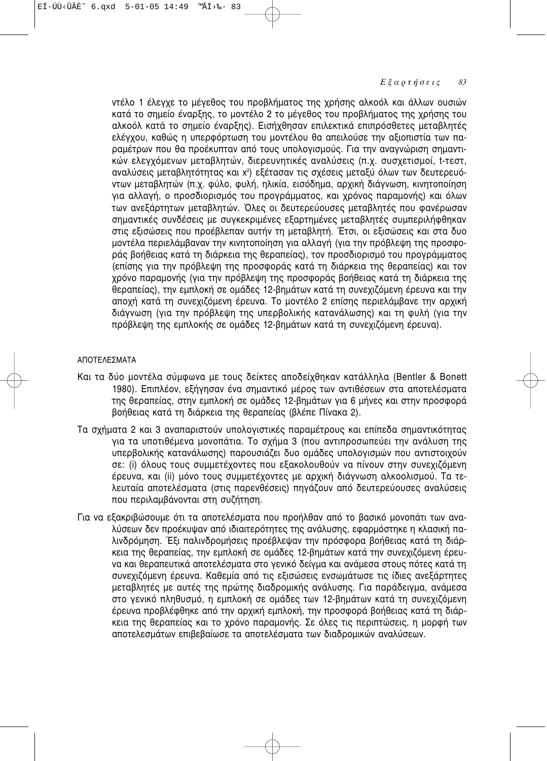## *<i>Eξαρτήσεις* 83

ντέλο 1 έλεγχε το μέγεθος του προβλήματος της χρήσης αλκοόλ και άλλων ουσιών κατά το σημείο έναρξης, το μοντέλο 2 το μέγεθος του προβλήματος της χρήσης του αλκοόλ κατά το σημείο έναρξης). Εισήχθησαν επιλεκτικά επιπρόσθετες μεταβλητές ελέγχου, καθώς η υπερφόρτωση του μοντέλου θα απειλούσε την αξιοπιστία των παραμέτρων που θα προέκυπταν από τους υπολογισμούς. Για την αναγνώριση σημαντι**κών ελεγχόμενων μεταβλητών, διερευνητικές αναλύσεις (π.χ. συσχετισμοί, t-τεστ,** αναλύσεις μεταβλητότητας και x²) εξέτασαν τις σχέσεις μεταξύ όλων των δευτερευό-Vτων μεταβλητών (π.χ. φύλο, φυλή, ηλικία, εισόδημα, αρχική διάγνωση, κινητοποίηση για αλλαγή, ο προσδιορισμός του προγράμματος, και χρόγος παραμογής) και όλωγ των ανεξάρτητων μεταβλητών. Όλες οι δευτερεύουσες μεταβλητές που φανέρωσαν σημαντικές συνδέσεις με συγκεκριμένες εξαρτημένες μεταβλητές συμπεριλήφθηκαν στις εξισώσεις που προέβλεπαν αυτήν τη μεταβλητή. Έτσι, οι εξισώσεις και στα δυο μοντέλα περιελάμβαναν την κινητοποίηση για αλλαγή (για την πρόβλεψη της προσφοράς βοήθειας κατά τη διάρκεια της θεραπείας), τον προσδιορισμό του προγράμματος (επίσης για την πρόβλεψη της προσφοράς κατά τη διάρκεια της θεραπείας) και τον χρόνο παραμονής (για την πρόβλεψη της προσφοράς βοήθειας κατά τη διάρκεια της θεραπείας), την εμπλοκή σε ομάδες 12-βημάτων κατά τη συνεχιζόμενη έρευνα και την αποχή κατά τη συνεχιζόμενη έρευνα. Το μοντέλο 2 επίσης περιελάμβανε την αρχική διάγνωση (για την πρόβλεψη της υπερβολικής κατανάλωσης) και τη φυλή (για την πρόβλεψη της εμπλοκής σε ομάδες 12-βημάτων κατά τη συνεχιζόμενη έρευνα).

# ΑΠΟΤΕΛΕΣΜΑΤΑ

- Και τα δύο μοντέλα σύμφωνα με τους δείκτες αποδείχθηκαν κατάλληλα (Bentler & Bonett 1980). Επιπλέον, εξήγησαν ένα σημαντικό μέρος των αντιθέσεων στα αποτελέσματα της θεραπείας, στην εμπλοκή σε ομάδες 12-βημάτων για 6 μήνες και στην προσφορά βοήθειας κατά τη διάρκεια της θεραπείας (βλέπε Πίνακα 2).
- Τα σχήματα 2 και 3 αναπαριστούν υπολογιστικές παραμέτρους και επίπεδα σημαντικότητας για τα υποτιθέμενα μονοπάτια. Το σχήμα 3 (που αντιπροσωπεύει την ανάλυση της υπερβολικής κατανάλωσης) παρουσιάζει δυο ομάδες υπολογισμών που αντιστοιχούν σε: (i) όλους τους συμμετέχοντες που εξακολουθούν να πίνουν στην συνεχιζόμενη έρευνα, και (ii) μόνο τους συμμετέχοντες με αρχική διάγνωση αλκοολισμού. Τα τελευταία αποτελέσματα (στις παρενθέσεις) πηγάζουν από δευτερεύουσες αναλύσεις που περιλαμβάνονται στη συζήτηση.
- Για να εξακριβώσουμε ότι τα αποτελέσματα που προήλθαν από το βασικό μονοπάτι των αναλύσεων δεν προέκυψαν από ιδιαιτερότητες της ανάλυσης, εφαρμόστηκε η κλασική παλινδρόμηση. Έξι παλινδρομήσεις προέβλεψαν την πρόσφορα βοήθειας κατά τη διάρκεια της θεραπείας, την εμπλοκή σε ομάδες 12-βημάτων κατά την συνεχιζόμενη έρευνα και θεραπευτικά αποτελέσματα στο γενικό δείγμα και ανάμεσα στους πότες κατά τη συνεχιζόμενη έρευνα. Καθεμία από τις εξισώσεις ενσωμάτωσε τις ίδιες ανεξάρτητες μεταβλητές με αυτές της πρώτης διαδρομικής ανάλυσης. Για παράδειγμα, ανάμεσα στο γενικό πληθυσμό, η εμπλοκή σε ομάδες των 12-βημάτων κατά τη συνεχιζόμενη έρευνα προβλέφθηκε από την αρχική εμπλοκή, την προσφορά βοήθειας κατά τη διάρκεια της θεραπείας και το χρόνο παραμονής. Σε όλες τις περιπτώσεις, η μορφή των αποτελεσμάτων επιβεβαίωσε τα αποτελέσματα των διαδρομικών αναλύσεων.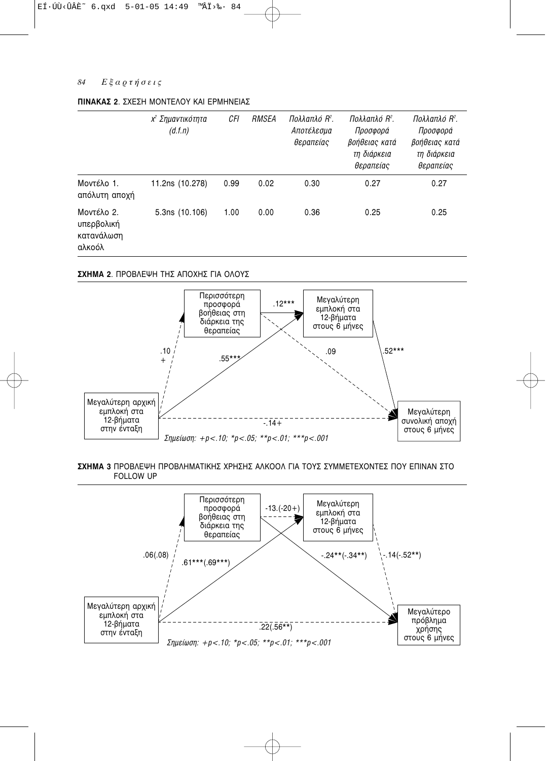## ΠΙΝΑΚΑΣ 2. ΣΧΕΣΗ ΜΟΝΤΕΛΟΥ ΚΑΙ ΕΡΜΗΝΕΙΑΣ

|                                                  | χ <sup>2</sup> Σημαντικότητα<br>(d.f.n) | СFІ  | <b>RMSEA</b> | Πολλαπλό $R^2$ .<br>Αποτέλεσμα<br>θεραπείας | Πολλαπλό $R^2$ .<br>Προσφορά<br>βοήθειας κατά<br>τη διάρκεια<br>θεραπείας | Πολλαπλό $R^2$ .<br>Προσφορά<br>βοήθειας κατά<br>τη διάρκεια<br>θεραπείας |
|--------------------------------------------------|-----------------------------------------|------|--------------|---------------------------------------------|---------------------------------------------------------------------------|---------------------------------------------------------------------------|
| Μοντέλο 1.<br>απόλυτη αποχή                      | 11.2ns (10.278)                         | 0.99 | 0.02         | 0.30                                        | 0.27                                                                      | 0.27                                                                      |
| Μοντέλο 2.<br>υπερβολική<br>κατανάλωση<br>αλκοόλ | 5.3ns(10.106)                           | 1.00 | 0.00         | 0.36                                        | 0.25                                                                      | 0.25                                                                      |

## ΣΧΗΜΑ 2. ΠΡΟΒΛΕΨΗ ΤΗΣ ΑΠΟΧΗΣ ΓΙΑ ΟΛΟΥΣ



## ΣΧΗΜΑ 3 ΠΡΟΒΛΕΨΗ ΠΡΟΒΛΗΜΑΤΙΚΗΣ ΧΡΗΣΗΣ ΑΛΚΟΟΛ ΓΙΑ ΤΟΥΣ ΣΥΜΜΕΤΕΧΟΝΤΕΣ ΠΟΥ ΕΠΙΝΑΝ ΣΤΟ FOLLOW UP

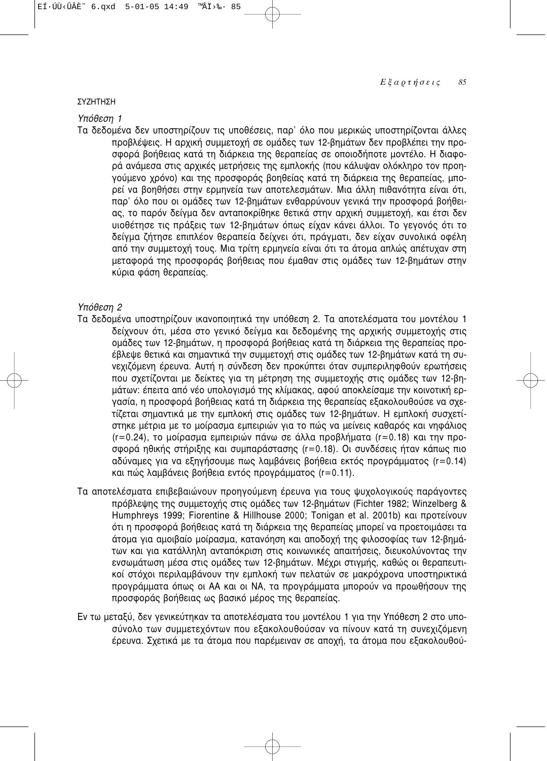## ΣΥΖΗΤΗΣΗ

*ÀfiıÂÛË 1*

Τα δεδομένα δεν υποστηρίζουν τις υποθέσεις, παρ' όλο που μερικώς υποστηρίζονται άλλες προβλέψεις. Η αρχική συμμετοχή σε ομάδες των 12-βημάτων δεν προβλέπει την προσφορά βοήθειας κατά τη διάρκεια της θεραπείας σε οποιοδήποτε μοντέλο. Η διαφορά ανάμεσα στις αρχικές μετρήσεις της εμπλοκής (που κάλυψαν ολόκληρο τον προηγούμενο χρόνο) και της προσφοράς βοηθείας κατά τη διάρκεια της θεραπείας, μπορεί να βοηθήσει στην ερμηνεία των αποτελεσμάτων. Μια άλλη πιθανότητα είναι ότι, παρ' όλο που οι ομάδες των 12-βημάτων ενθαρρύνουν γενικά την προσφορά βοήθειας, το παρόν δείγμα δεν ανταποκρίθηκε θετικά στην αρχική συμμετοχή, και έτσι δεν υιοθέτησε τις πράξεις των 12-βημάτων όπως είχαν κάνει άλλοι. Το γεγονός ότι το δείγμα ζήτησε επιπλέον θεραπεία δείχνει ότι, πράγματι, δεν είχαν συνολικά οφέλη από την συμμετοχή τους. Μια τρίτη ερμηνεία είναι ότι τα άτομα απλώς απέτυχαν στη μεταφορά της προσφοράς βοήθειας που έμαθαν στις ομάδες των 12-βημάτων στην κύρια φάση θεραπείας.

# *Υπόθεση 2*

- Τα δεδομένα υποστηρίζουν ικανοποιητικά την υπόθεση 2. Τα αποτελέσματα του μοντέλου 1 δείχνουν ότι, μέσα στο γενικό δείγμα και δεδομένης της αρχικής συμμετοχής στις ομάδες των 12-βημάτων, η προσφορά βοήθειας κατά τη διάρκεια της θεραπείας προέβλεψε θετικά και σημαντικά την συμμετοχή στις ομάδες των 12-βημάτων κατά τη συνεχιζόμενη έρευνα. Αυτή η σύνδεση δεν προκύπτει όταν συμπεριληφθούν ερωτήσεις που σχετίζονται με δείκτες για τη μέτρηση της συμμετοχής στις ομάδες των 12-βημάτων: έπειτα από νέο υπολογισμό της κλίμακας, αφού αποκλείσαμε την κοινοτική εργασία, η προσφορά βοήθειας κατά τη διάρκεια της θεραπείας εξακολουθούσε να σχετίζεται σημαντικά με την εμπλοκή στις ομάδες των 12-βημάτων. Η εμπλοκή συσχετίστηκε μέτρια με το μοίρασμα εμπειριών για το πώς να μείνεις καθαρός και νηφάλιος  $(r=0.24)$ , το μοίρασμα εμπειριών πάνω σε άλλα προβλήματα  $(r=0.18)$  και την προσφορά ηθικής στήριξης και συμπαράστασης (r=0.18). Οι συνδέσεις ήταν κάπως πιο αδύναμες για να εξηγήσουμε πως λαμβάνεις βοήθεια εκτός προγράμματος (r=0.14) Kαι πώς λαμβάνεις βοήθεια εντός προγράμματος (r=0.11).
- Τα αποτελέσματα επιβεβαιώνουν προηγούμενη έρευνα για τους ψυχολογικούς παράγοντες πρόβλεψης της συμμετοχής στις ομάδες των 12-βημάτων (Fichter 1982; Winzelberg & Humphreys 1999; Fiorentine & Hillhouse 2000; Tonigan et al. 2001b) και προτείνουν ότι η προσφορά βοήθειας κατά τη διάρκεια της θεραπείας μπορεί να προετοιμάσει τα άτομα για αμοιβαίο μοίρασμα, κατανόηση και αποδοχή της φιλοσοφίας των 12-βημάτων και για κατάλληλη ανταπόκριση στις κοινωνικές απαιτήσεις, διευκολύνοντας την ενσωμάτωση μέσα στις ομάδες των 12-βημάτων. Μέχρι στιγμής, καθώς οι θεραπευτικοί στόχοι περιλαμβάνουν την εμπλοκή των πελατών σε μακρόχρονα υποστηρικτικά προγράμματα όπως οι AA και οι NA, τα προγράμματα μπορούν να προωθήσουν της προσφοράς βοήθειας ως βασικό μέρος της θεραπείας.
- Εν τω μεταξύ, δεν γενικεύτηκαν τα αποτελέσματα του μοντέλου 1 για την Υπόθεση 2 στο υποσύνολο των συμμετεχόντων που εξακολουθούσαν να πίνουν κατά τη συνεχιζόμενη έρευνα. Σχετικά με τα άτομα που παρέμειναν σε αποχή, τα άτομα που εξακολουθού-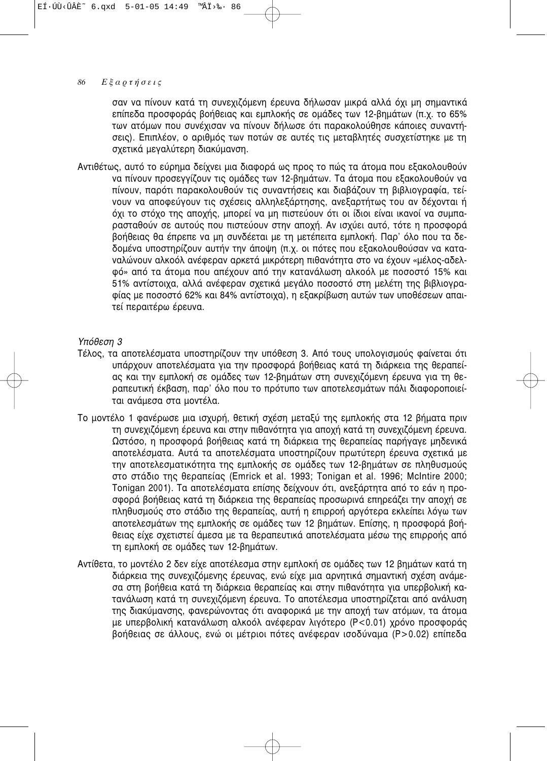σαν να πίνουν κατά τη συνεχιζόμενη έρευνα δήλωσαν μικρά αλλά όχι μη σημαντικά επίπεδα προσφοράς βοήθειας και εμπλοκής σε ομάδες των 12-βημάτων (π.χ. το 65% των ατόμων που συνέχισαν να πίνουν δήλωσε ότι παρακολούθησε κάποιες συναντήσεις). Επιπλέον, ο αριθμός των ποτών σε αυτές τις μεταβλητές συσχετίστηκε με τη σχετικά μεγαλύτερη διακύμανση.

Αντιθέτως, αυτό το εύρημα δείχνει μια διαφορά ως προς το πώς τα άτομα που εξακολουθούν να πίνουν προσεγγίζουν τις ομάδες των 12-βημάτων. Τα άτομα που εξακολουθούν να πίνουν, παρότι παρακολουθούν τις συναντήσεις και διαβάζουν τη βιβλιογραφία, τείνουν να αποφεύγουν τις σχέσεις αλληλεξάρτησης, ανεξαρτήτως του αν δέχονται ή όχι το στόχο της αποχής, μπορεί να μη πιστεύουν ότι οι ίδιοι είναι ικανοί να συμπαρασταθούν σε αυτούς που πιστεύουν στην αποχή. Αν ισχύει αυτό, τότε η προσφορά βοήθειας θα έπρεπε να μη συνδέεται με τη μετέπειτα εμπλοκή. Παρ' όλο που τα δεδομένα υποστηρίζουν αυτήν την άποψη (π.χ. οι πότες που εξακολουθούσαν να καταναλώνουν αλκοόλ ανέφεραν αρκετά μικρότερη πιθανότητα στο να έχουν «μέλος-αδελφό» από τα άτομα που απέχουν από την κατανάλωση αλκοόλ με ποσοστό 15% και 51% αντίστοιχα, αλλά ανέφεραν σχετικά μεγάλο ποσοστό στη μελέτη της βιβλιογραφίας με ποσοστό 62% και 84% αντίστοιχα), η εξακρίβωση αυτών των υποθέσεων απαιτεί περαιτέρω έρευνα.

# Υπόθεση 3

- Τέλος, τα αποτελέσματα υποστηρίζουν την υπόθεση 3. Από τους υπολογισμούς φαίνεται ότι υπάρχουν αποτελέσματα για την προσφορά βοήθειας κατά τη διάρκεια της θεραπείας και την εμπλοκή σε ομάδες των 12-βημάτων στη συνεχιζόμενη έρευνα για τη θεραπευτική έκβαση, παρ' όλο που το πρότυπο των αποτελεσμάτων πάλι διαφοροποιείται ανάμεσα στα μοντέλα.
- Το μοντέλο 1 φανέρωσε μια ισχυρή, θετική σχέση μεταξύ της εμπλοκής στα 12 βήματα πριν τη συνεχιζόμενη έρευνα και στην πιθανότητα για αποχή κατά τη συνεχιζόμενη έρευνα. Ωστόσο, η προσφορά βοήθειας κατά τη διάρκεια της θεραπείας παρήγαγε μηδενικά αποτελέσματα. Αυτά τα αποτελέσματα υποστηρίζουν πρωτύτερη έρευνα σχετικά με την αποτελεσματικότητα της εμπλοκής σε ομάδες των 12-βημάτων σε πληθυσμούς στο στάδιο της θεραπείας (Emrick et al. 1993; Tonigan et al. 1996; McIntire 2000; Tonigan 2001). Τα αποτελέσματα επίσης δείχνουν ότι, ανεξάρτητα από το εάν η προσφορά βοήθειας κατά τη διάρκεια της θεραπείας προσωρινά επηρεάζει την αποχή σε πληθυσμούς στο στάδιο της θεραπείας, αυτή η επιρροή αργότερα εκλείπει λόγω των αποτελεσμάτων της εμπλοκής σε ομάδες των 12 βημάτων. Επίσης, η προσφορά βοήθειας είχε σχετιστεί άμεσα με τα θεραπευτικά αποτελέσματα μέσω της επιρροής από τη εμπλοκή σε ομάδες των 12-βημάτων.
- Αντίθετα, το μοντέλο 2 δεν είχε αποτέλεσμα στην εμπλοκή σε ομάδες των 12 βημάτων κατά τη διάρκεια της συνεχιζόμενης έρευνας, ενώ είχε μια αρνητικά σημαντική σχέση ανάμεσα στη βοήθεια κατά τη διάρκεια θεραπείας και στην πιθανότητα για υπερβολική κατανάλωση κατά τη συνεχιζόμενη έρευνα. Το αποτέλεσμα υποστηρίζεται από ανάλυση της διακύμανσης, φανερώνοντας ότι αναφορικά με την αποχή των ατόμων, τα άτομα με υπερβολική κατανάλωση αλκοόλ ανέφεραν λιγότερο (P<0.01) χρόνο προσφοράς βοήθειας σε άλλους, ενώ οι μέτριοι πότες ανέφεραν ισοδύναμα (P>0.02) επίπεδα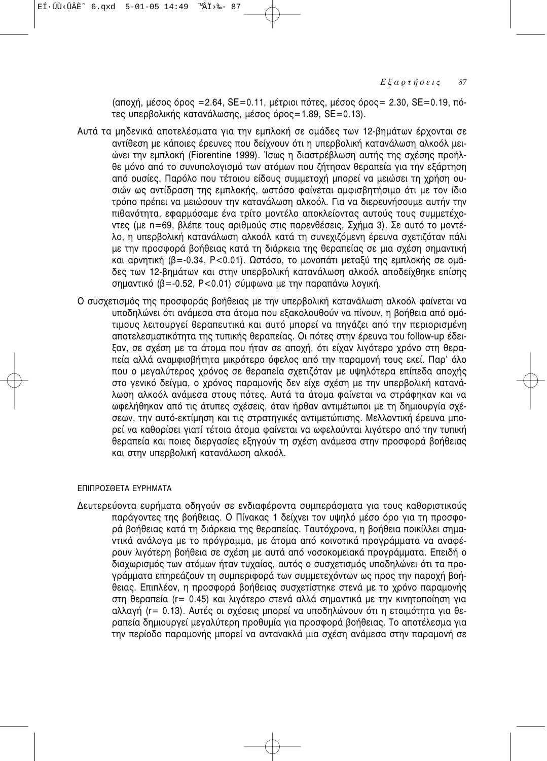EÍ·ÚÙ‹ÛÂȘ 6.qxd 5-01-05 14:49 ™ÂÏ›‰· 87

 $(\alpha \pi \alpha \gamma)$ , μέσος όρος =2.64, SE=0.11, μέτριοι πότες, μέσος όρος = 2.30, SE=0.19, πότες υπερβολικής κατανάλωσης, μέσος όρος=1.89, SE=0.13).

- Αυτά τα μηδενικά αποτελέσματα για την εμπλοκή σε ομάδες των 12-βημάτων έρχονται σε αντίθεση με κάποιες έρευνες που δείχνουν ότι η υπερβολική κατανάλωση αλκοόλ μειώνει την εμπλοκή (Fiorentine 1999). Ίσως η διαστρέβλωση αυτής της σχέσης προήλθε μόνο από το συνυπολογισμό των ατόμων που ζήτησαν θεραπεία για την εξάρτηση από ουσίες. Παρόλο που τέτοιου είδους συμμετοχή μπορεί να μειώσει τη χρήση ουσιών ως αντίδραση της εμπλοκής, ωστόσο φαίνεται αμφισβητήσιμο ότι με τον ίδιο τρόπο πρέπει να μειώσουν την κατανάλωση αλκοόλ. Για να διερευνήσουμε αυτήν την πιθανότητα, εφαρμόσαμε ένα τρίτο μοντέλο αποκλείοντας αυτούς τους συμμετέχο-VΤες (με n=69, βλέπε τους αριθμούς στις παρενθέσεις, Σχήμα 3). Σε αυτό το μοντέλο, η υπερβολική κατανάλωση αλκοόλ κατά τη συνεχιζόμενη έρευνα σχετιζόταν πάλι με την προσφορά βοήθειας κατά τη διάρκεια της θεραπείας σε μια σχέση σημαντική Kαι αρνητική (β=-0.34, P<0.01). Ωστόσο, το μονοπάτι μεταξύ της εμπλοκής σε ομάδες των 12-βημάτων και στην υπερβολική κατανάλωση αλκοόλ αποδείχθηκε επίσης σημαντικό (β=-0.52, P<0.01) σύμφωνα με την παραπάνω λογική.
- Ο συσχετισμός της προσφοράς βοήθειας με την υπερβολική κατανάλωση αλκοόλ φαίνεται να υποδηλώνει ότι ανάμεσα στα άτομα που εξακολουθούν να πίνουν, η βοήθεια από ομότιμους λειτουργεί θεραπευτικά και αυτό μπορεί να πηγάζει από την περιορισμένη αποτελεσματικότητα της τυπικής θεραπείας. Οι πότες στην έρευνα του follow-up έδειξαν, σε σχέση με τα άτομα που ήταν σε αποχή, ότι είχαν λιγότερο χρόνο στη θεραπεία αλλά αναμφισβήτητα μικρότερο όφελος από την παραμονή τους εκεί. Παρ' όλο που ο μεγαλύτερος χρόνος σε θεραπεία σχετιζόταν με υψηλότερα επίπεδα αποχής στο γενικό δείγμα, ο χρόνος παραμονής δεν είχε σχέση με την υπερβολική κατανάλωση αλκοόλ ανάμεσα στους πότες. Αυτά τα άτομα φαίνεται να στράφηκαν και να ωφελήθηκαν από τις άτυπες σχέσεις, όταν ήρθαν αντιμέτωποι με τη δημιουργία σχέσεων, την αυτό-εκτίμηση και τις στρατηνικές αντιμετώπισης. Μελλοντική έρευνα μπορεί να καθορίσει γιατί τέτοια άτομα φαίνεται να ωφελούνται λιγότερο από την τυπική θεραπεία και ποιες διεργασίες εξηγούν τη σχέση ανάμεσα στην προσφορά βοήθειας και στην υπερβολική κατανάλωση αλκοόλ.

# ΕΠΙΠΡΟΣΘΕΤΑ ΕΥΡΗΜΑΤΑ

Δευτερεύοντα ευρήματα οδηγούν σε ενδιαφέροντα συμπεράσματα για τους καθοριστικούς παράγοντες της βοήθειας. Ο Πίνακας 1 δείχνει τον υψηλό μέσο όρο για τη προσφορά βοήθειας κατά τη διάρκεια της θεραπείας. Ταυτόχρονα, η βοήθεια ποικίλλει σημαντικά ανάλογα με το πρόγραμμα, με άτομα από κοινοτικά προγράμματα να αναφέρουν λιγότερη βοήθεια σε σχέση με αυτά από νοσοκομειακά προγράμματα. Επειδή ο διαχωρισμός των ατόμων ήταν τυχαίος, αυτός ο συσχετισμός υποδηλώνει ότι τα προγράμματα επηρεάζουν τη συμπεριφορά των συμμετεχόντων ως προς την παροχή βοήθειας. Επιπλέον, η προσφορά βοήθειας συσχετίστηκε στενά με το χρόνο παραμονής στη θεραπεία (r= 0.45) και λιγότερο στενά αλλά σημαντικά με την κινητοποίηση για αλλαγή (r= 0.13). Αυτές οι σχέσεις μπορεί να υποδηλώνουν ότι η ετοιμότητα για θεραπεία δημιουργεί μεγαλύτερη προθυμία για προσφορά βοήθειας. Το αποτέλεσμα για την περίοδο παραμονής μπορεί να αντανακλά μια σχέση ανάμεσα στην παραμονή σε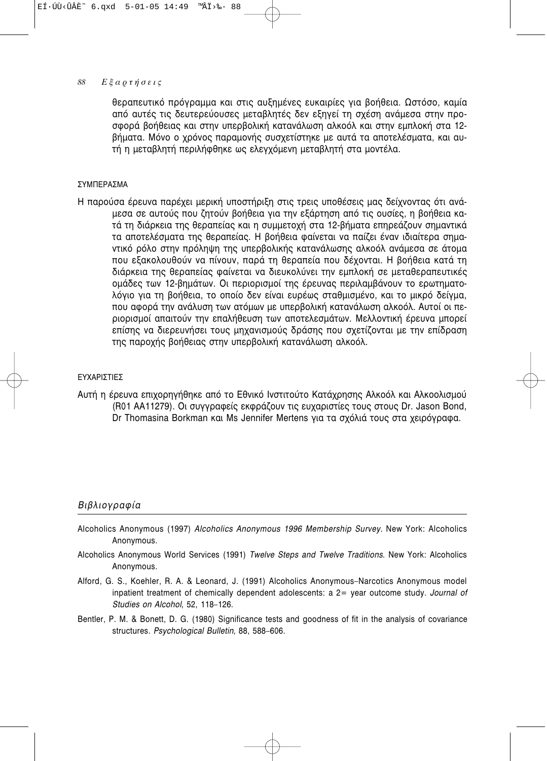θεραπευτικό πρόγραμμα και στις αυξημένες ευκαιρίες για βοήθεια. Ωστόσο, καμία από αυτές τις δευτερεύουσες μεταβλητές δεν εξηγεί τη σχέση ανάμεσα στην προσφορά βοήθειας και στην υπερβολική κατανάλωση αλκοόλ και στην εμπλοκή στα 12βήματα. Μόνο ο χρόνος παραμονής συσχετίστηκε με αυτά τα αποτελέσματα, και αυτή η μεταβλητή περιλήφθηκε ως ελεγχόμενη μεταβλητή στα μοντέλα.

## ΣΥΜΠΕΡΑΣΜΑ

Η παρούσα έρευνα παρέχει μερική υποστήριξη στις τρεις υποθέσεις μας δείχνοντας ότι ανάμεσα σε αυτούς που ζητούν βοήθεια για την εξάρτηση από τις ουσίες, η βοήθεια κατά τη διάρκεια της θεραπείας και η συμμετοχή στα 12-βήματα επηρεάζουν σημαντικά τα αποτελέσματα της θεραπείας. Η βοήθεια φαίνεται να παίζει έναν ιδιαίτερα σημαντικό ρόλο στην πρόληψη της υπερβολικής κατανάλωσης αλκοόλ ανάμεσα σε άτομα που εξακολουθούν να πίνουν, παρά τη θεραπεία που δέχονται. Η βοήθεια κατά τη διάρκεια της θεραπείας φαίνεται να διευκολύνει την εμπλοκή σε μεταθεραπευτικές ομάδες των 12-βημάτων. Οι περιορισμοί της έρευνας περιλαμβάνουν το ερωτηματολόγιο για τη βοήθεια, το οποίο δεν είναι ευρέως σταθμισμένο, και το μικρό δείγμα, που αφορά την ανάλυση των ατόμων με υπερβολική κατανάλωση αλκοόλ. Αυτοί οι περιορισμοί απαιτούν την επαλήθευση των αποτελεσμάτων. Μελλοντική έρευνα μπορεί επίσης να διερευνήσει τους μηχανισμούς δράσης που σχετίζονται με την επίδραση της παροχής βοήθειας στην υπερβολική κατανάλωση αλκοόλ.

# ΕΥΧΑΡΙΣΤΙΕΣ

Αυτή η έρευνα επιχορηγήθηκε από το Εθνικό Ινστιτούτο Κατάχρησης Αλκοόλ και Αλκοολισμού (R01 AA11279). Οι συγγραφείς εκφράζουν τις ευχαριστίες τους στους Dr. Jason Bond, Dr Thomasina Borkman και Ms Jennifer Mertens για τα σχόλιά τους στα χειρόγραφα.

## Βιβλιογραφία

- Alcoholics Anonymous (1997) Alcoholics Anonymous 1996 Membership Survey. New York: Alcoholics Anonymous.
- Alcoholics Anonymous World Services (1991) Twelve Steps and Twelve Traditions. New York: Alcoholics Anonymous.
- Alford, G. S., Koehler, R. A. & Leonard, J. (1991) Alcoholics Anonymous-Narcotics Anonymous model inpatient treatment of chemically dependent adolescents:  $a 2 =$  year outcome study. Journal of Studies on Alcohol, 52, 118-126.
- Bentler, P. M. & Bonett, D. G. (1980) Significance tests and goodness of fit in the analysis of covariance structures. Psychological Bulletin, 88, 588-606.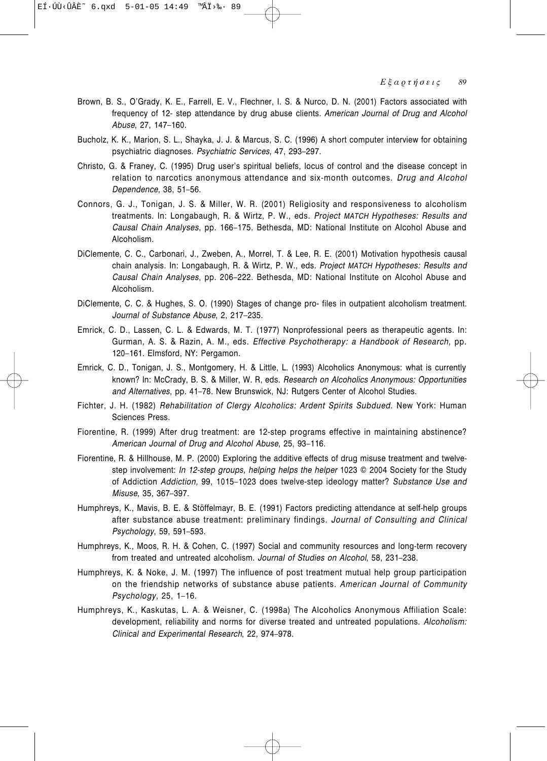- Brown, B. S., O'Grady, K. E., Farrell, E. V., Flechner, I. S. & Nurco, D. N. (2001) Factors associated with frequency of 12- step attendance by drug abuse clients. *American Journal of Drug and Alcohol Abuse*, 27, 147–160.
- Bucholz, K. K., Marion, S. L., Shayka, J. J. & Marcus, S. C. (1996) A short computer interview for obtaining psychiatric diagnoses. *Psychiatric Services*, 47, 293–297.
- Christo, G. & Franey, C. (1995) Drug user's spiritual beliefs, locus of control and the disease concept in relation to narcotics anonymous attendance and six-month outcomes. *Drug and Alcohol Dependence*, 38, 51–56.
- Connors, G. J., Tonigan, J. S. & Miller, W. R. (2001) Religiosity and responsiveness to alcoholism treatments. In: Longabaugh, R. & Wirtz, P. W., eds. *Project MATCH Hypotheses: Results and Causal Chain Analyses*, pp. 166–175. Bethesda, MD: National Institute on Alcohol Abuse and Alcoholism.
- DiClemente, C. C., Carbonari, J., Zweben, A., Morrel, T. & Lee, R. E. (2001) Motivation hypothesis causal chain analysis. In: Longabaugh, R. & Wirtz, P. W., eds. *Project MATCH Hypotheses: Results and Causal Chain Analyses*, pp. 206–222. Bethesda, MD: National Institute on Alcohol Abuse and Alcoholism.
- DiClemente, C. C. & Hughes, S. O. (1990) Stages of change pro- files in outpatient alcoholism treatment. *Journal of Substance Abuse*, 2, 217–235.
- Emrick, C. D., Lassen, C. L. & Edwards, M. T. (1977) Nonprofessional peers as therapeutic agents. In: Gurman, A. S. & Razin, A. M., eds. *Effective Psychotherapy: a Handbook of Research*, pp. 120–161. Elmsford, NY: Pergamon.
- Emrick, C. D., Tonigan, J. S., Montgomery, H. & Little, L. (1993) Alcoholics Anonymous: what is currently known? In: McCrady, B. S. & Miller, W. R, eds. *Research on Alcoholics Anonymous: Opportunities and Alternatives*, pp. 41–78. New Brunswick, NJ: Rutgers Center of Alcohol Studies.
- Fichter, J. H. (1982) *Rehabilitation of Clergy Alcoholics: Ardent Spirits Subdued*. New York: Human Sciences Press.
- Fiorentine, R. (1999) After drug treatment: are 12-step programs effective in maintaining abstinence? *American Journal of Drug and Alcohol Abuse*, 25, 93–116.
- Fiorentine, R. & Hillhouse, M. P. (2000) Exploring the additive effects of drug misuse treatment and twelvestep involvement: *In 12-step groups, helping helps the helper* 1023 © 2004 Society for the Study of Addiction *Addiction,* 99, 1015–1023 does twelve-step ideology matter? *Substance Use and Misuse*, 35, 367–397.
- Humphreys, K., Mavis, B. E. & Stöffelmayr, B. E. (1991) Factors predicting attendance at self-help groups after substance abuse treatment: preliminary findings. *Journal of Consulting and Clinical Psychology*, 59, 591–593.
- Humphreys, K., Moos, R. H. & Cohen, C. (1997) Social and community resources and long-term recovery from treated and untreated alcoholism. *Journal of Studies on Alcohol*, 58, 231–238.
- Humphreys, K. & Noke, J. M. (1997) The influence of post treatment mutual help group participation on the friendship networks of substance abuse patients. *American Journal of Community Psychology*, 25, 1–16.
- Humphreys, K., Kaskutas, L. A. & Weisner, C. (1998a) The Alcoholics Anonymous Affiliation Scale: development, reliability and norms for diverse treated and untreated populations. *Alcoholism: Clinical and Experimental Research*, 22, 974–978.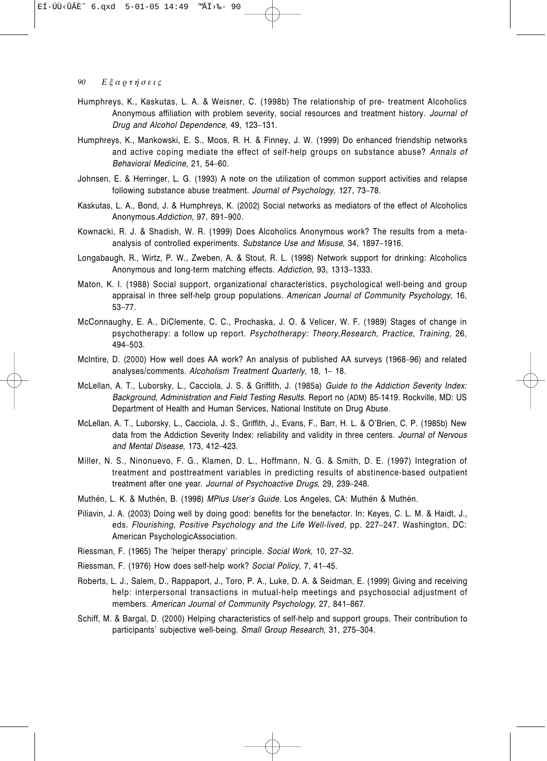- Humphreys, K., Kaskutas, L. A. & Weisner, C. (1998b) The relationship of pre- treatment Alcoholics Anonymous affiliation with problem severity, social resources and treatment history. *Journal of Drug and Alcohol Dependence*, 49, 123–131.
- Humphreys, K., Mankowski, E. S., Moos, R. H. & Finney, J. W. (1999) Do enhanced friendship networks and active coping mediate the effect of self-help groups on substance abuse? *Annals of Behavioral Medicine*, 21, 54–60.
- Johnsen, E. & Herringer, L. G. (1993) A note on the utilization of common support activities and relapse following substance abuse treatment. *Journal of Psychology*, 127, 73–78.
- Kaskutas, L. A., Bond, J. & Humphreys, K. (2002) Social networks as mediators of the effect of Alcoholics Anonymous.*Addiction*, 97, 891–900.
- Kownacki, R. J. & Shadish, W. R. (1999) Does Alcoholics Anonymous work? The results from a metaanalysis of controlled experiments. *Substance Use and Misuse*, 34, 1897–1916.
- Longabaugh, R., Wirtz, P. W., Zweben, A. & Stout, R. L. (1998) Network support for drinking: Alcoholics Anonymous and long-term matching effects. *Addiction*, 93, 1313–1333.
- Maton, K. I. (1988) Social support, organizational characteristics, psychological well-being and group appraisal in three self-help group populations. *American Journal of Community Psychology*, 16, 53–77.
- McConnaughy, E. A., DiClemente, C. C., Prochaska, J. O. & Velicer, W. F. (1989) Stages of change in psychotherapy: a follow up report. *Psychotherapy: Theory,Research, Practice, Training*, 26, 494–503.
- McIntire, D. (2000) How well does AA work? An analysis of published AA surveys (1968–96) and related analyses/comments. *Alcoholism Treatment Quarterly*, 18, 1– 18.
- McLellan, A. T., Luborsky, L., Cacciola, J. S. & Griffith, J. (1985a) *Guide to the Addiction Severity Index: Background, Administration and Field Testing Results*. Report no (ADM) 85-1419. Rockville, MD: US Department of Health and Human Services, National Institute on Drug Abuse.
- McLellan, A. T., Luborsky, L., Cacciola, J. S., Griffith, J., Evans, F., Barr, H. L. & O'Brien, C. P. (1985b) New data from the Addiction Severity Index: reliability and validity in three centers. *Journal of Nervous and Mental Disease*, 173, 412–423.
- Miller, N. S., Ninonuevo, F. G., Klamen, D. L., Hoffmann, N. G. & Smith, D. E. (1997) Integration of treatment and posttreatment variables in predicting results of abstinence-based outpatient treatment after one year. *Journal of Psychoactive Drugs*, 29, 239–248.
- Muthén, L. K. & Muthén, B. (1998) *MPlus User's Guide.* Los Angeles, CA: Muthén & Muthén.
- Piliavin, J. A. (2003) Doing well by doing good: benefits for the benefactor. In: Keyes, C. L. M. & Haidt, J., eds. *Flourishing, Positive Psychology and the Life Well-lived*, pp. 227–247. Washington, DC: American PsychologicAssociation.
- Riessman, F. (1965) The 'helper therapy' principle. *Social Work*, 10, 27–32.
- Riessman, F. (1976) How does self-help work? *Social Policy*, 7, 41–45.
- Roberts, L. J., Salem, D., Rappaport, J., Toro, P. A., Luke, D. A. & Seidman, E. (1999) Giving and receiving help: interpersonal transactions in mutual-help meetings and psychosocial adjustment of members. *American Journal of Community Psychology*, 27, 841–867.
- Schiff, M. & Bargal, D. (2000) Helping characteristics of self-help and support groups. Their contribution to participants' subjective well-being. *Small Group Research*, 31, 275–304.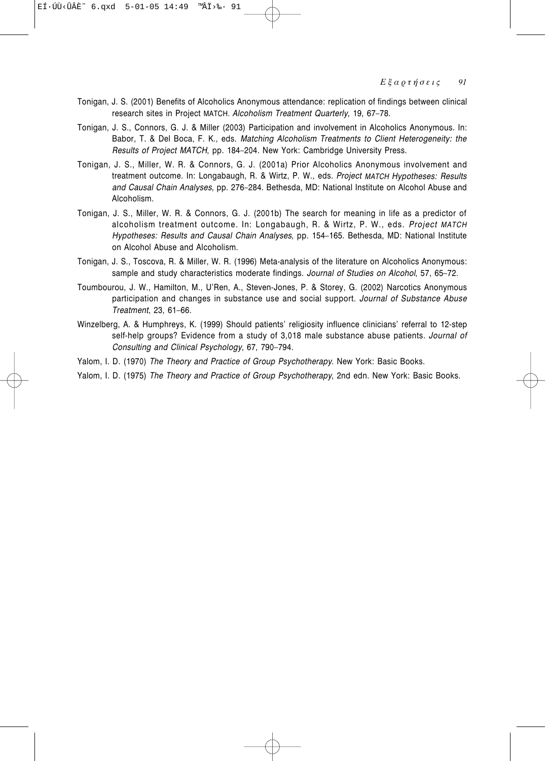- Tonigan, J. S. (2001) Benefits of Alcoholics Anonymous attendance: replication of findings between clinical research sites in Project MATCH. *Alcoholism Treatment Quarterly*, 19, 67–78.
- Tonigan, J. S., Connors, G. J. & Miller (2003) Participation and involvement in Alcoholics Anonymous. In: Babor, T. & Del Boca, F. K., eds. *Matching Alcoholism Treatments to Client Heterogeneity: the Results of Project MATCH*, pp. 184–204. New York: Cambridge University Press.
- Tonigan, J. S., Miller, W. R. & Connors, G. J. (2001a) Prior Alcoholics Anonymous involvement and treatment outcome. In: Longabaugh, R. & Wirtz, P. W., eds. *Project MATCH Hypotheses: Results and Causal Chain Analyses*, pp. 276–284. Bethesda, MD: National Institute on Alcohol Abuse and Alcoholism.
- Tonigan, J. S., Miller, W. R. & Connors, G. J. (2001b) The search for meaning in life as a predictor of alcoholism treatment outcome. In: Longabaugh, R. & Wirtz, P. W., eds. *Project MATCH Hypotheses: Results and Causal Chain Analyses*, pp. 154–165. Bethesda, MD: National Institute on Alcohol Abuse and Alcoholism.
- Tonigan, J. S., Toscova, R. & Miller, W. R. (1996) Meta-analysis of the literature on Alcoholics Anonymous: sample and study characteristics moderate findings. *Journal of Studies on Alcohol*, 57, 65–72.
- Toumbourou, J. W., Hamilton, M., U'Ren, A., Steven-Jones, P. & Storey, G. (2002) Narcotics Anonymous participation and changes in substance use and social support. *Journal of Substance Abuse Treatment*, 23, 61–66.
- Winzelberg, A. & Humphreys, K. (1999) Should patients' religiosity influence clinicians' referral to 12-step self-help groups? Evidence from a study of 3,018 male substance abuse patients. *Journal of Consulting and Clinical Psychology*, 67, 790–794.
- Yalom, I. D. (1970) *The Theory and Practice of Group Psychotherapy*. New York: Basic Books.
- Yalom, I. D. (1975) *The Theory and Practice of Group Psychotherapy*, 2nd edn. New York: Basic Books.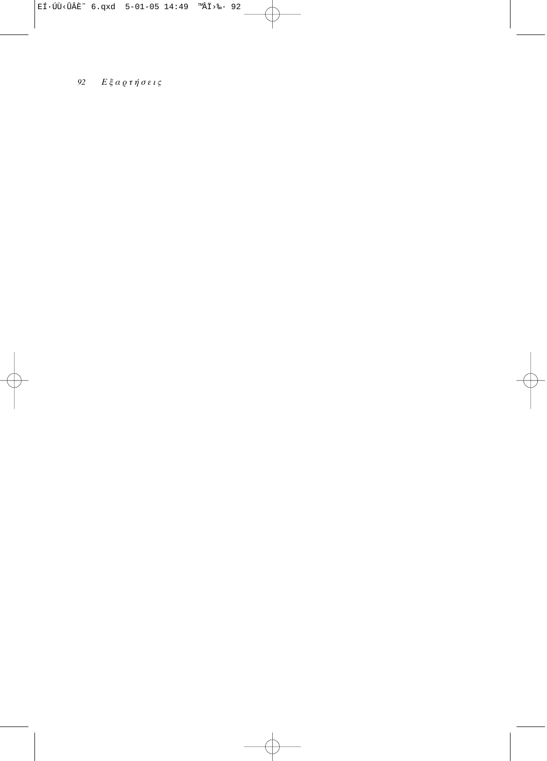92 *Εξαρτήσεις*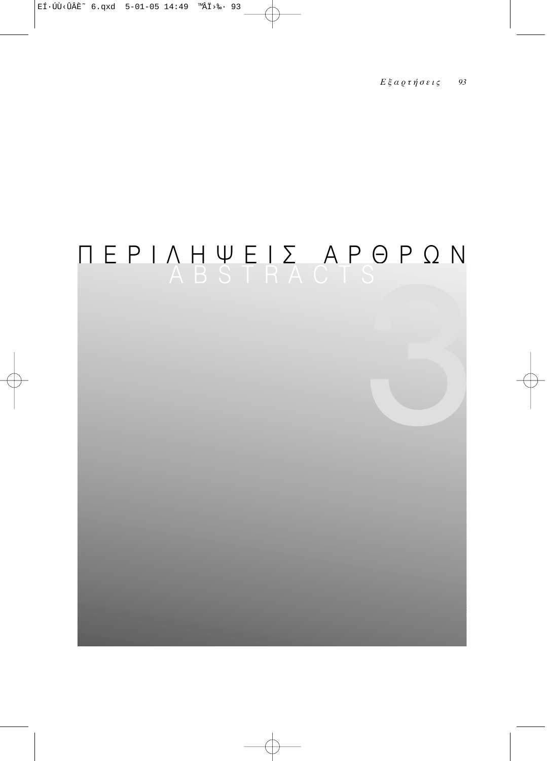$E \xi a \varrho \tau \eta \sigma \varepsilon \iota$ ς 93

# ΠΕΡΙΛΗΨΕΙΣ ΑΡΘΡΩΝ<br>A B S T R A C T S

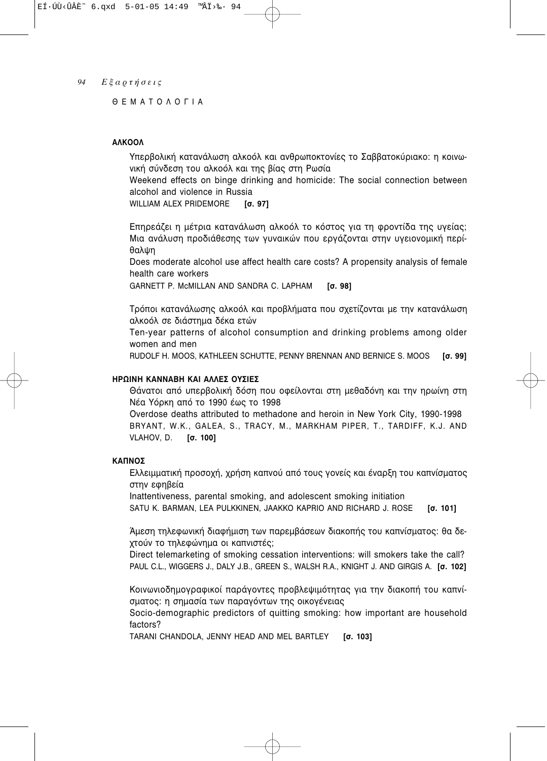## **OEMATOAOFIA**

# ΑΛΚΟΟΛ

Υπερβολική κατανάλωση αλκοόλ και ανθρωποκτονίες το Σαββατοκύριακο: η κοινωνική σύνδεση του αλκοόλ και της βίας στη Ρωσία

Weekend effects on binge drinking and homicide: The social connection between alcohol and violence in Russia

WILLIAM ALEX PRIDEMORE  $\sqrt{a}$ . 971

Επηρεάζει η μέτρια κατανάλωση αλκοόλ το κόστος για τη φροντίδα της υγείας; Μια ανάλυση προδιάθεσης των γυναικών που εργάζονται στην υγειονομική περίθαλψη

Does moderate alcohol use affect health care costs? A propensity analysis of female health care workers

GARNETT P. McMILLAN AND SANDRA C. LAPHAM  $[ $\sigma$ . 98]$ 

Τρόποι κατανάλωσης αλκοόλ και προβλήματα που σχετίζονται με την κατανάλωση αλκοόλ σε διάστημα δέκα ετών

Ten-year patterns of alcohol consumption and drinking problems among older women and men

RUDOLF H. MOOS, KATHLEEN SCHUTTE, PENNY BRENNAN AND BERNICE S. MOOS  $\sigma$ . 99]

# ΗΡΩΙΝΗ ΚΑΝΝΑΒΗ ΚΑΙ ΑΛΛΕΣ ΟΥΣΙΕΣ

Θάνατοι από υπερβολική δόση που οφείλονται στη μεθαδόνη και την ηρωίνη στη Νέα Υόρκη από το 1990 έως το 1998

Overdose deaths attributed to methadone and heroin in New York City, 1990-1998 BRYANT, W.K., GALEA, S., TRACY, M., MARKHAM PIPER, T., TARDIFF, K.J. AND VLAHOV, D.  $[ $\sigma$ . 100]$ 

## ΚΑΠΝΟΣ

Ελλειμματική προσοχή, χρήση καπνού από τους γονείς και έναρξη του καπνίσματος στην εφηβεία

Inattentiveness, parental smoking, and adolescent smoking initiation

SATU K. BARMAN, LEA PULKKINEN, JAAKKO KAPRIO AND RICHARD J. ROSE  $[ $\sigma$ . 101]$ 

Άμεση τηλεφωνική διαφήμιση των παρεμβάσεων διακοπής του καπνίσματος: θα δεχτούν το τηλεφώνημα οι καπνιστές;

Direct telemarketing of smoking cessation interventions: will smokers take the call? PAUL C.L., WIGGERS J., DALY J.B., GREEN S., WALSH R.A., KNIGHT J. AND GIRGIS A. [o. 102]

Κοινωνιοδημογραφικοί παράγοντες προβλεψιμότητας για την διακοπή του καπνίσματος: η σημασία των παραγόντων της οικογένειας

Socio-demographic predictors of quitting smoking: how important are household factors?

TARANI CHANDOLA, JENNY HEAD AND MEL BARTLEY  $I\sigma$ . 1031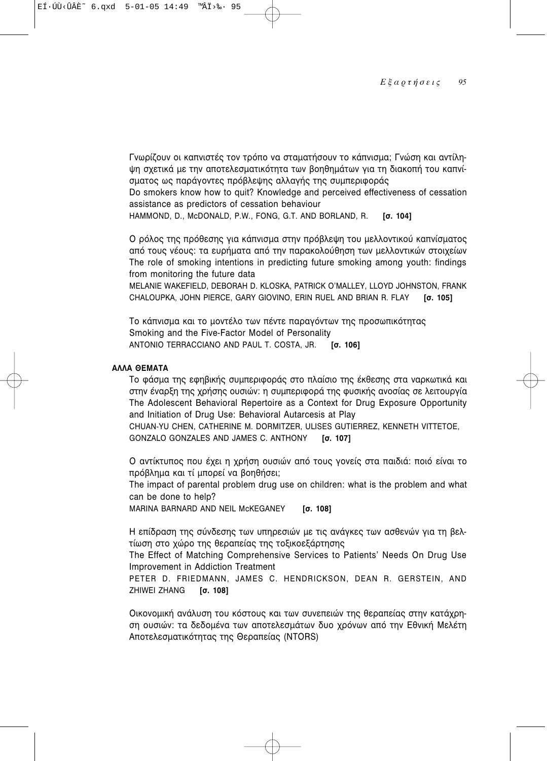Γνωρίζουν οι καπνιστές τον τρόπο να σταματήσουν το κάπνισμα: Γνώση και αντίληψη σχετικά με την αποτελεσματικότητα των βοηθημάτων για τη διακοπή του καπνίσματος ως παράγοντες πρόβλεψης αλλαγής της συμπεριφοράς

Do smokers know how to quit? Knowledge and perceived effectiveness of cessation assistance as predictors of cessation behaviour

HAMMOND, D., McDONALD, P.W., FONG, G.T. AND BORLAND, R.  $I\sigma$ . 1041

Ο ρόλος της πρόθεσης για κάπνισμα στην πρόβλεψη του μελλοντικού καπνίσματος από τους νέους: τα ευρήματα από την παρακολούθηση των μελλοντικών στοιχείων The role of smoking intentions in predicting future smoking among youth: findings from monitoring the future data

MELANIE WAKEFIELD, DEBORAH D. KLOSKA, PATRICK O'MALLEY, LLOYD JOHNSTON, FRANK CHALOUPKA, JOHN PIERCE, GARY GIOVINO, ERIN RUEL AND BRIAN R. FLAY  $\sigma$ . 1051

Το κάπνισμα και το μοντέλο των πέντε παραγόντων της προσωπικότητας Smoking and the Five-Factor Model of Personality ANTONIO TERRACCIANO AND PAUL T. COSTA, JR.  $[ $\sigma$ . 106]$ 

## ΑΛΛΑ ΘΕΜΑΤΑ

Το φάσμα της εφηβικής συμπεριφοράς στο πλαίσιο της έκθεσης στα ναρκωτικά και στην έναρξη της χρήσης ουσιών: η συμπεριφορά της φυσικής ανοσίας σε λειτουργία The Adolescent Behavioral Repertoire as a Context for Drug Exposure Opportunity and Initiation of Drug Use: Behavioral Autarcesis at Play

CHUAN-YU CHEN, CATHERINE M. DORMITZER, ULISES GUTIERREZ, KENNETH VITTETOE, GONZALO GONZALES AND JAMES C. ANTHONY  $\sigma$ . 107]

Ο αντίκτυπος που έχει η χρήση ουσιών από τους γονείς στα παιδιά: ποιό είναι το πρόβλημα και τί μπορεί να βοηθήσει;

The impact of parental problem drug use on children: what is the problem and what can be done to help?

MARINA BARNARD AND NEIL McKEGANEY  $[ $\sigma$ . 108]$ 

Η επίδραση της σύνδεσης των υπηρεσιών με τις ανάγκες των ασθενών για τη βελτίωση στο χώρο της θεραπείας της τοξικοεξάρτησης

The Effect of Matching Comprehensive Services to Patients' Needs On Drug Use Improvement in Addiction Treatment

PETER D. FRIEDMANN, JAMES C. HENDRICKSON, DEAN R. GERSTEIN, AND ZHIWEI ZHANG  $\sigma$ . 108]

Οικονομική ανάλυση του κόστους και των συνεπειών της θεραπείας στην κατάχρηση ουσιών: τα δεδομένα των αποτελεσμάτων δυο χρόνων από την Εθνική Μελέτη Αποτελεσματικότητας της Θεραπείας (NTORS)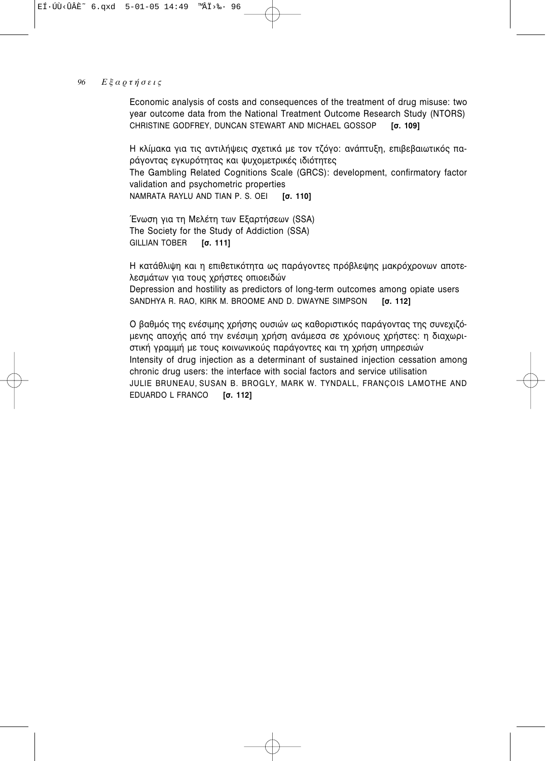Economic analysis of costs and consequences of the treatment of drug misuse: two year outcome data from the National Treatment Outcome Research Study (NTORS) CHRISTINE GODFREY, DUNCAN STEWART AND MICHAEL GOSSOP  $[ $\sigma$ . 109]$ 

Η κλίμακα για τις αντιλήψεις σχετικά με τον τζόγο: ανάπτυξη, επιβεβαιωτικός παράγοντας εγκυρότητας και ψυχομετρικές ιδιότητες

The Gambling Related Cognitions Scale (GRCS): development, confirmatory factor validation and psychometric properties

NAMRATA RAYLU AND TIAN P. S. OEI  $[ $\sigma$ . 110]$ 

Ένωση για τη Μελέτη των Εξαρτήσεων (SSA) The Society for the Study of Addiction (SSA) **GILLIAN TOBER**  $[*σ*. 111]$ 

Η κατάθλιψη και η επιθετικότητα ως παράγοντες πρόβλεψης μακρόχρονων αποτελεσμάτων για τους χρήστες οπιοειδών

Depression and hostility as predictors of long-term outcomes among opiate users SANDHYA R. RAO, KIRK M. BROOME AND D. DWAYNE SIMPSON  $[ $\sigma$ . 112]$ 

Ο βαθμός της ενέσιμης χρήσης ουσιών ως καθοριστικός παράγοντας της συνεχιζόμενης αποχής από την ενέσιμη χρήση ανάμεσα σε χρόνιους χρήστες: η διαχωριστική γραμμή με τους κοινωνικούς παράγοντες και τη χρήση υπηρεσιών Intensity of drug injection as a determinant of sustained injection cessation among chronic drug users: the interface with social factors and service utilisation JULIE BRUNEAU, SUSAN B. BROGLY, MARK W. TYNDALL, FRANÇOIS LAMOTHE AND EDUARDO L FRANCO  $[ $\sigma$ . 112]$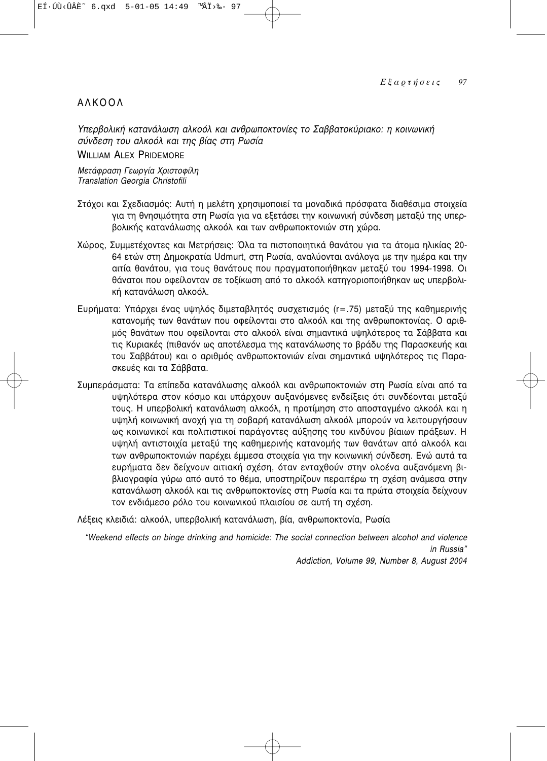# AAKOOA

Υπερβολική κατανάλωση αλκοόλ και ανθρωποκτονίες το Σαββατοκύριακο: η κοινωνική σύνδεση του αλκοόλ και της βίας στη Ρωσία

**WILLIAM ALEX PRIDEMORE** 

Μετάφραση Γεωργία Χριστοφίλη Translation Georgia Christofili

- Στόχοι και Σχεδιασμός: Αυτή η μελέτη χρησιμοποιεί τα μοναδικά πρόσφατα διαθέσιμα στοιχεία για τη θνησιμότητα στη Ρωσία για να εξετάσει την κοινωνική σύνδεση μεταξύ της υπερβολικής κατανάλωσης αλκοόλ και των ανθρωποκτονιών στη χώρα.
- Χώρος, Συμμετέχοντες και Μετρήσεις: Όλα τα πιστοποιητικά θανάτου για τα άτομα ηλικίας 20-64 ετών στη Δημοκρατία Udmurt, στη Ρωσία, αναλύονται ανάλογα με την ημέρα και την αιτία θανάτου, για τους θανάτους που πραγματοποιήθηκαν μεταξύ του 1994-1998. Οι θάνατοι που οφείλονταν σε τοξίκωση από το αλκοόλ κατηγοριοποιήθηκαν ως υπερβολική κατανάλωση αλκοόλ.
- Ευρήματα: Υπάρχει ένας υψηλός διμεταβλητός συσχετισμός (r=.75) μεταξύ της καθημερινής κατανομής των θανάτων που οφείλονται στο αλκοόλ και της ανθρωποκτονίας. Ο αριθμός θανάτων που οφείλονται στο αλκοόλ είναι σημαντικά υψηλότερος τα Σάββατα και τις Κυριακές (πιθανόν ως αποτέλεσμα της κατανάλωσης το βράδυ της Παρασκευής και του Σαββάτου) και ο αριθμός ανθρωποκτονιών είναι σημαντικά υψηλότερος τις Παρασκευές και τα Σάββατα.
- Συμπεράσματα: Τα επίπεδα κατανάλωσης αλκοόλ και ανθρωποκτονιών στη Ρωσία είναι από τα υψηλότερα στον κόσμο και υπάρχουν αυξανόμενες ενδείξεις ότι συνδέονται μεταξύ τους. Η υπερβολική κατανάλωση αλκοόλ, η προτίμηση στο αποσταγμένο αλκοόλ και η υψηλή κοινωνική ανοχή για τη σοβαρή κατανάλωση αλκοόλ μπορούν να λειτουργήσουν ως κοινωνικοί και πολιτιστικοί παράγοντες αύξησης του κινδύνου βίαιων πράξεων. Η υψηλή αντιστοιχία μεταξύ της καθημερινής κατανομής των θανάτων από αλκοόλ και των ανθρωποκτονιών παρέχει έμμεσα στοιχεία για την κοινωνική σύνδεση. Ενώ αυτά τα ευρήματα δεν δείχνουν αιτιακή σχέση, όταν ενταχθούν στην ολοένα αυξανόμενη βιβλιογραφία γύρω από αυτό το θέμα, υποστηρίζουν περαιτέρω τη σχέση ανάμεσα στην κατανάλωση αλκοόλ και τις ανθρωποκτονίες στη Ρωσία και τα πρώτα στοιχεία δείχνουν τον ενδιάμεσο ρόλο του κοινωνικού πλαισίου σε αυτή τη σχέση.

Λέξεις κλειδιά: αλκοόλ, υπερβολική κατανάλωση, βία, ανθρωποκτονία, Ρωσία

"Weekend effects on binge drinking and homicide: The social connection between alcohol and violence in Russia" Addiction, Volume 99, Number 8, August 2004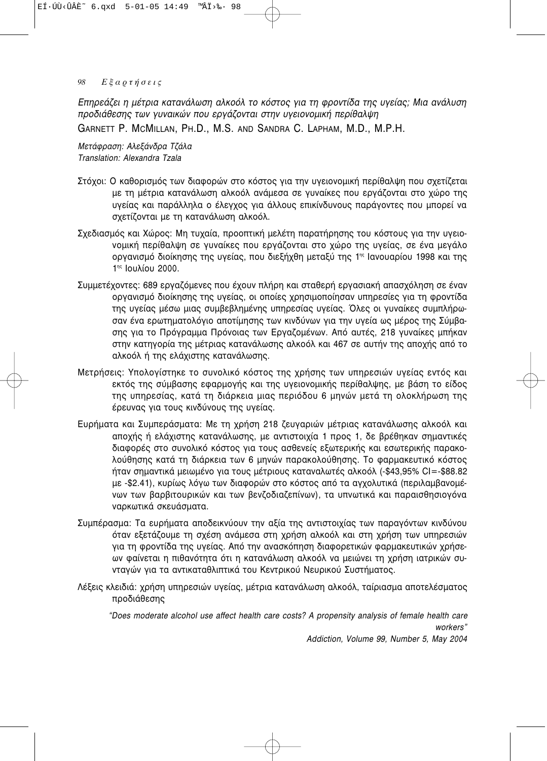*Eπηρεάζει η μέτρια κατανάλωση αλκοόλ το κόστος για τη φροντίδα της υγείας; Μια ανάλυση* προδιάθεσης των γυναικών που εργάζονται στην υγειονομική περίθαλψη GARNETT P. MCMILLAN, PH.D., M.S. AND SANDRA C. LAPHAM, M.D., M.P.H.

*Μετάφραση: Αλεξάνδρα Τζάλα Translation: Alexandra Tzala*

- Στόχοι: Ο καθορισμός των διαφορών στο κόστος για την υγειονομική περίθαλψη που σχετίζεται με τη μέτρια κατανάλωση αλκοόλ ανάμεσα σε νυναίκες που ερνάζονται στο χώρο της υγείας και παράλληλα ο έλεγχος για άλλους επικίνδυνους παράγοντες που μπορεί να σχετίζονται με τη κατανάλωση αλκοόλ.
- Σχεδιασμός και Χώρος: Μη τυχαία, προοπτική μελέτη παρατήρησης του κόστους για την υγειονομική περίθαλψη σε γυναίκες που εργάζονται στο χώρο της υγείας, σε ένα μεγάλο οργανισμό διοίκησης της υγείας, που διεξήχθη μεταξύ της 1<sup>ης</sup> Ιανουαρίου 1998 και της 1ης Ιουλίου 2000.
- Συμμετέχοντες: 689 εργαζόμενες που έχουν πλήρη και σταθερή εργασιακή απασχόληση σε έναν οργανισμό διοίκησης της υγείας, οι οποίες χρησιμοποίησαν υπηρεσίες για τη φροντίδα της υγείας μέσω μιας συμβεβλημένης υπηρεσίας υγείας. Όλες οι γυναίκες συμπλήρωσαν ένα ερωτηματολόγιο αποτίμησης των κινδύνων για την υγεία ως μέρος της Σύμβασης για το Πρόγραμμα Πρόνοιας των Εργαζομένων. Από αυτές, 218 γυναίκες μπήκαν στην κατηγορία της μέτριας κατανάλωσης αλκοόλ και 467 σε αυτήν της αποχής από το αλκοόλ ή της ελάχιστης κατανάλωσης.
- Μετρήσεις: Υπολογίστηκε το συνολικό κόστος της χρήσης των υπηρεσιών υγείας εντός και εκτός της σύμβασης εφαρμογής και της υγειονομικής περίθαλψης, με βάση το είδος της υπηρεσίας, κατά τη διάρκεια μιας περιόδου 6 μηνών μετά τη ολοκλήρωση της έρευνας για τους κινδύνους της υγείας.
- Ευρήματα και Συμπεράσματα: Με τη χρήση 218 ζευγαριών μέτριας κατανάλωσης αλκοόλ και αποχής ή ελάχιστης κατανάλωσης, με αντιστοιχία 1 προς 1, δε βρέθηκαν σημαντικές διαφορές στο συνολικό κόστος για τους ασθενείς εξωτερικής και εσωτερικής παρακολούθησης κατά τη διάρκεια των 6 μηνών παρακολούθησης. Το φαρμακευτικό κόστος ήταν σημαντικά μειωμένο για τους μέτριους καταναλωτές αλκοόλ (-\$43,95% CI=-\$88.82 με -\$2.41), κυρίως λόγω των διαφορών στο κόστος από τα αγχολυτικά (περιλαμβανομένων των βαρβιτουρικών και των βενζοδιαζεπίνων), τα υπνωτικά και παραισθησιογόνα ναρκωτικά σκευάσματα.
- Συμπέρασμα: Τα ευρήματα αποδεικνύουν την αξία της αντιστοιχίας των παραγόντων κινδύνου όταν εξετάζουμε τη σχέση ανάμεσα στη χρήση αλκοόλ και στη χρήση των υπηρεσιών για τη φροντίδα της υγείας. Από την ανασκόπηση διαφορετικών φαρμακευτικών χρήσεων φαίνεται η πιθανότητα ότι η κατανάλωση αλκοόλ να μειώνει τη χρήση ιατρικών συνταγών για τα αντικαταθλιπτικά του Κεντρικού Νευρικού Συστήματος.
- Λέξεις κλειδιά: χρήση υπηρεσιών υγείας, μέτρια κατανάλωση αλκοόλ, ταίριασμα αποτελέσματος προδιάθεσης

*"Does moderate alcohol use affect health care costs? A propensity analysis of female health care workers"*

*Addiction, Volume 99, Number 5, May 2004*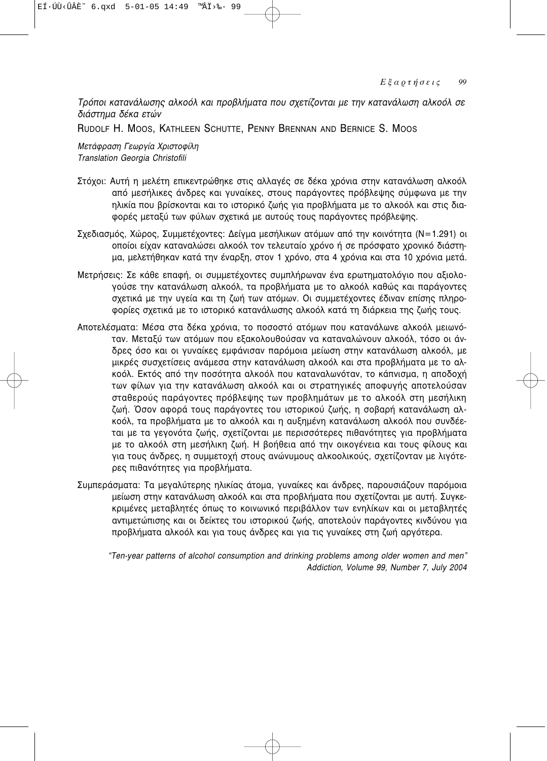EÍ·ÚÙ<ÛÂÈ<sup>~</sup> 6.qxd 5-01-05 14:49 ™ÂÏ>‰· 99

> Τρόποι κατανάλωσης αλκοόλ και προβλήματα που σχετίζονται με την κατανάλωση αλκοόλ σε διάστημα δέκα ετών

RUDOLF H. MOOS, KATHLEEN SCHUTTE, PENNY BRENNAN AND BERNICE S. MOOS

Μετάφραση Γεωργία Χριστοφίλη Translation Georgia Christofili

- Στόχοι: Αυτή η μελέτη επικεντρώθηκε στις αλλαγές σε δέκα χρόνια στην κατανάλωση αλκοόλ από μεσήλικες άνδρες και γυναίκες, στους παράγοντες πρόβλεψης σύμφωνα με την ηλικία που βρίσκονται και το ιστορικό ζωής για προβλήματα με το αλκοόλ και στις διαφορές μεταξύ των φύλων σχετικά με αυτούς τους παράγοντες πρόβλεψης.
- Σχεδιασμός, Χώρος, Συμμετέχοντες: Δείγμα μεσήλικων ατόμων από την κοινότητα (N=1.291) οι οποίοι είχαν καταναλώσει αλκοόλ τον τελευταίο χρόνο ή σε πρόσφατο χρονικό διάστημα, μελετήθηκαν κατά την έναρξη, στον 1 χρόνο, στα 4 χρόνια και στα 10 χρόνια μετά.
- Μετρήσεις: Σε κάθε επαφή, οι συμμετέχοντες συμπλήρωναν ένα ερωτηματολόγιο που αξιολογούσε την κατανάλωση αλκοόλ, τα προβλήματα με το αλκοόλ καθώς και παράγοντες σχετικά με την υγεία και τη ζωή των ατόμων. Οι συμμετέχοντες έδιναν επίσης πληροφορίες σχετικά με το ιστορικό κατανάλωσης αλκοόλ κατά τη διάρκεια της ζωής τους.
- Αποτελέσματα: Μέσα στα δέκα χρόνια, το ποσοστό ατόμων που κατανάλωνε αλκοόλ μειωνόταν. Μεταξύ των ατόμων που εξακολουθούσαν να καταναλώνουν αλκοόλ, τόσο οι άνδρες όσο και οι γυναίκες εμφάνισαν παρόμοια μείωση στην κατανάλωση αλκοόλ, με μικρές συσχετίσεις ανάμεσα στην κατανάλωση αλκοόλ και στα προβλήματα με το αλκοόλ. Εκτός από την ποσότητα αλκοόλ που καταναλωνόταν, το κάπνισμα, η αποδοχή των φίλων για την κατανάλωση αλκοόλ και οι στρατηγικές αποφυγής αποτελούσαν σταθερούς παράγοντες πρόβλεψης των προβλημάτων με το αλκοόλ στη μεσήλικη ζωή. Όσον αφορά τους παράγοντες του ιστορικού ζωής, η σοβαρή κατανάλωση αλκοόλ, τα προβλήματα με το αλκοόλ και η αυξημένη κατανάλωση αλκοόλ που συνδέεται με τα γεγονότα ζωής, σχετίζονται με περισσότερες πιθανότητες για προβλήματα με το αλκοόλ στη μεσήλικη ζωή. Η βοήθεια από την οικογένεια και τους φίλους και για τους άνδρες, η συμμετοχή στους ανώνυμους αλκοολικούς, σχετίζονταν με λιγότερες πιθανότητες για προβλήματα.
- Συμπεράσματα: Τα μεγαλύτερης ηλικίας άτομα, γυναίκες και άνδρες, παρουσιάζουν παρόμοια μείωση στην κατανάλωση αλκοόλ και στα προβλήματα που σχετίζονται με αυτή. Συγκεκριμένες μεταβλητές όπως το κοινωνικό περιβάλλον των ενηλίκων και οι μεταβλητές αντιμετώπισης και οι δείκτες του ιστορικού ζωής, αποτελούν παράγοντες κινδύνου για προβλήματα αλκοόλ και για τους άνδρες και για τις γυναίκες στη ζωή αργότερα.

"Ten-year patterns of alcohol consumption and drinking problems among older women and men" Addiction, Volume 99, Number 7, July 2004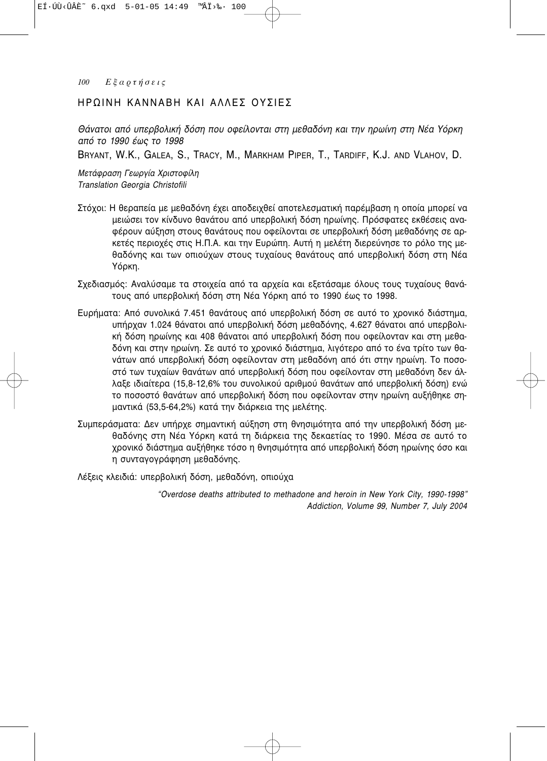*100 <i>Eξαρτήσεις* 

# ΗΡΩΙΝΗ ΚΑΝΝΑΒΗ ΚΑΙ ΑΛΛΕΣ ΟΥΣΙΕΣ

Θάνατοι από υπερβολική δόση που οφείλονται στη μεθαδόνη και την ηρωίνη στη Νέα Υόρκη *·fi ÙÔ 1990 ¤ˆ˜ ÙÔ 1998*

BRYANT, W.K., GALEA, S., TRACY, M., MARKHAM PIPER, T., TARDIFF, K.J. AND VLAHOV, D.

*Μετάφραση Γεωργία Χριστοφίλη Translation Georgia Christofili*

- Στόχοι: Η θεραπεία με μεθαδόνη έχει αποδειχθεί αποτελεσματική παρέμβαση η οποία μπορεί να μειώσει τον κίνδυνο θανάτου από υπερβολική δόση ηρωίνης. Πρόσφατες εκθέσεις αναφέρουν αύξηση στους θανάτους που οφείλονται σε υπερβολική δόση μεθαδόνης σε αρ-Κετές περιοχές στις Η.Π.Α. και την Ευρώπη. Αυτή η μελέτη διερεύνησε το ρόλο της μεθαδόνης και των οπιούχων στους τυχαίους θανάτους από υπερβολική δόση στη Νέα Υόρκη.
- Σχεδιασμός: Αναλύσαμε τα στοιχεία από τα αρχεία και εξετάσαμε όλους τους τυχαίους θανάτους από υπερβολική δόση στη Νέα Υόρκη από το 1990 έως το 1998.
- Ευρήματα: Από συνολικά 7.451 θανάτους από υπερβολική δόση σε αυτό το χρονικό διάστημα, υπήρχαν 1.024 θάνατοι από υπερβολική δόση μεθαδόνης, 4.627 θάνατοι από υπερβολική δόση ηρωίνης και 408 θάνατοι από υπερβολική δόση που οφείλονταν και στη μεθαδόνη και στην ηρωίνη. Σε αυτό το χρονικό διάστημα, λιγότερο από το ένα τρίτο των θανάτων από υπερβολική δόση οφείλονταν στη μεθαδόνη από ότι στην ηρωίνη. Το ποσοστό των τυχαίων θανάτων από υπερβολική δόση που οφείλονταν στη μεθαδόνη δεν άλλαξε ιδιαίτερα (15,8-12,6% του συνολικού αριθμού θανάτων από υπερβολική δόση) ενώ το ποσοστό θανάτων από υπερβολική δόση που οφείλονταν στην ηρωίνη αυξήθηκε σημαντικά (53,5-64,2%) κατά την διάρκεια της μελέτης.
- Συμπεράσματα: Δεν υπήρχε σημαντική αύξηση στη θνησιμότητα από την υπερβολική δόση μεθαδόνης στη Νέα Υόρκη κατά τη διάρκεια της δεκαετίας το 1990. Μέσα σε αυτό το χρονικό διάστημα αυξήθηκε τόσο η θνησιμότητα από υπερβολική δόση ηρωίνης όσο και η συνταγογράφηση μεθαδόνης.

Λέξεις κλειδιά: υπερβολική δόση, μεθαδόνη, οπιούχα

*"Overdose deaths attributed to methadone and heroin in New York City, 1990-1998" Addiction, Volume 99, Number 7, July 2004*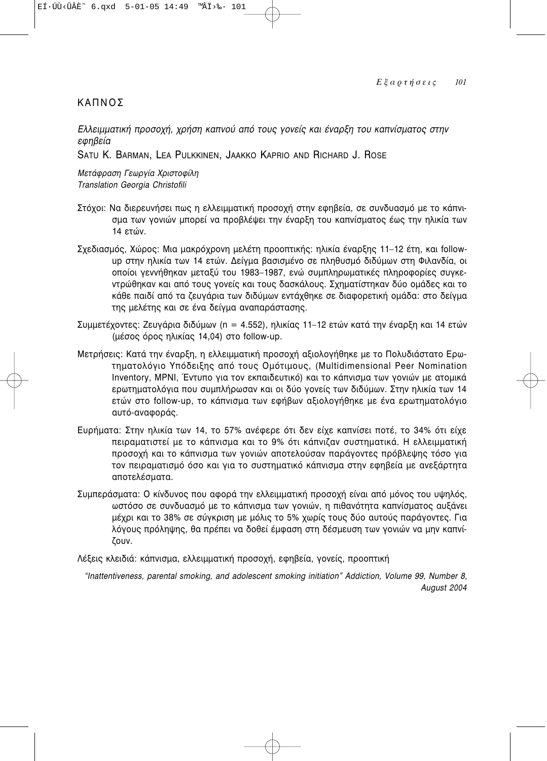# ∫∞¶¡√™

*Eλλειμματική προσοχή, χρήση καπνού από τους γονείς και έναρξη του καπνίσματος στην*  $\epsilon$ *ønβεία* 

SATU K. BARMAN, LEA PULKKINEN, JAAKKO KAPRIO AND RICHARD J. ROSE

*Μετάφραση Γεωργία Χριστοφίλη Translation Georgia Christofili*

- Στόχοι: Να διερευνήσει πως η ελλειμματική προσοχή στην εφηβεία, σε συνδυασμό με το κάπνισμα των γονιών μπορεί να προβλέψει την έναρξη του καπνίσματος έως την ηλικία των 14 ετών.
- Σχεδιασμός, Χώρος: Μια μακρόχρονη μελέτη προοπτικής: ηλικία έναρξης 11-12 έτη, και followup στην ηλικία των 14 ετών. Δείγμα βασισμένο σε πληθυσμό διδύμων στη Φιλανδία, οι οποίοι γεννήθηκαν μεταξύ του 1983-1987, ενώ συμπληρωματικές πληροφορίες συγκεντρώθηκαν και από τους γονείς και τους δασκάλους. Σχηματίστηκαν δύο ομάδες και το κάθε παιδί από τα ζευγάρια των διδύμων εντάχθηκε σε διαφορετική ομάδα: στο δείγμα της μελέτης και σε ένα δείγμα αναπαράστασης.
- Συμμετέχοντες: Ζευγάρια διδύμων (n = 4.552), ηλικίας 11-12 ετών κατά την έναρξη και 14 ετών (μέσος όρος ηλικίας 14,04) στο follow-up.
- Μετρήσεις: Κατά την έναρξη, η ελλειμματική προσοχή αξιολογήθηκε με το Πολυδιάστατο Ερωτηματολόγιο Υπόδειξης από τους Ομότιμους, (Multidimensional Peer Nomination Inventory, MPNI, Έντυπο για τον εκπαιδευτικό) και το κάπνισμα των γονιών με ατομικά ερωτηματολόγια που συμπλήρωσαν και οι δύο γονείς των διδύμων. Στην ηλικία των 14 ετών στο follow-up, το κάπνισμα των εφήβων αξιολογήθηκε με ένα ερωτηματολόγιο αυτό-αναφοράς.
- Ευρήματα: Στην ηλικία των 14, το 57% ανέφερε ότι δεν είχε καπνίσει ποτέ, το 34% ότι είχε πειραματιστεί με το κάπνισμα και το 9% ότι κάπνιζαν συστηματικά. Η ελλειμματική προσοχή και το κάπνισμα των γονιών αποτελούσαν παράγοντες πρόβλεψης τόσο για τον πειραματισμό όσο και για το συστηματικό κάπνισμα στην εφηβεία με ανεξάρτητα αποτελέσματα.
- Συμπεράσματα: Ο κίνδυνος που αφορά την ελλειμματική προσοχή είναι από μόνος του υψηλός, ωστόσο σε συνδυασμό με το κάπνισμα των γονιών, η πιθανότητα καπνίσματος αυξάνει μέχρι και το 38% σε σύγκριση με μόλις το 5% χωρίς τους δύο αυτούς παράγοντες. Για λόγους πρόληψης, θα πρέπει να δοθεί έμφαση στη δέσμευση των γονιών να μην καπνίζουν.

Λέξεις κλειδιά: κάπνισμα, ελλειμματική προσοχή, εφηβεία, γονείς, προοπτική

*"Inattentiveness, parental smoking, and adolescent smoking initiation" Addiction, Volume 99, Number 8, August 2004*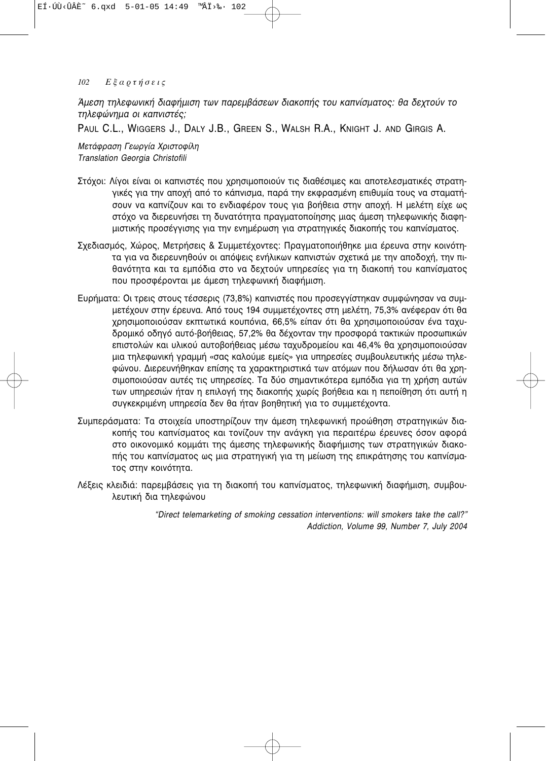#### 102 *Εξαρτήσεις*

Άμεση τηλεφωνική διαφήμιση των παρεμβάσεων διακοπής του καπνίσματος: θα δεχτούν το τηλεφώνημα οι καπνιστές:

PAUL C.L., WIGGERS J., DALY J.B., GREEN S., WALSH R.A., KNIGHT J. AND GIRGIS A.

Μετάφραση Γεωργία Χριστοφίλη Translation Georgia Christofili

- Στόχοι: Λίγοι είναι οι καπνιστές που χρησιμοποιούν τις διαθέσιμες και αποτελεσματικές στρατηγικές για την αποχή από το κάπνισμα, παρά την εκφρασμένη επιθυμία τους να σταματήσουν να καπνίζουν και το ενδιαφέρον τους για βοήθεια στην αποχή. Η μελέτη είχε ως στόχο να διερευνήσει τη δυνατότητα πραγματοποίησης μιας άμεση τηλεφωνικής διαφημιστικής προσέγγισης για την ενημέρωση για στρατηγικές διακοπής του καπνίσματος.
- Σχεδιασμός, Χώρος, Μετρήσεις & Συμμετέχοντες: Πραγματοποιήθηκε μια έρευνα στην κοινότητα για να διερευνηθούν οι απόψεις ενήλικων καπνιστών σχετικά με την αποδοχή, την πιθανότητα και τα εμπόδια στο να δεχτούν υπηρεσίες για τη διακοπή του καπνίσματος που προσφέρονται με άμεση τηλεφωνική διαφήμιση.
- Ευρήματα: Οι τρεις στους τέσσερις (73,8%) καπνιστές που προσεγγίστηκαν συμφώνησαν να συμμετέχουν στην έρευνα. Από τους 194 συμμετέχοντες στη μελέτη, 75,3% ανέφεραν ότι θα χρησιμοποιούσαν εκπτωτικά κουπόνια, 66,5% είπαν ότι θα χρησιμοποιούσαν ένα ταχυδρομικό οδηγό αυτό-βοήθειας, 57,2% θα δέχονταν την προσφορά τακτικών προσωπικών επιστολών και υλικού αυτοβοήθειας μέσω ταχυδρομείου και 46,4% θα χρησιμοποιούσαν μια τηλεφωνική γραμμή «σας καλούμε εμείς» για υπηρεσίες συμβουλευτικής μέσω τηλεφώνου. Διερευνήθηκαν επίσης τα χαρακτηριστικά των ατόμων που δήλωσαν ότι θα χρησιμοποιούσαν αυτές τις υπηρεσίες. Τα δύο σημαντικότερα εμπόδια για τη χρήση αυτών των υπηρεσιών ήταν η επιλογή της διακοπής χωρίς βοήθεια και η πεποίθηση ότι αυτή η συγκεκριμένη υπηρεσία δεν θα ήταν βοηθητική για το συμμετέχοντα.
- Συμπεράσματα: Τα στοιχεία υποστηρίζουν την άμεση τηλεφωνική προώθηση στρατηγικών διακοπής του καπνίσματος και τονίζουν την ανάγκη για περαιτέρω έρευνες όσον αφορά στο οικονομικό κομμάτι της άμεσης τηλεφωνικής διαφήμισης των στρατηγικών διακοπής του καπνίσματος ως μια στρατηγική για τη μείωση της επικράτησης του καπνίσματος στην κοινότητα.
- Λέξεις κλειδιά: παρεμβάσεις για τη διακοπή του καπνίσματος, τηλεφωνική διαφήμιση, συμβουλευτική δια τηλεφώνου

"Direct telemarketing of smoking cessation interventions: will smokers take the call?" Addiction, Volume 99, Number 7, July 2004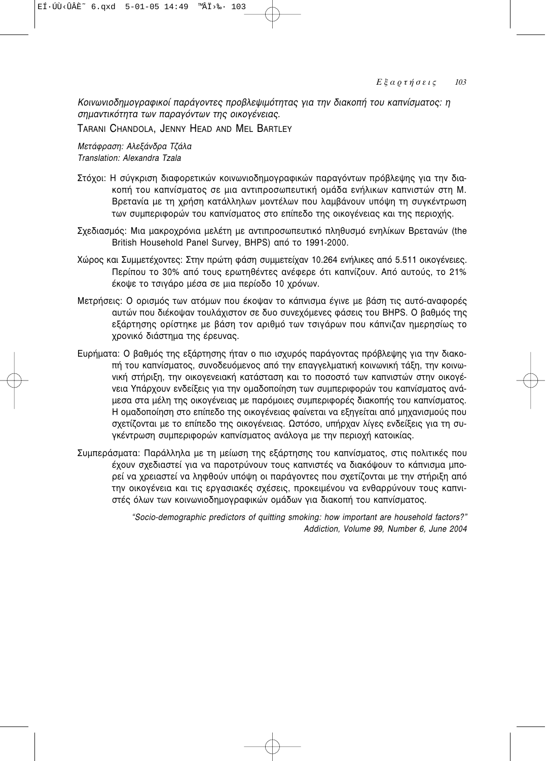## *<i>E*ξαρτήσεις 103

EÍ·ÚÙ‹ÛÂȘ 6.qxd 5-01-05 14:49 ™ÂÏ›‰· 103

*Κοινωνιοδημογραφικοί παράγοντες προβλεψιμότητας για την διακοπή του καπνίσματος: η* σημαντικότητα των παραγόντων της οικογένειας.

TARANI CHANDOLA, JENNY HEAD AND MEL BARTLEY

*Μετάφραση: Αλεξάνδρα Τζάλα Translation: Alexandra Tzala*

- Στόχοι: Η σύγκριση διαφορετικών κοινωνιοδημογραφικών παραγόντων πρόβλεψης για την διακοπή του καπνίσματος σε μια αντιπροσωπευτική ομάδα ενήλικων καπνιστών στη Μ. Βρετανία με τη χρήση κατάλληλων μοντέλων που λαμβάνουν υπόψη τη συγκέντρωση των συμπεριφορών του καπνίσματος στο επίπεδο της οικογένειας και της περιοχής.
- Σχεδιασμός: Μια μακροχρόνια μελέτη με αντιπροσωπευτικό πληθυσμό ενηλίκων Βρετανών (the British Household Panel Survey, BHPS) από το 1991-2000.
- Χώρος και Συμμετέχοντες: Στην πρώτη φάση συμμετείχαν 10.264 ενήλικες από 5.511 οικογένειες. Περίπου το 30% από τους ερωτηθέντες ανέφερε ότι καπνίζουν. Από αυτούς, το 21% έκοψε το τσιγάρο μέσα σε μια περίοδο 10 χρόνων.
- Μετρήσεις: Ο ορισμός των ατόμων που έκοψαν το κάπνισμα έγινε με βάση τις αυτό-αναφορές αυτών που διέκοψαν τουλάχιστον σε δυο συνεχόμενες φάσεις του BHPS. Ο βαθμός της εξάρτησης ορίστηκε με βάση τον αριθμό των τσιγάρων που κάπνιζαν ημερησίως το χρονικό διάστημα της έρευνας.
- Ευρήματα: Ο βαθμός της εξάρτησης ήταν ο πιο ισχυρός παράγοντας πρόβλεψης για την διακοπή του καπνίσματος, συνοδευόμενος από την επαγγελματική κοινωνική τάξη, την κοινω-VΙΚή στήριξη, την οικογενειακή κατάσταση και το ποσοστό των καπνιστών στην οικογένεια Υπάρχουν ενδείξεις για την ομαδοποίηση των συμπεριφορών του καπνίσματος ανάμεσα στα μέλη της οικογένειας με παρόμοιες συμπεριφορές διακοπής του καπνίσματος. Η ομαδοποίηση στο επίπεδο της οικογένειας φαίνεται να εξηγείται από μηχανισμούς που σχετίζονται με το επίπεδο της οικογένειας. Ωστόσο, υπήρχαν λίγες ενδείξεις για τη συγκέντρωση συμπεριφορών καπνίσματος ανάλογα με την περιοχή κατοικίας.
- Συμπεράσματα: Παράλληλα με τη μείωση της εξάρτησης του καπνίσματος, στις πολιτικές που έχουν σχεδιαστεί για να παροτρύνουν τους καπνιστές να διακόψουν το κάπνισμα μπορεί να χρειαστεί να ληφθούν υπόψη οι παράγοντες που σχετίζονται με την στήριξη από την οικογένεια και τις εργασιακές σχέσεις, προκειμένου να ενθαρρύνουν τους καπνιστές όλων των κοινωνιοδημογραφικών ομάδων για διακοπή του καπνίσματος.

*"Socio-demographic predictors of quitting smoking: how important are household factors?" Addiction, Volume 99, Number 6, June 2004*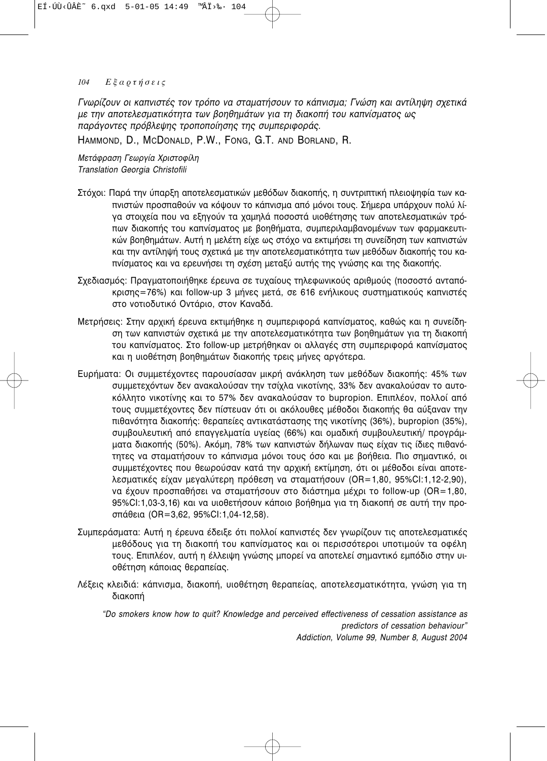#### $104$ *Εξαρτήσεις*

Γνωρίζουν οι καπνιστές τον τρόπο να σταματήσουν το κάπνισμα; Γνώση και αντίληψη σχετικά με την αποτελεσματικότητα των βοηθημάτων για τη διακοπή του καπνίσματος ως παράγοντες πρόβλεψης τροποποίησης της συμπεριφοράς.

HAMMOND, D., McDONALD, P.W., FONG, G.T. AND BORLAND, R.

Μετάφραση Γεωρνία Χριστοφίλη Translation Georgia Christofili

- Στόχοι: Παρά την ύπαρξη αποτελεσματικών μεθόδων διακοπής, η συντριπτική πλειοψηφία των καπνιστών προσπαθούν να κόψουν το κάπνισμα από μόνοι τους. Σήμερα υπάρχουν πολύ λίγα στοιχεία που να εξηγούν τα χαμηλά ποσοστά υιοθέτησης των αποτελεσματικών τρόπων διακοπής του καπνίσματος με βοηθήματα, συμπεριλαμβανομένων των φαρμακευτικών βοηθημάτων. Αυτή η μελέτη είχε ως στόχο να εκτιμήσει τη συνείδηση των καπνιστών και την αντίληψή τους σχετικά με την αποτελεσματικότητα των μεθόδων διακοπής του καπνίσματος και να ερευνήσει τη σχέση μεταξύ αυτής της γνώσης και της διακοπής.
- Σχεδιασμός: Πραγματοποιήθηκε έρευνα σε τυχαίους τηλεφωνικούς αριθμούς (ποσοστό ανταπόκρισης=76%) και follow-up 3 μήνες μετά, σε 616 ενήλικους συστηματικούς καπνιστές στο νοτιοδυτικό Οντάριο, στον Καναδά.
- Μετρήσεις: Στην αρχική έρευνα εκτιμήθηκε η συμπεριφορά καπνίσματος, καθώς και η συνείδηση των καπνιστών σχετικά με την αποτελεσματικότητα των βοηθημάτων για τη διακοπή του καπνίσματος. Στο follow-up μετρήθηκαν οι αλλαγές στη συμπεριφορά καπνίσματος και η υιοθέτηση βοηθημάτων διακοπής τρεις μήνες αργότερα.
- Ευρήματα: Οι συμμετέχοντες παρουσίασαν μικρή ανάκληση των μεθόδων διακοπής: 45% των συμμετεχόντων δεν ανακαλούσαν την τσίχλα νικοτίνης, 33% δεν ανακαλούσαν το αυτοκόλλητο νικοτίνης και το 57% δεν ανακαλούσαν το bupropion. Επιπλέον, πολλοί από τους συμμετέχοντες δεν πίστευαν ότι οι ακόλουθες μέθοδοι διακοπής θα αύξαναν την πιθανότητα διακοπής: θεραπείες αντικατάστασης της νικοτίνης (36%), bupropion (35%), συμβουλευτική από επαγγελματία υγείας (66%) και ομαδική συμβουλευτική/ προγράμματα διακοπής (50%). Ακόμη, 78% των καπνιστών δήλωναν πως είχαν τις ίδιες πιθανότητες να σταματήσουν το κάπνισμα μόνοι τους όσο και με βοήθεια. Πιο σημαντικό, οι συμμετέχοντες που θεωρούσαν κατά την αρχική εκτίμηση, ότι οι μέθοδοι είναι αποτελεσματικές είχαν μεγαλύτερη πρόθεση να σταματήσουν (OR=1,80, 95%Cl:1,12-2,90), να έχουν προσπαθήσει να σταματήσουν στο διάστημα μέχρι το follow-up (OR=1,80, 95%Cl:1,03-3,16) και να υιοθετήσουν κάποιο βοήθημα για τη διακοπή σε αυτή την προσπάθεια (OR=3,62, 95%Cl:1,04-12,58).
- Συμπεράσματα: Αυτή η έρευνα έδειξε ότι πολλοί καπνιστές δεν γνωρίζουν τις αποτελεσματικές μεθόδους για τη διακοπή του καπνίσματος και οι περισσότεροι υποτιμούν τα οφέλη τους. Επιπλέον, αυτή η έλλειψη γνώσης μπορεί να αποτελεί σημαντικό εμπόδιο στην υιοθέτηση κάποιας θεραπείας.
- Λέξεις κλειδιά: κάπνισμα, διακοπή, υιοθέτηση θεραπείας, αποτελεσματικότητα, γνώση για τη διακοπή

"Do smokers know how to quit? Knowledge and perceived effectiveness of cessation assistance as predictors of cessation behaviour" Addiction, Volume 99, Number 8, August 2004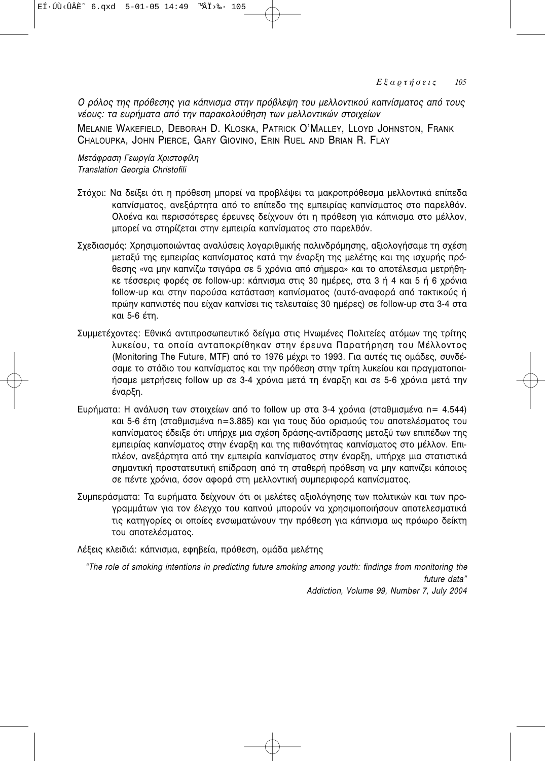Ο ρόλος της πρόθεσης για κάπνισμα στην πρόβλεψη του μελλοντικού καπνίσματος από τους νέους: τα ευρήματα από την παρακολούθηση των μελλοντικών στοιχείων MELANIE WAKEFIELD, DEBORAH D. KLOSKA, PATRICK O'MALLEY, LLOYD JOHNSTON, FRANK CHALOUPKA, JOHN PIERCE, GARY GIOVINO, ERIN RUEL AND BRIAN R. FLAY

*Μετάφραση Γεωργία Χριστοφίλη Translation Georgia Christofili*

- Στόχοι: Να δείξει ότι η πρόθεση μπορεί να προβλέψει τα μακροπρόθεσμα μελλοντικά επίπεδα καπνίσματος, ανεξάρτητα από το επίπεδο της εμπειρίας καπνίσματος στο παρελθόν. Ολοένα και περισσότερες έρευνες δείχνουν ότι η πρόθεση για κάπνισμα στο μέλλον, μπορεί να στηρίζεται στην εμπειρία καπνίσματος στο παρελθόν.
- Σχεδιασμός: Χρησιμοποιώντας αναλύσεις λογαριθμικής παλινδρόμησης, αξιολογήσαμε τη σχέση μεταξύ της εμπειρίας καπνίσματος κατά την έναρξη της μελέτης και της ισχυρής πρόθεσης «να μην καπνίζω τσιγάρα σε 5 χρόνια από σήμερα» και το αποτέλεσμα μετρήθηκε τέσσερις φορές σε follow-up: κάπνισμα στις 30 ημέρες, στα 3 ή 4 και 5 ή 6 χρόνια follow-up και στην παρούσα κατάσταση καπνίσματος (αυτό-αναφορά από τακτικούς ή πρώην καπνιστές που είχαν καπνίσει τις τελευταίες 30 ημέρες) σε follow-up στα 3-4 στα και 5-6 έτη.
- Συμμετέχοντες: Εθνικά αντιπροσωπευτικό δείγμα στις Ηνωμένες Πολιτείες ατόμων της τρίτης λυκείου, τα οποία ανταποκρίθηκαν στην έρευνα Παρατήρηση του Μέλλοντος (Monitoring The Future, MTF) από το 1976 μέχρι το 1993. Για αυτές τις ομάδες, συνδέσαμε το στάδιο του καπνίσματος και την πρόθεση στην τρίτη λυκείου και πραγματοποιήσαμε μετρήσεις follow up σε 3-4 χρόνια μετά τη έναρξη και σε 5-6 χρόνια μετά την έναρξη.
- Ευρήματα: Η ανάλυση των στοιχείων από το follow up στα 3-4 χρόνια (σταθμισμένα n= 4.544) και 5-6 έτη (σταθμισμένα n=3.885) και για τους δύο ορισμούς του αποτελέσματος του καπνίσματος έδειξε ότι υπήρχε μια σχέση δράσης-αντίδρασης μεταξύ των επιπέδων της εμπειρίας καπνίσματος στην έναρξη και της πιθανότητας καπνίσματος στο μέλλον. Επιπλέον, ανεξάρτητα από την εμπειρία καπνίσματος στην έναρξη, υπήρχε μια στατιστικά σημαντική προστατευτική επίδραση από τη σταθερή πρόθεση να μην καπνίζει κάποιος σε πέντε χρόνια, όσον αφορά στη μελλοντική συμπεριφορά καπνίσματος.
- Συμπεράσματα: Τα ευρήματα δείχνουν ότι οι μελέτες αξιολόγησης των πολιτικών και των προγραμμάτων για τον έλεγχο του καπνού μπορούν να χρησιμοποιήσουν αποτελεσματικά τις κατηγορίες οι οποίες ενσωματώνουν την πρόθεση για κάπνισμα ως πρόωρο δείκτη του αποτελέσματος.

Λέξεις κλειδιά: κάπνισμα, εφηβεία, πρόθεση, ομάδα μελέτης

*"The role of smoking intentions in predicting future smoking among youth: findings from monitoring the future data" Addiction, Volume 99, Number 7, July 2004*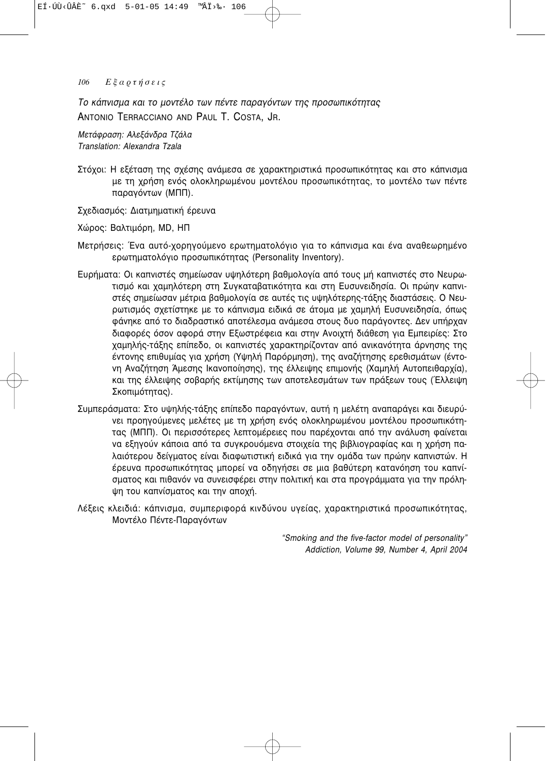#### 106 *Εξαρτήσεις*

Το κάπνισμα και το μοντέλο των πέντε παραγόντων της προσωπικότητας ANTONIO TERRACCIANO AND PAUL T. COSTA. JR.

Μετάφραση: Αλεξάνδρα Τζάλα Translation: Alexandra Tzala

Στόχοι: Η εξέταση της σχέσης ανάμεσα σε χαρακτηριστικά προσωπικότητας και στο κάπνισμα με τη χρήση ενός ολοκληρωμένου μοντέλου προσωπικότητας, το μοντέλο των πέντε παραγόντων (ΜΠΠ).

Σχεδιασμός: Διατμηματική έρευνα

Χώρος: Βαλτιμόρη, ΜD, ΗΠ

- Μετρήσεις: Ένα αυτό-χορηγούμενο ερωτηματολόγιο για το κάπνισμα και ένα αναθεωρημένο ερωτηματολόγιο προσωπικότητας (Personality Inventory).
- Ευρήματα: Οι καπνιστές σημείωσαν υψηλότερη βαθμολογία από τους μή καπνιστές στο Νευρωτισμό και χαμηλότερη στη Συγκαταβατικότητα και στη Ευσυνειδησία. Οι πρώην καπνιστές σημείωσαν μέτρια βαθμολογία σε αυτές τις υψηλότερης-τάξης διαστάσεις. Ο Νευρωτισμός σχετίστηκε με το κάπνισμα ειδικά σε άτομα με χαμηλή Ευσυνειδησία, όπως φάνηκε από το διαδραστικό αποτέλεσμα ανάμεσα στους δυο παράγοντες. Δεν υπήρχαν διαφορές όσον αφορά στην Εξωστρέφεια και στην Ανοιχτή διάθεση για Εμπειρίες: Στο χαμηλής-τάξης επίπεδο, οι καπνιστές χαρακτηρίζονταν από ανικανότητα άρνησης της έντονης επιθυμίας για χρήση (Υψηλή Παρόρμηση), της αναζήτησης ερεθισμάτων (έντονη Αναζήτηση Άμεσης Ικανοποίησης), της έλλειψης επιμονής (Χαμηλή Αυτοπειθαρχία), και της έλλειψης σοβαρής εκτίμησης των αποτελεσμάτων των πράξεων τους (Έλλειψη Σκοπιμότητας).
- Συμπεράσματα: Στο υψηλής-τάξης επίπεδο παραγόντων, αυτή η μελέτη αναπαράγει και διευρύνει προηγούμενες μελέτες με τη χρήση ενός ολοκληρωμένου μοντέλου προσωπικότητας (ΜΠΠ). Οι περισσότερες λεπτομέρειες που παρέχονται από την ανάλυση φαίνεται να εξηγούν κάποια από τα συγκρουόμενα στοιχεία της βιβλιογραφίας και η χρήση παλαιότερου δείγματος είναι διαφωτιστική ειδικά για την ομάδα των πρώην καπνιστών. Η έρευνα προσωπικότητας μπορεί να οδηγήσει σε μια βαθύτερη κατανόηση του καπνίσματος και πιθανόν να συνεισφέρει στην πολιτική και στα προγράμματα για την πρόληψη του καπνίσματος και την αποχή.
- Λέξεις κλειδιά: κάπνισμα, συμπεριφορά κινδύνου υγείας, χαρακτηριστικά προσωπικότητας, Μοντέλο Πέντε-Παραγόντων

"Smoking and the five-factor model of personality" Addiction, Volume 99, Number 4, April 2004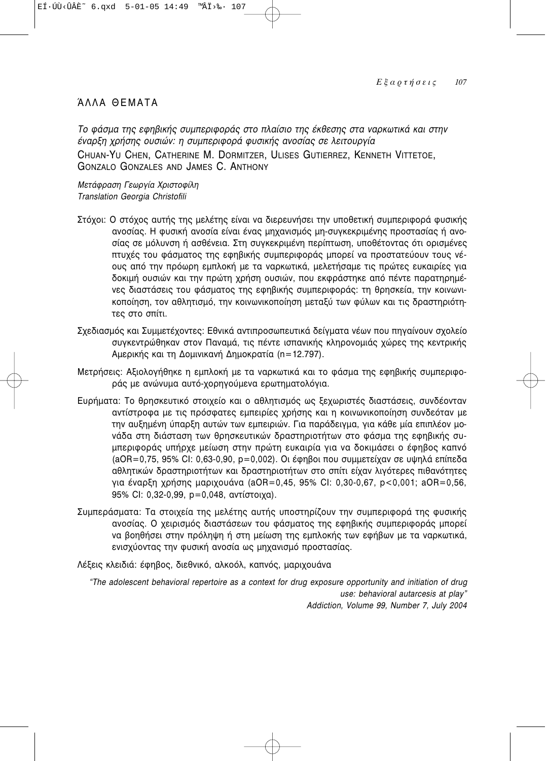# Â∧∧A ⊖FMATA

*Το φάσμα της εφηβικής συμπεριφοράς στο πλαίσιο της έκθεσης στα ναρκωτικά και στην έναρξη χρήσης ουσιών: η συμπεριφορά φυσικής ανοσίας σε λειτουργία* CHUAN-YU CHEN, CATHERINE M. DORMITZER, ULISES GUTIERREZ, KENNETH VITTETOE, GONZALO GONZALES AND JAMES C. ANTHONY

*Μετάφραση Γεωρνία Χριστοφίλη Translation Georgia Christofili*

- Στόχοι: Ο στόχος αυτής της μελέτης είναι να διερευνήσει την υποθετική συμπεριφορά φυσικής ανοσίας. Η φυσική ανοσία είναι ένας μηχανισμός μη-συγκεκριμένης προστασίας ή ανοσίας σε μόλυνση ή ασθένεια. Στη συγκεκριμένη περίπτωση, υποθέτοντας ότι ορισμένες πτυχές του φάσματος της εφηβικής συμπεριφοράς μπορεί να προστατεύουν τους νέους από την πρόωρη εμπλοκή με τα ναρκωτικά, μελετήσαμε τις πρώτες ευκαιρίες για δοκιμή ουσιών και την πρώτη χρήση ουσιών, που εκφράστηκε από πέντε παρατηρημέ-Vες διαστάσεις του φάσματος της εφηβικής συμπεριφοράς: τη θρησκεία, την κοινωνικοποίηση, τον αθλητισμό, την κοινωνικοποίηση μεταξύ των φύλων και τις δραστηριότητες στο σπίτι.
- Σχεδιασμός και Συμμετέχοντες: Εθνικά αντιπροσωπευτικά δείγματα νέων που πηγαίνουν σχολείο συγκεντρώθηκαν στον Παναμά, τις πέντε ισπανικής κληρονομιάς χώρες της κεντρικής Αμερικής και τη Δομινικανή Δημοκρατία (n=12.797).
- Μετρήσεις: Αξιολογήθηκε η εμπλοκή με τα ναρκωτικά και το φάσμα της εφηβικής συμπεριφοράς με ανώνυμα αυτό-χορηγούμενα ερωτηματολόγια.
- Ευρήματα: Το θρησκευτικό στοιχείο και ο αθλητισμός ως ξεχωριστές διαστάσεις, συνδέονταν αντίστροφα με τις πρόσφατες εμπειρίες χρήσης και η κοινωνικοποίηση συνδεόταν με την αυξημένη ύπαρξη αυτών των εμπειριών. Για παράδειγμα, για κάθε μία επιπλέον μονάδα στη διάσταση των θρησκευτικών δραστηριοτήτων στο φάσμα της εφηβικής συμπεριφοράς υπήρχε μείωση στην πρώτη ευκαιρία για να δοκιμάσει ο έφηβος καπνό  $(aOR=0.75, 95\%$  CI: 0,63-0,90, p=0,002). Οι έφηβοι που συμμετείχαν σε υψηλά επίπεδα αθλητικών δραστηριοτήτων και δραστηριοτήτων στο σπίτι είχαν λιγότερες πιθανότητες για έναρξη χρήσης μαριχουάνα (aOR=0,45, 95% CI: 0,30-0,67, p<0,001; aOR=0,56, 95% CI: 0,32-0,99, p=0,048, αντίστοιχα).
- Συμπεράσματα: Τα στοιχεία της μελέτης αυτής υποστηρίζουν την συμπεριφορά της φυσικής ανοσίας. Ο χειρισμός διαστάσεων του φάσματος της εφηβικής συμπεριφοράς μπορεί να βοηθήσει στην πρόληψη ή στη μείωση της εμπλοκής των εφήβων με τα ναρκωτικά, ενισχύοντας την φυσική ανοσία ως μηχανισμό προστασίας.

Λέξεις κλειδιά: έφηβος, διεθνικό, αλκοόλ, καπνός, μαριχουάνα

*"The adolescent behavioral repertoire as a context for drug exposure opportunity and initiation of drug use: behavioral autarcesis at play" Addiction, Volume 99, Number 7, July 2004*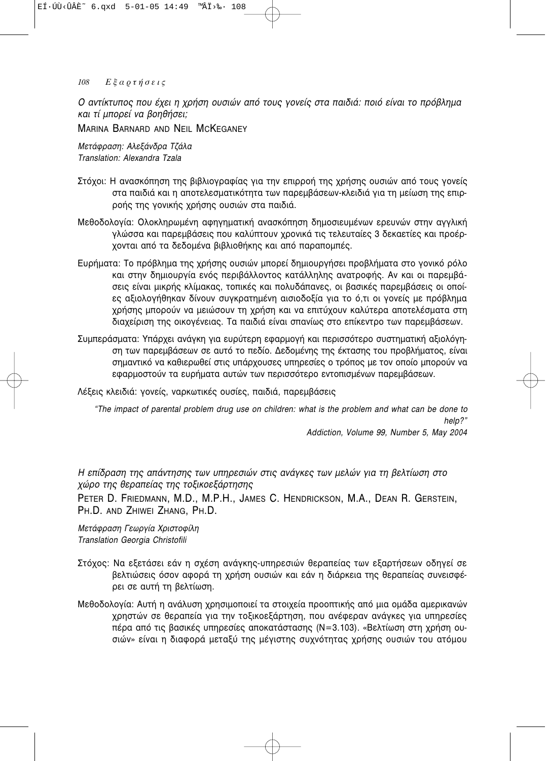Ο αντίκτυπος που έχει η χρήση ουσιών από τους γονείς στα παιδιά: ποιό είναι το πρόβλημα *και τί μπορεί να βοηθήσει;* 

MARINA BARNARD AND NEIL MCKEGANEY

*Μετάφραση: Αλεξάνδρα Τζάλα Translation: Alexandra Tzala*

- Στόχοι: Η ανασκόπηση της βιβλιογραφίας για την επιρροή της χρήσης ουσιών από τους γονείς στα παιδιά και η αποτελεσματικότητα των παρεμβάσεων-κλειδιά για τη μείωση της επιρροής της γονικής χρήσης ουσιών στα παιδιά.
- Μεθοδολογία: Ολοκληρωμένη αφηγηματική ανασκόπηση δημοσιευμένων ερευνών στην αγγλική γλώσσα και παρεμβάσεις που καλύπτουν χρονικά τις τελευταίες 3 δεκαετίες και προέρχονται από τα δεδομένα βιβλιοθήκης και από παραπομπές.
- Ευρήματα: Το πρόβλημα της χρήσης ουσιών μπορεί δημιουργήσει προβλήματα στο γονικό ρόλο και στην δημιουργία ενός περιβάλλοντος κατάλληλης ανατροφής. Αν και οι παρεμβάσεις είναι μικρής κλίμακας, τοπικές και πολυδάπανες, οι βασικές παρεμβάσεις οι οποίες αξιολογήθηκαν δίνουν συγκρατημένη αισιοδοξία για το ό,τι οι γονείς με πρόβλημα χρήσης μπορούν να μειώσουν τη χρήση και να επιτύχουν καλύτερα αποτελέσματα στη διαχείριση της οικογένειας. Τα παιδιά είναι σπανίως στο επίκεντρο των παρεμβάσεων.
- Συμπεράσματα: Υπάρχει ανάγκη για ευρύτερη εφαρμογή και περισσότερο συστηματική αξιολόγηση των παρεμβάσεων σε αυτό το πεδίο. Δεδομένης της έκτασης του προβλήματος, είναι σημαντικό να καθιερωθεί στις υπάρχουσες υπηρεσίες ο τρόπος με τον οποίο μπορούν να εφαρμοστούν τα ευρήματα αυτών των περισσότερο εντοπισμένων παρεμβάσεων.

Λέξεις κλειδιά: γονείς, ναρκωτικές ουσίες, παιδιά, παρεμβάσεις

*"The impact of parental problem drug use on children: what is the problem and what can be done to help?"*

*Addiction, Volume 99, Number 5, May 2004*

Η επίδραση της απάντησης των υπηρεσιών στις ανάγκες των μελών για τη βελτίωση στο χώρο της θεραπείας της τοξικοεξάρτησης

PETER D. FRIEDMANN, M.D., M.P.H., JAMES C. HENDRICKSON, M.A., DEAN R. GERSTEIN, PH.D. AND ZHIWEI ZHANG, PH.D.

**Μετάφραση Γεωργία Χριστοφίλη** *Translation Georgia Christofili*

- Στόχος: Να εξετάσει εάν η σχέση ανάγκης-υπηρεσιών θεραπείας των εξαρτήσεων οδηγεί σε βελτιώσεις όσον αφορά τη χρήση ουσιών και εάν η διάρκεια της θεραπείας συνεισφέρει σε αυτή τη βελτίωση.
- Μεθοδολογία: Αυτή η ανάλυση χρησιμοποιεί τα στοιχεία προοπτικής από μια ομάδα αμερικανών χρηστών σε θεραπεία για την τοξικοεξάρτηση, που ανέφεραν ανάγκες για υπηρεσίες πέρα από τις βασικές υπηρεσίες αποκατάστασης (N=3.103). «Βελτίωση στη χρήση ουσιών» είναι η διαφορά μεταξύ της μέγιστης συχνότητας χρήσης ουσιών του ατόμου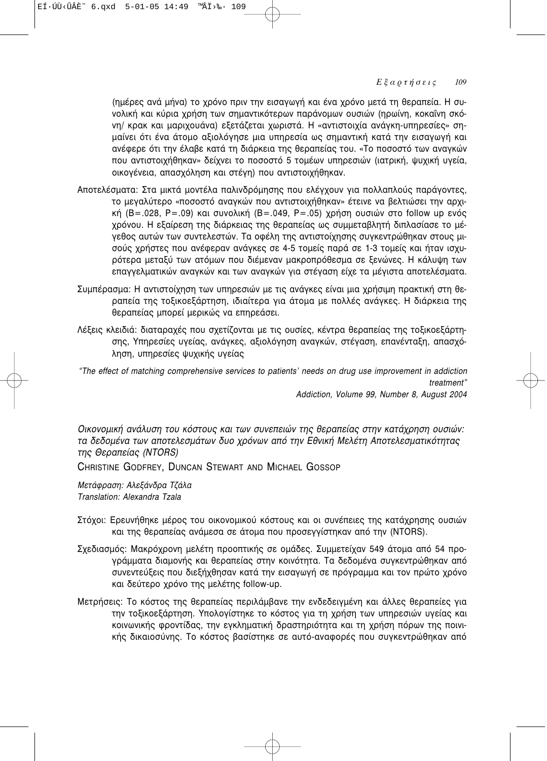(ημέρες ανά μήνα) το χρόνο πριν την εισαγωγή και ένα χρόνο μετά τη θεραπεία. Η συvoλική και κύρια χρήση των σημαντικότερων παράνομων ουσιών (ηρωίνη, κοκαΐνη σκόνη/ κρακ και μαριχουάνα) εξετάζεται χωριστά. Η «αντιστοιχία ανάγκη-υπηρεσίες» σημαίνει ότι ένα άτομο αξιολόγησε μια υπηρεσία ως σημαντική κατά την εισαγωγή και ανέφερε ότι την έλαβε κατά τη διάρκεια της θεραπείας του. «Το ποσοστό των αναγκών που αντιστοιχήθηκαν» δείχνει το ποσοστό 5 τομέων υπηρεσιών (ιατρική, ψυχική υγεία, οικογένεια, απασχόληση και στέγη) που αντιστοιχήθηκαν.

- Αποτελέσματα: Στα μικτά μοντέλα παλινδρόμησης που ελέγχουν για πολλαπλούς παράγοντες, το μεγαλύτερο «ποσοστό αναγκών που αντιστοιχήθηκαν» έτεινε να βελτιώσει την αρχι- $\kappa$ ή (B=.028, P=.09) και συνολική (B=.049, P=.05) χρήση ουσιών στο follow up ενός χρόνου. Η εξαίρεση της διάρκειας της θεραπείας ως συμμεταβλητή διπλασίασε το μέγεθος αυτών των συντελεστών. Τα οφέλη της αντιστοίχησης συγκεντρώθηκαν στους μισούς χρήστες που ανέφεραν ανάγκες σε 4-5 τομείς παρά σε 1-3 τομείς και ήταν ισχυρότερα μεταξύ των ατόμων που διέμεναν μακροπρόθεσμα σε ξενώνες. Η κάλυψη των επαγγελματικών αναγκών και των αναγκών για στέγαση είχε τα μέγιστα αποτελέσματα.
- Συμπέρασμα: Η αντιστοίχηση των υπηρεσιών με τις ανάγκες είναι μια χρήσιμη πρακτική στη θεραπεία της τοξικοεξάρτηση, ιδιαίτερα για άτομα με πολλές ανάγκες. Η διάρκεια της θεραπείας μπορεί μερικώς να επηρεάσει.
- Λέξεις κλειδιά: διαταραχές που σχετίζονται με τις ουσίες, κέντρα θεραπείας της τοξικοεξάρτησης, Υπηρεσίες υγείας, ανάγκες, αξιολόγηση αναγκών, στέγαση, επανένταξη, απασχόληση, υπηρεσίες ψυχικής υγείας

*"The effect of matching comprehensive services to patients' needs on drug use improvement in addiction treatment" Addiction, Volume 99, Number 8, August 2004*

Οικονομική ανάλυση του κόστους και των συνεπειών της θεραπείας στην κατάχρηση ουσιών: τα δεδομένα των αποτελεσμάτων δυο χρόνων από την Εθνική Μελέτη Αποτελεσματικότητας  $\tau$ ης Θεραπείας (NTORS)

CHRISTINE GODFREY, DUNCAN STEWART AND MICHAEL GOSSOP

 $M$ ετάφραση: Αλεξάνδρα Τζάλα *Translation: Alexandra Tzala*

- Στόχοι: Ερευνήθηκε μέρος του οικονομικού κόστους και οι συνέπειες της κατάχρησης ουσιών και της θεραπείας ανάμεσα σε άτομα που προσεγγίστηκαν από την (NTORS).
- Σχεδιασμός: Μακρόχρονη μελέτη προοπτικής σε ομάδες. Συμμετείχαν 549 άτομα από 54 προγράμματα διαμονής και θεραπείας στην κοινότητα. Τα δεδομένα συγκεντρώθηκαν από συνεντεύξεις που διεξήχθησαν κατά την εισαγωγή σε πρόγραμμα και τον πρώτο χρόνο και δεύτερο χρόνο της μελέτης follow-up.
- Μετρήσεις: Το κόστος της θεραπείας περιλάμβανε την ενδεδειγμένη και άλλες θεραπείες για την τοξικοεξάρτηση. Υπολογίστηκε το κόστος για τη χρήση των υπηρεσιών υγείας και κοινωνικής φροντίδας, την εγκληματική δραστηριότητα και τη χρήση πόρων της ποινικής δικαιοσύνης. Το κόστος βασίστηκε σε αυτό-αναφορές που συγκεντρώθηκαν από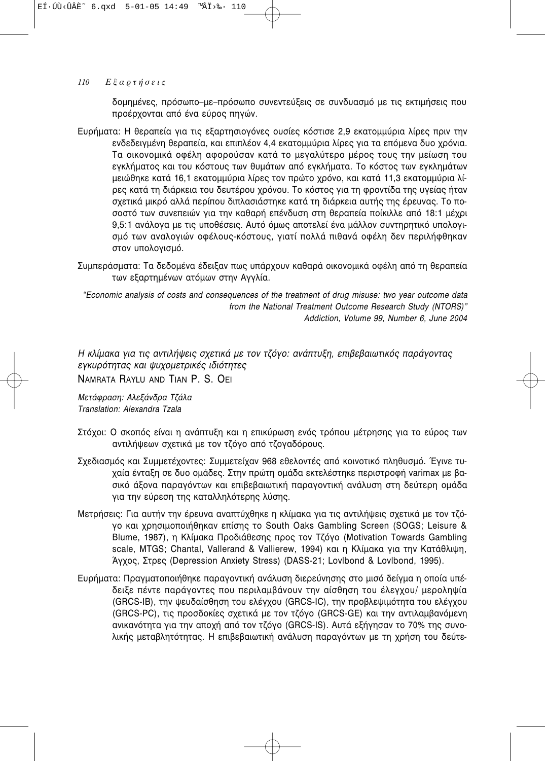#### *110 <i>Eξαρτήσεις*

δομημένες, πρόσωπο-με-πρόσωπο συνεντεύξεις σε συνδυασμό με τις εκτιμήσεις που προέρχονται από ένα εύρος πηγών.

- Ευρήματα: Η θεραπεία για τις εξαρτησιογόνες ουσίες κόστισε 2,9 εκατομμύρια λίρες πριν την ενδεδειγμένη θεραπεία, και επιπλέον 4,4 εκατομμύρια λίρες για τα επόμενα δυο χρόνια. Τα οικονομικά οφέλη αφορούσαν κατά το μεγαλύτερο μέρος τους την μείωση του εγκλήματος και του κόστους των θυμάτων από εγκλήματα. Το κόστος των εγκλημάτων μειώθηκε κατά 16,1 εκατομμύρια λίρες τον πρώτο χρόνο, και κατά 11,3 εκατομμύρια λίρες κατά τη διάρκεια του δευτέρου χρόνου. Το κόστος για τη φροντίδα της υγείας ήταν σχετικά μικρό αλλά περίπου διπλασιάστηκε κατά τη διάρκεια αυτής της έρευνας. Το ποσοστό των συνεπειών για την καθαρή επένδυση στη θεραπεία ποίκιλλε από 18:1 μέχρι 9,5:1 ανάλογα με τις υποθέσεις. Αυτό όμως αποτελεί ένα μάλλον συντηρητικό υπολογισμό των αναλογιών οφέλους-κόστους, γιατί πολλά πιθανά οφέλη δεν περιλήφθηκαν στον υπολογισμό.
- Συμπεράσματα: Τα δεδομένα έδειξαν πως υπάρχουν καθαρά οικονομικά οφέλη από τη θεραπεία των εξαρτημένων ατόμων στην Αγγλία.

*"Economic analysis of costs and consequences of the treatment of drug misuse: two year outcome data from the National Treatment Outcome Research Study (NTORS)" Addiction, Volume 99, Number 6, June 2004*

*Η κλίμακα για τις αντιλήψεις σχετικά με τον τζόγο: ανάπτυξη, επιβεβαιωτικός παράγοντας εγκυρότητας και ψυχομετρικές ιδιότητες* 

NAMRATA RAYLU AND TIAN P. S. OEI

*Μετάφραση: Αλεξάνδρα Τζάλα Translation: Alexandra Tzala*

- Στόχοι: Ο σκοπός είναι η ανάπτυξη και η επικύρωση ενός τρόπου μέτρησης για το εύρος των αντιλήψεων σχετικά με τον τζόγο από τζογαδόρους.
- Σχεδιασμός και Συμμετέχοντες: Συμμετείχαν 968 εθελοντές από κοινοτικό πληθυσμό. Έγινε τυχαία ένταξη σε δυο ομάδες. Στην πρώτη ομάδα εκτελέστηκε περιστροφή varimax με βασικό άξονα παραγόντων και επιβεβαιωτική παραγοντική ανάλυση στη δεύτερη ομάδα για την εύρεση της καταλληλότερης λύσης.
- Μετρήσεις: Για αυτήν την έρευνα αναπτύχθηκε η κλίμακα για τις αντιλήψεις σχετικά με τον τζόγο και χρησιμοποιήθηκαν επίσης το South Oaks Gambling Screen (SOGS; Leisure & Blume, 1987), η Κλίμακα Προδιάθεσης προς τον Τζόγο (Motivation Towards Gambling scale, MTGS; Chantal, Vallerand & Vallierew, 1994) και η Κλίμακα για την Κατάθλιψη, Άγχος, Στρες (Depression Anxiety Stress) (DASS-21; Lovlbond & Lovlbond, 1995).
- Ευρήματα: Πραγματοποιήθηκε παραγοντική ανάλυση διερεύνησης στο μισό δείγμα η οποία υπέδειξε πέντε παράγοντες που περιλαμβάνουν την αίσθηση του έλεγχου/ μεροληψία (GRCS-IB), την ψευδαίσθηση του ελέγχου (GRCS-IC), την προβλεψιμότητα του ελέγχου (GRCS-PC), τις προσδοκίες σχετικά με τον τζόγο (GRCS-GE) και την αντιλαμβανόμενη ανικανότητα για την αποχή από τον τζόγο (GRCS-IS). Αυτά εξήγησαν το 70% της συνολικής μεταβλητότητας. Η επιβεβαιωτική ανάλυση παραγόντων με τη χρήση του δεύτε-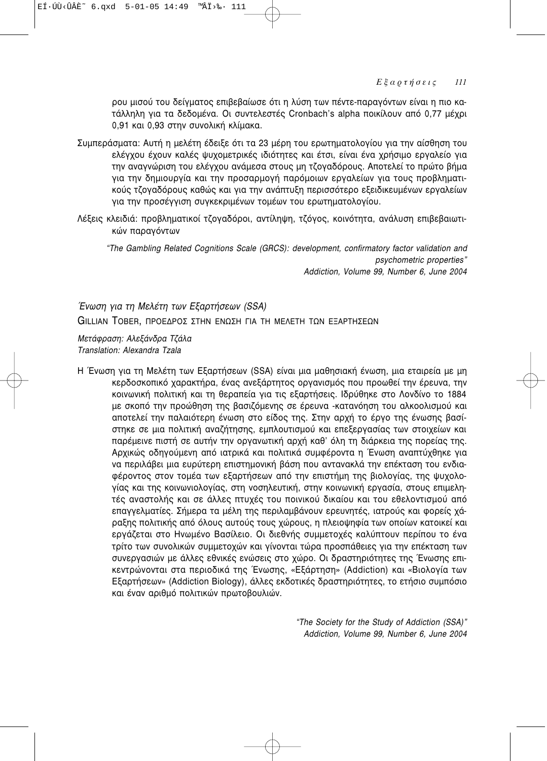#### *<i>Eξαρτήσεις* 111

EÍ·ÚÙ‹ÛÂȘ 6.qxd 5-01-05 14:49 ™ÂÏ›‰· 111

ρου μισού του δείγματος επιβεβαίωσε ότι η λύση των πέντε-παραγόντων είναι η πιο κατάλληλη για τα δεδομένα. Οι συντελεστές Cronbach's alpha ποικίλουν από 0,77 μέχρι 0,91 και 0,93 στην συνολική κλίμακα.

- Συμπεράσματα: Αυτή η μελέτη έδειξε ότι τα 23 μέρη του ερωτηματολογίου για την αίσθηση του ελέγχου έχουν καλές ψυχομετρικές ιδιότητες και έτσι, είναι ένα χρήσιμο εργαλείο για την αναγνώριση του ελέγχου ανάμεσα στους μη τζογαδόρους. Αποτελεί το πρώτο βήμα για την δημιουργία και την προσαρμογή παρόμοιων εργαλείων για τους προβληματικούς τζογαδόρους καθώς και για την ανάπτυξη περισσότερο εξειδικευμένων εργαλείων για την προσέγγιση συγκεκριμένων τομέων του ερωτηματολογίου.
- Λέξεις κλειδιά: προβληματικοί τζογαδόροι, αντίληψη, τζόγος, κοινότητα, ανάλυση επιβεβαιωτικών παραγόντων

*"The Gambling Related Cognitions Scale (GRCS): development, confirmatory factor validation and psychometric properties" Addiction, Volume 99, Number 6, June 2004*

Ένωση για τη Μελέτη των Εξαρτήσεων (SSA) GILLIAN TOBER, ΠΡΟΕΔΡΟΣ ΣΤΗΝ ΕΝΩΣΗ ΓΙΑ ΤΗ ΜΕΛΕΤΗ ΤΩΝ ΕΞΑΡΤΗΣΕΩΝ

*Μετάφραση: Αλεξάνδρα Τζάλα Translation: Alexandra Tzala*

Η Ένωση για τη Μελέτη των Εξαρτήσεων (SSA) είναι μια μαθησιακή ένωση, μια εταιρεία με μη κερδοσκοπικό χαρακτήρα, ένας ανεξάρτητος οργανισμός που προωθεί την έρευνα, την κοινωνική πολιτική και τη θεραπεία για τις εξαρτήσεις. Ιδρύθηκε στο Λονδίνο το 1884 με σκοπό την προώθηση της βασιζόμενης σε έρευνα -κατανόηση του αλκοολισμού και αποτελεί την παλαιότερη ένωση στο είδος της. Στην αρχή το έργο της ένωσης βασίστηκε σε μια πολιτική αναζήτησης, εμπλουτισμού και επεξεργασίας των στοιχείων και παρέμεινε πιστή σε αυτήν την οργανωτική αρχή καθ' όλη τη διάρκεια της πορείας της. Αρχικώς οδηγούμενη από ιατρικά και πολιτικά συμφέροντα η Ένωση αναπτύχθηκε για να περιλάβει μια ευρύτερη επιστημονική βάση που αντανακλά την επέκταση του ενδιαφέροντος στον τομέα των εξαρτήσεων από την επιστήμη της βιολογίας, της ψυχολογίας και της κοινωνιολογίας, στη νοσηλευτική, στην κοινωνική εργασία, στους επιμελητές αναστολής και σε άλλες πτυχές του ποινικού δικαίου και του εθελοντισμού από επαγγελματίες. Σήμερα τα μέλη της περιλαμβάνουν ερευνητές, ιατρούς και φορείς χάραξης πολιτικής από όλους αυτούς τους χώρους, η πλειοψηφία των οποίων κατοικεί και εργάζεται στο Ηνωμένο Βασίλειο. Οι διεθνής συμμετοχές καλύπτουν περίπου το ένα τρίτο των συνολικών συμμετοχών και γίνονται τώρα προσπάθειες για την επέκταση των συνεργασιών με άλλες εθνικές ενώσεις στο χώρο. Οι δραστηριότητες της Ένωσης επι-Κεντρώνονται στα περιοδικά της Ένωσης, «Εξάρτηση» (Addiction) και «Βιολογία των Εξαρτήσεων» (Addiction Biology), άλλες εκδοτικές δραστηριότητες, το ετήσιο συμπόσιο και έναν αριθμό πολιτικών πρωτοβουλιών.

> *"The Society for the Study of Addiction (SSA)" Addiction, Volume 99, Number 6, June 2004*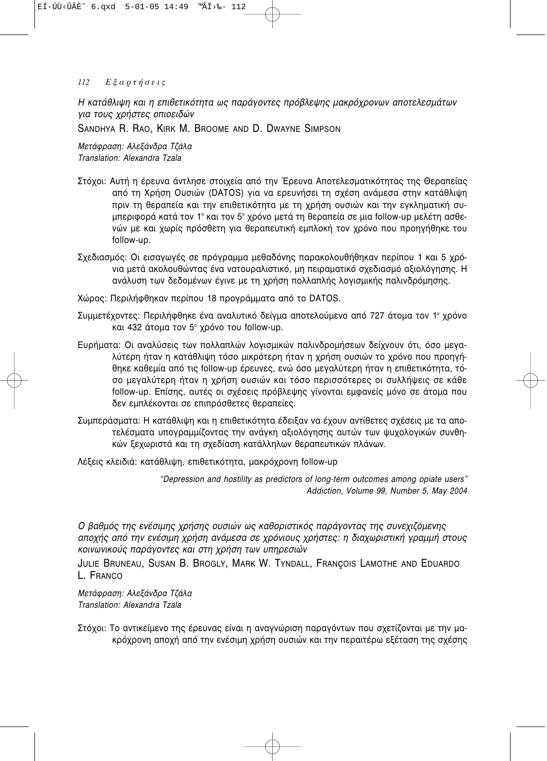*Η κατάθλιψη και η επιθετικότητα ως παράγοντες πρόβλεψης μακρόχρονων αποτελεσμάτων* για τους χρήστες οπιοειδών

SANDHYA R. RAO, KIRK M. BROOME AND D. DWAYNE SIMPSON

*Μετάφραση: Αλεξάνδρα Τζάλα Translation: Alexandra Tzala*

- Στόχοι: Αυτή η έρευνα άντλησε στοιχεία από την Έρευνα Αποτελεσματικότητας της Θεραπείας από τη Χρήση Ουσιών (DATOS) για να ερευνήσει τη σχέση ανάμεσα στην κατάθλιψη πριν τη θεραπεία και την επιθετικότητα με τη χρήση ουσιών και την εγκληματική συμπεριφορά κατά τον 1° και τον 5° χρόνο μετά τη θεραπεία σε μια follow-up μελέτη ασθε-Vών με και χωρίς πρόσθετη για θεραπευτική εμπλοκή τον χρόνο που προηγήθηκε του follow-up.
- Σχεδιασμός: Οι εισαγωγές σε πρόγραμμα μεθαδόνης παρακολουθήθηκαν περίπου 1 και 5 χρόνια μετά ακολουθώντας ένα νατουραλιστικό, μη πειραματικό σχεδιασμό αξιολόγησης. Η ανάλυση των δεδομένων έγινε με τη χρήση πολλαπλής λογισμικής παλινδρόμησης.

Χώρος: Περιλήφθηκαν περίπου 18 προγράμματα από το DATOS.

- Συμμετέχοντες: Περιλήφθηκε ένα αναλυτικό δείγμα αποτελούμενο από 727 άτομα τον 1° χρόνο Kαι 432 άτομα τον 5° χρόνο του follow-up.
- Ευρήματα: Οι αναλύσεις των πολλαπλών λογισμικών παλινδρομήσεων δείχνουν ότι, όσο μεγαλύτερη ήταν η κατάθλιψη τόσο μικρότερη ήταν η χρήση ουσιών το χρόνο που προηγήθηκε καθεμία από τις follow-up έρευνες, ενώ όσο μεγαλύτερη ήταν η επιθετικότητα, τόσο μεναλύτερη ήταν η χρήση ουσιών και τόσο περισσότερες οι συλλήψεις σε κάθε follow-up. Επίσης, αυτές οι σχέσεις πρόβλεψης γίνονται εμφανείς μόνο σε άτομα που δεν εμπλέκονται σε επιπρόσθετες θεραπείες.
- Συμπεράσματα: Η κατάθλιψη και η επιθετικότητα έδειξαν να έχουν αντίθετες σχέσεις με τα αποτελέσματα υπογραμμίζοντας την ανάγκη αξιολόγησης αυτών των ψυχολογικών συνθηκών ξεχωριστά και τη σχεδίαση κατάλληλων θεραπευτικών πλάνων.

Λέξεις κλειδιά: κατάθλιψη, επιθετικότητα, μακρόχρονη follow-up

*"Depression and hostility as predictors of long-term outcomes among opiate users" Addiction, Volume 99, Number 5, May 2004*

Ο βαθμός της ενέσιμης χρήσης ουσιών ως καθοριστικός παράγοντας της συνεχιζόμενης *αποχής από την ενέσιμη χρήση ανάμεσα σε χρόνιους χρήστες: η διαχωριστική γραμμή στους ΚΟΙ*νωνικούς παράγοντες και στη χρήση των υπηρεσιών

JULIE BRUNEAU, SUSAN B. BROGLY, MARK W. TYNDALL, FRANçOIS LAMOTHE AND EDUARDO L. FRANCO

*Μετάφραση: Αλεξάνδρα Τζάλα Translation: Alexandra Tzala*

Στόχοι: Το αντικείμενο της έρευνας είναι η αναγνώριση παραγόντων που σχετίζονται με την μα-Κρόχρονη αποχή από την ενέσιμη χρήση ουσιών και την περαιτέρω εξέταση της σχέσης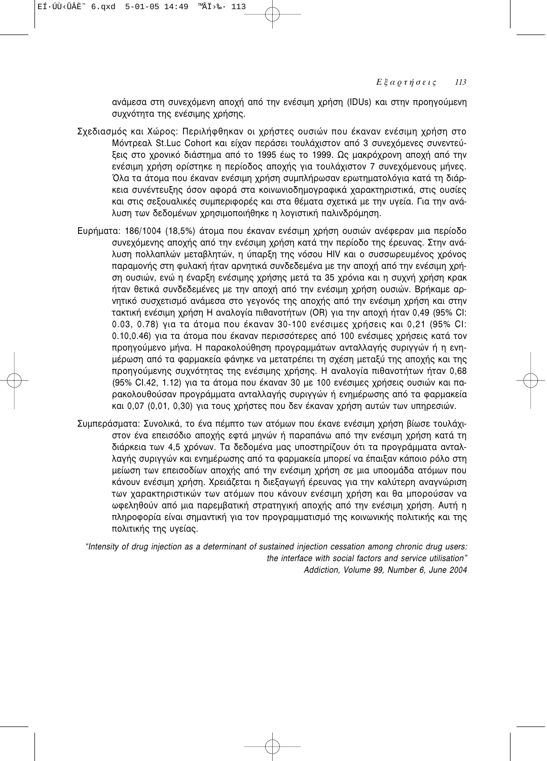ανάμεσα στη συνεχόμενη αποχή από την ενέσιμη χρήση (IDUs) και στην προηγούμενη συχνότητα της ενέσιμης χρήσης.

- Σχεδιασμός και Χώρος: Περιλήφθηκαν οι χρήστες ουσιών που έκαναν ενέσιμη χρήση στο Μόντρεαλ St.Luc Cohort και είχαν περάσει τουλάχιστον από 3 συνεχόμενες συνεντεύξεις στο χρονικό διάστημα από το 1995 έως το 1999. Ως μακρόχρονη αποχή από την ενέσιμη χρήση ορίστηκε η περίοδος αποχής για τουλάχιστον 7 συνεχόμενους μήνες. Όλα τα άτομα που έκαναν ενέσιμη χρήση συμπλήρωσαν ερωτηματολόγια κατά τη διάρ-Κεια συνέντευξης όσον αφορά στα κοινωνιοδημογραφικά χαρακτηριστικά, στις ουσίες και στις σεξουαλικές συμπεριφορές και στα θέματα σχετικά με την υγεία. Για την ανάλυση των δεδομένων χρησιμοποιήθηκε η λογιστική παλινδρόμηση.
- Ευρήματα: 186/1004 (18,5%) άτομα που έκαναν ενέσιμη χρήση ουσιών ανέφεραν μια περίοδο συνεχόμενης αποχής από την ενέσιμη χρήση κατά την περίοδο της έρευνας. Στην ανάλυση πολλαπλών μεταβλητών, η ύπαρξη της νόσου HIV και ο συσσωρευμένος χρόνος παραμονής στη φυλακή ήταν αρνητικά συνδεδεμένα με την αποχή από την ενέσιμη χρήση ουσιών, ενώ η έναρξη ενέσιμης χρήσης μετά τα 35 χρόνια και η συχνή χρήση κρακ ήταν θετικά συνδεδεμένες με την αποχή από την ενέσιμη χρήση ουσιών. Βρήκαμε αρνητικό συσχετισμό ανάμεσα στο γεγονός της αποχής από την ενέσιμη χρήση και στην τακτική ενέσιμη χρήση Η αναλογία πιθανοτήτων (OR) για την αποχή ήταν 0,49 (95% CI: 0.03, 0.78) για τα άτομα που έκαναν 30-100 ενέσιμες χρήσεις και 0.21 (95% CI: 0.10,0.46) για τα άτομα που έκαναν περισσότερες από 100 ενέσιμες χρήσεις κατά τον προηγούμενο μήνα. Η παρακολούθηση προγραμμάτων ανταλλαγής συριγγών ή η ενημέρωση από τα φαρμακεία φάνηκε να μετατρέπει τη σχέση μεταξύ της αποχής και της προηγούμενης συχνότητας της ενέσιμης χρήσης. Η αναλογία πιθανοτήτων ήταν 0,68 (95% CI.42, 1.12) για τα άτομα που έκαναν 30 με 100 ενέσιμες χρήσεις ουσιών και παρακολουθούσαν προγράμματα ανταλλαγής συριγγών ή ενημέρωσης από τα φαρμακεία και 0,07 (0,01, 0,30) για τους χρήστες που δεν έκαναν χρήση αυτών των υπηρεσιών.
- Συμπεράσματα: Συνολικά, το ένα πέμπτο των ατόμων που έκανε ενέσιμη χρήση βίωσε τουλάχιστον ένα επεισόδιο αποχής εφτά μηνών ή παραπάνω από την ενέσιμη χρήση κατά τη διάρκεια των 4,5 χρόνων. Τα δεδομένα μας υποστηρίζουν ότι τα προγράμματα ανταλλαγής συριγγών και ενημέρωσης από τα φαρμακεία μπορεί να έπαιξαν κάποιο ρόλο στη μείωση των επεισοδίων αποχής από την ενέσιμη χρήση σε μια υποομάδα ατόμων που κάνουν ενέσιμη χρήση. Χρειάζεται η διεξαγωγή έρευνας για την καλύτερη αναγνώριση των χαρακτηριστικών των ατόμων που κάνουν ενέσιμη χρήση και θα μπορούσαν να ωφεληθούν από μια παρεμβατική στρατηγική αποχής από την ενέσιμη χρήση. Αυτή η πληροφορία είναι σημαντική για τον προγραμματισμό της κοινωνικής πολιτικής και της πολιτικής της υγείας.

*"Intensity of drug injection as a determinant of sustained injection cessation among chronic drug users: the interface with social factors and service utilisation" Addiction, Volume 99, Number 6, June 2004*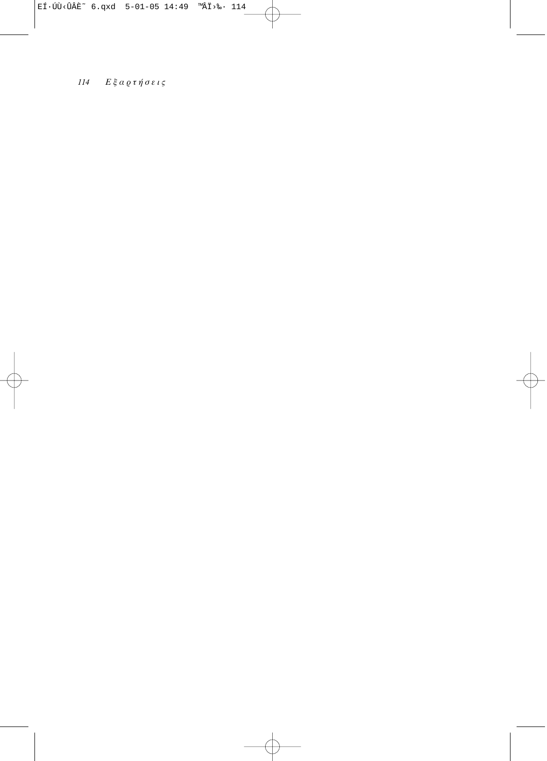$E$  ξ α  $\varrho$  τ ή σ ε ι ς 114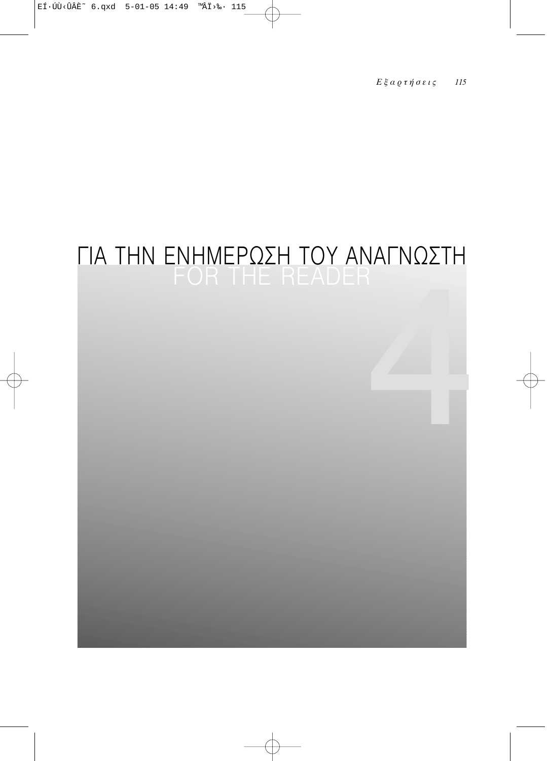$E \xi a \varrho \tau \eta \sigma \varepsilon \iota$  5 115

# ΓΙΑ ΤΗΝ ΕΝΗΜΕΡΩΣΗ ΤΟΥ ΑΝΑΓΝΩΣΤΗ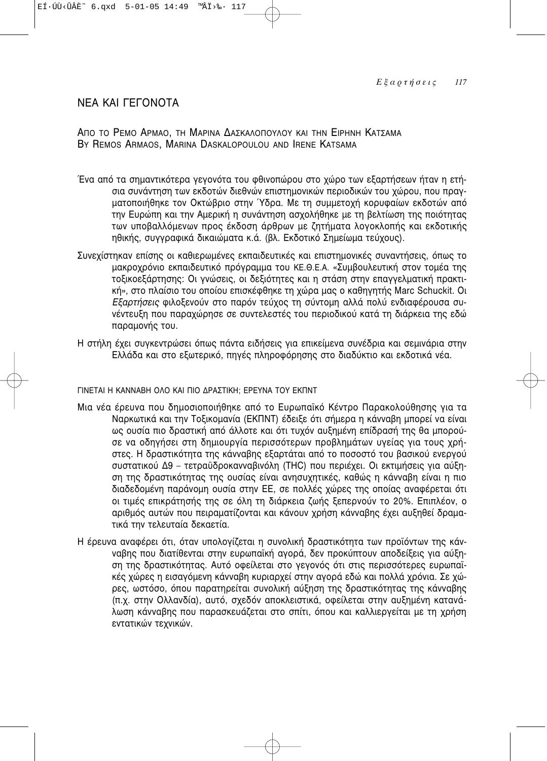# NFA KAI FFFONOTA

ΑΠΟ ΤΟ ΡΕΜΟ ΑΡΜΑΟ, ΤΗ ΜΑΡΙΝΑ ΔΑΣΚΑΛΟΠΟΥΛΟΥ ΚΑΙ ΤΗΝ ΕΙΡΗΝΗ ΚΑΤΣΑΜΑ BY REMOS ARMAOS, MARINA DASKALOPOULOU AND IRENE KATSAMA

- Ένα από τα σημαντικότερα γεγονότα του φθινοπώρου στο χώρο των εξαρτήσεων ήταν η ετήσια συνάντηση των εκδοτών διεθνών επιστημονικών περιοδικών του χώρου, που πραγματοποιήθηκε τον Οκτώβριο στην Ύδρα. Με τη συμμετοχή κορυφαίων εκδοτών από την Ευρώπη και την Αμερική η συνάντηση ασχολήθηκε με τη βελτίωση της ποιότητας των υποβαλλόμενων προς έκδοση άρθρων με ζητήματα λογοκλοπής και εκδοτικής ηθικής, συγγραφικά δικαιώματα κ.ά. (βλ. Εκδοτικό Σημείωμα τεύχους).
- Συνεχίστηκαν επίσης οι καθιερωμένες εκπαιδευτικές και επιστημονικές συναντήσεις, όπως το μακροχρόνιο εκπαιδευτικό πρόγραμμα του ΚΕ.Θ.Ε.Α. «Συμβουλευτική στον τομέα της τοξικοεξάρτησης: Οι γνώσεις, οι δεξιότητες και η στάση στην επαγγελματική πρακτική», στο πλαίσιο του οποίου επισκέφθηκε τη χώρα μας ο καθηγητής Marc Schuckit. Οι Εξαρτήσεις φιλοξενούν στο παρόν τεύχος τη σύντομη αλλά πολύ ενδιαφέρουσα συνέντευξη που παραχώρησε σε συντελεστές του περιοδικού κατά τη διάρκεια της εδώ παραμονής του.
- Η στήλη έχει συγκεντρώσει όπως πάντα ειδήσεις για επικείμενα συνέδρια και σεμινάρια στην Ελλάδα και στο εξωτερικό, πηγές πληροφόρησης στο διαδύκτιο και εκδοτικά νέα.

#### ΓΙΝΕΤΑΙ Η ΚΑΝΝΑΒΗ ΟΛΟ ΚΑΙ ΠΙΟ ΔΡΑΣΤΙΚΗ: ΕΡΕΥΝΑ ΤΟΥ ΕΚΠΝΤ

- Μια νέα έρευνα που δημοσιοποιήθηκε από το Ευρωπαϊκό Κέντρο Παρακολούθησης για τα Ναρκωτικά και την Τοξικομανία (ΕΚΠΝΤ) έδειξε ότι σήμερα η κάνναβη μπορεί να είναι ως ουσία πιο δραστική από άλλοτε και ότι τυχόν αυξημένη επίδρασή της θα μπορούσε να οδηγήσει στη δημιουργία περισσότερων προβλημάτων υγείας για τους χρήστες. Η δραστικότητα της κάνναβης εξαρτάται από το ποσοστό του βασικού ενεργού συστατικού Δ9 - τετραϋδροκανναβινόλη (THC) που περιέχει. Οι εκτιμήσεις για αύξηση της δραστικότητας της ουσίας είναι ανησυχητικές, καθώς η κάνναβη είναι η πιο διαδεδομένη παράνομη ουσία στην ΕΕ, σε πολλές χώρες της οποίας αναφέρεται ότι οι τιμές επικράτησής της σε όλη τη διάρκεια ζωής ξεπερνούν το 20%. Επιπλέον, ο αριθμός αυτών που πειραματίζονται και κάνουν χρήση κάνναβης έχει αυξηθεί δραματικά την τελευταία δεκαετία.
- Η έρευνα αναφέρει ότι, όταν υπολογίζεται η συνολική δραστικότητα των προϊόντων της κάνναβης που διατίθενται στην ευρωπαϊκή αγορά, δεν προκύπτουν αποδείξεις για αύξηση της δραστικότητας. Αυτό οφείλεται στο γεγονός ότι στις περισσότερες ευρωπαϊκές χώρες η εισαγόμενη κάνναβη κυριαρχεί στην αγορά εδώ και πολλά χρόνια. Σε χώρες, ωστόσο, όπου παρατηρείται συνολική αύξηση της δραστικότητας της κάνναβης (π.χ. στην Ολλανδία), αυτό, σχεδόν αποκλειστικά, οφείλεται στην αυξημένη κατανάλωση κάνναβης που παρασκευάζεται στο σπίτι, όπου και καλλιεργείται με τη χρήση εντατικών τεχνικών.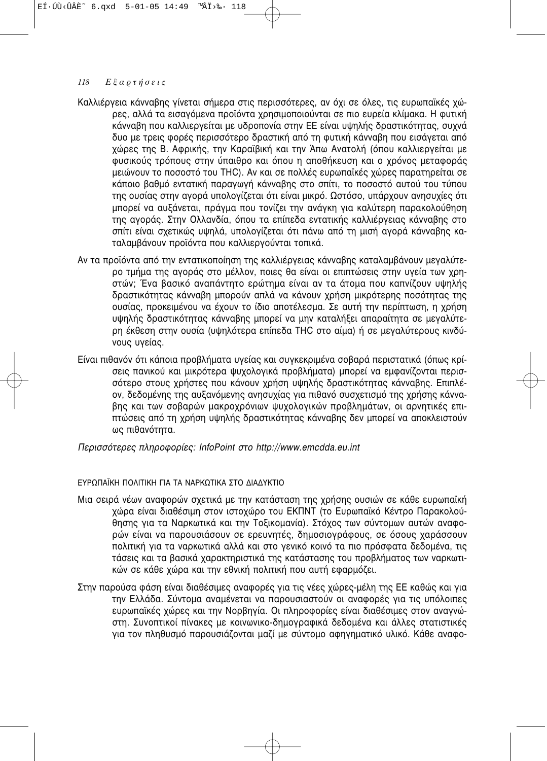- Καλλιέργεια κάνναβης γίνεται σήμερα στις περισσότερες, αν όχι σε όλες, τις ευρωπαϊκές χώρες, αλλά τα εισαγόμενα προϊόντα χρησιμοποιούνται σε πιο ευρεία κλίμακα. Η φυτική κάνναβη που καλλιεργείται με υδροπονία στην ΕΕ είναι υψηλής δραστικότητας, συχνά δυο με τρεις φορές περισσότερο δραστική από τη φυτική κάνναβη που εισάγεται από χώρες της Β. Αφρικής, την Καραϊβική και την Άπω Ανατολή (όπου καλλιεργείται με φυσικούς τρόπους στην ύπαιθρο και όπου η αποθήκευση και ο χρόνος μεταφοράς μειώνουν το ποσοστό του ΤΗC). Αν και σε πολλές ευρωπαϊκές χώρες παρατηρείται σε κάποιο βαθμό εντατική παραγωγή κάνναβης στο σπίτι, το ποσοστό αυτού του τύπου της ουσίας στην ανορά υπολονίζεται ότι είναι μικρό. Ωστόσο, υπάρχουν ανησυχίες ότι μπορεί να αυξάνεται, πράνμα που τονίζει την ανάνκη νια καλύτερη παρακολούθηση της αγοράς. Στην Ολλανδία, όπου τα επίπεδα εντατικής καλλιέργειας κάνναβης στο σπίτι είναι σχετικώς υψηλά, υπολογίζεται ότι πάνω από τη μισή αγορά κάνναβης καταλαμβάνουν προϊόντα που καλλιεργούνται τοπικά.
- Αν τα προϊόντα από την εντατικοποίηση της καλλιέργειας κάνναβης καταλαμβάνουν μεγαλύτερο τμήμα της αγοράς στο μέλλον, ποιες θα είναι οι επιπτώσεις στην υγεία των χρηστών; Ένα βασικό αναπάντητο ερώτημα είναι αν τα άτομα που καπνίζουν υψηλής δραστικότητας κάνναβη μπορούν απλά να κάνουν χρήση μικρότερης ποσότητας της ουσίας, προκειμένου να έχουν το ίδιο αποτέλεσμα. Σε αυτή την περίπτωση, η χρήση υψηλής δραστικότητας κάνναβης μπορεί να μην καταλήξει απαραίτητα σε μεγαλύτερη έκθεση στην ουσία (υψηλότερα επίπεδα THC στο αίμα) ή σε μεγαλύτερους κινδύνους υγείας.
- Είναι πιθανόν ότι κάποια προβλήματα υγείας και συγκεκριμένα σοβαρά περιστατικά (όπως κρίσεις πανικού και μικρότερα ψυχολογικά προβλήματα) μπορεί να εμφανίζονται περισσότερο στους χρήστες που κάνουν χρήση υψηλής δραστικότητας κάνναβης. Επιπλέον, δεδομένης της αυξανόμενης ανησυχίας για πιθανό συσχετισμό της χρήσης κάνναβης και των σοβαρών μακροχρόνιων ψυχολογικών προβλημάτων, οι αρνητικές επιπτώσεις από τη χρήση υψηλής δραστικότητας κάνναβης δεν μπορεί να αποκλειστούν ως πιθανότητα.

Περισσότερες πληροφορίες: InfoPoint στο http://www.emcdda.eu.int

#### ΕΥΡΩΠΑΪΚΗ ΠΟΛΙΤΙΚΗ ΓΙΑ ΤΑ ΝΑΡΚΩΤΙΚΑ ΣΤΟ ΔΙΑΔΥΚΤΙΟ

- Μια σειρά νέων αναφορών σχετικά με την κατάσταση της χρήσης ουσιών σε κάθε ευρωπαϊκή χώρα είναι διαθέσιμη στον ιστοχώρο του ΕΚΠΝΤ (το Ευρωπαϊκό Κέντρο Παρακολούθησης για τα Ναρκωτικά και την Τοξικομανία). Στόχος των σύντομων αυτών αναφορών είναι να παρουσιάσουν σε ερευνητές, δημοσιογράφους, σε όσους χαράσσουν πολιτική για τα ναρκωτικά αλλά και στο γενικό κοινό τα πιο πρόσφατα δεδομένα, τις τάσεις και τα βασικά χαρακτηριστικά της κατάστασης του προβλήματος των ναρκωτικών σε κάθε χώρα και την εθνική πολιτική που αυτή εφαρμόζει.
- Στην παρούσα φάση είναι διαθέσιμες αναφορές για τις νέες χώρες-μέλη της ΕΕ καθώς και για την Ελλάδα. Σύντομα αναμένεται να παρουσιαστούν οι αναφορές για τις υπόλοιπες ευρωπαϊκές χώρες και την Νορβηγία. Οι πληροφορίες είναι διαθέσιμες στον αναγνώστη. Συνοπτικοί πίνακες με κοινωνικο-δημογραφικά δεδομένα και άλλες στατιστικές για τον πληθυσμό παρουσιάζονται μαζί με σύντομο αφηγηματικό υλικό. Κάθε αναφο-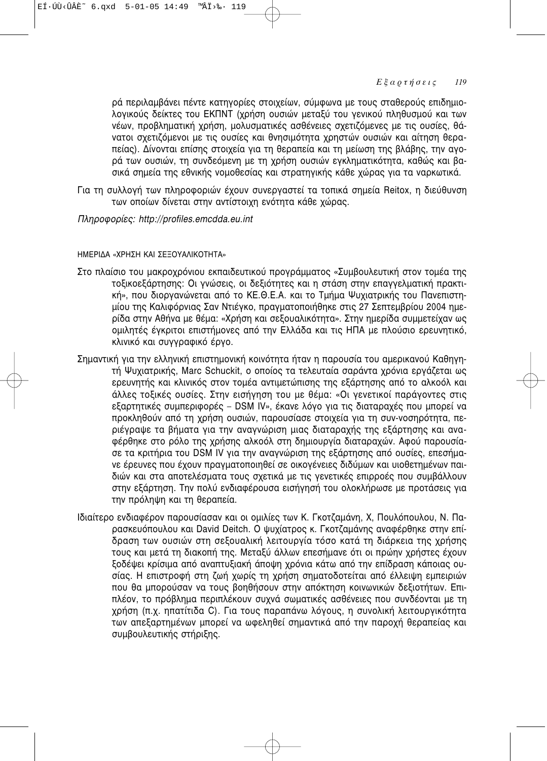#### *<i>Eξαρτήσεις* 119

EÍ·ÚÙ‹ÛÂȘ 6.qxd 5-01-05 14:49 ™ÂÏ›‰· 119

ρά περιλαμβάνει πέντε κατηγορίες στοιχείων, σύμφωνα με τους σταθερούς επιδημιολογικούς δείκτες του ΕΚΠΝΤ (χρήση ουσιών μεταξύ του γενικού πληθυσμού και των νέων, προβληματική χρήση, μολυσματικές ασθένειες σχετιζόμενες με τις ουσίες, θάvaτοι σχετιζόμενοι με τις ουσίες και θνησιμότητα χρηστών ουσιών και αίτηση θεραπείας). Δίνονται επίσης στοιχεία για τη θεραπεία και τη μείωση της βλάβης, την αγορά των ουσιών, τη συνδεόμενη με τη χρήση ουσιών εγκληματικότητα, καθώς και βασικά σημεία της εθνικής νομοθεσίας και στρατηγικής κάθε χώρας για τα ναρκωτικά.

Για τη συλλογή των πληροφοριών έχουν συνεργαστεί τα τοπικά σημεία Reitox, η διεύθυνση των οποίων δίνεται στην αντίστοιχη ενότητα κάθε χώρας.

# $\Pi$ ληροφορίες: http://profiles.emcdda.eu.int

## ΗΜΕΡΙΔΑ «ΧΡΗΣΗ ΚΑΙ ΣΕΞΟΥΑΛΙΚΟΤΗΤΑ»

- Στο πλαίσιο του μακροχρόνιου εκπαιδευτικού προγράμματος «Συμβουλευτική στον τομέα της τοξικοεξάρτησης: Οι γνώσεις, οι δεξιότητες και η στάση στην επαγγελματική πρακτική», που διοργανώνεται από το ΚΕ.Θ.Ε.Α. και το Τμήμα Ψυχιατρικής του Πανεπιστημίου της Καλιφόρνιας Σαν Ντιέγκο, πραγματοποιήθηκε στις 27 Σεπτεμβρίου 2004 ημερίδα στην Αθήνα με θέμα: «Χρήση και σεξουαλικότητα». Στην ημερίδα συμμετείχαν ως ομιλητές έγκριτοι επιστήμονες από την Ελλάδα και τις ΗΠΑ με πλούσιο ερευνητικό, κλινικό και συγγραφικό έργο.
- Σημαντική για την ελληνική επιστημονική κοινότητα ήταν η παρουσία του αμερικανού Καθηγητή Ψυχιατρικής, Marc Schuckit, ο οποίος τα τελευταία σαράντα χρόνια εργάζεται ως ερευνητής και κλινικός στον τομέα αντιμετώπισης της εξάρτησης από το αλκοόλ και άλλες τοξικές ουσίες. Στην εισήγηση του με θέμα: «Οι γενετικοί παράγοντες στις εξαρτητικές συμπεριφορές – DSM IV», έκανε λόγο για τις διαταραχές που μπορεί να προκληθούν από τη χρήση ουσιών, παρουσίασε στοιχεία για τη συν-νοσηρότητα, περιέγραψε τα βήματα για την αναγνώριση μιας διαταραχής της εξάρτησης και αναφέρθηκε στο ρόλο της χρήσης αλκοόλ στη δημιουργία διαταραχών. Αφού παρουσίασε τα κριτήρια του DSM IV για την αναγνώριση της εξάρτησης από ουσίες, επεσήμαvε έρευνες που έχουν πραγματοποιηθεί σε οικογένειες διδύμων και υιοθετημένων παιδιών και στα αποτελέσματα τους σχετικά με τις γενετικές επιρροές που συμβάλλουν στην εξάρτηση. Την πολύ ενδιαφέρουσα εισήγησή του ολοκλήρωσε με προτάσεις για την πρόληψη και τη θεραπεία.
- Ιδιαίτερο ενδιαφέρον παρουσίασαν και οι ομιλίες των Κ. Γκοτζαμάνη, Χ, Πουλόπουλου, Ν. Παρασκευόπουλου και David Deitch. Ο ψυχίατρος κ. Γκοτζαμάνης αναφέρθηκε στην επίδραση των ουσιών στη σεξουαλική λειτουργία τόσο κατά τη διάρκεια της χρήσης τους και μετά τη διακοπή της. Μεταξύ άλλων επεσήμανε ότι οι πρώην χρήστες έχουν ξοδέψει κρίσιμα από αναπτυξιακή άποψη χρόνια κάτω από την επίδραση κάποιας ουσίας. Η επιστροφή στη ζωή χωρίς τη χρήση σηματοδοτείται από έλλειψη εμπειριών που θα μπορούσαν να τους βοηθήσουν στην απόκτηση κοινωνικών δεξιοτήτων. Επιπλέον, το πρόβλημα περιπλέκουν συχνά σωματικές ασθένειες που συνδέονται με τη χρήση (π.χ. ηπατίτιδα C). Για τους παραπάνω λόγους, η συνολική λειτουργικότητα των απεξαρτημένων μπορεί να ωφεληθεί σημαντικά από την παροχή θεραπείας και συμβουλευτικής στήριξης.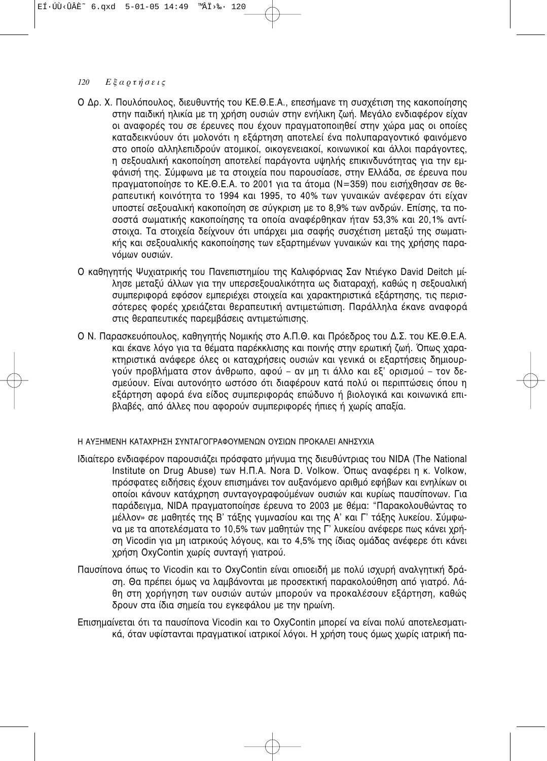- Ο Δρ. Χ. Πουλόπουλος, διευθυντής του ΚΕ.Θ.Ε.Α., επεσήμανε τη συσχέτιση της κακοποίησης στην παιδική ηλικία με τη χρήση ουσιών στην ενήλικη ζωή. Μεγάλο ενδιαφέρον είχαν οι αναφορές του σε έρευνες που έχουν πραγματοποιηθεί στην χώρα μας οι οποίες καταδεικνύουν ότι μολονότι η εξάρτηση αποτελεί ένα πολυπαραγοντικό φαινόμενο στο οποίο αλληλεπιδρούν ατομικοί, οικογενειακοί, κοινωνικοί και άλλοι παράγοντες, η σεξουαλική κακοποίηση αποτελεί παράγοντα υψηλής επικινδυνότητας για την εμφάνισή της. Σύμφωνα με τα στοιχεία που παρουσίασε, στην Ελλάδα, σε έρευνα που πραγματοποίησε το ΚΕ.Θ.Ε.Α. το 2001 για τα άτομα (N=359) που εισήχθησαν σε θεοαπευτική κοινότητα το 1994 και 1995, το 40% των νυναικών ανέφεραν ότι είχαν υποστεί σεξουαλική κακοποίηση σε σύνκριση με το 8,9% των ανδρών. Επίσης, τα ποσοστά σωματικής κακοποίησης τα οποία αναφέρθηκαν ήταν 53,3% και 20,1% αντίστοιχα. Τα στοιχεία δείχνουν ότι υπάρχει μια σαφής συσχέτιση μεταξύ της σωματικής και σεξουαλικής κακοποίησης των εξαρτημένων γυναικών και της χρήσης παρανόμων ουσιών.
- Ο καθηγητής Ψυχιατρικής του Πανεπιστημίου της Καλιφόρνιας Σαν Ντιέγκο David Deitch μίλησε μεταξύ άλλων για την υπερσεξουαλικότητα ως διαταραχή, καθώς η σεξουαλική συμπεριφορά εφόσον εμπεριέχει στοιχεία και χαρακτηριστικά εξάρτησης, τις περισσότερες φορές χρειάζεται θεραπευτική αντιμετώπιση. Παράλληλα έκανε αναφορά στις θεραπευτικές παρεμβάσεις αντιμετώπισης.
- Ο Ν. Παρασκευόπουλος, καθηγητής Νομικής στο Α.Π.Θ. και Πρόεδρος του Δ.Σ. του ΚΕ.Θ.Ε.Α. και έκανε λόγο για τα θέματα παρέκκλισης και ποινής στην ερωτική ζωή. Όπως χαρα-Κτηριστικά ανάφερε όλες οι καταχρήσεις ουσιών και γενικά οι εξαρτήσεις δημιουργούν προβλήματα στον άνθρωπο, αφού – αν μη τι άλλο και εξ' ορισμού – τον δεσμεύουν. Είναι αυτονόητο ωστόσο ότι διαφέρουν κατά πολύ οι περιπτώσεις όπου η εξάρτηση αφορά ένα είδος συμπεριφοράς επώδυνο ή βιολογικά και κοινωνικά επι-'βλαβές, από άλλες που αφορούν συμπεριφορές ήπιες ή χωρίς απαξία.

## Η ΑΥΞΗΜΕΝΗ ΚΑΤΑΧΡΗΣΗ ΣΥΝΤΑΓΟΓΡΑΦΟΥΜΕΝΩΝ ΟΥΣΙΩΝ ΠΡΟΚΑΛΕΙ ΑΝΗΣΥΧΙΑ

- Ιδιαίτερο ενδιαφέρον παρουσιάζει πρόσφατο μήνυμα της διευθύντριας του NIDA (The National Institute on Drug Abuse) των Η.Π.Α. Nora D. Volkow. Όπως αναφέρει η κ. Volkow, πρόσφατες ειδήσεις έχουν επισημάνει τον αυξανόμενο αριθμό εφήβων και ενηλίκων οι οποίοι κάνουν κατάχρηση συνταγογραφούμένων ουσιών και κυρίως παυσίπονων. Για παράδειγμα, NIDA πραγματοποίησε έρευνα το 2003 με θέμα: "Παρακολουθώντας το μέλλον» σε μαθητές της Β' τάξης γυμνασίου και της Α' και Γ' τάξης λυκείου. Σύμφωνα με τα αποτελέσματα το 10,5% των μαθητών της Γ' λυκείου ανέφερε πως κάνει χρήση Vicodin για μη ιατρικούς λόγους, και το 4,5% της ίδιας ομάδας ανέφερε ότι κάνει χρήση OxyContin χωρίς συνταγή γιατρού.
- Παυσίπονα όπως το Vicodin και το OxyContin είναι οπιοειδή με πολύ ισχυρή αναλγητική δράση. Θα πρέπει όμως να λαμβάνονται με προσεκτική παρακολούθηση από γιατρό. Λάθη στη χορήγηση των ουσιών αυτών μπορούν να προκαλέσουν εξάρτηση, καθώς δρουν στα ίδια σημεία του εγκεφάλου με την ηρωίνη.
- Επισημαίνεται ότι τα παυσίπονα Vicodin και το OxyContin μπορεί να είναι πολύ αποτελεσματικά, όταν υφίστανται πραγματικοί ιατρικοί λόγοι. Η χρήση τους όμως χωρίς ιατρική πα-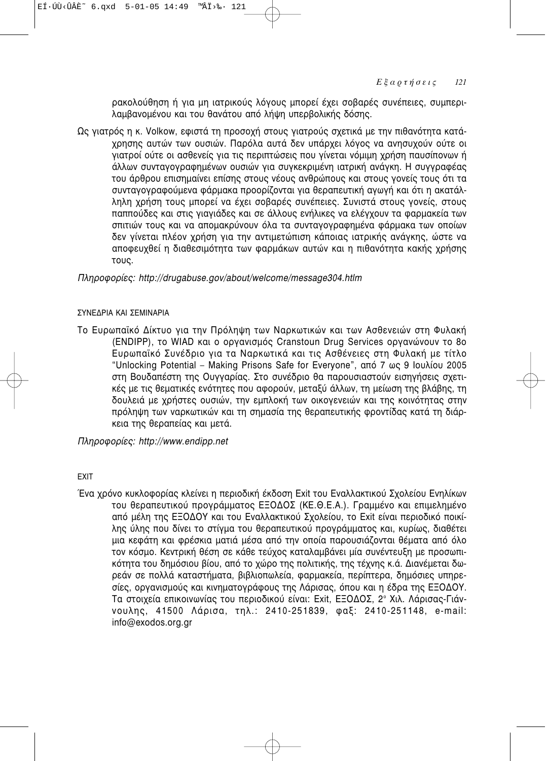ρακολούθηση ή για μη ιατρικούς λόγους μπορεί έχει σοβαρές συνέπειες, συμπεριλαμβανομένου και του θανάτου από λήψη υπερβολικής δόσης.

Ως γιατρός η κ. Volkow, εφιστά τη προσοχή στους γιατρούς σχετικά με την πιθανότητα κατάχρησης αυτών των ουσιών. Παρόλα αυτά δεν υπάρχει λόγος να ανησυχούν ούτε οι γιατροί ούτε οι ασθενείς για τις περιπτώσεις που γίνεται νόμιμη χρήση παυσίπονων ή άλλων συνταγογραφημένων ουσιών για συγκεκριμένη ιατρική ανάγκη. Η συγγραφέας του άρθρου επισημαίνει επίσης στους νέους ανθρώπους και στους γονείς τους ότι τα συνταγογραφούμενα φάρμακα προορίζονται για θεραπευτική αγωγή και ότι η ακατάλληλη χρήση τους μπορεί να έχει σοβαρές συνέπειες. Συνιστά στους γονείς, στους παππούδες και στις γιαγιάδες και σε άλλους ενήλικες να ελέγχουν τα φαρμακεία των σπιτιών τους και να απομακρύνουν όλα τα συνταγογραφημένα φάρμακα των οποίων δεν γίνεται πλέον χρήση για την αντιμετώπιση κάποιας ιατρικής ανάγκης, ώστε να αποφευχθεί η διαθεσιμότητα των φαρμάκων αυτών και η πιθανότητα κακής χρήσης TOUC.

#### Πληροφορίες: http://drugabuse.gov/about/welcome/message304.htlm

#### ΣΥΝΕΛΡΙΑ ΚΑΙ ΣΕΜΙΝΑΡΙΑ

Το Ευρωπαϊκό Δίκτυο για την Πρόληψη των Ναρκωτικών και των Ασθενειών στη Φυλακή (ENDIPP), το WIAD και ο οργανισμός Cranstoun Drug Services οργανώνουν το 8ο Ευρωπαϊκό Συνέδριο για τα Ναρκωτικά και τις Ασθένειες στη Φυλακή με τίτλο "Unlocking Potential - Making Prisons Safe for Everyone", από 7 ως 9 Ιουλίου 2005 στη Βουδαπέστη της Ουγγαρίας. Στο συνέδριο θα παρουσιαστούν εισηγήσεις σχετικές με τις θεματικές ενότητες που αφορούν, μεταξύ άλλων, τη μείωση της βλάβης, τη δουλειά με χρήστες ουσιών, την εμπλοκή των οικογενειών και της κοινότητας στην πρόληψη των ναρκωτικών και τη σημασία της θεραπευτικής φροντίδας κατά τη διάρκεια της θεραπείας και μετά.

Πληροφορίες: http://www.endipp.net

# **EXIT**

Ένα χρόνο κυκλοφορίας κλείνει η περιοδική έκδοση Exit του Εναλλακτικού Σχολείου Ενηλίκων του θεραπευτικού προγράμματος ΕΞΟΔΟΣ (ΚΕ.Θ.Ε.Α.). Γραμμένο και επιμελημένο από μέλη της ΕΞΟΔΟΥ και του Εναλλακτικού Σχολείου, το Exit είναι περιοδικό ποικίλης ύλης που δίνει το στίγμα του θεραπευτικού προγράμματος και, κυρίως, διαθέτει μια κεφάτη και φρέσκια ματιά μέσα από την οποία παρουσιάζονται θέματα από όλο τον κόσμο. Κεντρική θέση σε κάθε τεύχος καταλαμβάνει μία συνέντευξη με προσωπικότητα του δημόσιου βίου, από το χώρο της πολιτικής, της τέχνης κ.ά. Διανέμεται δωρεάν σε πολλά καταστήματα, βιβλιοπωλεία, φαρμακεία, περίπτερα, δημόσιες υπηρεσίες, οργανισμούς και κινηματογράφους της Λάρισας, όπου και η έδρα της ΕΞΟΔΟΥ. Τα στοιχεία επικοινωνίας του περιοδικού είναι: Exit. ΕΞΟΔΟΣ, 2° Χιλ. Λάρισας-Γιάννουλης, 41500 Λάρισα, τηλ.: 2410-251839, φαξ: 2410-251148, e-mail: info@exodos.org.gr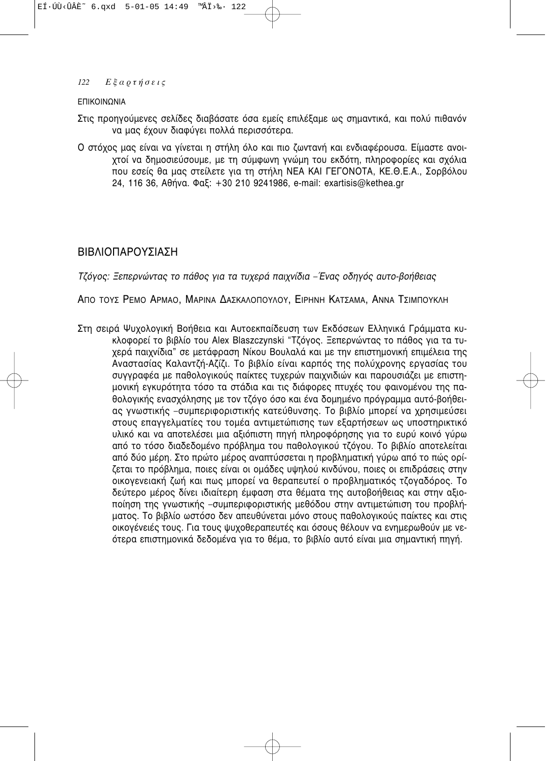#### ΕΠΙΚΟΙΝΩΝΙΑ

Στις προηγούμενες σελίδες διαβάσατε όσα εμείς επιλέξαμε ως σημαντικά, και πολύ πιθανόν να μας έχουν διαφύνει πολλά περισσότερα.

Ο στόχος μας είναι να γίνεται η στήλη όλο και πιο ζωντανή και ενδιαφέρουσα. Είμαστε ανοιχτοί να δημοσιεύσουμε, με τη σύμφωνη γνώμη του εκδότη, πληροφορίες και σχόλια που εσείς θα μας στείλετε για τη στήλη ΝΕΑ ΚΑΙ ΓΕΓΟΝΟΤΑ, ΚΕ.Θ.Ε.Α., Σορβόλου 24, 116 36, Αθήνα. Φαξ: +30 210 9241986, e-mail: exartisis@kethea.gr

# ΒΙΒΛΙΟΠΑΡΟΥΣΙΑΣΗ

Τζόγος: Ξεπερνώντας το πάθος για τα τυχερά παιχνίδια - Ένας οδηγός αυτο-βοήθειας

AΠΟ ΤΟΥΣ ΡΕΜΟ ΑΡΜΑΟ, ΜΑΡΙΝΑ ΔΑΣΚΑΛΟΠΟΥΛΟΥ, ΕΙΡΗΝΗ ΚΑΤΣΑΜΑ, ΑΝΝΑ ΤΣΙΜΠΟΥΚΛΗ

Στη σειρά Ψυχολογική Βοήθεια και Αυτοεκπαίδευση των Εκδόσεων Ελληνικά Γράμματα κυκλοφορεί το βιβλίο του Alex Blaszczynski "Τζόγος. Ξεπερνώντας το πάθος για τα τυχερά παιχνίδια" σε μετάφραση Νίκου Βουλαλά και με την επιστημονική επιμέλεια της Αναστασίας Καλαντζή-Αζίζι. Το βιβλίο είναι καρπός της πολύχρονης εργασίας του συγγραφέα με παθολογικούς παίκτες τυχερών παιχνιδιών και παρουσιάζει με επιστημονική εγκυρότητα τόσο τα στάδια και τις διάφορες πτυχές του φαινομένου της παθολογικής ενασχόλησης με τον τζόγο όσο και ένα δομημένο πρόγραμμα αυτό-βοήθειας γνωστικής -συμπεριφοριστικής κατεύθυνσης. Το βιβλίο μπορεί να χρησιμεύσει στους επαγγελματίες του τομέα αντιμετώπισης των εξαρτήσεων ως υποστηρικτικό υλικό και να αποτελέσει μια αξιόπιστη πηγή πληροφόρησης για το ευρύ κοινό γύρω από το τόσο διαδεδομένο πρόβλημα του παθολογικού τζόγου. Το βιβλίο αποτελείται από δύο μέρη. Στο πρώτο μέρος αναπτύσσεται η προβληματική γύρω από το πώς ορίζεται το πρόβλημα, ποιες είναι οι ομάδες υψηλού κινδύνου, ποιες οι επιδράσεις στην οικογενειακή ζωή και πως μπορεί να θεραπευτεί ο προβληματικός τζογαδόρος. Το δεύτερο μέρος δίνει ιδιαίτερη έμφαση στα θέματα της αυτοβοήθειας και στην αξιοποίηση της γνωστικής -συμπεριφοριστικής μεθόδου στην αντιμετώπιση του προβλήματος. Το βιβλίο ωστόσο δεν απευθύνεται μόνο στους παθολογικούς παίκτες και στις οικογένειές τους. Για τους ψυχοθεραπευτές και όσους θέλουν να ενημερωθούν με νεότερα επιστημονικά δεδομένα για το θέμα, το βιβλίο αυτό είναι μια σημαντική πηγή.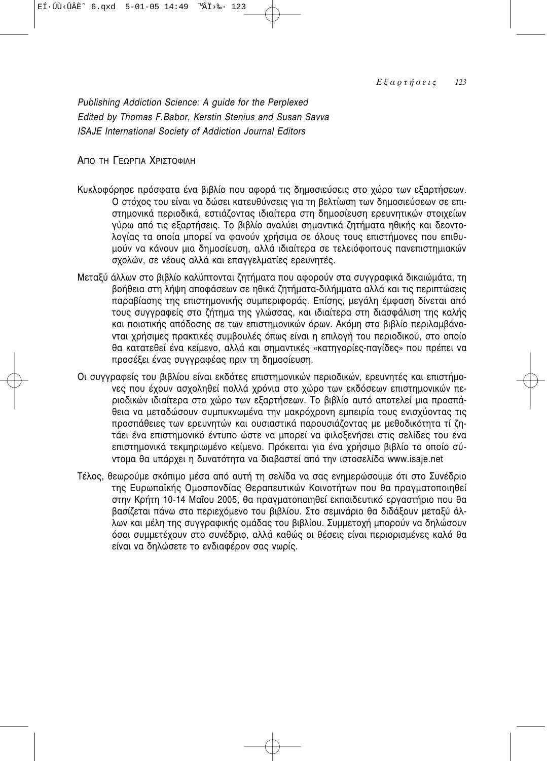Publishing Addiction Science: A guide for the Perplexed Edited by Thomas F.Babor, Kerstin Stenius and Susan Savva **ISAJE International Society of Addiction Journal Editors** 

ΑΠΟ ΤΗ ΓΕΩΡΓΙΑ ΧΡΙΣΤΟΦΙΛΗ

- Κυκλοφόρησε πρόσφατα ένα βιβλίο που αφορά τις δημοσιεύσεις στο χώρο των εξαρτήσεων. Ο στόχος του είναι να δώσει κατευθύνσεις για τη βελτίωση των δημοσιεύσεων σε επιστημονικά περιοδικά, εστιάζοντας ιδιαίτερα στη δημοσίευση ερευνητικών στοιχείων γύρω από τις εξαρτήσεις. Το βιβλίο αναλύει σημαντικά ζητήματα ηθικής και δεοντολογίας τα οποία μπορεί να φανούν χρήσιμα σε όλους τους επιστήμονες που επιθυμούν να κάνουν μια δημοσίευση, αλλά ιδιαίτερα σε τελειόφοιτους πανεπιστημιακών σχολών, σε νέους αλλά και επαγγελματίες ερευνητές.
- Μεταξύ άλλων στο βιβλίο καλύπτονται ζητήματα που αφορούν στα συγγραφικά δικαιώμάτα, τη βοήθεια στη λήψη αποφάσεων σε ηθικά ζητήματα-διλήμματα αλλά και τις περιπτώσεις παραβίασης της επιστημονικής συμπεριφοράς. Επίσης, μεγάλη έμφαση δίνεται από τους συννραφείς στο ζήτημα της νλώσσας, και ιδιαίτερα στη διασφάλιση της καλής και ποιοτικής απόδοσης σε των επιστημονικών όρων. Ακόμη στο βιβλίο περιλαμβάνονται χρήσιμες πρακτικές συμβουλές όπως είναι η επιλογή του περιοδικού, στο οποίο θα κατατεθεί ένα κείμενο, αλλά και σημαντικές «κατηγορίες-παγίδες» που πρέπει να προσέξει ένας συγγραφέας πριν τη δημοσίευση.
- Οι συγγραφείς του βιβλίου είναι εκδότες επιστημονικών περιοδικών, ερευνητές και επιστήμονες που έχουν ασχοληθεί πολλά χρόνια στο χώρο των εκδόσεων επιστημονικών περιοδικών ιδιαίτερα στο χώρο των εξαρτήσεων. Το βιβλίο αυτό αποτελεί μια προσπάθεια να μεταδώσουν συμπυκνωμένα την μακρόχρονη εμπειρία τους ενισχύοντας τις προσπάθειες των ερευνητών και ουσιαστικά παρουσιάζοντας με μεθοδικότητα τί ζητάει ένα επιστημονικό έντυπο ώστε να μπορεί να φιλοξενήσει στις σελίδες του ένα επιστημονικά τεκμηριωμένο κείμενο. Πρόκειται για ένα χρήσιμο βιβλίο το οποίο σύντομα θα υπάρχει η δυνατότητα να διαβαστεί από την ιστοσελίδα www.isaje.net
- Τέλος, θεωρούμε σκόπιμο μέσα από αυτή τη σελίδα να σας ενημερώσουμε ότι στο Συνέδριο της Ευρωπαϊκής Ομοσπονδίας Θεραπευτικών Κοινοτήτων που θα πραγματοποιηθεί στην Κρήτη 10-14 Μαΐου 2005, θα πραγματοποιηθεί εκπαιδευτικό εργαστήριο που θα βασίζεται πάνω στο περιεχόμενο του βιβλίου. Στο σεμινάριο θα διδάξουν μεταξύ άλλων και μέλη της συγγραφικής ομάδας του βιβλίου. Συμμετοχή μπορούν να δηλώσουν όσοι συμμετέχουν στο συνέδριο, αλλά καθώς οι θέσεις είναι περιορισμένες καλό θα είναι να δηλώσετε το ενδιαφέρον σας νωρίς.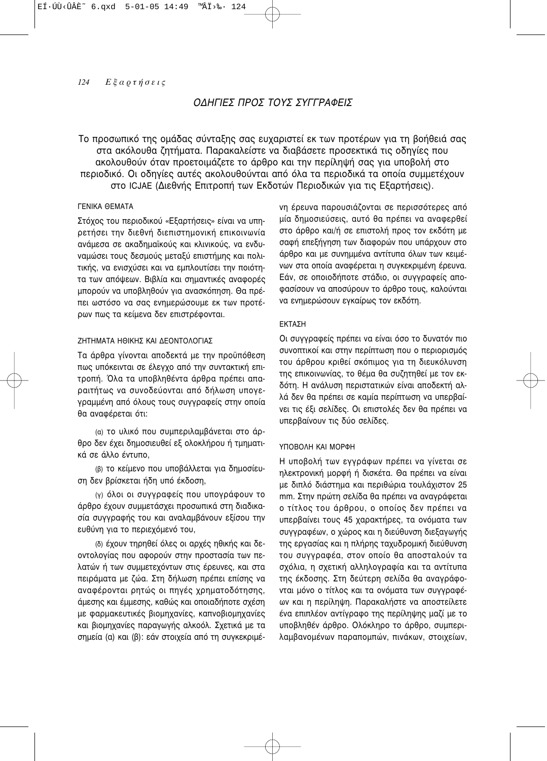# ΟΛΗΓΙΕΣ ΠΡΟΣ ΤΟΥΣ ΣΥΓΓΡΑΦΕΙΣ

Το προσωπικό της ομάδας σύνταξης σας ευχαριστεί εκ των προτέρων για τη βοήθειά σας στα ακόλουθα ζητήματα. Παρακαλείστε να διαβάσετε προσεκτικά τις οδηγίες που ακολουθούν όταν προετοιμάζετε το άρθρο και την περίληψή σας για υποβολή στο περιοδικό. Οι οδηγίες αυτές ακολουθούνται από όλα τα περιοδικά τα οποία συμμετέχουν στο ICJAE (Διεθνής Επιτροπή των Εκδοτών Περιοδικών για τις Εξαρτήσεις).

#### *ΓΕΝΙΚΑ ΘΕΜΑΤΑ*

Στόχος του περιοδικού «Εξαρτήσεις» είναι να υπηρετήσει την διεθνή διεπιστημονική επικοινωνία ανάμεσα σε ακαδημαϊκούς και κλινικούς, να ενδυναμώσει τους δεσμούς μεταξύ επιστήμης και πολιτικής, να ενισχύσει και να εμπλουτίσει την ποιότητα των απόψεων. Βιβλία και σημαντικές αναφορές μπορούν να υποβληθούν για ανασκόπηση. Θα πρέπει ωστόσο να σας ενημερώσουμε εκ των προτέρων πως τα κείμενα δεν επιστρέφονται.

#### ΖΗΤΗΜΑΤΑ ΗΘΙΚΗΣ ΚΑΙ ΔΕΟΝΤΟΛΟΓΙΑΣ

Τα άρθρα γίνονται αποδεκτά με την προϋπόθεση πως υπόκεινται σε έλεγχο από την συντακτική επιτροπή. Όλα τα υποβληθέντα άρθρα πρέπει απαραιτήτως να συνοδεύονται από δήλωση υπογεγραμμένη από όλους τους συγγραφείς στην οποία θα αναφέρεται ότι:

(α) το υλικό που συμπεριλαμβάνεται στο άρθρο δεν έχει δημοσιευθεί εξ ολοκλήρου ή τμηματικά σε άλλο έντυπο,

(β) το κείμενο που υποβάλλεται για δημοσίευση δεν βρίσκεται ήδη υπό έκδοση,

(γ) όλοι οι συγγραφείς που υπογράφουν το άρθρο έχουν συμμετάσχει προσωπικά στη διαδικασία συγγραφής του και αναλαμβάνουν εξίσου την ευθύνη για το περιεχόμενό του,

(δ) έχουν τηρηθεί όλες οι αρχές ηθικής και δεοντολογίας που αφορούν στην προστασία των πελατών ή των συμμετεχόντων στις έρευνες, και στα πειράματα με ζώα. Στη δήλωση πρέπει επίσης να αναφέρονται ρητώς οι πηγές χρηματοδότησης, άμεσης και έμμεσης, καθώς και οποιαδήποτε σχέση με φαρμακευτικές βιομηχανίες, καπνοβιομηχανίες και βιομηχανίες παραγωγής αλκοόλ. Σχετικά με τα σημεία (α) και (β): εάν στοιχεία από τη συγκεκριμένη έρευνα παρουσιάζονται σε περισσότερες από μία δημοσιεύσεις, αυτό θα πρέπει να αναφερθεί στο άρθρο και/ή σε επιστολή προς τον εκδότη με σαφή επεξήγηση των διαφορών που υπάρχουν στο άρθρο και με συνημμένα αντίτυπα όλων των κειμένων στα οποία αναφέρεται η συγκεκριμένη έρευνα. Εάν, σε οποιοδήποτε στάδιο, οι συγγραφείς αποφασίσουν να αποσύρουν το άρθρο τους, καλούνται να ενημερώσουν εγκαίρως τον εκδότη.

#### ΕΚΤΑΣΗ

Οι συγγραφείς πρέπει να είναι όσο το δυνατόν πιο συνοπτικοί και στην περίπτωση που ο περιορισμός του άρθρου κριθεί σκόπιμος για τη διευκόλυνση της επικοινωνίας, το θέμα θα συζητηθεί με τον εκδότη. Η ανάλυση περιστατικών είναι αποδεκτή αλλά δεν θα πρέπει σε καμία περίπτωση να υπερβαίνει τις έξι σελίδες. Οι επιστολές δεν θα πρέπει να υπερβαίνουν τις δύο σελίδες.

#### ΥΠΟΒΟΛΗ ΚΑΙ ΜΟΡΦΗ

Η υποβολή των εγγράφων πρέπει να γίνεται σε ηλεκτρονική μορφή ή δισκέτα. Θα πρέπει να είναι με διπλό διάστημα και περιθώρια τουλάχιστον 25 mm. Στην πρώτη σελίδα θα πρέπει να αναγράφεται ο τίτλος του άρθρου, ο οποίος δεν πρέπει να υπερβαίνει τους 45 χαρακτήρες, τα ονόματα των συγγραφέων, ο χώρος και η διεύθυνση διεξαγωγής της εργασίας και η πλήρης ταχυδρομική διεύθυνση του συγγραφέα, στον οποίο θα αποσταλούν τα σχόλια, η σχετική αλληλογραφία και τα αντίτυπα της έκδοσης. Στη δεύτερη σελίδα θα αναγράφονται μόνο ο τίτλος και τα ονόματα των συγγραφέων και η περίληψη. Παρακαλήστε να αποστείλετε ένα επιπλέον αντίγραφο της περίληψης μαζί με το υποβληθέν άρθρο. Ολόκληρο το άρθρο, συμπεριλαμβανομένων παραπομπών, πινάκων, στοιχείων,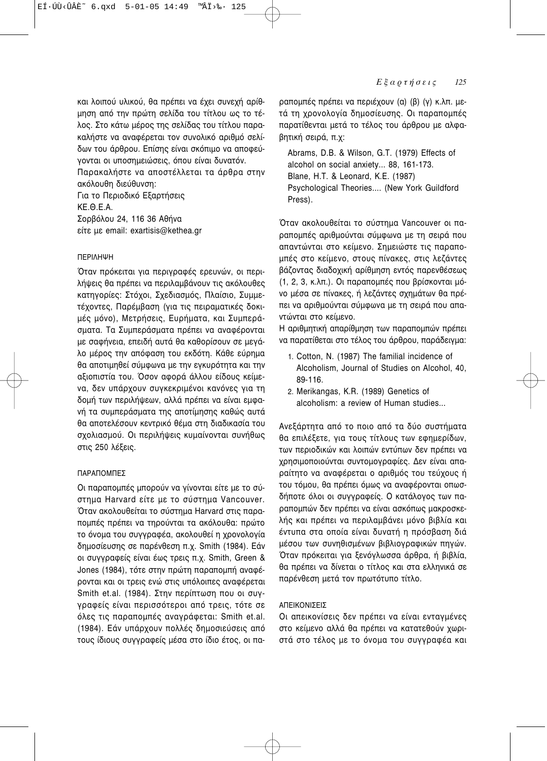και λοιπού υλικού, θα πρέπει να έχει συνεχή αρίθμηση από την πρώτη σελίδα του τίτλου ως το τέλος. Στο κάτω μέρος της σελίδας του τίτλου παρακαλήστε να αναφέρεται τον συνολικό αριθμό σελίδων του άρθρου. Επίσης είναι σκόπιμο να αποφεύγονται οι υποσημειώσεις, όπου είναι δυνατόν.

Παρακαλήστε να αποστέλλεται τα άρθρα στην ακόλουθη διεύθυνση:

Για το Περιοδικό Εξαρτήσεις  $KE. \Theta.E.A.$ Σορβόλου 24, 116 36 Αθήνα είτε με email: exartisis@kethea.gr

#### ПЕРІЛНШН

Όταν πρόκειται για περιγραφές ερευνών, οι περιλήψεις θα πρέπει να περιλαμβάνουν τις ακόλουθες κατηγορίες: Στόχοι, Σχεδιασμός, Πλαίσιο, Συμμετέχοντες. Παρέμβαση (για τις πειραματικές δοκιμές μόνο), Μετρήσεις, Ευρήματα, και Συμπεράσματα. Τα Συμπεράσματα πρέπει να αναφέρονται με σαφήνεια, επειδή αυτά θα καθορίσουν σε μεγάλο μέρος την απόφαση του εκδότη. Κάθε εύρημα θα αποτιμηθεί σύμφωνα με την εγκυρότητα και την αξιοπιστία του. Όσον αφορά άλλου είδους κείμενα, δεν υπάρχουν συγκεκριμένοι κανόνες για τη δομή των περιλήψεων, αλλά πρέπει να είναι εμφανή τα συμπεράσματα της αποτίμησης καθώς αυτά θα αποτελέσουν κεντρικό θέμα στη διαδικασία του σχολιασμού. Οι περιλήψεις κυμαίνονται συνήθως στις 250 λέξεις.

#### ΠΑΡΑΠΟΜΠΕΣ

Οι παραπομπές μπορούν να γίνονται είτε με το σύστημα Harvard είτε με το σύστημα Vancouver. Όταν ακολουθείται το σύστημα Harvard στις παραπομπές πρέπει να τηρούνται τα ακόλουθα: πρώτο το όνομα του συγγραφέα, ακολουθεί η χρονολογία δημοσίευσης σε παρένθεση π.χ. Smith (1984). Εάν οι συγγραφείς είναι έως τρεις π.χ. Smith, Green & Jones (1984), τότε στην πρώτη παραπομπή αναφέρονται και οι τρεις ενώ στις υπόλοιπες αναφέρεται Smith et.al. (1984). Στην περίπτωση που οι συγγραφείς είναι περισσότεροι από τρεις, τότε σε όλες τις παραπομπές αναγράφεται: Smith et.al. (1984). Εάν υπάρχουν πολλές δημοσιεύσεις από τους ίδιους συγγραφείς μέσα στο ίδιο έτος, οι παραπομπές πρέπει να περιέχουν (α) (β) (γ) κ.λπ. μετά τη χρονολογία δημοσίευσης. Οι παραπομπές παρατίθενται μετά το τέλος του άρθρου με αλφαβητική σειρά, π.χ:

Abrams, D.B. & Wilson, G.T. (1979) Effects of alcohol on social anxiety... 88, 161-173. Blane, H.T. & Leonard, K.E. (1987) Psychological Theories.... (New York Guildford Press).

Όταν ακολουθείται το σύστημα Vancouver οι παραπομπές αριθμούνται σύμφωνα με τη σειρά που απαντώνται στο κείμενο. Σημειώστε τις παραπομπές στο κείμενο, στους πίνακες, στις λεζάντες βάζοντας διαδοχική αρίθμηση εντός παρενθέσεως (1, 2, 3, κ.λπ.). Οι παραπομπές που βρίσκονται μόνο μέσα σε πίνακες, ή λεζάντες σχημάτων θα πρέπει να αριθμούνται σύμφωνα με τη σειρά που απαντώνται στο κείμενο.

Η αριθμητική απαρίθμηση των παραπομπών πρέπει να παρατίθεται στο τέλος του άρθρου, παράδειγμα:

- 1. Cotton, N. (1987) The familial incidence of Alcoholism, Journal of Studies on Alcohol, 40, 89-116
- 2. Merikangas, K.R. (1989) Genetics of alcoholism: a review of Human studies...

Ανεξάρτητα από το ποιο από τα δύο συστήματα θα επιλέξετε, για τους τίτλους των εφημερίδων, των περιοδικών και λοιπών εντύπων δεν πρέπει να χρησιμοποιούνται συντομογραφίες. Δεν είναι απαραίτητο να αναφέρεται ο αριθμός του τεύχους ή του τόμου, θα πρέπει όμως να αναφέρονται οπωσδήποτε όλοι οι συγγραφείς. Ο κατάλογος των παραπομπών δεν πρέπει να είναι ασκόπως μακροσκελής και πρέπει να περιλαμβάνει μόνο βιβλία και έντυπα στα οποία είναι δυνατή η πρόσβαση διά μέσου των συνηθισμένων βιβλιογραφικών πηγών. Όταν πρόκειται για ξενόγλωσσα άρθρα, ή βιβλία, θα πρέπει να δίνεται ο τίτλος και στα ελληνικά σε παρένθεση μετά τον πρωτότυπο τίτλο.

#### ΑΠΕΙΚΟΝΙΣΕΙΣ

Οι απεικονίσεις δεν πρέπει να είναι ενταγμένες στο κείμενο αλλά θα πρέπει να κατατεθούν χωριστά στο τέλος με το όνομα του συγγραφέα και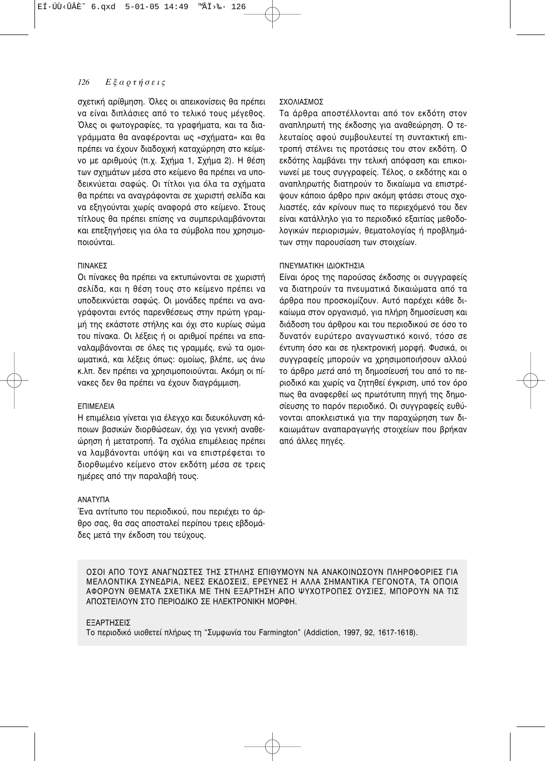σχετική αρίθμηση. Όλες οι απεικονίσεις θα πρέπει να είναι διπλάσιες από το τελικό τους μέγεθος. Όλες οι φωτογραφίες, τα γραφήματα, και τα διαγράμματα θα αναφέρονται ως «σχήματα» και θα πρέπει να έχουν διαδοχική καταχώρηση στο κείμενο με αριθμούς (π.χ. Σχήμα 1, Σχήμα 2). Η θέση των σχημάτων μέσα στο κείμενο θα πρέπει να υποδεικνύεται σαφώς. Οι τίτλοι για όλα τα σχήματα θα πρέπει να αναγράφονται σε χωριστή σελίδα και να εξηγούνται χωρίς αναφορά στο κείμενο. Στους τίτλους θα πρέπει επίσης να συμπεριλαμβάνονται και επεξηγήσεις για όλα τα σύμβολα που χρησιμοποιούνται.

#### **ΠΙΝΑΚΕΣ**

Οι πίνακες θα πρέπει να εκτυπώνονται σε χωριστή σελίδα, και η θέση τους στο κείμενο πρέπει να υποδεικνύεται σαφώς. Οι μονάδες πρέπει να αναγράφονται εντός παρενθέσεως στην πρώτη γραμμή της εκάστοτε στήλης και όχι στο κυρίως σώμα του πίνακα. Οι λέξεις ή οι αριθμοί πρέπει να επαναλαμβάνονται σε όλες τις γραμμές, ενώ τα ομοιωματικά, και λέξεις όπως: ομοίως, βλέπε, ως άνω κ.λπ. δεν πρέπει να χρησιμοποιούνται. Ακόμη οι πίνακες δεν θα πρέπει να έχουν διαγράμμιση.

#### ΕΠΙΜΕΛΕΙΑ

Η επιμέλεια γίνεται για έλεγχο και διευκόλυνση κάποιων βασικών διορθώσεων, όχι για γενική αναθεώρηση ή μετατροπή. Τα σχόλια επιμέλειας πρέπει να λαμβάνονται υπόψη και να επιστρέφεται το διορθωμένο κείμενο στον εκδότη μέσα σε τρεις ημέρες από την παραλαβή τους.

#### ANATYNA

Ένα αντίτυπο του περιοδικού, που περιέχει το άρθρο σας, θα σας αποσταλεί περίπου τρεις εβδομάδες μετά την έκδοση του τεύχους.

#### ΣΧΟΛΙΑΣΜΟΣ

Τα άρθρα αποστέλλονται από τον εκδότη στον αναπληρωτή της έκδοσης για αναθεώρηση. Ο τελευταίος αφού συμβουλευτεί τη συντακτική επιτροπή στέλνει τις προτάσεις του στον εκδότη. Ο εκδότης λαμβάνει την τελική απόφαση και επικοινωνεί με τους συγγραφείς. Τέλος, ο εκδότης και ο αναπληρωτής διατηρούν το δικαίωμα να επιστρέψουν κάποιο άρθρο πριν ακόμη φτάσει στους σχολιαστές, εάν κρίνουν πως το περιεχόμενό του δεν είναι κατάλληλο για το περιοδικό εξαιτίας μεθοδολονικών περιορισμών. θεματολονίας ή προβλημάτων στην παρουσίαση των στοιχείων.

#### ΠΝΕΥΜΑΤΙΚΗ ΙΛΙΟΚΤΗΣΙΑ

Είναι όρος της παρούσας έκδοσης οι συγγραφείς να διατηρούν τα πνευματικά δικαιώματα από τα άρθρα που προσκομίζουν. Αυτό παρέχει κάθε δικαίωμα στον οργανισμό, για πλήρη δημοσίευση και διάδοση του άρθρου και του περιοδικού σε όσο το δυνατόν ευρύτερο αναγνωστικό κοινό, τόσο σε έντυπη όσο και σε ηλεκτρονική μορφή. Φυσικά, οι συγγραφείς μπορούν να χρησιμοποιήσουν αλλού το άρθρο μετά από τη δημοσίευσή του από το περιοδικό και χωρίς να ζητηθεί έγκριση, υπό τον όρο πως θα αναφερθεί ως πρωτότυπη πηγή της δημοσίευσης το παρόν περιοδικό. Οι συγγραφείς ευθύνονται αποκλειστικά για την παραχώρηση των δικαιωμάτων αναπαραγωγής στοιχείων που βρήκαν από άλλες πηγές.

ΟΣΟΙ ΑΠΟ ΤΟΥΣ ΑΝΑΓΝΩΣΤΕΣ ΤΗΣ ΣΤΗΛΗΣ ΕΠΙΘΥΜΟΥΝ ΝΑ ΑΝΑΚΟΙΝΩΣΟΥΝ ΠΛΗΡΟΦΟΡΙΕΣ ΓΙΑ ΜΕΛΛΟΝΤΙΚΑ ΣΥΝΕΔΡΙΑ, ΝΕΕΣ ΕΚΔΟΣΕΙΣ, ΕΡΕΥΝΕΣ Η ΑΛΛΑ ΣΗΜΑΝΤΙΚΑ ΓΕΓΟΝΟΤΑ, ΤΑ ΟΠΟΙΑ ΑΦΟΡΟΥΝ ΘΕΜΑΤΑ ΣΧΕΤΙΚΑ ΜΕ ΤΗΝ ΕΞΑΡΤΗΣΗ ΑΠΟ ΨΥΧΟΤΡΟΠΕΣ ΟΥΣΙΕΣ, ΜΠΟΡΟΥΝ ΝΑ ΤΙΣ ΑΠΟΣΤΕΙΛΟΥΝ ΣΤΟ ΠΕΡΙΟΔΙΚΟ ΣΕ ΗΛΕΚΤΡΟΝΙΚΗ ΜΟΡΦΗ.

#### **F=APTHΣFIΣ**

Το περιοδικό υιοθετεί πλήρως τη "Συμφωνία του Farmington" (Addiction, 1997, 92, 1617-1618).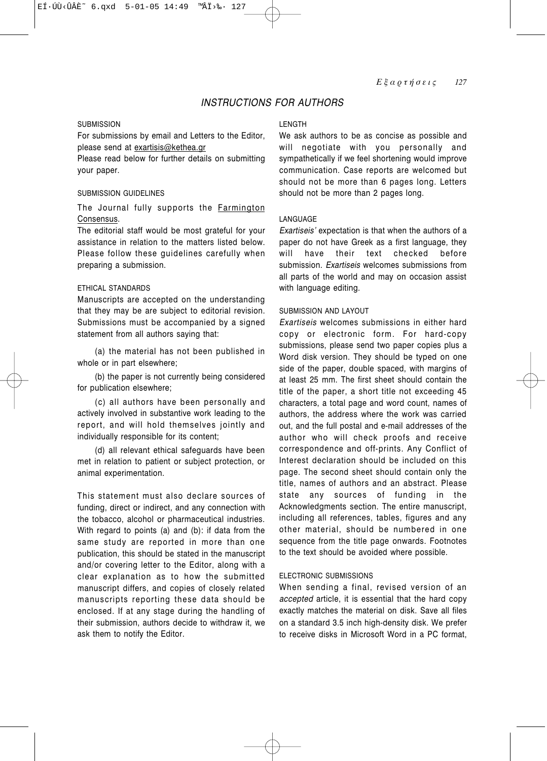## *INSTRUCTIONS FOR AUTHORS*

#### **SUBMISSION**

For submissions by email and Letters to the Editor, please send at exartisis@kethea.gr

Please read below for further details on submitting your paper.

#### SUBMISSION GUIDELINES

The Journal fully supports the Farmington Consensus.

The editorial staff would be most grateful for your assistance in relation to the matters listed below. Please follow these guidelines carefully when preparing a submission.

#### ETHICAL STANDARDS

Manuscripts are accepted on the understanding that they may be are subject to editorial revision. Submissions must be accompanied by a signed statement from all authors saying that:

(a) the material has not been published in whole or in part elsewhere;

(b) the paper is not currently being considered for publication elsewhere;

(c) all authors have been personally and actively involved in substantive work leading to the report, and will hold themselves jointly and individually responsible for its content;

(d) all relevant ethical safeguards have been met in relation to patient or subject protection, or animal experimentation.

This statement must also declare sources of funding, direct or indirect, and any connection with the tobacco, alcohol or pharmaceutical industries. With regard to points (a) and (b): if data from the same study are reported in more than one publication, this should be stated in the manuscript and/or covering letter to the Editor, along with a clear explanation as to how the submitted manuscript differs, and copies of closely related manuscripts reporting these data should be enclosed. If at any stage during the handling of their submission, authors decide to withdraw it, we ask them to notify the Editor.

#### LENGTH

We ask authors to be as concise as possible and will negotiate with you personally and sympathetically if we feel shortening would improve communication. Case reports are welcomed but should not be more than 6 pages long. Letters should not be more than 2 pages long.

#### LANGUAGE

*Exartiseis'* expectation is that when the authors of a paper do not have Greek as a first language, they will have their text checked before submission. *Exartiseis* welcomes submissions from all parts of the world and may on occasion assist with language editing.

#### SUBMISSION AND LAYOUT

*Exartiseis* welcomes submissions in either hard copy or electronic form. For hard-copy submissions, please send two paper copies plus a Word disk version. They should be typed on one side of the paper, double spaced, with margins of at least 25 mm. The first sheet should contain the title of the paper, a short title not exceeding 45 characters, a total page and word count, names of authors, the address where the work was carried out, and the full postal and e-mail addresses of the author who will check proofs and receive correspondence and off-prints. Any Conflict of Interest declaration should be included on this page. The second sheet should contain only the title, names of authors and an abstract. Please state any sources of funding in the Acknowledgments section. The entire manuscript, including all references, tables, figures and any other material, should be numbered in one sequence from the title page onwards. Footnotes to the text should be avoided where possible.

#### ELECTRONIC SUBMISSIONS

When sending a final, revised version of an *accepted* article, it is essential that the hard copy exactly matches the material on disk. Save all files on a standard 3.5 inch high-density disk. We prefer to receive disks in Microsoft Word in a PC format,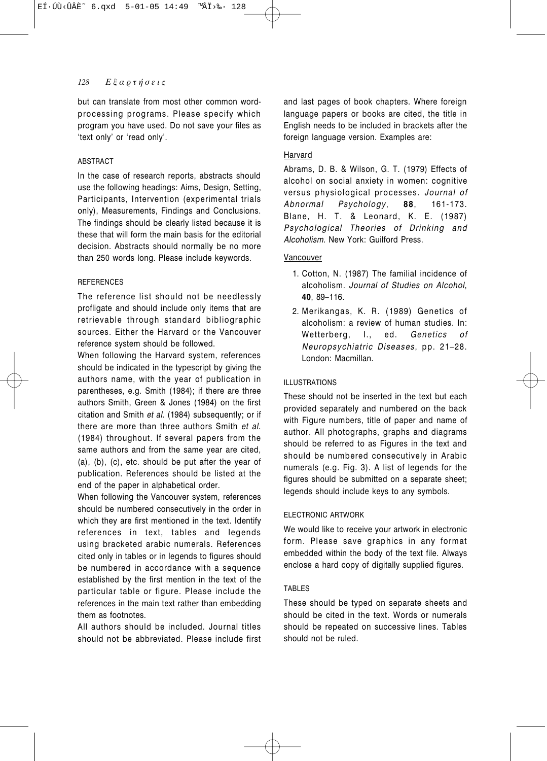but can translate from most other common wordprocessing programs. Please specify which program you have used. Do not save your files as 'text only' or 'read only'.

#### ABSTRACT

In the case of research reports, abstracts should use the following headings: Aims, Design, Setting, Participants, Intervention (experimental trials only), Measurements, Findings and Conclusions. The findings should be clearly listed because it is these that will form the main basis for the editorial decision. Abstracts should normally be no more than 250 words long. Please include keywords.

#### **REFERENCES**

The reference list should not be needlessly profligate and should include only items that are retrievable through standard bibliographic sources. Either the Harvard or the Vancouver reference system should be followed.

When following the Harvard system, references should be indicated in the typescript by giving the authors name, with the year of publication in parentheses, e.g. Smith (1984); if there are three authors Smith, Green & Jones (1984) on the first citation and Smith *et al*. (1984) subsequently; or if there are more than three authors Smith *et al*. (1984) throughout. If several papers from the same authors and from the same year are cited, (a), (b), (c), etc. should be put after the year of publication. References should be listed at the end of the paper in alphabetical order.

When following the Vancouver system, references should be numbered consecutively in the order in which they are first mentioned in the text. Identify references in text, tables and legends using bracketed arabic numerals. References cited only in tables or in legends to figures should be numbered in accordance with a sequence established by the first mention in the text of the particular table or figure. Please include the references in the main text rather than embedding them as footnotes.

All authors should be included. Journal titles should not be abbreviated. Please include first and last pages of book chapters. Where foreign language papers or books are cited, the title in English needs to be included in brackets after the foreign language version. Examples are:

# Harvard

Abrams, D. B. & Wilson, G. T. (1979) Effects of alcohol on social anxiety in women: cognitive versus physiological processes. *Journal of Abnormal Psychology*, **88**, 161-173. Blane, H. T. & Leonard, K. E. (1987) *Psychological Theories of Drinking and Alcoholism*. New York: Guilford Press.

## Vancouver

- 1. Cotton, N. (1987) The familial incidence of alcoholism. *Journal of Studies on Alcohol*, **40**, 89–116.
- 2. Merikangas, K. R. (1989) Genetics of alcoholism: a review of human studies. In: Wetterberg, I., ed. *Genetics of Neuropsychiatric Diseases*, pp. 21–28. London: Macmillan.

## ILLUSTRATIONS

These should not be inserted in the text but each provided separately and numbered on the back with Figure numbers, title of paper and name of author. All photographs, graphs and diagrams should be referred to as Figures in the text and should be numbered consecutively in Arabic numerals (e.g. Fig. 3). A list of legends for the figures should be submitted on a separate sheet; legends should include keys to any symbols.

#### ELECTRONIC ARTWORK

We would like to receive your artwork in electronic form. Please save graphics in any format embedded within the body of the text file. Always enclose a hard copy of digitally supplied figures.

#### TABLES

These should be typed on separate sheets and should be cited in the text. Words or numerals should be repeated on successive lines. Tables should not be ruled.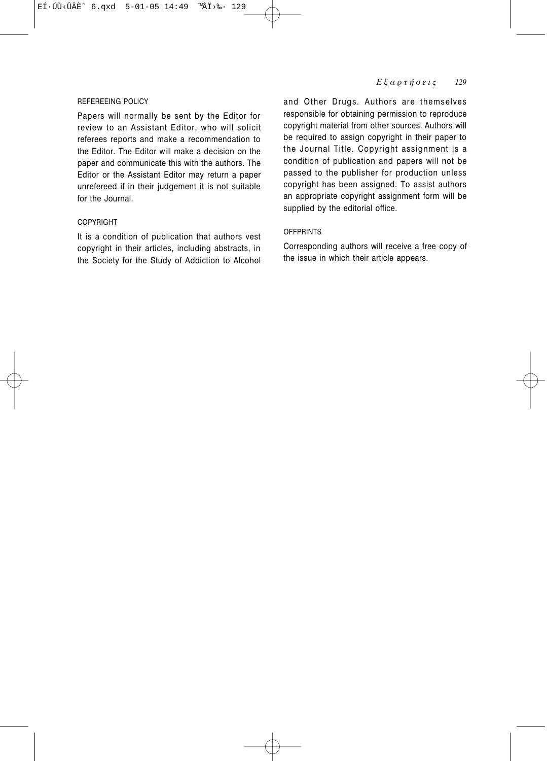#### REFEREEING POLICY

Papers will normally be sent by the Editor for review to an Assistant Editor, who will solicit referees reports and make a recommendation to the Editor. The Editor will make a decision on the paper and communicate this with the authors. The Editor or the Assistant Editor may return a paper unrefereed if in their judgement it is not suitable for the Journal.

#### COPYRIGHT

It is a condition of publication that authors vest copyright in their articles, including abstracts, in the Society for the Study of Addiction to Alcohol

### $E \xi \alpha \varrho \tau \eta \sigma \varepsilon \iota \zeta$  129

and Other Drugs. Authors are themselves responsible for obtaining permission to reproduce copyright material from other sources. Authors will be required to assign copyright in their paper to the Journal Title. Copyright assignment is a condition of publication and papers will not be passed to the publisher for production unless copyright has been assigned. To assist authors an appropriate copyright assignment form will be supplied by the editorial office.

#### **OFFPRINTS**

Corresponding authors will receive a free copy of the issue in which their article appears.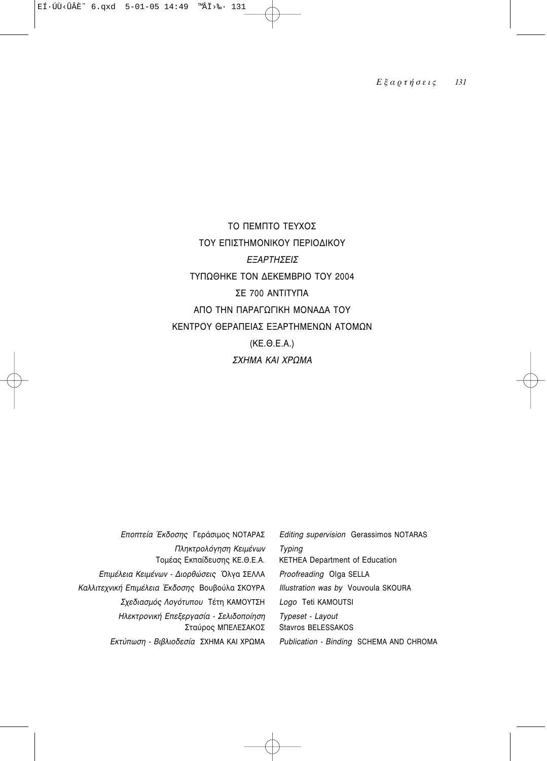ΤΟ ΠΕΜΠΤΟ ΤΕΥΧΟΣ ΤΟΥ ΕΠΙΣΤΗΜΟΝΙΚΟΥ ΠΕΡΙΟΔΙΚΟΥ ΕΞΑΡΤΗΣΕΙΣ ΤΥΠΩΘΗΚΕ ΤΟΝ ΔΕΚΕΜΒΡΙΟ ΤΟΥ 2004 ΣΕ 700 ΑΝΤΙΤΥΠΑ ΑΠΟ ΤΗΝ ΠΑΡΑΓΩΓΙΚΗ ΜΟΝΑΔΑ ΤΟΥ ΚΕΝΤΡΟΥ ΘΕΡΑΠΕΙΑΣ ΕΞΑΡΤΗΜΕΝΩΝ ΑΤΟΜΩΝ  $(KE. \Theta.E.A.)$ ΣΧΗΜΑ ΚΑΙ ΧΡΩΜΑ

| Εποπτεία Έκδοσης Γεράσιμος ΝΟΤΑΡΑΣ                           | <b>Editing supervision Gerassimos NOTARAS</b>   |
|--------------------------------------------------------------|-------------------------------------------------|
| Πληκτρολόγηση Κειμένων<br>Τομέας Εκπαίδευσης ΚΕ.Θ.Ε.Α.       | Typing<br><b>KETHEA Department of Education</b> |
| Επιμέλεια Κειμένων - Διορθώσεις Όλγα ΣΕΛΛΑ                   | <i>Proofreading</i> Olga SELLA                  |
| Καλλιτεχνική Επιμέλεια Έκδοσης  Βουβούλα ΣΚΟΥΡΑ              | Illustration was by Vouvoula SKOURA             |
| Σχεδιασμός Λογότυπου Τέτη ΚΑΜΟΥΤΣΗ                           | Logo Teti KAMOUTSI                              |
| Ηλεκτρονική Επεξεργασία - Σελιδοποίηση<br>Σταύρος ΜΠΕΛΕΣΑΚΟΣ | Typeset - Layout<br>Stavros BELESSAKOS          |
| Εκτύπωση - Βιβλιοδεσία ΣΧΗΜΑ ΚΑΙ ΧΡΩΜΑ                       | Publication - Binding SCHEMA AND CHROMA         |
|                                                              |                                                 |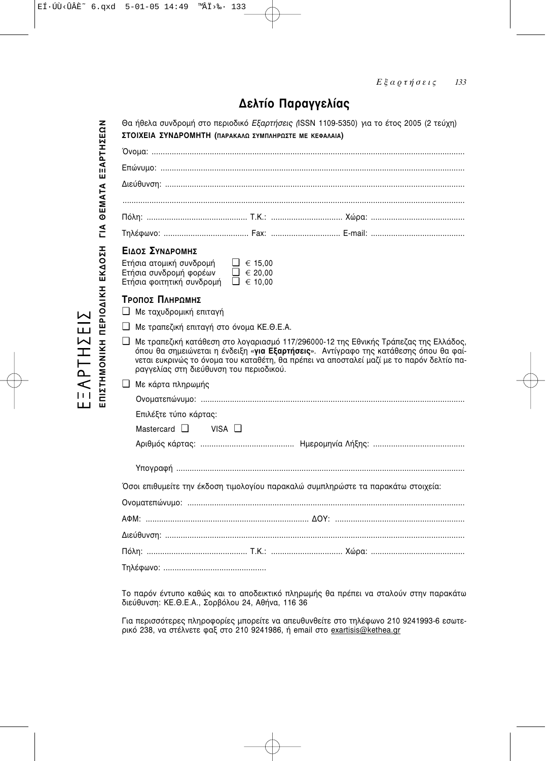# Δελτίο Παραγγελίας

| ΣΤΟΙΧΕΙΑ ΣΥΝΔΡΟΜΗΤΗ (ΠΑΡΑΚΑΛΩ ΣΥΜΠΛΗΡΩΣΤΕ ΜΕ ΚΕΦΑΛΑΙΑ) | Θα ήθελα συνδρομή στο περιοδικό Εξαρτήσεις (ISSN 1109-5350) για το έτος 2005 (2 τεύχη)                                                                                                                                                                                     |
|--------------------------------------------------------|----------------------------------------------------------------------------------------------------------------------------------------------------------------------------------------------------------------------------------------------------------------------------|
|                                                        |                                                                                                                                                                                                                                                                            |
|                                                        |                                                                                                                                                                                                                                                                            |
|                                                        |                                                                                                                                                                                                                                                                            |
|                                                        |                                                                                                                                                                                                                                                                            |
|                                                        |                                                                                                                                                                                                                                                                            |
|                                                        |                                                                                                                                                                                                                                                                            |
| ΕΙΔΟΣ ΣΥΝΔΡΟΜΗΣ                                        |                                                                                                                                                                                                                                                                            |
| ΤΡΟΠΟΣ ΠΛΗΡΩΜΗΣ<br><b>Δ</b> Με ταχυδρομική επιταγή     |                                                                                                                                                                                                                                                                            |
| ■ Με τραπεζική επιταγή στο όνομα KE.Θ.E.A.             |                                                                                                                                                                                                                                                                            |
| ραγγελίας στη διεύθυνση του περιοδικού.                | Δ Με τραπεζική κατάθεση στο λογαριασμό 117/296000-12 της Εθνικής Τράπεζας της Ελλάδος,<br>όπου θα σημειώνεται η ένδειξη «για Εξαρτήσεις». Αντίγραφο της κατάθεσης όπου θα φαί-<br>νεται ευκρινώς το όνομα του καταθέτη, θα πρέπει να αποσταλεί μαζί με το παρόν δελτίο πα- |
| <b>Δ</b> Με κάρτα πληρωμής                             |                                                                                                                                                                                                                                                                            |
|                                                        |                                                                                                                                                                                                                                                                            |
| Επιλέξτε τύπο κάρτας:                                  |                                                                                                                                                                                                                                                                            |
| Mastercard $\Box$ VISA $\Box$                          |                                                                                                                                                                                                                                                                            |
|                                                        |                                                                                                                                                                                                                                                                            |
|                                                        |                                                                                                                                                                                                                                                                            |
|                                                        | Όσοι επιθυμείτε την έκδοση τιμολογίου παρακαλώ συμπληρώστε τα παρακάτω στοιχεία:                                                                                                                                                                                           |
|                                                        |                                                                                                                                                                                                                                                                            |
|                                                        |                                                                                                                                                                                                                                                                            |
|                                                        |                                                                                                                                                                                                                                                                            |
|                                                        |                                                                                                                                                                                                                                                                            |
|                                                        |                                                                                                                                                                                                                                                                            |

Το παρόν έντυπο καθώς και το αποδεικτικό πληρωμής θα πρέπει να σταλούν στην παρακάτω<br>διεύθυνση: ΚΕ.Θ.Ε.Α., Σορβόλου 24, Αθήνα, 116 36

Για περισσότερες πληροφορίες μπορείτε να απευθυνθείτε στο τηλέφωνο 210 9241993-6 εσωτε-<br>ρικό 238, να στέλνετε φαξ στο 210 9241986, ή email στο <u>exartisis@kethea.gr</u>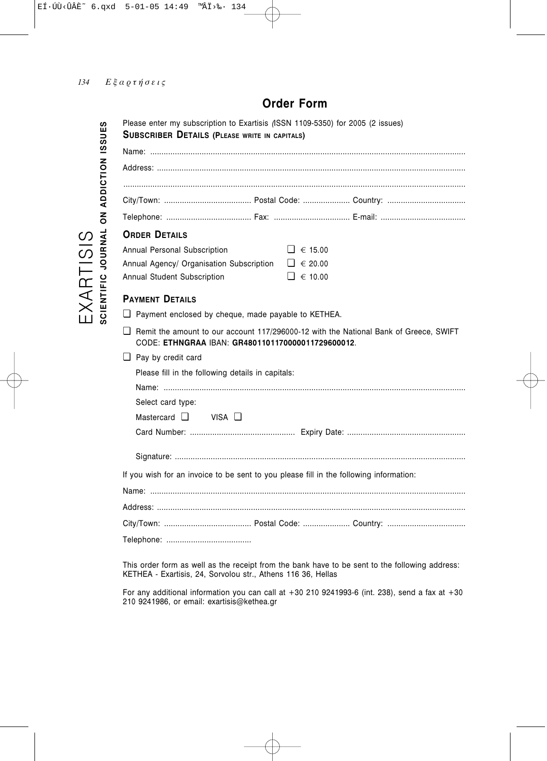# **Order Form**

| Please enter my subscription to Exartisis (ISSN 1109-5350) for 2005 (2 issues)<br><b>SUBSCRIBER DETAILS (PLEASE WRITE IN CAPITALS)</b> |                                                                                       |  |
|----------------------------------------------------------------------------------------------------------------------------------------|---------------------------------------------------------------------------------------|--|
|                                                                                                                                        |                                                                                       |  |
|                                                                                                                                        |                                                                                       |  |
|                                                                                                                                        |                                                                                       |  |
|                                                                                                                                        |                                                                                       |  |
|                                                                                                                                        |                                                                                       |  |
| <b>ORDER DETAILS</b>                                                                                                                   |                                                                                       |  |
| Annual Personal Subscription                                                                                                           | $\Box$ $\in$ 15.00                                                                    |  |
| Annual Agency/ Organisation Subscription<br>□ € 20.00                                                                                  |                                                                                       |  |
| Annual Student Subscription                                                                                                            | $\Box$ $\in$ 10.00                                                                    |  |
| <b>PAYMENT DETAILS</b>                                                                                                                 |                                                                                       |  |
| Payment enclosed by cheque, made payable to KETHEA.<br>⊔                                                                               |                                                                                       |  |
| ப<br>CODE: ETHNGRAA IBAN: GR4801101170000011729600012.                                                                                 | Remit the amount to our account 117/296000-12 with the National Bank of Greece, SWIFT |  |
| $\Box$ Pay by credit card                                                                                                              |                                                                                       |  |
| Please fill in the following details in capitals:                                                                                      |                                                                                       |  |
|                                                                                                                                        |                                                                                       |  |
| Select card type:                                                                                                                      |                                                                                       |  |
| Mastercard $\Box$ VISA $\Box$                                                                                                          |                                                                                       |  |
|                                                                                                                                        |                                                                                       |  |
|                                                                                                                                        |                                                                                       |  |
| If you wish for an invoice to be sent to you please fill in the following information:                                                 |                                                                                       |  |
|                                                                                                                                        |                                                                                       |  |
|                                                                                                                                        |                                                                                       |  |
|                                                                                                                                        |                                                                                       |  |
|                                                                                                                                        |                                                                                       |  |

This order form as well as the receipt from the bank have to be sent to the following address: KETHEA - Exartisis, 24, Sorvolou str., Athens 116 36, Hellas

For any additional information you can call at  $+30$  210 9241993-6 (int. 238), send a fax at  $+30$ 210 9241986, or email: exartisis@kethea.gr